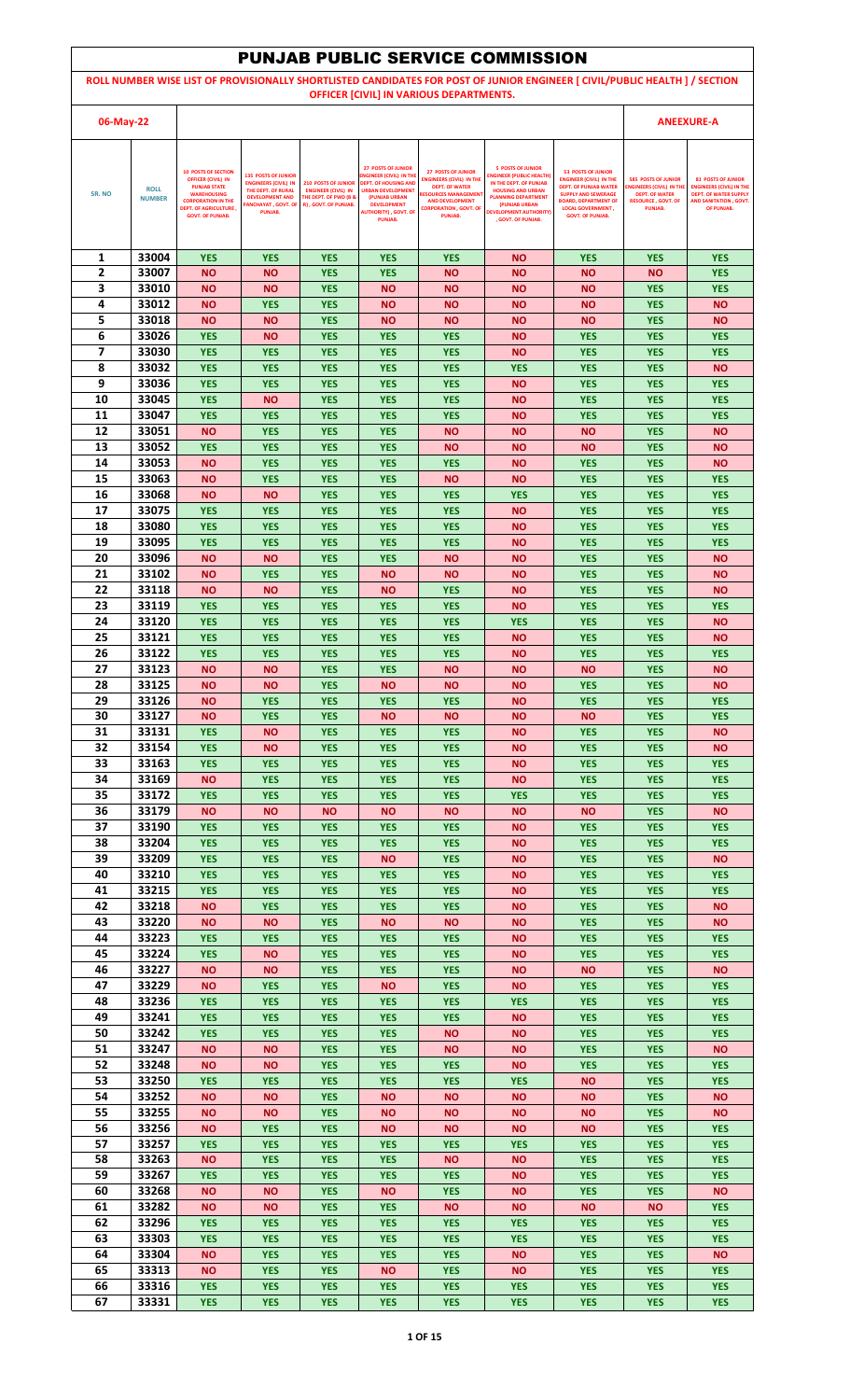|           |                              |                                                                                                                                                                  |                                                                                                                                  |                                                                                                           |                                                                                                                                                              |                                                                                                                                                                        | <b>PUNJAB PUBLIC SERVICE COMMISSION</b>                                                                                                                          |                                                                                                                                                                                      |                                                                                                                                       |                                                                                                                                     |
|-----------|------------------------------|------------------------------------------------------------------------------------------------------------------------------------------------------------------|----------------------------------------------------------------------------------------------------------------------------------|-----------------------------------------------------------------------------------------------------------|--------------------------------------------------------------------------------------------------------------------------------------------------------------|------------------------------------------------------------------------------------------------------------------------------------------------------------------------|------------------------------------------------------------------------------------------------------------------------------------------------------------------|--------------------------------------------------------------------------------------------------------------------------------------------------------------------------------------|---------------------------------------------------------------------------------------------------------------------------------------|-------------------------------------------------------------------------------------------------------------------------------------|
|           |                              |                                                                                                                                                                  |                                                                                                                                  |                                                                                                           |                                                                                                                                                              | OFFICER [CIVIL] IN VARIOUS DEPARTMENTS.                                                                                                                                |                                                                                                                                                                  | ROLL NUMBER WISE LIST OF PROVISIONALLY SHORTLISTED CANDIDATES FOR POST OF JUNIOR ENGINEER [ CIVIL/PUBLIC HEALTH ] / SECTION                                                          |                                                                                                                                       |                                                                                                                                     |
| 06-May-22 |                              |                                                                                                                                                                  |                                                                                                                                  |                                                                                                           |                                                                                                                                                              |                                                                                                                                                                        |                                                                                                                                                                  |                                                                                                                                                                                      |                                                                                                                                       | <b>ANEEXURE-A</b>                                                                                                                   |
| SR. NO    | <b>ROLL</b><br><b>NUMBER</b> | <b>10 POSTS OF SECTION</b><br><b>OFFICER (CIVIL) IN</b><br><b>PUNJAB STATE</b><br><b>WAREHOUSING</b><br><b>CORPORATION IN THE</b><br><b>DEPT. OF AGRICULTURE</b> | <b>135 POSTS OF JUNIOR</b><br><b>ENGINEERS (CIVIL) IN</b><br>THE DEPT. OF RURAL<br><b>DEVELOPMENT AND</b><br>PANCHAYAT, GOVT. OF | <b>210 POSTS OF JUNIOR</b><br><b>ENGINEER (CIVIL) IN</b><br>THE DEPT. OF PWD (B &<br>R), GOVT. OF PUNJAB. | <b>27 POSTS OF JUNIOR</b><br>NGINEER (CIVIL) IN THE<br><b>DEPT. OF HOUSING AND</b><br><b>URBAN DEVELOPMENT</b><br><b>(PUNJAB URBAN</b><br><b>DEVELOPMENT</b> | <b>27 POSTS OF JUNIOR</b><br><b>ENGINEERS (CIVIL) IN THE</b><br>DEPT. OF WATER<br><b>RESOURCES MANAGEMEN</b><br><b>AND DEVELOPMENT</b><br><b>CORPORATION, GOVT. OF</b> | <b>5 POSTS OF JUNIOR</b><br><b>INGINEER (PUBLIC HEALTH)</b><br>IN THE DEPT. OF PUNJAB<br><b>HOUSING AND URBAN</b><br><b>PLANNING DEPARTMENT</b><br>(PUNJAB URBAN | <b>53 POSTS OF JUNIOR</b><br><b>ENGINEER (CIVIL) IN THE</b><br><b>DEPT. OF PUNJAB WATER</b><br><b>SUPPLY AND SEWERAGE</b><br><b>BOARD, DEPARTMENT OF</b><br><b>LOCAL GOVERNMENT,</b> | <b>585 POSTS OF JUNIOR</b><br><b>ENGINEERS (CIVIL) IN THE</b><br><b>DEPT. OF WATER</b><br><b>RESOURCE, GOVT, OF</b><br><b>PUNJAB.</b> | <b>81 POSTS OF JUNIOR</b><br><b>ENGINEERS (CIVIL) IN THE</b><br><b>DEPT. OF WATER SUPPLY</b><br>AND SANITATION, GOVT.<br>OF PUNJAB. |
|           |                              | <b>GOVT. OF PUNJAB.</b>                                                                                                                                          | PUNJAB.                                                                                                                          |                                                                                                           | <b>AUTHORITY), GOVT. OF</b><br><b>PUNJAB.</b>                                                                                                                | PUNJAB.                                                                                                                                                                | <b>EVELOPMENT AUTHORITY</b><br>, GOVT. OF PUNJAB.                                                                                                                | <b>GOVT. OF PUNJAB.</b>                                                                                                                                                              |                                                                                                                                       |                                                                                                                                     |
| 1<br>2    | 33004<br>33007               | <b>YES</b>                                                                                                                                                       | <b>YES</b>                                                                                                                       | <b>YES</b>                                                                                                | <b>YES</b>                                                                                                                                                   | <b>YES</b>                                                                                                                                                             | <b>NO</b>                                                                                                                                                        | <b>YES</b>                                                                                                                                                                           | <b>YES</b>                                                                                                                            | <b>YES</b><br><b>YES</b>                                                                                                            |
| 3         | 33010                        | <b>NO</b><br><b>NO</b>                                                                                                                                           | <b>NO</b><br><b>NO</b>                                                                                                           | <b>YES</b><br><b>YES</b>                                                                                  | <b>YES</b><br><b>NO</b>                                                                                                                                      | <b>NO</b><br><b>NO</b>                                                                                                                                                 | NΟ<br><b>NO</b>                                                                                                                                                  | <b>NO</b><br><b>NO</b>                                                                                                                                                               | <b>NO</b><br><b>YES</b>                                                                                                               | <b>YES</b>                                                                                                                          |
| 4         | 33012                        | <b>NO</b>                                                                                                                                                        | <b>YES</b>                                                                                                                       | <b>YES</b>                                                                                                | <b>NO</b>                                                                                                                                                    | <b>NO</b>                                                                                                                                                              | <b>NO</b>                                                                                                                                                        | <b>NO</b>                                                                                                                                                                            | <b>YES</b>                                                                                                                            | <b>NO</b>                                                                                                                           |
| 5         | 33018                        | <b>NO</b>                                                                                                                                                        | <b>NO</b>                                                                                                                        | <b>YES</b>                                                                                                | <b>NO</b>                                                                                                                                                    | <b>NO</b>                                                                                                                                                              | <b>NO</b>                                                                                                                                                        | <b>NO</b>                                                                                                                                                                            | <b>YES</b>                                                                                                                            | <b>NO</b>                                                                                                                           |
| 6         | 33026                        | <b>YES</b>                                                                                                                                                       | <b>NO</b>                                                                                                                        | <b>YES</b>                                                                                                | <b>YES</b>                                                                                                                                                   | <b>YES</b>                                                                                                                                                             | <b>NO</b>                                                                                                                                                        | <b>YES</b>                                                                                                                                                                           | <b>YES</b>                                                                                                                            | <b>YES</b>                                                                                                                          |
| 7<br>8    | 33030<br>33032               | <b>YES</b><br><b>YES</b>                                                                                                                                         | <b>YES</b><br><b>YES</b>                                                                                                         | <b>YES</b><br><b>YES</b>                                                                                  | <b>YES</b><br><b>YES</b>                                                                                                                                     | <b>YES</b><br><b>YES</b>                                                                                                                                               | <b>NO</b><br><b>YES</b>                                                                                                                                          | <b>YES</b><br><b>YES</b>                                                                                                                                                             | <b>YES</b><br><b>YES</b>                                                                                                              | <b>YES</b><br><b>NO</b>                                                                                                             |
| 9         | 33036                        | <b>YES</b>                                                                                                                                                       | <b>YES</b>                                                                                                                       | <b>YES</b>                                                                                                | <b>YES</b>                                                                                                                                                   | <b>YES</b>                                                                                                                                                             | <b>NO</b>                                                                                                                                                        | <b>YES</b>                                                                                                                                                                           | <b>YES</b>                                                                                                                            | <b>YES</b>                                                                                                                          |
| 10        | 33045                        | <b>YES</b>                                                                                                                                                       | <b>NO</b>                                                                                                                        | <b>YES</b>                                                                                                | <b>YES</b>                                                                                                                                                   | <b>YES</b>                                                                                                                                                             | <b>NO</b>                                                                                                                                                        | <b>YES</b>                                                                                                                                                                           | <b>YES</b>                                                                                                                            | <b>YES</b>                                                                                                                          |
| 11        | 33047                        | <b>YES</b>                                                                                                                                                       | <b>YES</b>                                                                                                                       | <b>YES</b>                                                                                                | <b>YES</b>                                                                                                                                                   | <b>YES</b>                                                                                                                                                             | <b>NO</b>                                                                                                                                                        | <b>YES</b>                                                                                                                                                                           | <b>YES</b>                                                                                                                            | <b>YES</b>                                                                                                                          |
| 12        | 33051                        | <b>NO</b>                                                                                                                                                        | <b>YES</b>                                                                                                                       | <b>YES</b>                                                                                                | <b>YES</b>                                                                                                                                                   | <b>NO</b>                                                                                                                                                              | NΟ                                                                                                                                                               | <b>NO</b>                                                                                                                                                                            | <b>YES</b>                                                                                                                            | <b>NO</b>                                                                                                                           |
| 13        | 33052                        | <b>YES</b>                                                                                                                                                       | <b>YES</b>                                                                                                                       | <b>YES</b>                                                                                                | <b>YES</b>                                                                                                                                                   | <b>NO</b>                                                                                                                                                              | <b>NO</b>                                                                                                                                                        | <b>NO</b>                                                                                                                                                                            | <b>YES</b>                                                                                                                            | <b>NO</b>                                                                                                                           |
| 14<br>15  | 33053<br>33063               | <b>NO</b><br><b>NO</b>                                                                                                                                           | <b>YES</b><br><b>YES</b>                                                                                                         | <b>YES</b><br><b>YES</b>                                                                                  | <b>YES</b><br><b>YES</b>                                                                                                                                     | <b>YES</b><br><b>NO</b>                                                                                                                                                | <b>NO</b><br><b>NO</b>                                                                                                                                           | <b>YES</b><br><b>YES</b>                                                                                                                                                             | <b>YES</b><br><b>YES</b>                                                                                                              | <b>NO</b><br><b>YES</b>                                                                                                             |
| 16        | 33068                        | <b>NO</b>                                                                                                                                                        | <b>NO</b>                                                                                                                        | <b>YES</b>                                                                                                | <b>YES</b>                                                                                                                                                   | <b>YES</b>                                                                                                                                                             | <b>YES</b>                                                                                                                                                       | <b>YES</b>                                                                                                                                                                           | <b>YES</b>                                                                                                                            | <b>YES</b>                                                                                                                          |
| 17        | 33075                        | <b>YES</b>                                                                                                                                                       | <b>YES</b>                                                                                                                       | <b>YES</b>                                                                                                | <b>YES</b>                                                                                                                                                   | <b>YES</b>                                                                                                                                                             | <b>NO</b>                                                                                                                                                        | <b>YES</b>                                                                                                                                                                           | <b>YES</b>                                                                                                                            | <b>YES</b>                                                                                                                          |
| 18        | 33080                        | <b>YES</b>                                                                                                                                                       | <b>YES</b>                                                                                                                       | <b>YES</b>                                                                                                | <b>YES</b>                                                                                                                                                   | <b>YES</b>                                                                                                                                                             | <b>NO</b>                                                                                                                                                        | <b>YES</b>                                                                                                                                                                           | <b>YES</b>                                                                                                                            | <b>YES</b>                                                                                                                          |
| 19        | 33095                        | <b>YES</b>                                                                                                                                                       | <b>YES</b>                                                                                                                       | <b>YES</b>                                                                                                | <b>YES</b>                                                                                                                                                   | <b>YES</b>                                                                                                                                                             | <b>NO</b>                                                                                                                                                        | <b>YES</b>                                                                                                                                                                           | <b>YES</b>                                                                                                                            | <b>YES</b>                                                                                                                          |
| 20<br>21  | 33096<br>33102               | <b>NO</b><br><b>NO</b>                                                                                                                                           | <b>NO</b><br><b>YES</b>                                                                                                          | <b>YES</b><br><b>YES</b>                                                                                  | <b>YES</b><br><b>NO</b>                                                                                                                                      | <b>NO</b><br><b>NO</b>                                                                                                                                                 | <b>NO</b><br><b>NO</b>                                                                                                                                           | <b>YES</b><br><b>YES</b>                                                                                                                                                             | <b>YES</b><br><b>YES</b>                                                                                                              | <b>NO</b><br><b>NO</b>                                                                                                              |
| 22        | 33118                        | <b>NO</b>                                                                                                                                                        | ΝO                                                                                                                               | <b>YES</b>                                                                                                | <b>NO</b>                                                                                                                                                    | <b>YES</b>                                                                                                                                                             | ΝO                                                                                                                                                               | <b>YES</b>                                                                                                                                                                           | <b>YES</b>                                                                                                                            | <b>NO</b>                                                                                                                           |
| 23        | 33119                        | <b>YES</b>                                                                                                                                                       | <b>YES</b>                                                                                                                       | <b>YES</b>                                                                                                | <b>YES</b>                                                                                                                                                   | <b>YES</b>                                                                                                                                                             | <b>NO</b>                                                                                                                                                        | <b>YES</b>                                                                                                                                                                           | <b>YES</b>                                                                                                                            | <b>YES</b>                                                                                                                          |
| 24        | 33120                        | <b>YES</b>                                                                                                                                                       | <b>YES</b>                                                                                                                       | <b>YES</b>                                                                                                | <b>YES</b>                                                                                                                                                   | <b>YES</b>                                                                                                                                                             | <b>YES</b>                                                                                                                                                       | <b>YES</b>                                                                                                                                                                           | <b>YES</b>                                                                                                                            | <b>NO</b>                                                                                                                           |
| 25        | 33121                        | <b>YES</b>                                                                                                                                                       | <b>YES</b>                                                                                                                       | <b>YES</b>                                                                                                | <b>YES</b>                                                                                                                                                   | <b>YES</b>                                                                                                                                                             | <b>NO</b>                                                                                                                                                        | <b>YES</b>                                                                                                                                                                           | <b>YES</b>                                                                                                                            | <b>NO</b>                                                                                                                           |
| 26        | 33122                        | <b>YES</b>                                                                                                                                                       | <b>YES</b>                                                                                                                       | <b>YES</b>                                                                                                | <b>YES</b>                                                                                                                                                   | <b>YES</b>                                                                                                                                                             | <b>NO</b>                                                                                                                                                        | <b>YES</b>                                                                                                                                                                           | <b>YES</b>                                                                                                                            | <b>YES</b>                                                                                                                          |
| 27<br>28  | 33123<br>33125               | ΝO<br><b>NO</b>                                                                                                                                                  | <b>NO</b><br><b>NO</b>                                                                                                           | <b>YES</b><br><b>YES</b>                                                                                  | <b>YES</b><br><b>NO</b>                                                                                                                                      | <b>NO</b><br><b>NO</b>                                                                                                                                                 | ΝO<br><b>NO</b>                                                                                                                                                  | <b>NO</b><br><b>YES</b>                                                                                                                                                              | <b>YES</b><br><b>YES</b>                                                                                                              | <b>NO</b><br><b>NO</b>                                                                                                              |
| 29        | 33126                        | <b>NO</b>                                                                                                                                                        | <b>YES</b>                                                                                                                       | <b>YES</b>                                                                                                | <b>YES</b>                                                                                                                                                   | <b>YES</b>                                                                                                                                                             | <b>NO</b>                                                                                                                                                        | <b>YES</b>                                                                                                                                                                           | <b>YES</b>                                                                                                                            | <b>YES</b>                                                                                                                          |
| 30        | 33127                        | <b>NO</b>                                                                                                                                                        | <b>YES</b>                                                                                                                       | <b>YES</b>                                                                                                | <b>NO</b>                                                                                                                                                    | <b>NO</b>                                                                                                                                                              | <b>NO</b>                                                                                                                                                        | <b>NO</b>                                                                                                                                                                            | <b>YES</b>                                                                                                                            | <b>YES</b>                                                                                                                          |
| 31        | 33131                        | <b>YES</b>                                                                                                                                                       | <b>NO</b>                                                                                                                        | <b>YES</b>                                                                                                | <b>YES</b>                                                                                                                                                   | <b>YES</b>                                                                                                                                                             | <b>NO</b>                                                                                                                                                        | <b>YES</b>                                                                                                                                                                           | <b>YES</b>                                                                                                                            | <b>NO</b>                                                                                                                           |
| 32        | 33154                        | <b>YES</b>                                                                                                                                                       | <b>NO</b>                                                                                                                        | <b>YES</b>                                                                                                | <b>YES</b>                                                                                                                                                   | <b>YES</b>                                                                                                                                                             | <b>NO</b>                                                                                                                                                        | <b>YES</b>                                                                                                                                                                           | <b>YES</b>                                                                                                                            | <b>NO</b>                                                                                                                           |
| 33<br>34  | 33163<br>33169               | <b>YES</b><br><b>NO</b>                                                                                                                                          | <b>YES</b><br><b>YES</b>                                                                                                         | <b>YES</b><br><b>YES</b>                                                                                  | <b>YES</b><br><b>YES</b>                                                                                                                                     | <b>YES</b><br><b>YES</b>                                                                                                                                               | <b>NO</b><br><b>NO</b>                                                                                                                                           | <b>YES</b><br><b>YES</b>                                                                                                                                                             | <b>YES</b><br><b>YES</b>                                                                                                              | <b>YES</b><br><b>YES</b>                                                                                                            |
| 35        | 33172                        | <b>YES</b>                                                                                                                                                       | <b>YES</b>                                                                                                                       | <b>YES</b>                                                                                                | <b>YES</b>                                                                                                                                                   | <b>YES</b>                                                                                                                                                             | <b>YES</b>                                                                                                                                                       | <b>YES</b>                                                                                                                                                                           | <b>YES</b>                                                                                                                            | <b>YES</b>                                                                                                                          |
| 36        | 33179                        | <b>NO</b>                                                                                                                                                        | <b>NO</b>                                                                                                                        | <b>NO</b>                                                                                                 | <b>NO</b>                                                                                                                                                    | <b>NO</b>                                                                                                                                                              | <b>NO</b>                                                                                                                                                        | <b>NO</b>                                                                                                                                                                            | <b>YES</b>                                                                                                                            | <b>NO</b>                                                                                                                           |
| 37        | 33190                        | <b>YES</b>                                                                                                                                                       | <b>YES</b>                                                                                                                       | <b>YES</b>                                                                                                | <b>YES</b>                                                                                                                                                   | <b>YES</b>                                                                                                                                                             | <b>NO</b>                                                                                                                                                        | <b>YES</b>                                                                                                                                                                           | <b>YES</b>                                                                                                                            | <b>YES</b>                                                                                                                          |
| 38        | 33204                        | <b>YES</b>                                                                                                                                                       | <b>YES</b>                                                                                                                       | <b>YES</b>                                                                                                | <b>YES</b>                                                                                                                                                   | <b>YES</b>                                                                                                                                                             | <b>NO</b>                                                                                                                                                        | <b>YES</b>                                                                                                                                                                           | <b>YES</b>                                                                                                                            | <b>YES</b>                                                                                                                          |
| 39<br>40  | 33209<br>33210               | <b>YES</b><br><b>YES</b>                                                                                                                                         | <b>YES</b><br><b>YES</b>                                                                                                         | <b>YES</b><br><b>YES</b>                                                                                  | <b>NO</b><br><b>YES</b>                                                                                                                                      | <b>YES</b><br><b>YES</b>                                                                                                                                               | ΝO<br>ΝO                                                                                                                                                         | <b>YES</b><br><b>YES</b>                                                                                                                                                             | <b>YES</b><br><b>YES</b>                                                                                                              | <b>NO</b><br><b>YES</b>                                                                                                             |
| 41        | 33215                        | <b>YES</b>                                                                                                                                                       | <b>YES</b>                                                                                                                       | <b>YES</b>                                                                                                | <b>YES</b>                                                                                                                                                   | <b>YES</b>                                                                                                                                                             | <b>NO</b>                                                                                                                                                        | <b>YES</b>                                                                                                                                                                           | <b>YES</b>                                                                                                                            | <b>YES</b>                                                                                                                          |
| 42        | 33218                        | <b>NO</b>                                                                                                                                                        | <b>YES</b>                                                                                                                       | <b>YES</b>                                                                                                | <b>YES</b>                                                                                                                                                   | <b>YES</b>                                                                                                                                                             | ΝO                                                                                                                                                               | <b>YES</b>                                                                                                                                                                           | <b>YES</b>                                                                                                                            | <b>NO</b>                                                                                                                           |
| 43        | 33220                        | <b>NO</b>                                                                                                                                                        | <b>NO</b>                                                                                                                        | <b>YES</b>                                                                                                | <b>NO</b>                                                                                                                                                    | <b>NO</b>                                                                                                                                                              | <b>NO</b>                                                                                                                                                        | <b>YES</b>                                                                                                                                                                           | <b>YES</b>                                                                                                                            | <b>NO</b>                                                                                                                           |
| 44        | 33223                        | <b>YES</b>                                                                                                                                                       | <b>YES</b>                                                                                                                       | <b>YES</b>                                                                                                | <b>YES</b>                                                                                                                                                   | <b>YES</b>                                                                                                                                                             | <b>NO</b>                                                                                                                                                        | <b>YES</b>                                                                                                                                                                           | <b>YES</b>                                                                                                                            | <b>YES</b>                                                                                                                          |
| 45<br>46  | 33224<br>33227               | <b>YES</b><br><b>NO</b>                                                                                                                                          | <b>NO</b><br><b>NO</b>                                                                                                           | <b>YES</b><br><b>YES</b>                                                                                  | <b>YES</b><br><b>YES</b>                                                                                                                                     | <b>YES</b><br><b>YES</b>                                                                                                                                               | <b>NO</b><br><b>NO</b>                                                                                                                                           | <b>YES</b><br><b>NO</b>                                                                                                                                                              | <b>YES</b><br><b>YES</b>                                                                                                              | <b>YES</b><br><b>NO</b>                                                                                                             |
| 47        | 33229                        | <b>NO</b>                                                                                                                                                        | <b>YES</b>                                                                                                                       | <b>YES</b>                                                                                                | <b>NO</b>                                                                                                                                                    | <b>YES</b>                                                                                                                                                             | <b>NO</b>                                                                                                                                                        | <b>YES</b>                                                                                                                                                                           | <b>YES</b>                                                                                                                            | <b>YES</b>                                                                                                                          |
| 48        | 33236                        | <b>YES</b>                                                                                                                                                       | <b>YES</b>                                                                                                                       | <b>YES</b>                                                                                                | <b>YES</b>                                                                                                                                                   | <b>YES</b>                                                                                                                                                             | <b>YES</b>                                                                                                                                                       | <b>YES</b>                                                                                                                                                                           | <b>YES</b>                                                                                                                            | <b>YES</b>                                                                                                                          |
| 49        | 33241                        | <b>YES</b>                                                                                                                                                       | <b>YES</b>                                                                                                                       | <b>YES</b>                                                                                                | <b>YES</b>                                                                                                                                                   | <b>YES</b>                                                                                                                                                             | <b>NO</b>                                                                                                                                                        | <b>YES</b>                                                                                                                                                                           | <b>YES</b>                                                                                                                            | <b>YES</b>                                                                                                                          |
| 50<br>51  | 33242                        | <b>YES</b>                                                                                                                                                       | <b>YES</b>                                                                                                                       | <b>YES</b>                                                                                                | <b>YES</b>                                                                                                                                                   | <b>NO</b>                                                                                                                                                              | <b>NO</b>                                                                                                                                                        | <b>YES</b>                                                                                                                                                                           | <b>YES</b>                                                                                                                            | <b>YES</b>                                                                                                                          |
| 52        | 33247<br>33248               | <b>NO</b><br><b>NO</b>                                                                                                                                           | <b>NO</b><br><b>NO</b>                                                                                                           | <b>YES</b><br><b>YES</b>                                                                                  | <b>YES</b><br><b>YES</b>                                                                                                                                     | <b>NO</b><br><b>YES</b>                                                                                                                                                | <b>NO</b><br><b>NO</b>                                                                                                                                           | <b>YES</b><br><b>YES</b>                                                                                                                                                             | <b>YES</b><br><b>YES</b>                                                                                                              | <b>NO</b><br><b>YES</b>                                                                                                             |
| 53        | 33250                        | <b>YES</b>                                                                                                                                                       | <b>YES</b>                                                                                                                       | <b>YES</b>                                                                                                | <b>YES</b>                                                                                                                                                   | <b>YES</b>                                                                                                                                                             | <b>YES</b>                                                                                                                                                       | <b>NO</b>                                                                                                                                                                            | <b>YES</b>                                                                                                                            | <b>YES</b>                                                                                                                          |
| 54        | 33252                        | <b>NO</b>                                                                                                                                                        | <b>NO</b>                                                                                                                        | <b>YES</b>                                                                                                | <b>NO</b>                                                                                                                                                    | <b>NO</b>                                                                                                                                                              | <b>NO</b>                                                                                                                                                        | <b>NO</b>                                                                                                                                                                            | <b>YES</b>                                                                                                                            | <b>NO</b>                                                                                                                           |
| 55        | 33255                        | <b>NO</b>                                                                                                                                                        | <b>NO</b>                                                                                                                        | <b>YES</b>                                                                                                | <b>NO</b>                                                                                                                                                    | <b>NO</b>                                                                                                                                                              | <b>NO</b>                                                                                                                                                        | <b>NO</b>                                                                                                                                                                            | <b>YES</b>                                                                                                                            | <b>NO</b>                                                                                                                           |
| 56<br>57  | 33256<br>33257               | <b>NO</b>                                                                                                                                                        | <b>YES</b>                                                                                                                       | <b>YES</b>                                                                                                | <b>NO</b>                                                                                                                                                    | <b>NO</b>                                                                                                                                                              | <b>NO</b>                                                                                                                                                        | <b>NO</b>                                                                                                                                                                            | <b>YES</b>                                                                                                                            | <b>YES</b><br><b>YES</b>                                                                                                            |
| 58        | 33263                        | <b>YES</b><br><b>NO</b>                                                                                                                                          | <b>YES</b><br><b>YES</b>                                                                                                         | <b>YES</b><br><b>YES</b>                                                                                  | <b>YES</b><br><b>YES</b>                                                                                                                                     | <b>YES</b><br><b>NO</b>                                                                                                                                                | <b>YES</b><br><b>NO</b>                                                                                                                                          | <b>YES</b><br><b>YES</b>                                                                                                                                                             | <b>YES</b><br><b>YES</b>                                                                                                              | <b>YES</b>                                                                                                                          |
| 59        | 33267                        | <b>YES</b>                                                                                                                                                       | <b>YES</b>                                                                                                                       | <b>YES</b>                                                                                                | <b>YES</b>                                                                                                                                                   | <b>YES</b>                                                                                                                                                             | <b>NO</b>                                                                                                                                                        | <b>YES</b>                                                                                                                                                                           | <b>YES</b>                                                                                                                            | <b>YES</b>                                                                                                                          |
| 60        | 33268                        | <b>NO</b>                                                                                                                                                        | <b>NO</b>                                                                                                                        | <b>YES</b>                                                                                                | <b>NO</b>                                                                                                                                                    | <b>YES</b>                                                                                                                                                             | <b>NO</b>                                                                                                                                                        | <b>YES</b>                                                                                                                                                                           | <b>YES</b>                                                                                                                            | <b>NO</b>                                                                                                                           |
| 61        | 33282                        | <b>NO</b>                                                                                                                                                        | <b>NO</b>                                                                                                                        | <b>YES</b>                                                                                                | <b>YES</b>                                                                                                                                                   | <b>NO</b>                                                                                                                                                              | <b>NO</b>                                                                                                                                                        | <b>NO</b>                                                                                                                                                                            | <b>NO</b>                                                                                                                             | <b>YES</b>                                                                                                                          |
| 62<br>63  | 33296                        | <b>YES</b>                                                                                                                                                       | <b>YES</b>                                                                                                                       | <b>YES</b>                                                                                                | <b>YES</b>                                                                                                                                                   | <b>YES</b>                                                                                                                                                             | <b>YES</b>                                                                                                                                                       | <b>YES</b>                                                                                                                                                                           | <b>YES</b>                                                                                                                            | <b>YES</b>                                                                                                                          |
| 64        | 33303<br>33304               | <b>YES</b><br><b>NO</b>                                                                                                                                          | <b>YES</b><br><b>YES</b>                                                                                                         | <b>YES</b><br><b>YES</b>                                                                                  | <b>YES</b><br><b>YES</b>                                                                                                                                     | <b>YES</b><br><b>YES</b>                                                                                                                                               | <b>YES</b><br><b>NO</b>                                                                                                                                          | <b>YES</b><br><b>YES</b>                                                                                                                                                             | <b>YES</b><br><b>YES</b>                                                                                                              | <b>YES</b><br><b>NO</b>                                                                                                             |
| 65        | 33313                        | <b>NO</b>                                                                                                                                                        | <b>YES</b>                                                                                                                       | <b>YES</b>                                                                                                | <b>NO</b>                                                                                                                                                    | <b>YES</b>                                                                                                                                                             | <b>NO</b>                                                                                                                                                        | <b>YES</b>                                                                                                                                                                           | <b>YES</b>                                                                                                                            | <b>YES</b>                                                                                                                          |
| 66        | 33316                        | <b>YES</b>                                                                                                                                                       | <b>YES</b>                                                                                                                       | <b>YES</b>                                                                                                | <b>YES</b>                                                                                                                                                   | <b>YES</b>                                                                                                                                                             | <b>YES</b>                                                                                                                                                       | <b>YES</b>                                                                                                                                                                           | <b>YES</b>                                                                                                                            | <b>YES</b>                                                                                                                          |
| 67        | 33331                        | <b>YES</b>                                                                                                                                                       | <b>YES</b>                                                                                                                       | <b>YES</b>                                                                                                | <b>YES</b>                                                                                                                                                   | <b>YES</b>                                                                                                                                                             | <b>YES</b>                                                                                                                                                       | <b>YES</b>                                                                                                                                                                           | <b>YES</b>                                                                                                                            | <b>YES</b>                                                                                                                          |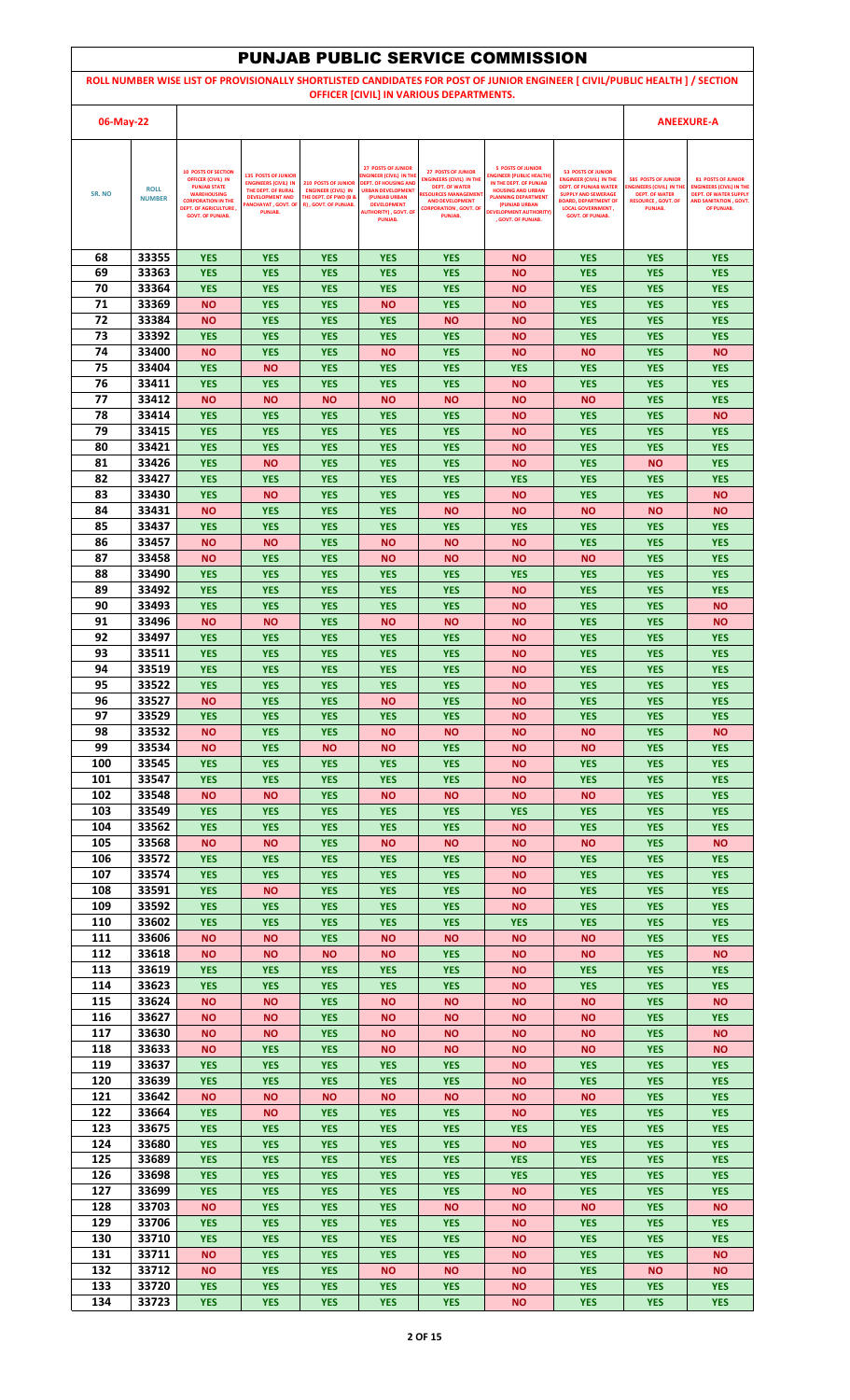|            |                              |                                                                                                                                                                                              |                                                                                                                                                   |                                                                                                                      |                                                                                                                                                                                                        |                                                                                                                                                                                           | <b>PUNJAB PUBLIC SERVICE COMMISSION</b>                                                                                                                                                                                 |                                                                                                                                                                                                                 |                                                                                                                               |                                                                                                                                            |
|------------|------------------------------|----------------------------------------------------------------------------------------------------------------------------------------------------------------------------------------------|---------------------------------------------------------------------------------------------------------------------------------------------------|----------------------------------------------------------------------------------------------------------------------|--------------------------------------------------------------------------------------------------------------------------------------------------------------------------------------------------------|-------------------------------------------------------------------------------------------------------------------------------------------------------------------------------------------|-------------------------------------------------------------------------------------------------------------------------------------------------------------------------------------------------------------------------|-----------------------------------------------------------------------------------------------------------------------------------------------------------------------------------------------------------------|-------------------------------------------------------------------------------------------------------------------------------|--------------------------------------------------------------------------------------------------------------------------------------------|
|            |                              |                                                                                                                                                                                              |                                                                                                                                                   |                                                                                                                      |                                                                                                                                                                                                        |                                                                                                                                                                                           |                                                                                                                                                                                                                         | ROLL NUMBER WISE LIST OF PROVISIONALLY SHORTLISTED CANDIDATES FOR POST OF JUNIOR ENGINEER [ CIVIL/PUBLIC HEALTH ] / SECTION                                                                                     |                                                                                                                               |                                                                                                                                            |
|            |                              |                                                                                                                                                                                              |                                                                                                                                                   |                                                                                                                      |                                                                                                                                                                                                        | OFFICER [CIVIL] IN VARIOUS DEPARTMENTS.                                                                                                                                                   |                                                                                                                                                                                                                         |                                                                                                                                                                                                                 |                                                                                                                               |                                                                                                                                            |
| 06-May-22  |                              |                                                                                                                                                                                              |                                                                                                                                                   |                                                                                                                      |                                                                                                                                                                                                        |                                                                                                                                                                                           |                                                                                                                                                                                                                         |                                                                                                                                                                                                                 |                                                                                                                               | <b>ANEEXURE-A</b>                                                                                                                          |
| SR. NO     | <b>ROLL</b><br><b>NUMBER</b> | <b>10 POSTS OF SECTION</b><br><b>OFFICER (CIVIL) IN</b><br><b>PUNJAB STATE</b><br><b>WAREHOUSING</b><br><b>CORPORATION IN THE</b><br><b>DEPT. OF AGRICULTURE,</b><br><b>GOVT. OF PUNJAB.</b> | <b>135 POSTS OF JUNIOR</b><br><b>ENGINEERS (CIVIL) IN</b><br>THE DEPT. OF RURAL<br><b>DEVELOPMENT AND</b><br><b>ANCHAYAT, GOVT. OF</b><br>PUNJAB. | <b>210 POSTS OF JUNIOR</b><br><b>ENGINEER (CIVIL) IN</b><br><b>THE DEPT. OF PWD (B &amp;</b><br>R), GOVT. OF PUNJAB. | <b>27 POSTS OF JUNIOR</b><br>NGINEER (CIVIL) IN THE<br><b>DEPT. OF HOUSING AND</b><br><b>URBAN DEVELOPMENT</b><br>(PUNJAB URBAN<br><b>DEVELOPMENT</b><br><b>AUTHORITY), GOVT. OF</b><br><b>PUNJAB.</b> | <b>27 POSTS OF JUNIOR</b><br><b>ENGINEERS (CIVIL) IN THE</b><br><b>DEPT. OF WATER</b><br><b>RESOURCES MANAGEMEN</b><br><b>AND DEVELOPMENT</b><br><b>CORPORATION , GOVT, OF</b><br>PUNJAB. | <b>5 POSTS OF JUNIOR</b><br><b>INGINEER (PUBLIC HEALTH)</b><br>IN THE DEPT. OF PUNJAB<br><b>HOUSING AND URBAN</b><br><b>PLANNING DEPARTMENT</b><br>(PUNJAB URBAN<br><b>DEVELOPMENT AUTHORITY)</b><br>. GOVT. OF PUNJAB. | <b>53 POSTS OF JUNIOR</b><br><b>ENGINEER (CIVIL) IN THE</b><br><b>DEPT. OF PUNJAB WATER</b><br><b>SUPPLY AND SEWERAGE</b><br><b>BOARD, DEPARTMENT OF</b><br><b>LOCAL GOVERNMENT,</b><br><b>GOVT. OF PUNJAB.</b> | <b>585 POSTS OF JUNIOR</b><br><b>ENGINEERS (CIVIL) IN TH</b><br><b>DEPT. OF WATER</b><br><b>RESOURCE, GOVT, OF</b><br>PUNJAB. | <b>81 POSTS OF JUNIOR</b><br><b>ENGINEERS (CIVIL) IN THE</b><br><b>DEPT. OF WATER SUPPLY</b><br><b>AND SANITATION, GOVT.</b><br>OF PUNJAB. |
|            |                              |                                                                                                                                                                                              |                                                                                                                                                   |                                                                                                                      |                                                                                                                                                                                                        |                                                                                                                                                                                           |                                                                                                                                                                                                                         |                                                                                                                                                                                                                 |                                                                                                                               |                                                                                                                                            |
| 68         | 33355                        | <b>YES</b>                                                                                                                                                                                   | <b>YES</b>                                                                                                                                        | <b>YES</b>                                                                                                           | <b>YES</b>                                                                                                                                                                                             | <b>YES</b>                                                                                                                                                                                | <b>NO</b>                                                                                                                                                                                                               | <b>YES</b>                                                                                                                                                                                                      | <b>YES</b>                                                                                                                    | <b>YES</b>                                                                                                                                 |
| 69<br>70   | 33363<br>33364               | <b>YES</b><br><b>YES</b>                                                                                                                                                                     | <b>YES</b><br><b>YES</b>                                                                                                                          | <b>YES</b><br><b>YES</b>                                                                                             | <b>YES</b><br><b>YES</b>                                                                                                                                                                               | <b>YES</b><br><b>YES</b>                                                                                                                                                                  | <b>NO</b><br><b>NO</b>                                                                                                                                                                                                  | <b>YES</b><br><b>YES</b>                                                                                                                                                                                        | <b>YES</b><br><b>YES</b>                                                                                                      | <b>YES</b><br><b>YES</b>                                                                                                                   |
| 71         | 33369                        | <b>NO</b>                                                                                                                                                                                    | <b>YES</b>                                                                                                                                        | <b>YES</b>                                                                                                           | <b>NO</b>                                                                                                                                                                                              | <b>YES</b>                                                                                                                                                                                | <b>NO</b>                                                                                                                                                                                                               | <b>YES</b>                                                                                                                                                                                                      | <b>YES</b>                                                                                                                    | <b>YES</b>                                                                                                                                 |
| 72<br>73   | 33384<br>33392               | <b>NO</b><br><b>YES</b>                                                                                                                                                                      | <b>YES</b><br><b>YES</b>                                                                                                                          | <b>YES</b><br><b>YES</b>                                                                                             | <b>YES</b><br><b>YES</b>                                                                                                                                                                               | <b>NO</b><br><b>YES</b>                                                                                                                                                                   | <b>NO</b><br><b>NO</b>                                                                                                                                                                                                  | <b>YES</b><br><b>YES</b>                                                                                                                                                                                        | <b>YES</b><br><b>YES</b>                                                                                                      | <b>YES</b><br><b>YES</b>                                                                                                                   |
| 74         | 33400                        | <b>NO</b>                                                                                                                                                                                    | <b>YES</b>                                                                                                                                        | <b>YES</b>                                                                                                           | <b>NO</b>                                                                                                                                                                                              | <b>YES</b>                                                                                                                                                                                | <b>NO</b>                                                                                                                                                                                                               | <b>NO</b>                                                                                                                                                                                                       | <b>YES</b>                                                                                                                    | <b>NO</b>                                                                                                                                  |
| 75<br>76   | 33404<br>33411               | <b>YES</b><br><b>YES</b>                                                                                                                                                                     | <b>NO</b><br><b>YES</b>                                                                                                                           | <b>YES</b><br><b>YES</b>                                                                                             | <b>YES</b><br><b>YES</b>                                                                                                                                                                               | <b>YES</b><br><b>YES</b>                                                                                                                                                                  | <b>YES</b><br><b>NO</b>                                                                                                                                                                                                 | <b>YES</b><br><b>YES</b>                                                                                                                                                                                        | <b>YES</b><br><b>YES</b>                                                                                                      | <b>YES</b><br><b>YES</b>                                                                                                                   |
| 77         | 33412                        | <b>NO</b>                                                                                                                                                                                    | ΝO                                                                                                                                                | <b>NO</b>                                                                                                            | <b>NO</b>                                                                                                                                                                                              | <b>NO</b>                                                                                                                                                                                 | <b>NO</b>                                                                                                                                                                                                               | <b>NO</b>                                                                                                                                                                                                       | <b>YES</b>                                                                                                                    | <b>YES</b>                                                                                                                                 |
| 78         | 33414                        | <b>YES</b>                                                                                                                                                                                   | <b>YES</b>                                                                                                                                        | <b>YES</b>                                                                                                           | <b>YES</b>                                                                                                                                                                                             | <b>YES</b>                                                                                                                                                                                | <b>NO</b>                                                                                                                                                                                                               | <b>YES</b>                                                                                                                                                                                                      | <b>YES</b>                                                                                                                    | <b>NO</b>                                                                                                                                  |
| 79<br>80   | 33415<br>33421               | <b>YES</b><br><b>YES</b>                                                                                                                                                                     | <b>YES</b><br><b>YES</b>                                                                                                                          | <b>YES</b><br><b>YES</b>                                                                                             | <b>YES</b><br><b>YES</b>                                                                                                                                                                               | <b>YES</b><br><b>YES</b>                                                                                                                                                                  | ΝO<br><b>NO</b>                                                                                                                                                                                                         | <b>YES</b><br><b>YES</b>                                                                                                                                                                                        | <b>YES</b><br><b>YES</b>                                                                                                      | <b>YES</b><br><b>YES</b>                                                                                                                   |
| 81         | 33426                        | <b>YES</b>                                                                                                                                                                                   | ΝO                                                                                                                                                | <b>YES</b>                                                                                                           | <b>YES</b>                                                                                                                                                                                             | <b>YES</b>                                                                                                                                                                                | <b>NO</b>                                                                                                                                                                                                               | <b>YES</b>                                                                                                                                                                                                      | <b>NO</b>                                                                                                                     | <b>YES</b>                                                                                                                                 |
| 82<br>83   | 33427<br>33430               | <b>YES</b><br><b>YES</b>                                                                                                                                                                     | <b>YES</b><br><b>NO</b>                                                                                                                           | <b>YES</b><br><b>YES</b>                                                                                             | <b>YES</b><br><b>YES</b>                                                                                                                                                                               | <b>YES</b><br><b>YES</b>                                                                                                                                                                  | <b>YES</b><br><b>NO</b>                                                                                                                                                                                                 | <b>YES</b><br><b>YES</b>                                                                                                                                                                                        | <b>YES</b><br><b>YES</b>                                                                                                      | <b>YES</b><br><b>NO</b>                                                                                                                    |
| 84         | 33431                        | <b>NO</b>                                                                                                                                                                                    | <b>YES</b>                                                                                                                                        | <b>YES</b>                                                                                                           | <b>YES</b>                                                                                                                                                                                             | <b>NO</b>                                                                                                                                                                                 | <b>NO</b>                                                                                                                                                                                                               | <b>NO</b>                                                                                                                                                                                                       | <b>NO</b>                                                                                                                     | <b>NO</b>                                                                                                                                  |
| 85         | 33437                        | <b>YES</b>                                                                                                                                                                                   | <b>YES</b>                                                                                                                                        | <b>YES</b>                                                                                                           | <b>YES</b>                                                                                                                                                                                             | <b>YES</b>                                                                                                                                                                                | <b>YES</b>                                                                                                                                                                                                              | <b>YES</b>                                                                                                                                                                                                      | <b>YES</b>                                                                                                                    | <b>YES</b>                                                                                                                                 |
| 86<br>87   | 33457<br>33458               | <b>NO</b><br><b>NO</b>                                                                                                                                                                       | ΝO<br><b>YES</b>                                                                                                                                  | <b>YES</b><br><b>YES</b>                                                                                             | <b>NO</b><br><b>NO</b>                                                                                                                                                                                 | <b>NO</b><br><b>NO</b>                                                                                                                                                                    | <b>NO</b><br><b>NO</b>                                                                                                                                                                                                  | <b>YES</b><br><b>NO</b>                                                                                                                                                                                         | <b>YES</b><br><b>YES</b>                                                                                                      | <b>YES</b><br><b>YES</b>                                                                                                                   |
| 88         | 33490                        | <b>YES</b>                                                                                                                                                                                   | <b>YES</b>                                                                                                                                        | <b>YES</b>                                                                                                           | <b>YES</b>                                                                                                                                                                                             | <b>YES</b>                                                                                                                                                                                | <b>YES</b>                                                                                                                                                                                                              | <b>YES</b>                                                                                                                                                                                                      | <b>YES</b>                                                                                                                    | <b>YES</b>                                                                                                                                 |
| 89<br>90   | 33492<br>33493               | <b>YES</b><br><b>YES</b>                                                                                                                                                                     | <b>YES</b><br><b>YES</b>                                                                                                                          | <b>YES</b><br><b>YES</b>                                                                                             | <b>YES</b><br><b>YES</b>                                                                                                                                                                               | <b>YES</b><br><b>YES</b>                                                                                                                                                                  | <b>NO</b><br><b>NO</b>                                                                                                                                                                                                  | <b>YES</b><br><b>YES</b>                                                                                                                                                                                        | <b>YES</b><br><b>YES</b>                                                                                                      | <b>YES</b><br><b>NO</b>                                                                                                                    |
| 91         | 33496                        | <b>NO</b>                                                                                                                                                                                    | ΝO                                                                                                                                                | <b>YES</b>                                                                                                           | <b>NO</b>                                                                                                                                                                                              | <b>NO</b>                                                                                                                                                                                 | <b>NO</b>                                                                                                                                                                                                               | <b>YES</b>                                                                                                                                                                                                      | <b>YES</b>                                                                                                                    | <b>NO</b>                                                                                                                                  |
| 92         | 33497                        | <b>YES</b>                                                                                                                                                                                   | <b>YES</b>                                                                                                                                        | <b>YES</b>                                                                                                           | <b>YES</b>                                                                                                                                                                                             | <b>YES</b>                                                                                                                                                                                | <b>NO</b>                                                                                                                                                                                                               | <b>YES</b>                                                                                                                                                                                                      | <b>YES</b>                                                                                                                    | <b>YES</b>                                                                                                                                 |
| 93<br>94   | 33511<br>33519               | <b>YES</b><br><b>YES</b>                                                                                                                                                                     | <b>YES</b><br><b>YES</b>                                                                                                                          | <b>YES</b><br><b>YES</b>                                                                                             | <b>YES</b><br><b>YES</b>                                                                                                                                                                               | <b>YES</b><br><b>YES</b>                                                                                                                                                                  | <b>NO</b><br>ΝO                                                                                                                                                                                                         | <b>YES</b><br><b>YES</b>                                                                                                                                                                                        | <b>YES</b><br><b>YES</b>                                                                                                      | <b>YES</b><br><b>YES</b>                                                                                                                   |
| 95         | 33522                        | <b>YES</b>                                                                                                                                                                                   | <b>YES</b>                                                                                                                                        | <b>YES</b>                                                                                                           | <b>YES</b>                                                                                                                                                                                             | <b>YES</b>                                                                                                                                                                                | <b>NO</b>                                                                                                                                                                                                               | <b>YES</b>                                                                                                                                                                                                      | <b>YES</b>                                                                                                                    | <b>YES</b>                                                                                                                                 |
| 96<br>97   | 33527<br>33529               | <b>NO</b><br><b>YES</b>                                                                                                                                                                      | <b>YES</b><br><b>YES</b>                                                                                                                          | <b>YES</b><br><b>YES</b>                                                                                             | <b>NO</b><br><b>YES</b>                                                                                                                                                                                | <b>YES</b><br><b>YES</b>                                                                                                                                                                  | <b>NO</b><br><b>NO</b>                                                                                                                                                                                                  | <b>YES</b><br><b>YES</b>                                                                                                                                                                                        | <b>YES</b><br><b>YES</b>                                                                                                      | <b>YES</b><br><b>YES</b>                                                                                                                   |
| 98         | 33532                        | <b>NO</b>                                                                                                                                                                                    | <b>YES</b>                                                                                                                                        | <b>YES</b>                                                                                                           | <b>NO</b>                                                                                                                                                                                              | <b>NO</b>                                                                                                                                                                                 | <b>NO</b>                                                                                                                                                                                                               | <b>NO</b>                                                                                                                                                                                                       | <b>YES</b>                                                                                                                    | <b>NO</b>                                                                                                                                  |
| 99         | 33534<br>33545               | <b>NO</b>                                                                                                                                                                                    | <b>YES</b>                                                                                                                                        | <b>NO</b>                                                                                                            | <b>NO</b>                                                                                                                                                                                              | <b>YES</b>                                                                                                                                                                                | <b>NO</b>                                                                                                                                                                                                               | <b>NO</b>                                                                                                                                                                                                       | <b>YES</b>                                                                                                                    | <b>YES</b>                                                                                                                                 |
| 100<br>101 | 33547                        | <b>YES</b><br><b>YES</b>                                                                                                                                                                     | <b>YES</b><br><b>YES</b>                                                                                                                          | <b>YES</b><br><b>YES</b>                                                                                             | <b>YES</b><br><b>YES</b>                                                                                                                                                                               | <b>YES</b><br><b>YES</b>                                                                                                                                                                  | <b>NO</b><br><b>NO</b>                                                                                                                                                                                                  | <b>YES</b><br><b>YES</b>                                                                                                                                                                                        | <b>YES</b><br><b>YES</b>                                                                                                      | <b>YES</b><br><b>YES</b>                                                                                                                   |
| 102        | 33548                        | <b>NO</b>                                                                                                                                                                                    | <b>NO</b>                                                                                                                                         | <b>YES</b>                                                                                                           | <b>NO</b>                                                                                                                                                                                              | <b>NO</b>                                                                                                                                                                                 | <b>NO</b>                                                                                                                                                                                                               | <b>NO</b>                                                                                                                                                                                                       | <b>YES</b>                                                                                                                    | <b>YES</b>                                                                                                                                 |
| 103<br>104 | 33549<br>33562               | <b>YES</b><br><b>YES</b>                                                                                                                                                                     | <b>YES</b><br><b>YES</b>                                                                                                                          | <b>YES</b><br><b>YES</b>                                                                                             | <b>YES</b><br><b>YES</b>                                                                                                                                                                               | <b>YES</b><br><b>YES</b>                                                                                                                                                                  | <b>YES</b><br><b>NO</b>                                                                                                                                                                                                 | <b>YES</b><br><b>YES</b>                                                                                                                                                                                        | <b>YES</b><br><b>YES</b>                                                                                                      | <b>YES</b><br><b>YES</b>                                                                                                                   |
| 105        | 33568                        | <b>NO</b>                                                                                                                                                                                    | <b>NO</b>                                                                                                                                         | <b>YES</b>                                                                                                           | <b>NO</b>                                                                                                                                                                                              | <b>NO</b>                                                                                                                                                                                 | <b>NO</b>                                                                                                                                                                                                               | <b>NO</b>                                                                                                                                                                                                       | <b>YES</b>                                                                                                                    | <b>NO</b>                                                                                                                                  |
| 106<br>107 | 33572<br>33574               | <b>YES</b>                                                                                                                                                                                   | <b>YES</b>                                                                                                                                        | <b>YES</b>                                                                                                           | <b>YES</b>                                                                                                                                                                                             | <b>YES</b>                                                                                                                                                                                | <b>NO</b>                                                                                                                                                                                                               | <b>YES</b>                                                                                                                                                                                                      | <b>YES</b>                                                                                                                    | <b>YES</b>                                                                                                                                 |
| 108        | 33591                        | <b>YES</b><br><b>YES</b>                                                                                                                                                                     | <b>YES</b><br><b>NO</b>                                                                                                                           | <b>YES</b><br><b>YES</b>                                                                                             | <b>YES</b><br><b>YES</b>                                                                                                                                                                               | <b>YES</b><br><b>YES</b>                                                                                                                                                                  | ΝO<br><b>NO</b>                                                                                                                                                                                                         | <b>YES</b><br><b>YES</b>                                                                                                                                                                                        | <b>YES</b><br><b>YES</b>                                                                                                      | <b>YES</b><br><b>YES</b>                                                                                                                   |
| 109        | 33592                        | <b>YES</b>                                                                                                                                                                                   | <b>YES</b>                                                                                                                                        | <b>YES</b>                                                                                                           | <b>YES</b>                                                                                                                                                                                             | <b>YES</b>                                                                                                                                                                                | <b>NO</b>                                                                                                                                                                                                               | <b>YES</b>                                                                                                                                                                                                      | <b>YES</b>                                                                                                                    | <b>YES</b>                                                                                                                                 |
| 110<br>111 | 33602<br>33606               | <b>YES</b><br><b>NO</b>                                                                                                                                                                      | <b>YES</b><br>ΝO                                                                                                                                  | <b>YES</b><br><b>YES</b>                                                                                             | <b>YES</b><br><b>NO</b>                                                                                                                                                                                | <b>YES</b><br><b>NO</b>                                                                                                                                                                   | <b>YES</b><br><b>NO</b>                                                                                                                                                                                                 | <b>YES</b><br><b>NO</b>                                                                                                                                                                                         | <b>YES</b><br><b>YES</b>                                                                                                      | <b>YES</b><br><b>YES</b>                                                                                                                   |
| 112        | 33618                        | <b>NO</b>                                                                                                                                                                                    | <b>NO</b>                                                                                                                                         | <b>NO</b>                                                                                                            | <b>NO</b>                                                                                                                                                                                              | <b>YES</b>                                                                                                                                                                                | <b>NO</b>                                                                                                                                                                                                               | <b>NO</b>                                                                                                                                                                                                       | <b>YES</b>                                                                                                                    | <b>NO</b>                                                                                                                                  |
| 113<br>114 | 33619<br>33623               | <b>YES</b><br><b>YES</b>                                                                                                                                                                     | <b>YES</b><br><b>YES</b>                                                                                                                          | <b>YES</b><br><b>YES</b>                                                                                             | <b>YES</b><br><b>YES</b>                                                                                                                                                                               | <b>YES</b><br><b>YES</b>                                                                                                                                                                  | <b>NO</b><br><b>NO</b>                                                                                                                                                                                                  | <b>YES</b><br><b>YES</b>                                                                                                                                                                                        | <b>YES</b><br><b>YES</b>                                                                                                      | <b>YES</b><br><b>YES</b>                                                                                                                   |
| 115        | 33624                        | <b>NO</b>                                                                                                                                                                                    | <b>NO</b>                                                                                                                                         | <b>YES</b>                                                                                                           | <b>NO</b>                                                                                                                                                                                              | <b>NO</b>                                                                                                                                                                                 | <b>NO</b>                                                                                                                                                                                                               | <b>NO</b>                                                                                                                                                                                                       | <b>YES</b>                                                                                                                    | <b>NO</b>                                                                                                                                  |
| 116        | 33627                        | <b>NO</b>                                                                                                                                                                                    | ΝO                                                                                                                                                | <b>YES</b>                                                                                                           | <b>NO</b>                                                                                                                                                                                              | <b>NO</b>                                                                                                                                                                                 | <b>NO</b>                                                                                                                                                                                                               | <b>NO</b>                                                                                                                                                                                                       | <b>YES</b>                                                                                                                    | <b>YES</b>                                                                                                                                 |
| 117<br>118 | 33630<br>33633               | <b>NO</b><br><b>NO</b>                                                                                                                                                                       | ΝO<br><b>YES</b>                                                                                                                                  | <b>YES</b><br><b>YES</b>                                                                                             | <b>NO</b><br><b>NO</b>                                                                                                                                                                                 | <b>NO</b><br><b>NO</b>                                                                                                                                                                    | <b>NO</b><br><b>NO</b>                                                                                                                                                                                                  | <b>NO</b><br><b>NO</b>                                                                                                                                                                                          | <b>YES</b><br><b>YES</b>                                                                                                      | <b>NO</b><br><b>NO</b>                                                                                                                     |
| 119        | 33637                        | <b>YES</b>                                                                                                                                                                                   | <b>YES</b>                                                                                                                                        | <b>YES</b>                                                                                                           | <b>YES</b>                                                                                                                                                                                             | <b>YES</b>                                                                                                                                                                                | <b>NO</b>                                                                                                                                                                                                               | <b>YES</b>                                                                                                                                                                                                      | <b>YES</b>                                                                                                                    | <b>YES</b>                                                                                                                                 |
| 120<br>121 | 33639<br>33642               | <b>YES</b><br><b>NO</b>                                                                                                                                                                      | <b>YES</b><br>ΝO                                                                                                                                  | <b>YES</b><br><b>NO</b>                                                                                              | <b>YES</b><br><b>NO</b>                                                                                                                                                                                | <b>YES</b><br><b>NO</b>                                                                                                                                                                   | <b>NO</b><br><b>NO</b>                                                                                                                                                                                                  | <b>YES</b><br><b>NO</b>                                                                                                                                                                                         | <b>YES</b><br><b>YES</b>                                                                                                      | <b>YES</b><br><b>YES</b>                                                                                                                   |
| 122        | 33664                        | <b>YES</b>                                                                                                                                                                                   | <b>NO</b>                                                                                                                                         | <b>YES</b>                                                                                                           | <b>YES</b>                                                                                                                                                                                             | <b>YES</b>                                                                                                                                                                                | <b>NO</b>                                                                                                                                                                                                               | <b>YES</b>                                                                                                                                                                                                      | <b>YES</b>                                                                                                                    | <b>YES</b>                                                                                                                                 |
| 123        | 33675                        | <b>YES</b>                                                                                                                                                                                   | <b>YES</b>                                                                                                                                        | <b>YES</b>                                                                                                           | <b>YES</b>                                                                                                                                                                                             | <b>YES</b>                                                                                                                                                                                | <b>YES</b>                                                                                                                                                                                                              | <b>YES</b>                                                                                                                                                                                                      | <b>YES</b>                                                                                                                    | <b>YES</b>                                                                                                                                 |
| 124<br>125 | 33680<br>33689               | <b>YES</b><br><b>YES</b>                                                                                                                                                                     | <b>YES</b><br><b>YES</b>                                                                                                                          | <b>YES</b><br><b>YES</b>                                                                                             | <b>YES</b><br><b>YES</b>                                                                                                                                                                               | <b>YES</b><br><b>YES</b>                                                                                                                                                                  | <b>NO</b><br><b>YES</b>                                                                                                                                                                                                 | <b>YES</b><br><b>YES</b>                                                                                                                                                                                        | <b>YES</b><br><b>YES</b>                                                                                                      | <b>YES</b><br><b>YES</b>                                                                                                                   |
| 126        | 33698                        | <b>YES</b>                                                                                                                                                                                   | <b>YES</b>                                                                                                                                        | <b>YES</b>                                                                                                           | <b>YES</b>                                                                                                                                                                                             | <b>YES</b>                                                                                                                                                                                | <b>YES</b>                                                                                                                                                                                                              | <b>YES</b>                                                                                                                                                                                                      | <b>YES</b>                                                                                                                    | <b>YES</b>                                                                                                                                 |
| 127<br>128 | 33699<br>33703               | <b>YES</b><br><b>NO</b>                                                                                                                                                                      | <b>YES</b><br><b>YES</b>                                                                                                                          | <b>YES</b><br><b>YES</b>                                                                                             | <b>YES</b><br><b>YES</b>                                                                                                                                                                               | <b>YES</b><br><b>NO</b>                                                                                                                                                                   | <b>NO</b><br><b>NO</b>                                                                                                                                                                                                  | <b>YES</b><br><b>NO</b>                                                                                                                                                                                         | <b>YES</b><br><b>YES</b>                                                                                                      | <b>YES</b><br><b>NO</b>                                                                                                                    |
| 129        | 33706                        | <b>YES</b>                                                                                                                                                                                   | <b>YES</b>                                                                                                                                        | <b>YES</b>                                                                                                           | <b>YES</b>                                                                                                                                                                                             | <b>YES</b>                                                                                                                                                                                | <b>NO</b>                                                                                                                                                                                                               | <b>YES</b>                                                                                                                                                                                                      | <b>YES</b>                                                                                                                    | <b>YES</b>                                                                                                                                 |
| 130        | 33710                        | <b>YES</b>                                                                                                                                                                                   | <b>YES</b>                                                                                                                                        | <b>YES</b>                                                                                                           | <b>YES</b>                                                                                                                                                                                             | <b>YES</b>                                                                                                                                                                                | <b>NO</b>                                                                                                                                                                                                               | <b>YES</b>                                                                                                                                                                                                      | <b>YES</b>                                                                                                                    | <b>YES</b>                                                                                                                                 |
| 131<br>132 | 33711<br>33712               | <b>NO</b><br><b>NO</b>                                                                                                                                                                       | <b>YES</b><br><b>YES</b>                                                                                                                          | <b>YES</b><br><b>YES</b>                                                                                             | <b>YES</b><br><b>NO</b>                                                                                                                                                                                | <b>YES</b><br><b>NO</b>                                                                                                                                                                   | <b>NO</b><br><b>NO</b>                                                                                                                                                                                                  | <b>YES</b><br><b>YES</b>                                                                                                                                                                                        | <b>YES</b><br><b>NO</b>                                                                                                       | <b>NO</b><br><b>NO</b>                                                                                                                     |
| 133        | 33720                        | <b>YES</b>                                                                                                                                                                                   | <b>YES</b>                                                                                                                                        | <b>YES</b>                                                                                                           | <b>YES</b>                                                                                                                                                                                             | <b>YES</b>                                                                                                                                                                                | <b>NO</b>                                                                                                                                                                                                               | <b>YES</b>                                                                                                                                                                                                      | <b>YES</b>                                                                                                                    | <b>YES</b>                                                                                                                                 |
| 134        | 33723                        | <b>YES</b>                                                                                                                                                                                   | <b>YES</b>                                                                                                                                        | <b>YES</b>                                                                                                           | <b>YES</b>                                                                                                                                                                                             | <b>YES</b>                                                                                                                                                                                | <b>NO</b>                                                                                                                                                                                                               | <b>YES</b>                                                                                                                                                                                                      | <b>YES</b>                                                                                                                    | <b>YES</b>                                                                                                                                 |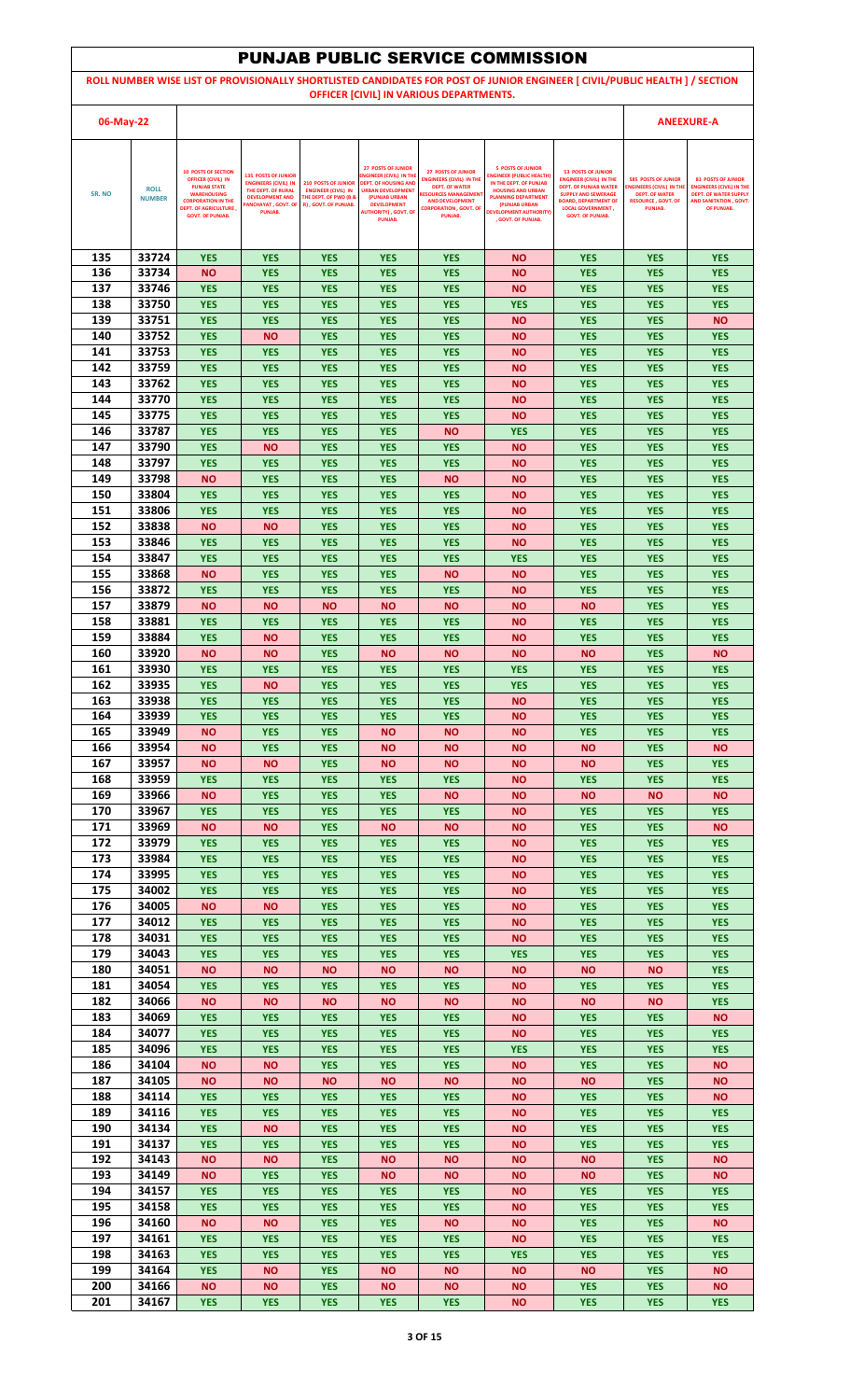|            |                              |                                                                                |                                                                           |                                                                                        |                                                                                    |                                                                                       | <b>PUNJAB PUBLIC SERVICE COMMISSION</b>                                               |                                                                                                                             |                                                              |                                                              |
|------------|------------------------------|--------------------------------------------------------------------------------|---------------------------------------------------------------------------|----------------------------------------------------------------------------------------|------------------------------------------------------------------------------------|---------------------------------------------------------------------------------------|---------------------------------------------------------------------------------------|-----------------------------------------------------------------------------------------------------------------------------|--------------------------------------------------------------|--------------------------------------------------------------|
|            |                              |                                                                                |                                                                           |                                                                                        |                                                                                    |                                                                                       |                                                                                       | ROLL NUMBER WISE LIST OF PROVISIONALLY SHORTLISTED CANDIDATES FOR POST OF JUNIOR ENGINEER [ CIVIL/PUBLIC HEALTH ] / SECTION |                                                              |                                                              |
|            |                              |                                                                                |                                                                           |                                                                                        |                                                                                    | OFFICER [CIVIL] IN VARIOUS DEPARTMENTS.                                               |                                                                                       |                                                                                                                             |                                                              |                                                              |
| 06-May-22  |                              |                                                                                |                                                                           |                                                                                        |                                                                                    |                                                                                       |                                                                                       |                                                                                                                             |                                                              | <b>ANEEXURE-A</b>                                            |
|            |                              |                                                                                |                                                                           |                                                                                        |                                                                                    |                                                                                       |                                                                                       |                                                                                                                             |                                                              |                                                              |
|            |                              | <b>10 POSTS OF SECTION</b><br><b>OFFICER (CIVIL) IN</b><br><b>PUNJAB STATE</b> | <b>135 POSTS OF JUNIOR</b><br><b>ENGINEERS (CIVIL) IN</b>                 | <b>210 POSTS OF JUNIOR</b>                                                             | <b>27 POSTS OF JUNIOR</b><br>NGINEER (CIVIL) IN THE<br><b>DEPT. OF HOUSING AND</b> | <b>27 POSTS OF JUNIOR</b><br><b>ENGINEERS (CIVIL) IN THE</b><br>DEPT. OF WATER        | <b>5 POSTS OF JUNIOR</b><br><b>INGINEER (PUBLIC HEALTH)</b><br>IN THE DEPT. OF PUNJAB | <b>53 POSTS OF JUNIOR</b><br><b>ENGINEER (CIVIL) IN THE</b><br><b>DEPT. OF PUNJAB WATER</b>                                 | <b>585 POSTS OF JUNIOR</b><br><b>ENGINEERS (CIVIL) IN TH</b> | <b>81 POSTS OF JUNIOR</b><br><b>ENGINEERS (CIVIL) IN THE</b> |
| SR. NO     | <b>ROLL</b><br><b>NUMBER</b> | <b>WAREHOUSING</b><br><b>CORPORATION IN THE</b>                                | THE DEPT. OF RURAL<br><b>DEVELOPMENT AND</b><br><b>ANCHAYAT, GOVT. OF</b> | <b>ENGINEER (CIVIL) IN</b><br><b>THE DEPT. OF PWD (B &amp;</b><br>R), GOVT. OF PUNJAB. | <b>URBAN DEVELOPMENT</b><br>(PUNJAB URBAN<br><b>DEVELOPMENT</b>                    | <b>RESOURCES MANAGEMEN</b><br><b>AND DEVELOPMENT</b><br><b>CORPORATION , GOVT, OF</b> | <b>HOUSING AND URBAN</b><br><b>PLANNING DEPARTMENT</b><br>(PUNJAB URBAN               | <b>SUPPLY AND SEWERAGE</b><br><b>BOARD, DEPARTMENT OF</b>                                                                   | <b>DEPT. OF WATER</b><br><b>RESOURCE, GOVT, OF</b>           | <b>DEPT. OF WATER SUPPLY</b><br>AND SANITATION . GOVT.       |
|            |                              | <b>DEPT. OF AGRICULTURE,</b><br><b>GOVT. OF PUNJAB.</b>                        | PUNJAB.                                                                   |                                                                                        | <b>AUTHORITY), GOVT. OF</b><br><b>PUNJAB.</b>                                      | PUNJAB.                                                                               | <b>DEVELOPMENT AUTHORITY)</b><br>. GOVT. OF PUNJAB.                                   | <b>LOCAL GOVERNMENT,</b><br><b>GOVT. OF PUNJAB.</b>                                                                         | PUNJAB.                                                      | OF PUNJAB.                                                   |
|            |                              |                                                                                |                                                                           |                                                                                        |                                                                                    |                                                                                       |                                                                                       |                                                                                                                             |                                                              |                                                              |
| 135<br>136 | 33724<br>33734               | <b>YES</b><br><b>NO</b>                                                        | <b>YES</b><br><b>YES</b>                                                  | <b>YES</b><br><b>YES</b>                                                               | <b>YES</b><br><b>YES</b>                                                           | <b>YES</b><br><b>YES</b>                                                              | <b>NO</b><br><b>NO</b>                                                                | <b>YES</b><br><b>YES</b>                                                                                                    | <b>YES</b><br><b>YES</b>                                     | <b>YES</b><br><b>YES</b>                                     |
| 137        | 33746                        | <b>YES</b>                                                                     | <b>YES</b>                                                                | <b>YES</b>                                                                             | <b>YES</b>                                                                         | <b>YES</b>                                                                            | <b>NO</b>                                                                             | <b>YES</b>                                                                                                                  | <b>YES</b>                                                   | <b>YES</b>                                                   |
| 138        | 33750                        | <b>YES</b>                                                                     | <b>YES</b>                                                                | <b>YES</b>                                                                             | <b>YES</b>                                                                         | <b>YES</b>                                                                            | <b>YES</b>                                                                            | <b>YES</b>                                                                                                                  | <b>YES</b>                                                   | <b>YES</b>                                                   |
| 139<br>140 | 33751<br>33752               | <b>YES</b><br><b>YES</b>                                                       | <b>YES</b><br><b>NO</b>                                                   | <b>YES</b><br><b>YES</b>                                                               | <b>YES</b><br><b>YES</b>                                                           | <b>YES</b><br><b>YES</b>                                                              | <b>NO</b><br><b>NO</b>                                                                | <b>YES</b><br><b>YES</b>                                                                                                    | <b>YES</b><br><b>YES</b>                                     | <b>NO</b><br><b>YES</b>                                      |
| 141        | 33753                        | <b>YES</b>                                                                     | <b>YES</b>                                                                | <b>YES</b>                                                                             | <b>YES</b>                                                                         | <b>YES</b>                                                                            | <b>NO</b>                                                                             | <b>YES</b>                                                                                                                  | <b>YES</b>                                                   | <b>YES</b>                                                   |
| 142        | 33759                        | <b>YES</b>                                                                     | <b>YES</b>                                                                | <b>YES</b>                                                                             | <b>YES</b>                                                                         | <b>YES</b>                                                                            | <b>NO</b>                                                                             | <b>YES</b>                                                                                                                  | <b>YES</b>                                                   | <b>YES</b>                                                   |
| 143<br>144 | 33762<br>33770               | <b>YES</b><br><b>YES</b>                                                       | <b>YES</b><br><b>YES</b>                                                  | <b>YES</b><br><b>YES</b>                                                               | <b>YES</b><br><b>YES</b>                                                           | <b>YES</b><br><b>YES</b>                                                              | <b>NO</b><br><b>NO</b>                                                                | <b>YES</b><br><b>YES</b>                                                                                                    | <b>YES</b><br><b>YES</b>                                     | <b>YES</b><br><b>YES</b>                                     |
| 145        | 33775                        | <b>YES</b>                                                                     | <b>YES</b>                                                                | <b>YES</b>                                                                             | <b>YES</b>                                                                         | <b>YES</b>                                                                            | <b>NO</b>                                                                             | <b>YES</b>                                                                                                                  | <b>YES</b>                                                   | <b>YES</b>                                                   |
| 146<br>147 | 33787                        | <b>YES</b>                                                                     | <b>YES</b>                                                                | <b>YES</b>                                                                             | <b>YES</b>                                                                         | <b>NO</b>                                                                             | <b>YES</b>                                                                            | <b>YES</b>                                                                                                                  | <b>YES</b>                                                   | <b>YES</b>                                                   |
| 148        | 33790<br>33797               | <b>YES</b><br><b>YES</b>                                                       | <b>NO</b><br><b>YES</b>                                                   | <b>YES</b><br><b>YES</b>                                                               | <b>YES</b><br><b>YES</b>                                                           | <b>YES</b><br><b>YES</b>                                                              | <b>NO</b><br><b>NO</b>                                                                | <b>YES</b><br><b>YES</b>                                                                                                    | <b>YES</b><br><b>YES</b>                                     | <b>YES</b><br><b>YES</b>                                     |
| 149        | 33798                        | <b>NO</b>                                                                      | <b>YES</b>                                                                | <b>YES</b>                                                                             | <b>YES</b>                                                                         | <b>NO</b>                                                                             | <b>NO</b>                                                                             | <b>YES</b>                                                                                                                  | <b>YES</b>                                                   | <b>YES</b>                                                   |
| 150<br>151 | 33804<br>33806               | <b>YES</b><br><b>YES</b>                                                       | <b>YES</b><br><b>YES</b>                                                  | <b>YES</b><br><b>YES</b>                                                               | <b>YES</b><br><b>YES</b>                                                           | <b>YES</b><br><b>YES</b>                                                              | <b>NO</b><br><b>NO</b>                                                                | <b>YES</b><br><b>YES</b>                                                                                                    | <b>YES</b><br><b>YES</b>                                     | <b>YES</b><br><b>YES</b>                                     |
| 152        | 33838                        | <b>NO</b>                                                                      | <b>NO</b>                                                                 | <b>YES</b>                                                                             | <b>YES</b>                                                                         | <b>YES</b>                                                                            | <b>NO</b>                                                                             | <b>YES</b>                                                                                                                  | <b>YES</b>                                                   | <b>YES</b>                                                   |
| 153        | 33846                        | <b>YES</b>                                                                     | <b>YES</b>                                                                | <b>YES</b>                                                                             | <b>YES</b>                                                                         | <b>YES</b>                                                                            | <b>NO</b>                                                                             | <b>YES</b>                                                                                                                  | <b>YES</b>                                                   | <b>YES</b>                                                   |
| 154<br>155 | 33847<br>33868               | <b>YES</b><br><b>NO</b>                                                        | <b>YES</b><br><b>YES</b>                                                  | <b>YES</b><br><b>YES</b>                                                               | <b>YES</b><br><b>YES</b>                                                           | <b>YES</b><br><b>NO</b>                                                               | <b>YES</b><br><b>NO</b>                                                               | <b>YES</b><br><b>YES</b>                                                                                                    | <b>YES</b><br><b>YES</b>                                     | <b>YES</b><br><b>YES</b>                                     |
| 156        | 33872                        | <b>YES</b>                                                                     | <b>YES</b>                                                                | <b>YES</b>                                                                             | <b>YES</b>                                                                         | <b>YES</b>                                                                            | <b>NO</b>                                                                             | <b>YES</b>                                                                                                                  | <b>YES</b>                                                   | <b>YES</b>                                                   |
| 157<br>158 | 33879<br>33881               | <b>NO</b>                                                                      | <b>NO</b>                                                                 | <b>NO</b>                                                                              | <b>NO</b>                                                                          | <b>NO</b>                                                                             | <b>NO</b>                                                                             | <b>NO</b>                                                                                                                   | <b>YES</b>                                                   | <b>YES</b>                                                   |
| 159        | 33884                        | <b>YES</b><br><b>YES</b>                                                       | <b>YES</b><br><b>NO</b>                                                   | <b>YES</b><br><b>YES</b>                                                               | <b>YES</b><br><b>YES</b>                                                           | <b>YES</b><br><b>YES</b>                                                              | <b>NO</b><br><b>NO</b>                                                                | <b>YES</b><br><b>YES</b>                                                                                                    | <b>YES</b><br><b>YES</b>                                     | <b>YES</b><br><b>YES</b>                                     |
| 160        | 33920                        | <b>NO</b>                                                                      | NΟ                                                                        | <b>YES</b>                                                                             | <b>NO</b>                                                                          | <b>NO</b>                                                                             | <b>NO</b>                                                                             | <b>NO</b>                                                                                                                   | <b>YES</b>                                                   | <b>NO</b>                                                    |
| 161<br>162 | 33930<br>33935               | <b>YES</b><br><b>YES</b>                                                       | <b>YES</b><br><b>NO</b>                                                   | <b>YES</b><br><b>YES</b>                                                               | <b>YES</b><br><b>YES</b>                                                           | <b>YES</b><br><b>YES</b>                                                              | <b>YES</b><br><b>YES</b>                                                              | <b>YES</b><br><b>YES</b>                                                                                                    | <b>YES</b><br><b>YES</b>                                     | <b>YES</b><br><b>YES</b>                                     |
| 163        | 33938                        | <b>YES</b>                                                                     | <b>YES</b>                                                                | <b>YES</b>                                                                             | <b>YES</b>                                                                         | <b>YES</b>                                                                            | <b>NO</b>                                                                             | <b>YES</b>                                                                                                                  | <b>YES</b>                                                   | <b>YES</b>                                                   |
| 164        | 33939                        | <b>YES</b>                                                                     | <b>YES</b>                                                                | <b>YES</b>                                                                             | <b>YES</b>                                                                         | <b>YES</b>                                                                            | <b>NO</b>                                                                             | <b>YES</b>                                                                                                                  | <b>YES</b>                                                   | <b>YES</b>                                                   |
| 165<br>166 | 33949<br>33954               | <b>NO</b><br><b>NO</b>                                                         | <b>YES</b><br><b>YES</b>                                                  | <b>YES</b><br><b>YES</b>                                                               | <b>NO</b><br><b>NO</b>                                                             | <b>NO</b><br><b>NO</b>                                                                | <b>NO</b><br><b>NO</b>                                                                | <b>YES</b><br><b>NO</b>                                                                                                     | <b>YES</b><br><b>YES</b>                                     | <b>YES</b><br><b>NO</b>                                      |
| 167        | 33957                        | <b>NO</b>                                                                      | <b>NO</b>                                                                 | <b>YES</b>                                                                             | <b>NO</b>                                                                          | <b>NO</b>                                                                             | <b>NO</b>                                                                             | <b>NO</b>                                                                                                                   | <b>YES</b>                                                   | <b>YES</b>                                                   |
| 168<br>169 | 33959<br>33966               | <b>YES</b><br><b>NO</b>                                                        | <b>YES</b><br><b>YES</b>                                                  | <b>YES</b><br><b>YES</b>                                                               | <b>YES</b><br><b>YES</b>                                                           | <b>YES</b><br><b>NO</b>                                                               | <b>NO</b><br><b>NO</b>                                                                | <b>YES</b><br><b>NO</b>                                                                                                     | <b>YES</b><br><b>NO</b>                                      | <b>YES</b><br><b>NO</b>                                      |
| 170        | 33967                        | <b>YES</b>                                                                     | <b>YES</b>                                                                | <b>YES</b>                                                                             | <b>YES</b>                                                                         | <b>YES</b>                                                                            | <b>NO</b>                                                                             | <b>YES</b>                                                                                                                  | <b>YES</b>                                                   | <b>YES</b>                                                   |
| 171        | 33969                        | <b>NO</b>                                                                      | ΝO                                                                        | <b>YES</b>                                                                             | <b>NO</b>                                                                          | <b>NO</b>                                                                             | <b>NO</b>                                                                             | <b>YES</b>                                                                                                                  | <b>YES</b>                                                   | <b>NO</b>                                                    |
| 172<br>173 | 33979<br>33984               | <b>YES</b><br><b>YES</b>                                                       | <b>YES</b><br><b>YES</b>                                                  | <b>YES</b><br><b>YES</b>                                                               | <b>YES</b><br><b>YES</b>                                                           | <b>YES</b><br><b>YES</b>                                                              | <b>NO</b><br><b>NO</b>                                                                | <b>YES</b><br><b>YES</b>                                                                                                    | <b>YES</b><br><b>YES</b>                                     | <b>YES</b><br><b>YES</b>                                     |
| 174        | 33995                        | <b>YES</b>                                                                     | <b>YES</b>                                                                | <b>YES</b>                                                                             | <b>YES</b>                                                                         | <b>YES</b>                                                                            | <b>NO</b>                                                                             | <b>YES</b>                                                                                                                  | <b>YES</b>                                                   | <b>YES</b>                                                   |
| 175<br>176 | 34002<br>34005               | <b>YES</b>                                                                     | <b>YES</b>                                                                | <b>YES</b>                                                                             | <b>YES</b>                                                                         | <b>YES</b>                                                                            | <b>NO</b>                                                                             | <b>YES</b>                                                                                                                  | <b>YES</b>                                                   | <b>YES</b><br><b>YES</b>                                     |
| 177        | 34012                        | <b>NO</b><br><b>YES</b>                                                        | ΝO<br><b>YES</b>                                                          | <b>YES</b><br><b>YES</b>                                                               | <b>YES</b><br><b>YES</b>                                                           | <b>YES</b><br><b>YES</b>                                                              | ΝO<br><b>NO</b>                                                                       | <b>YES</b><br><b>YES</b>                                                                                                    | <b>YES</b><br><b>YES</b>                                     | <b>YES</b>                                                   |
| 178        | 34031                        | <b>YES</b>                                                                     | <b>YES</b>                                                                | <b>YES</b>                                                                             | <b>YES</b>                                                                         | <b>YES</b>                                                                            | <b>NO</b>                                                                             | <b>YES</b>                                                                                                                  | <b>YES</b>                                                   | <b>YES</b>                                                   |
| 179<br>180 | 34043<br>34051               | <b>YES</b><br><b>NO</b>                                                        | <b>YES</b><br><b>NO</b>                                                   | <b>YES</b><br><b>NO</b>                                                                | <b>YES</b><br><b>NO</b>                                                            | <b>YES</b><br><b>NO</b>                                                               | <b>YES</b><br><b>NO</b>                                                               | <b>YES</b><br><b>NO</b>                                                                                                     | <b>YES</b><br><b>NO</b>                                      | <b>YES</b><br><b>YES</b>                                     |
| 181        | 34054                        | <b>YES</b>                                                                     | <b>YES</b>                                                                | <b>YES</b>                                                                             | <b>YES</b>                                                                         | <b>YES</b>                                                                            | <b>NO</b>                                                                             | <b>YES</b>                                                                                                                  | <b>YES</b>                                                   | <b>YES</b>                                                   |
| 182<br>183 | 34066<br>34069               | <b>NO</b><br><b>YES</b>                                                        | <b>NO</b><br><b>YES</b>                                                   | <b>NO</b>                                                                              | <b>NO</b><br><b>YES</b>                                                            | <b>NO</b><br><b>YES</b>                                                               | <b>NO</b><br><b>NO</b>                                                                | <b>NO</b><br><b>YES</b>                                                                                                     | <b>NO</b><br><b>YES</b>                                      | <b>YES</b><br><b>NO</b>                                      |
| 184        | 34077                        | <b>YES</b>                                                                     | <b>YES</b>                                                                | <b>YES</b><br><b>YES</b>                                                               | <b>YES</b>                                                                         | <b>YES</b>                                                                            | <b>NO</b>                                                                             | <b>YES</b>                                                                                                                  | <b>YES</b>                                                   | <b>YES</b>                                                   |
| 185        | 34096                        | <b>YES</b>                                                                     | <b>YES</b>                                                                | <b>YES</b>                                                                             | <b>YES</b>                                                                         | <b>YES</b>                                                                            | <b>YES</b>                                                                            | <b>YES</b>                                                                                                                  | <b>YES</b>                                                   | <b>YES</b>                                                   |
| 186<br>187 | 34104<br>34105               | <b>NO</b><br><b>NO</b>                                                         | ΝO<br>ΝO                                                                  | <b>YES</b><br><b>NO</b>                                                                | <b>YES</b><br><b>NO</b>                                                            | <b>YES</b><br><b>NO</b>                                                               | <b>NO</b><br><b>NO</b>                                                                | <b>YES</b><br><b>NO</b>                                                                                                     | <b>YES</b><br><b>YES</b>                                     | <b>NO</b><br><b>NO</b>                                       |
| 188        | 34114                        | <b>YES</b>                                                                     | <b>YES</b>                                                                | <b>YES</b>                                                                             | <b>YES</b>                                                                         | <b>YES</b>                                                                            | <b>NO</b>                                                                             | <b>YES</b>                                                                                                                  | <b>YES</b>                                                   | <b>NO</b>                                                    |
| 189        | 34116                        | <b>YES</b>                                                                     | <b>YES</b>                                                                | <b>YES</b>                                                                             | <b>YES</b>                                                                         | <b>YES</b>                                                                            | <b>NO</b>                                                                             | <b>YES</b>                                                                                                                  | <b>YES</b>                                                   | <b>YES</b>                                                   |
| 190<br>191 | 34134<br>34137               | <b>YES</b><br><b>YES</b>                                                       | <b>NO</b><br><b>YES</b>                                                   | <b>YES</b><br><b>YES</b>                                                               | <b>YES</b><br><b>YES</b>                                                           | <b>YES</b><br><b>YES</b>                                                              | <b>NO</b><br><b>NO</b>                                                                | <b>YES</b><br><b>YES</b>                                                                                                    | <b>YES</b><br><b>YES</b>                                     | <b>YES</b><br><b>YES</b>                                     |
| 192        | 34143                        | <b>NO</b>                                                                      | <b>NO</b>                                                                 | <b>YES</b>                                                                             | <b>NO</b>                                                                          | <b>NO</b>                                                                             | <b>NO</b>                                                                             | <b>NO</b>                                                                                                                   | <b>YES</b>                                                   | <b>NO</b>                                                    |
| 193<br>194 | 34149<br>34157               | <b>NO</b><br><b>YES</b>                                                        | <b>YES</b><br><b>YES</b>                                                  | <b>YES</b><br><b>YES</b>                                                               | <b>NO</b><br><b>YES</b>                                                            | <b>NO</b><br><b>YES</b>                                                               | <b>NO</b><br>ΝO                                                                       | <b>NO</b><br><b>YES</b>                                                                                                     | <b>YES</b><br><b>YES</b>                                     | <b>NO</b><br><b>YES</b>                                      |
| 195        | 34158                        | <b>YES</b>                                                                     | <b>YES</b>                                                                | <b>YES</b>                                                                             | <b>YES</b>                                                                         | <b>YES</b>                                                                            | <b>NO</b>                                                                             | <b>YES</b>                                                                                                                  | <b>YES</b>                                                   | <b>YES</b>                                                   |
| 196        | 34160                        | <b>NO</b>                                                                      | ΝO                                                                        | <b>YES</b>                                                                             | <b>YES</b>                                                                         | <b>NO</b>                                                                             | <b>NO</b>                                                                             | <b>YES</b>                                                                                                                  | <b>YES</b>                                                   | <b>NO</b>                                                    |
| 197<br>198 | 34161<br>34163               | <b>YES</b><br><b>YES</b>                                                       | <b>YES</b><br><b>YES</b>                                                  | <b>YES</b><br><b>YES</b>                                                               | <b>YES</b><br><b>YES</b>                                                           | <b>YES</b><br><b>YES</b>                                                              | <b>NO</b><br><b>YES</b>                                                               | <b>YES</b><br><b>YES</b>                                                                                                    | <b>YES</b><br><b>YES</b>                                     | <b>YES</b><br><b>YES</b>                                     |
| 199        | 34164                        | <b>YES</b>                                                                     | <b>NO</b>                                                                 | <b>YES</b>                                                                             | <b>NO</b>                                                                          | <b>NO</b>                                                                             | <b>NO</b>                                                                             | <b>NO</b>                                                                                                                   | <b>YES</b>                                                   | <b>NO</b>                                                    |
| 200        | 34166                        | <b>NO</b>                                                                      | ΝO                                                                        | <b>YES</b>                                                                             | <b>NO</b>                                                                          | <b>NO</b>                                                                             | <b>NO</b>                                                                             | <b>YES</b>                                                                                                                  | <b>YES</b>                                                   | <b>NO</b>                                                    |
| 201        | 34167                        | <b>YES</b>                                                                     | <b>YES</b>                                                                | <b>YES</b>                                                                             | <b>YES</b>                                                                         | <b>YES</b>                                                                            | <b>NO</b>                                                                             | <b>YES</b>                                                                                                                  | <b>YES</b>                                                   | <b>YES</b>                                                   |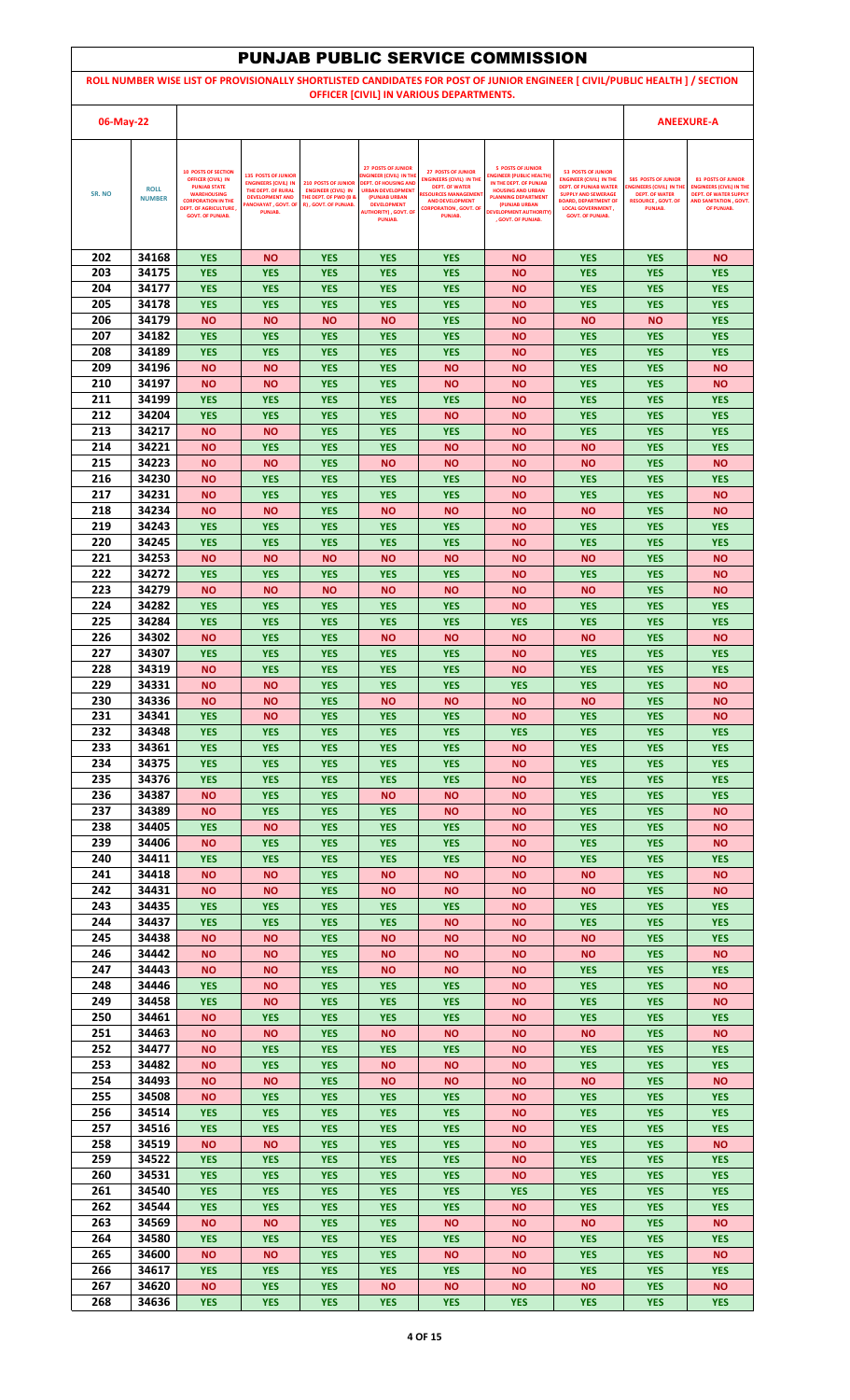|            |                              |                                                                                |                                                                           |                                                                                        |                                                                                    |                                                                               | <b>PUNJAB PUBLIC SERVICE COMMISSION</b>                                               |                                                                                                                             |                                                                                      |                                                                                           |
|------------|------------------------------|--------------------------------------------------------------------------------|---------------------------------------------------------------------------|----------------------------------------------------------------------------------------|------------------------------------------------------------------------------------|-------------------------------------------------------------------------------|---------------------------------------------------------------------------------------|-----------------------------------------------------------------------------------------------------------------------------|--------------------------------------------------------------------------------------|-------------------------------------------------------------------------------------------|
|            |                              |                                                                                |                                                                           |                                                                                        |                                                                                    |                                                                               |                                                                                       | ROLL NUMBER WISE LIST OF PROVISIONALLY SHORTLISTED CANDIDATES FOR POST OF JUNIOR ENGINEER [ CIVIL/PUBLIC HEALTH ] / SECTION |                                                                                      |                                                                                           |
|            |                              |                                                                                |                                                                           |                                                                                        |                                                                                    | OFFICER [CIVIL] IN VARIOUS DEPARTMENTS.                                       |                                                                                       |                                                                                                                             |                                                                                      |                                                                                           |
| 06-May-22  |                              |                                                                                |                                                                           |                                                                                        |                                                                                    |                                                                               |                                                                                       |                                                                                                                             |                                                                                      | <b>ANEEXURE-A</b>                                                                         |
|            |                              |                                                                                |                                                                           |                                                                                        |                                                                                    |                                                                               |                                                                                       |                                                                                                                             |                                                                                      |                                                                                           |
|            |                              | <b>10 POSTS OF SECTION</b><br><b>OFFICER (CIVIL) IN</b><br><b>PUNJAB STATE</b> | <b>135 POSTS OF JUNIOR</b><br><b>ENGINEERS (CIVIL) IN</b>                 | <b>210 POSTS OF JUNIOR</b>                                                             | <b>27 POSTS OF JUNIOR</b><br>NGINEER (CIVIL) IN THE<br><b>DEPT. OF HOUSING AND</b> | <b>27 POSTS OF JUNIOR</b><br><b>ENGINEERS (CIVIL) IN THE</b>                  | <b>5 POSTS OF JUNIOR</b><br><b>INGINEER (PUBLIC HEALTH)</b><br>IN THE DEPT. OF PUNJAB | <b>53 POSTS OF JUNIOR</b><br><b>ENGINEER (CIVIL) IN THE</b>                                                                 | <b>585 POSTS OF JUNIOR</b>                                                           | <b>81 POSTS OF JUNIOR</b>                                                                 |
| SR. NO     | <b>ROLL</b><br><b>NUMBER</b> | <b>WAREHOUSING</b><br><b>CORPORATION IN THE</b>                                | THE DEPT. OF RURAL<br><b>DEVELOPMENT AND</b><br><b>ANCHAYAT, GOVT. OF</b> | <b>ENGINEER (CIVIL) IN</b><br><b>THE DEPT. OF PWD (B &amp;</b><br>R), GOVT. OF PUNJAB. | <b>URBAN DEVELOPMENT</b><br>(PUNJAB URBAN<br><b>DEVELOPMENT</b>                    | <b>DEPT. OF WATER</b><br><b>RESOURCES MANAGEMEN</b><br><b>AND DEVELOPMENT</b> | <b>HOUSING AND URBAN</b><br><b>PLANNING DEPARTMENT</b><br>(PUNJAB URBAN               | <b>DEPT. OF PUNJAB WATER</b><br><b>SUPPLY AND SEWERAGE</b><br><b>BOARD, DEPARTMENT OF</b>                                   | <b>ENGINEERS (CIVIL) IN TH</b><br><b>DEPT. OF WATER</b><br><b>RESOURCE, GOVT, OF</b> | <b>ENGINEERS (CIVIL) IN THE</b><br><b>DEPT. OF WATER SUPPLY</b><br>AND SANITATION . GOVT. |
|            |                              | <b>DEPT. OF AGRICULTURE,</b><br><b>GOVT. OF PUNJAB.</b>                        | PUNJAB.                                                                   |                                                                                        | <b>AUTHORITY), GOVT. OF</b><br><b>PUNJAB.</b>                                      | <b>CORPORATION , GOVT, OF</b><br>PUNJAB.                                      | <b>DEVELOPMENT AUTHORITY)</b><br>. GOVT. OF PUNJAB.                                   | <b>LOCAL GOVERNMENT,</b><br><b>GOVT. OF PUNJAB.</b>                                                                         | PUNJAB.                                                                              | OF PUNJAB.                                                                                |
|            |                              |                                                                                |                                                                           |                                                                                        |                                                                                    |                                                                               |                                                                                       |                                                                                                                             |                                                                                      |                                                                                           |
| 202        | 34168                        | <b>YES</b>                                                                     | <b>NO</b>                                                                 | <b>YES</b>                                                                             | <b>YES</b>                                                                         | <b>YES</b>                                                                    | <b>NO</b>                                                                             | <b>YES</b>                                                                                                                  | <b>YES</b>                                                                           | <b>NO</b>                                                                                 |
| 203        | 34175                        | <b>YES</b>                                                                     | <b>YES</b>                                                                | <b>YES</b>                                                                             | <b>YES</b>                                                                         | <b>YES</b>                                                                    | <b>NO</b>                                                                             | <b>YES</b>                                                                                                                  | <b>YES</b>                                                                           | <b>YES</b>                                                                                |
| 204<br>205 | 34177<br>34178               | <b>YES</b><br><b>YES</b>                                                       | <b>YES</b><br><b>YES</b>                                                  | <b>YES</b><br><b>YES</b>                                                               | <b>YES</b><br><b>YES</b>                                                           | <b>YES</b><br><b>YES</b>                                                      | <b>NO</b><br><b>NO</b>                                                                | <b>YES</b><br><b>YES</b>                                                                                                    | <b>YES</b><br><b>YES</b>                                                             | <b>YES</b><br><b>YES</b>                                                                  |
| 206        | 34179                        | <b>NO</b>                                                                      | <b>NO</b>                                                                 | <b>NO</b>                                                                              | <b>NO</b>                                                                          | <b>YES</b>                                                                    | <b>NO</b>                                                                             | <b>NO</b>                                                                                                                   | <b>NO</b>                                                                            | <b>YES</b>                                                                                |
| 207        | 34182                        | <b>YES</b>                                                                     | <b>YES</b>                                                                | <b>YES</b>                                                                             | <b>YES</b>                                                                         | <b>YES</b>                                                                    | <b>NO</b>                                                                             | <b>YES</b>                                                                                                                  | <b>YES</b>                                                                           | <b>YES</b>                                                                                |
| 208        | 34189                        | <b>YES</b>                                                                     | <b>YES</b>                                                                | <b>YES</b>                                                                             | <b>YES</b>                                                                         | <b>YES</b>                                                                    | <b>NO</b>                                                                             | <b>YES</b>                                                                                                                  | <b>YES</b>                                                                           | <b>YES</b>                                                                                |
| 209<br>210 | 34196<br>34197               | <b>NO</b><br><b>NO</b>                                                         | ΝO<br>ΝO                                                                  | <b>YES</b><br><b>YES</b>                                                               | <b>YES</b><br><b>YES</b>                                                           | <b>NO</b><br><b>NO</b>                                                        | <b>NO</b><br><b>NO</b>                                                                | <b>YES</b><br><b>YES</b>                                                                                                    | <b>YES</b><br><b>YES</b>                                                             | <b>NO</b><br><b>NO</b>                                                                    |
| 211        | 34199                        | <b>YES</b>                                                                     | <b>YES</b>                                                                | <b>YES</b>                                                                             | <b>YES</b>                                                                         | <b>YES</b>                                                                    | <b>NO</b>                                                                             | <b>YES</b>                                                                                                                  | <b>YES</b>                                                                           | <b>YES</b>                                                                                |
| 212        | 34204                        | <b>YES</b>                                                                     | <b>YES</b>                                                                | <b>YES</b>                                                                             | <b>YES</b>                                                                         | <b>NO</b>                                                                     | <b>NO</b>                                                                             | <b>YES</b>                                                                                                                  | <b>YES</b>                                                                           | <b>YES</b>                                                                                |
| 213<br>214 | 34217<br>34221               | <b>NO</b><br><b>NO</b>                                                         | ΝO<br><b>YES</b>                                                          | <b>YES</b><br><b>YES</b>                                                               | <b>YES</b><br><b>YES</b>                                                           | <b>YES</b><br><b>NO</b>                                                       | ΝO<br><b>NO</b>                                                                       | <b>YES</b><br><b>NO</b>                                                                                                     | <b>YES</b><br><b>YES</b>                                                             | <b>YES</b><br><b>YES</b>                                                                  |
| 215        | 34223                        | <b>NO</b>                                                                      | ΝO                                                                        | <b>YES</b>                                                                             | <b>NO</b>                                                                          | <b>NO</b>                                                                     | <b>NO</b>                                                                             | <b>NO</b>                                                                                                                   | <b>YES</b>                                                                           | <b>NO</b>                                                                                 |
| 216        | 34230                        | <b>NO</b>                                                                      | <b>YES</b>                                                                | <b>YES</b>                                                                             | <b>YES</b>                                                                         | <b>YES</b>                                                                    | <b>NO</b>                                                                             | <b>YES</b>                                                                                                                  | <b>YES</b>                                                                           | <b>YES</b>                                                                                |
| 217<br>218 | 34231<br>34234               | <b>NO</b><br><b>NO</b>                                                         | <b>YES</b><br><b>NO</b>                                                   | <b>YES</b><br><b>YES</b>                                                               | <b>YES</b><br><b>NO</b>                                                            | <b>YES</b><br><b>NO</b>                                                       | <b>NO</b><br><b>NO</b>                                                                | <b>YES</b><br><b>NO</b>                                                                                                     | <b>YES</b><br><b>YES</b>                                                             | <b>NO</b><br><b>NO</b>                                                                    |
| 219        | 34243                        | <b>YES</b>                                                                     | <b>YES</b>                                                                | <b>YES</b>                                                                             | <b>YES</b>                                                                         | <b>YES</b>                                                                    | <b>NO</b>                                                                             | <b>YES</b>                                                                                                                  | <b>YES</b>                                                                           | <b>YES</b>                                                                                |
| 220        | 34245                        | <b>YES</b>                                                                     | <b>YES</b>                                                                | <b>YES</b>                                                                             | <b>YES</b>                                                                         | <b>YES</b>                                                                    | <b>NO</b>                                                                             | <b>YES</b>                                                                                                                  | <b>YES</b>                                                                           | <b>YES</b>                                                                                |
| 221        | 34253                        | <b>NO</b>                                                                      | <b>NO</b>                                                                 | <b>NO</b>                                                                              | <b>NO</b>                                                                          | <b>NO</b>                                                                     | <b>NO</b>                                                                             | <b>NO</b>                                                                                                                   | <b>YES</b>                                                                           | <b>NO</b>                                                                                 |
| 222<br>223 | 34272<br>34279               | <b>YES</b><br><b>NO</b>                                                        | <b>YES</b><br>ΝO                                                          | <b>YES</b><br><b>NO</b>                                                                | <b>YES</b><br><b>NO</b>                                                            | <b>YES</b><br><b>NO</b>                                                       | <b>NO</b><br>ΝO                                                                       | <b>YES</b><br><b>NO</b>                                                                                                     | <b>YES</b><br><b>YES</b>                                                             | <b>NO</b><br><b>NO</b>                                                                    |
| 224        | 34282                        | <b>YES</b>                                                                     | <b>YES</b>                                                                | <b>YES</b>                                                                             | <b>YES</b>                                                                         | <b>YES</b>                                                                    | <b>NO</b>                                                                             | <b>YES</b>                                                                                                                  | <b>YES</b>                                                                           | <b>YES</b>                                                                                |
| 225        | 34284                        | <b>YES</b>                                                                     | <b>YES</b>                                                                | <b>YES</b>                                                                             | <b>YES</b>                                                                         | <b>YES</b>                                                                    | <b>YES</b>                                                                            | <b>YES</b>                                                                                                                  | <b>YES</b>                                                                           | <b>YES</b>                                                                                |
| 226<br>227 | 34302<br>34307               | <b>NO</b><br><b>YES</b>                                                        | <b>YES</b><br><b>YES</b>                                                  | <b>YES</b><br><b>YES</b>                                                               | <b>NO</b><br><b>YES</b>                                                            | <b>NO</b><br><b>YES</b>                                                       | <b>NO</b><br><b>NO</b>                                                                | <b>NO</b><br><b>YES</b>                                                                                                     | <b>YES</b><br><b>YES</b>                                                             | <b>NO</b><br><b>YES</b>                                                                   |
| 228        | 34319                        | <b>NO</b>                                                                      | <b>YES</b>                                                                | <b>YES</b>                                                                             | <b>YES</b>                                                                         | <b>YES</b>                                                                    | ΝO                                                                                    | <b>YES</b>                                                                                                                  | <b>YES</b>                                                                           | <b>YES</b>                                                                                |
| 229        | 34331                        | <b>NO</b>                                                                      | <b>NO</b>                                                                 | <b>YES</b>                                                                             | <b>YES</b>                                                                         | <b>YES</b>                                                                    | <b>YES</b>                                                                            | <b>YES</b>                                                                                                                  | <b>YES</b>                                                                           | <b>NO</b>                                                                                 |
| 230<br>231 | 34336<br>34341               | <b>NO</b><br><b>YES</b>                                                        | ΝO<br>ΝO                                                                  | <b>YES</b><br><b>YES</b>                                                               | <b>NO</b><br><b>YES</b>                                                            | <b>NO</b><br><b>YES</b>                                                       | <b>NO</b><br><b>NO</b>                                                                | <b>NO</b><br><b>YES</b>                                                                                                     | <b>YES</b><br><b>YES</b>                                                             | <b>NO</b><br><b>NO</b>                                                                    |
| 232        | 34348                        | <b>YES</b>                                                                     | <b>YES</b>                                                                | <b>YES</b>                                                                             | <b>YES</b>                                                                         | <b>YES</b>                                                                    | <b>YES</b>                                                                            | <b>YES</b>                                                                                                                  | <b>YES</b>                                                                           | <b>YES</b>                                                                                |
| 233        | 34361                        | <b>YES</b>                                                                     | <b>YES</b>                                                                | <b>YES</b>                                                                             | <b>YES</b>                                                                         | <b>YES</b>                                                                    | <b>NO</b>                                                                             | <b>YES</b>                                                                                                                  | <b>YES</b>                                                                           | <b>YES</b>                                                                                |
| 234        | 34375                        | <b>YES</b>                                                                     | <b>YES</b>                                                                | <b>YES</b>                                                                             | <b>YES</b>                                                                         | <b>YES</b>                                                                    | <b>NO</b>                                                                             | <b>YES</b>                                                                                                                  | <b>YES</b>                                                                           | <b>YES</b>                                                                                |
| 235<br>236 | 34376<br>34387               | <b>YES</b><br><b>NO</b>                                                        | <b>YES</b><br><b>YES</b>                                                  | <b>YES</b><br><b>YES</b>                                                               | <b>YES</b><br><b>NO</b>                                                            | <b>YES</b><br><b>NO</b>                                                       | <b>NO</b><br><b>NO</b>                                                                | <b>YES</b><br><b>YES</b>                                                                                                    | <b>YES</b><br><b>YES</b>                                                             | <b>YES</b><br><b>YES</b>                                                                  |
| 237        | 34389                        | <b>NO</b>                                                                      | <b>YES</b>                                                                | <b>YES</b>                                                                             | <b>YES</b>                                                                         | <b>NO</b>                                                                     | <b>NO</b>                                                                             | <b>YES</b>                                                                                                                  | <b>YES</b>                                                                           | <b>NO</b>                                                                                 |
| 238        | 34405                        | <b>YES</b>                                                                     | <b>NO</b>                                                                 | <b>YES</b>                                                                             | <b>YES</b>                                                                         | <b>YES</b>                                                                    | <b>NO</b>                                                                             | <b>YES</b>                                                                                                                  | <b>YES</b>                                                                           | <b>NO</b>                                                                                 |
| 239<br>240 | 34406<br>34411               | <b>NO</b><br><b>YES</b>                                                        | <b>YES</b><br><b>YES</b>                                                  | <b>YES</b><br><b>YES</b>                                                               | <b>YES</b><br><b>YES</b>                                                           | <b>YES</b><br><b>YES</b>                                                      | <b>NO</b><br><b>NO</b>                                                                | <b>YES</b><br><b>YES</b>                                                                                                    | <b>YES</b><br><b>YES</b>                                                             | <b>NO</b><br><b>YES</b>                                                                   |
| 241        | 34418                        | <b>NO</b>                                                                      | ΝO                                                                        | <b>YES</b>                                                                             | <b>NO</b>                                                                          | <b>NO</b>                                                                     | <b>NO</b>                                                                             | <b>NO</b>                                                                                                                   | <b>YES</b>                                                                           | <b>NO</b>                                                                                 |
| 242        | 34431                        | <b>NO</b>                                                                      | ΝO                                                                        | <b>YES</b>                                                                             | <b>NO</b>                                                                          | <b>NO</b>                                                                     | <b>NO</b>                                                                             | <b>NO</b>                                                                                                                   | <b>YES</b>                                                                           | <b>NO</b>                                                                                 |
| 243<br>244 | 34435<br>34437               | <b>YES</b><br><b>YES</b>                                                       | <b>YES</b><br><b>YES</b>                                                  | <b>YES</b><br><b>YES</b>                                                               | <b>YES</b><br><b>YES</b>                                                           | <b>YES</b><br><b>NO</b>                                                       | ΝO<br><b>NO</b>                                                                       | <b>YES</b><br><b>YES</b>                                                                                                    | <b>YES</b><br><b>YES</b>                                                             | <b>YES</b><br><b>YES</b>                                                                  |
| 245        | 34438                        | <b>NO</b>                                                                      | ΝO                                                                        | <b>YES</b>                                                                             | <b>NO</b>                                                                          | <b>NO</b>                                                                     | <b>NO</b>                                                                             | <b>NO</b>                                                                                                                   | <b>YES</b>                                                                           | <b>YES</b>                                                                                |
| 246        | 34442                        | <b>NO</b>                                                                      | <b>NO</b>                                                                 | <b>YES</b>                                                                             | <b>NO</b>                                                                          | <b>NO</b>                                                                     | <b>NO</b>                                                                             | <b>NO</b>                                                                                                                   | <b>YES</b>                                                                           | <b>NO</b>                                                                                 |
| 247<br>248 | 34443<br>34446               | <b>NO</b><br><b>YES</b>                                                        | <b>NO</b><br>ΝO                                                           | <b>YES</b><br><b>YES</b>                                                               | <b>NO</b><br><b>YES</b>                                                            | <b>NO</b><br><b>YES</b>                                                       | <b>NO</b><br><b>NO</b>                                                                | <b>YES</b><br><b>YES</b>                                                                                                    | <b>YES</b><br><b>YES</b>                                                             | <b>YES</b><br><b>NO</b>                                                                   |
| 249        | 34458                        | <b>YES</b>                                                                     | <b>NO</b>                                                                 | <b>YES</b>                                                                             | <b>YES</b>                                                                         | <b>YES</b>                                                                    | <b>NO</b>                                                                             | <b>YES</b>                                                                                                                  | <b>YES</b>                                                                           | <b>NO</b>                                                                                 |
| 250        | 34461                        | <b>NO</b>                                                                      | <b>YES</b>                                                                | <b>YES</b>                                                                             | <b>YES</b>                                                                         | <b>YES</b>                                                                    | <b>NO</b>                                                                             | <b>YES</b>                                                                                                                  | <b>YES</b>                                                                           | <b>YES</b>                                                                                |
| 251<br>252 | 34463<br>34477               | <b>NO</b><br><b>NO</b>                                                         | <b>NO</b><br><b>YES</b>                                                   | <b>YES</b><br><b>YES</b>                                                               | <b>NO</b><br><b>YES</b>                                                            | <b>NO</b><br><b>YES</b>                                                       | <b>NO</b><br><b>NO</b>                                                                | <b>NO</b><br><b>YES</b>                                                                                                     | <b>YES</b><br><b>YES</b>                                                             | <b>NO</b><br><b>YES</b>                                                                   |
| 253        | 34482                        | <b>NO</b>                                                                      | <b>YES</b>                                                                | <b>YES</b>                                                                             | <b>NO</b>                                                                          | <b>NO</b>                                                                     | <b>NO</b>                                                                             | <b>YES</b>                                                                                                                  | <b>YES</b>                                                                           | <b>YES</b>                                                                                |
| 254        | 34493                        | <b>NO</b>                                                                      | <b>NO</b>                                                                 | <b>YES</b>                                                                             | <b>NO</b>                                                                          | <b>NO</b>                                                                     | <b>NO</b>                                                                             | <b>NO</b>                                                                                                                   | <b>YES</b>                                                                           | <b>NO</b>                                                                                 |
| 255<br>256 | 34508<br>34514               | <b>NO</b>                                                                      | <b>YES</b>                                                                | <b>YES</b>                                                                             | <b>YES</b>                                                                         | <b>YES</b>                                                                    | <b>NO</b>                                                                             | <b>YES</b>                                                                                                                  | <b>YES</b>                                                                           | <b>YES</b><br><b>YES</b>                                                                  |
| 257        | 34516                        | <b>YES</b><br><b>YES</b>                                                       | <b>YES</b><br><b>YES</b>                                                  | <b>YES</b><br><b>YES</b>                                                               | <b>YES</b><br><b>YES</b>                                                           | <b>YES</b><br><b>YES</b>                                                      | <b>NO</b><br><b>NO</b>                                                                | <b>YES</b><br><b>YES</b>                                                                                                    | <b>YES</b><br><b>YES</b>                                                             | <b>YES</b>                                                                                |
| 258        | 34519                        | <b>NO</b>                                                                      | <b>NO</b>                                                                 | <b>YES</b>                                                                             | <b>YES</b>                                                                         | <b>YES</b>                                                                    | <b>NO</b>                                                                             | <b>YES</b>                                                                                                                  | <b>YES</b>                                                                           | <b>NO</b>                                                                                 |
| 259        | 34522                        | <b>YES</b>                                                                     | <b>YES</b>                                                                | <b>YES</b>                                                                             | <b>YES</b>                                                                         | <b>YES</b>                                                                    | <b>NO</b>                                                                             | <b>YES</b>                                                                                                                  | <b>YES</b>                                                                           | <b>YES</b>                                                                                |
| 260<br>261 | 34531<br>34540               | <b>YES</b><br><b>YES</b>                                                       | <b>YES</b><br><b>YES</b>                                                  | <b>YES</b><br><b>YES</b>                                                               | <b>YES</b><br><b>YES</b>                                                           | <b>YES</b><br><b>YES</b>                                                      | <b>NO</b><br><b>YES</b>                                                               | <b>YES</b><br><b>YES</b>                                                                                                    | <b>YES</b><br><b>YES</b>                                                             | <b>YES</b><br><b>YES</b>                                                                  |
| 262        | 34544                        | <b>YES</b>                                                                     | <b>YES</b>                                                                | <b>YES</b>                                                                             | <b>YES</b>                                                                         | <b>YES</b>                                                                    | <b>NO</b>                                                                             | <b>YES</b>                                                                                                                  | <b>YES</b>                                                                           | <b>YES</b>                                                                                |
| 263        | 34569                        | <b>NO</b>                                                                      | ΝO                                                                        | <b>YES</b>                                                                             | <b>YES</b>                                                                         | <b>NO</b>                                                                     | <b>NO</b>                                                                             | <b>NO</b>                                                                                                                   | <b>YES</b>                                                                           | <b>NO</b>                                                                                 |
| 264        | 34580                        | <b>YES</b>                                                                     | <b>YES</b>                                                                | <b>YES</b>                                                                             | <b>YES</b>                                                                         | <b>YES</b>                                                                    | <b>NO</b>                                                                             | <b>YES</b>                                                                                                                  | <b>YES</b>                                                                           | <b>YES</b>                                                                                |
| 265<br>266 | 34600<br>34617               | <b>NO</b><br><b>YES</b>                                                        | ΝO<br><b>YES</b>                                                          | <b>YES</b><br><b>YES</b>                                                               | <b>YES</b><br><b>YES</b>                                                           | <b>NO</b><br><b>YES</b>                                                       | <b>NO</b><br><b>NO</b>                                                                | <b>YES</b><br><b>YES</b>                                                                                                    | <b>YES</b><br><b>YES</b>                                                             | <b>NO</b><br><b>YES</b>                                                                   |
| 267        | 34620                        | <b>NO</b>                                                                      | <b>YES</b>                                                                | <b>YES</b>                                                                             | <b>NO</b>                                                                          | <b>NO</b>                                                                     | <b>NO</b>                                                                             | <b>NO</b>                                                                                                                   | <b>YES</b>                                                                           | <b>NO</b>                                                                                 |
| 268        | 34636                        | <b>YES</b>                                                                     | <b>YES</b>                                                                | <b>YES</b>                                                                             | <b>YES</b>                                                                         | <b>YES</b>                                                                    | <b>YES</b>                                                                            | <b>YES</b>                                                                                                                  | <b>YES</b>                                                                           | <b>YES</b>                                                                                |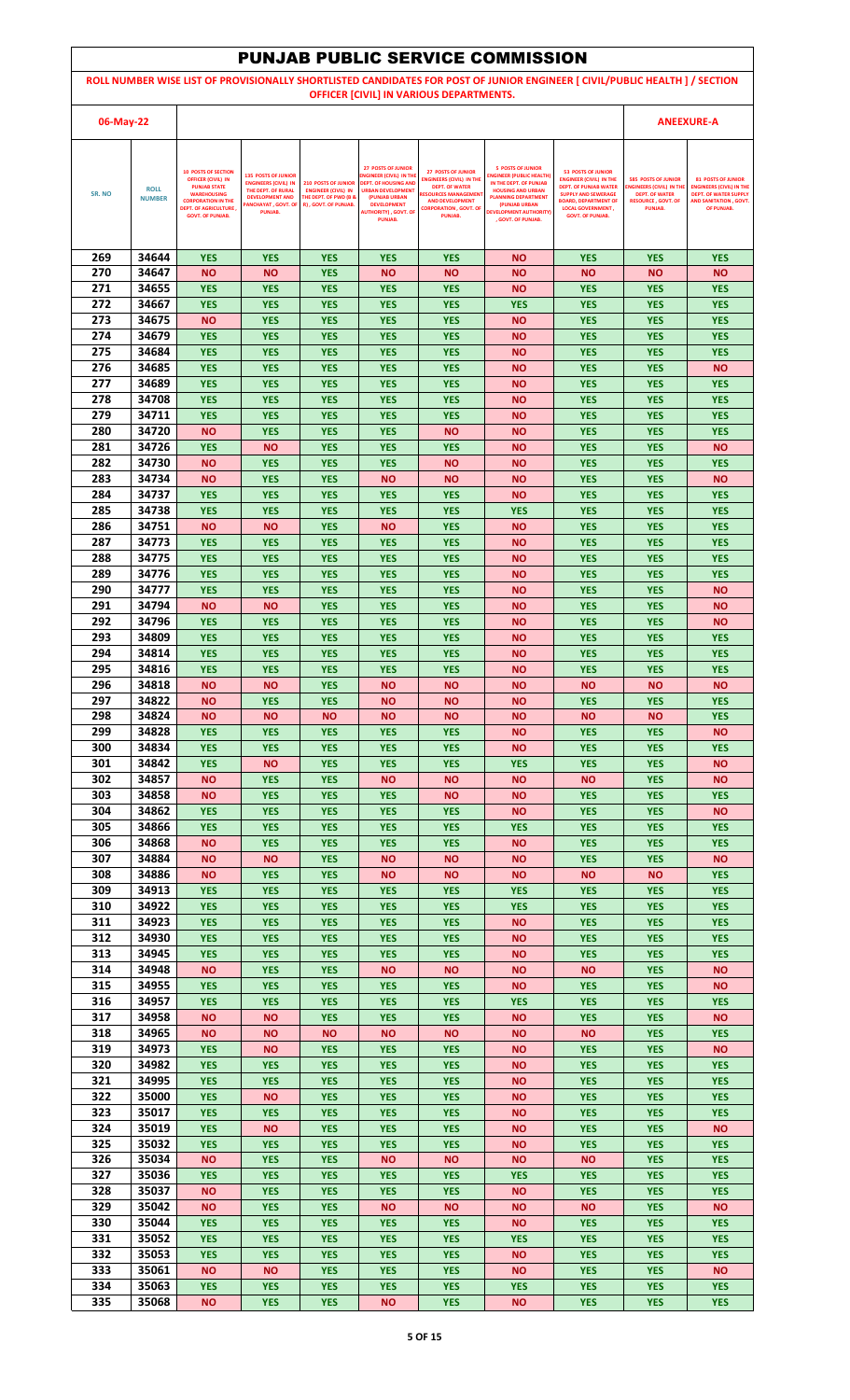|            |                              |                                                                                 |                                                                           |                                                                                        |                                                                                    |                                                                                       | <b>PUNJAB PUBLIC SERVICE COMMISSION</b>                                               |                                                                                                                             |                                                               |                                                                      |
|------------|------------------------------|---------------------------------------------------------------------------------|---------------------------------------------------------------------------|----------------------------------------------------------------------------------------|------------------------------------------------------------------------------------|---------------------------------------------------------------------------------------|---------------------------------------------------------------------------------------|-----------------------------------------------------------------------------------------------------------------------------|---------------------------------------------------------------|----------------------------------------------------------------------|
|            |                              |                                                                                 |                                                                           |                                                                                        |                                                                                    |                                                                                       |                                                                                       | ROLL NUMBER WISE LIST OF PROVISIONALLY SHORTLISTED CANDIDATES FOR POST OF JUNIOR ENGINEER [ CIVIL/PUBLIC HEALTH ] / SECTION |                                                               |                                                                      |
|            |                              |                                                                                 |                                                                           |                                                                                        |                                                                                    | OFFICER [CIVIL] IN VARIOUS DEPARTMENTS.                                               |                                                                                       |                                                                                                                             |                                                               |                                                                      |
| 06-May-22  |                              |                                                                                 |                                                                           |                                                                                        |                                                                                    |                                                                                       |                                                                                       |                                                                                                                             |                                                               | <b>ANEEXURE-A</b>                                                    |
|            |                              |                                                                                 |                                                                           |                                                                                        |                                                                                    |                                                                                       |                                                                                       |                                                                                                                             |                                                               |                                                                      |
|            |                              | <b>10 POSTS OF SECTION</b><br><b>OFFICER (CIVIL) IN</b><br><b>PUNJAB STATE</b>  | <b>135 POSTS OF JUNIOR</b><br><b>ENGINEERS (CIVIL) IN</b>                 | <b>210 POSTS OF JUNIOR</b>                                                             | <b>27 POSTS OF JUNIOR</b><br>NGINEER (CIVIL) IN THE<br><b>DEPT. OF HOUSING AND</b> | <b>27 POSTS OF JUNIOR</b><br><b>ENGINEERS (CIVIL) IN THE</b><br><b>DEPT. OF WATER</b> | <b>5 POSTS OF JUNIOR</b><br><b>INGINEER (PUBLIC HEALTH)</b><br>IN THE DEPT. OF PUNJAB | <b>53 POSTS OF JUNIOR</b><br><b>ENGINEER (CIVIL) IN THE</b><br><b>DEPT. OF PUNJAB WATER</b>                                 | <b>585 POSTS OF JUNIOR</b><br><b>ENGINEERS (CIVIL) IN TH</b>  | <b>81 POSTS OF JUNIOR</b><br><b>ENGINEERS (CIVIL) IN THE</b>         |
| SR. NO     | <b>ROLL</b><br><b>NUMBER</b> | <b>WAREHOUSING</b><br><b>CORPORATION IN THE</b><br><b>DEPT. OF AGRICULTURE,</b> | THE DEPT. OF RURAL<br><b>DEVELOPMENT AND</b><br><b>ANCHAYAT, GOVT. OF</b> | <b>ENGINEER (CIVIL) IN</b><br><b>THE DEPT. OF PWD (B &amp;</b><br>R), GOVT. OF PUNJAB. | <b>URBAN DEVELOPMENT</b><br>(PUNJAB URBAN<br><b>DEVELOPMENT</b>                    | <b>RESOURCES MANAGEMEN</b><br><b>AND DEVELOPMENT</b><br><b>CORPORATION , GOVT, OF</b> | <b>HOUSING AND URBAN</b><br><b>PLANNING DEPARTMENT</b><br>(PUNJAB URBAN               | <b>SUPPLY AND SEWERAGE</b><br><b>BOARD, DEPARTMENT OF</b><br><b>LOCAL GOVERNMENT,</b>                                       | <b>DEPT. OF WATER</b><br><b>RESOURCE, GOVT, OF</b><br>PUNJAB. | <b>DEPT. OF WATER SUPPLY</b><br>AND SANITATION . GOVT.<br>OF PUNJAB. |
|            |                              | <b>GOVT. OF PUNJAB.</b>                                                         | PUNJAB.                                                                   |                                                                                        | <b>AUTHORITY), GOVT. OF</b><br><b>PUNJAB.</b>                                      | PUNJAB.                                                                               | <b>DEVELOPMENT AUTHORITY)</b><br>. GOVT. OF PUNJAB.                                   | <b>GOVT. OF PUNJAB.</b>                                                                                                     |                                                               |                                                                      |
|            |                              |                                                                                 |                                                                           |                                                                                        |                                                                                    |                                                                                       |                                                                                       |                                                                                                                             |                                                               |                                                                      |
| 269<br>270 | 34644<br>34647               | <b>YES</b><br><b>NO</b>                                                         | <b>YES</b><br>ΝO                                                          | <b>YES</b><br><b>YES</b>                                                               | <b>YES</b><br><b>NO</b>                                                            | <b>YES</b><br><b>NO</b>                                                               | <b>NO</b><br><b>NO</b>                                                                | <b>YES</b><br><b>NO</b>                                                                                                     | <b>YES</b><br><b>NO</b>                                       | <b>YES</b><br><b>NO</b>                                              |
| 271        | 34655                        | <b>YES</b>                                                                      | <b>YES</b>                                                                | <b>YES</b>                                                                             | <b>YES</b>                                                                         | <b>YES</b>                                                                            | <b>NO</b>                                                                             | <b>YES</b>                                                                                                                  | <b>YES</b>                                                    | <b>YES</b>                                                           |
| 272        | 34667                        | <b>YES</b>                                                                      | <b>YES</b>                                                                | <b>YES</b>                                                                             | <b>YES</b>                                                                         | <b>YES</b>                                                                            | <b>YES</b>                                                                            | <b>YES</b>                                                                                                                  | <b>YES</b>                                                    | <b>YES</b>                                                           |
| 273<br>274 | 34675<br>34679               | <b>NO</b><br><b>YES</b>                                                         | <b>YES</b><br><b>YES</b>                                                  | <b>YES</b><br><b>YES</b>                                                               | <b>YES</b><br><b>YES</b>                                                           | <b>YES</b><br><b>YES</b>                                                              | <b>NO</b><br><b>NO</b>                                                                | <b>YES</b><br><b>YES</b>                                                                                                    | <b>YES</b><br><b>YES</b>                                      | <b>YES</b><br><b>YES</b>                                             |
| 275        | 34684                        | <b>YES</b>                                                                      | <b>YES</b>                                                                | <b>YES</b>                                                                             | <b>YES</b>                                                                         | <b>YES</b>                                                                            | <b>NO</b>                                                                             | <b>YES</b>                                                                                                                  | <b>YES</b>                                                    | <b>YES</b>                                                           |
| 276        | 34685                        | <b>YES</b>                                                                      | <b>YES</b>                                                                | <b>YES</b>                                                                             | <b>YES</b>                                                                         | <b>YES</b>                                                                            | <b>NO</b>                                                                             | <b>YES</b>                                                                                                                  | <b>YES</b>                                                    | <b>NO</b>                                                            |
| 277<br>278 | 34689<br>34708               | <b>YES</b><br><b>YES</b>                                                        | <b>YES</b><br><b>YES</b>                                                  | <b>YES</b><br><b>YES</b>                                                               | <b>YES</b><br><b>YES</b>                                                           | <b>YES</b><br><b>YES</b>                                                              | <b>NO</b><br><b>NO</b>                                                                | <b>YES</b><br><b>YES</b>                                                                                                    | <b>YES</b><br><b>YES</b>                                      | <b>YES</b><br><b>YES</b>                                             |
| 279        | 34711                        | <b>YES</b>                                                                      | <b>YES</b>                                                                | <b>YES</b>                                                                             | <b>YES</b>                                                                         | <b>YES</b>                                                                            | <b>NO</b>                                                                             | <b>YES</b>                                                                                                                  | <b>YES</b>                                                    | <b>YES</b>                                                           |
| 280        | 34720                        | <b>NO</b>                                                                       | <b>YES</b>                                                                | <b>YES</b>                                                                             | <b>YES</b>                                                                         | <b>NO</b>                                                                             | ΝO                                                                                    | <b>YES</b>                                                                                                                  | <b>YES</b>                                                    | <b>YES</b>                                                           |
| 281<br>282 | 34726<br>34730               | <b>YES</b><br><b>NO</b>                                                         | <b>NO</b><br><b>YES</b>                                                   | <b>YES</b><br><b>YES</b>                                                               | <b>YES</b><br><b>YES</b>                                                           | <b>YES</b><br><b>NO</b>                                                               | <b>NO</b><br><b>NO</b>                                                                | <b>YES</b><br><b>YES</b>                                                                                                    | <b>YES</b><br><b>YES</b>                                      | <b>NO</b><br><b>YES</b>                                              |
| 283        | 34734                        | <b>NO</b>                                                                       | <b>YES</b>                                                                | <b>YES</b>                                                                             | <b>NO</b>                                                                          | <b>NO</b>                                                                             | <b>NO</b>                                                                             | <b>YES</b>                                                                                                                  | <b>YES</b>                                                    | <b>NO</b>                                                            |
| 284<br>285 | 34737<br>34738               | <b>YES</b><br><b>YES</b>                                                        | <b>YES</b><br><b>YES</b>                                                  | <b>YES</b><br><b>YES</b>                                                               | <b>YES</b><br><b>YES</b>                                                           | <b>YES</b><br><b>YES</b>                                                              | <b>NO</b><br><b>YES</b>                                                               | <b>YES</b><br><b>YES</b>                                                                                                    | <b>YES</b><br><b>YES</b>                                      | <b>YES</b><br><b>YES</b>                                             |
| 286        | 34751                        | <b>NO</b>                                                                       | <b>NO</b>                                                                 | <b>YES</b>                                                                             | <b>NO</b>                                                                          | <b>YES</b>                                                                            | <b>NO</b>                                                                             | <b>YES</b>                                                                                                                  | <b>YES</b>                                                    | <b>YES</b>                                                           |
| 287        | 34773                        | <b>YES</b>                                                                      | <b>YES</b>                                                                | <b>YES</b>                                                                             | <b>YES</b>                                                                         | <b>YES</b>                                                                            | <b>NO</b>                                                                             | <b>YES</b>                                                                                                                  | <b>YES</b>                                                    | <b>YES</b>                                                           |
| 288<br>289 | 34775<br>34776               | <b>YES</b><br><b>YES</b>                                                        | <b>YES</b><br><b>YES</b>                                                  | <b>YES</b><br><b>YES</b>                                                               | <b>YES</b><br><b>YES</b>                                                           | <b>YES</b><br><b>YES</b>                                                              | <b>NO</b><br><b>NO</b>                                                                | <b>YES</b><br><b>YES</b>                                                                                                    | <b>YES</b><br><b>YES</b>                                      | <b>YES</b><br><b>YES</b>                                             |
| 290        | 34777                        | <b>YES</b>                                                                      | <b>YES</b>                                                                | <b>YES</b>                                                                             | <b>YES</b>                                                                         | <b>YES</b>                                                                            | ΝO                                                                                    | <b>YES</b>                                                                                                                  | <b>YES</b>                                                    | <b>NO</b>                                                            |
| 291        | 34794                        | <b>NO</b>                                                                       | <b>NO</b>                                                                 | <b>YES</b>                                                                             | <b>YES</b>                                                                         | <b>YES</b>                                                                            | <b>NO</b>                                                                             | <b>YES</b>                                                                                                                  | <b>YES</b>                                                    | <b>NO</b>                                                            |
| 292<br>293 | 34796<br>34809               | <b>YES</b><br><b>YES</b>                                                        | <b>YES</b><br><b>YES</b>                                                  | <b>YES</b><br><b>YES</b>                                                               | <b>YES</b><br><b>YES</b>                                                           | <b>YES</b><br><b>YES</b>                                                              | <b>NO</b><br><b>NO</b>                                                                | <b>YES</b><br><b>YES</b>                                                                                                    | <b>YES</b><br><b>YES</b>                                      | <b>NO</b><br><b>YES</b>                                              |
| 294        | 34814                        | <b>YES</b>                                                                      | <b>YES</b>                                                                | <b>YES</b>                                                                             | <b>YES</b>                                                                         | <b>YES</b>                                                                            | <b>NO</b>                                                                             | <b>YES</b>                                                                                                                  | <b>YES</b>                                                    | <b>YES</b>                                                           |
| 295        | 34816                        | <b>YES</b>                                                                      | <b>YES</b>                                                                | <b>YES</b>                                                                             | <b>YES</b>                                                                         | <b>YES</b>                                                                            | ΝO                                                                                    | <b>YES</b>                                                                                                                  | <b>YES</b>                                                    | <b>YES</b>                                                           |
| 296<br>297 | 34818<br>34822               | <b>NO</b><br><b>NO</b>                                                          | <b>NO</b><br><b>YES</b>                                                   | <b>YES</b><br><b>YES</b>                                                               | <b>NO</b><br><b>NO</b>                                                             | <b>NO</b><br><b>NO</b>                                                                | <b>NO</b><br><b>NO</b>                                                                | <b>NO</b><br><b>YES</b>                                                                                                     | <b>NO</b><br><b>YES</b>                                       | <b>NO</b><br><b>YES</b>                                              |
| 298        | 34824                        | <b>NO</b>                                                                       | <b>NO</b>                                                                 | <b>NO</b>                                                                              | <b>NO</b>                                                                          | <b>NO</b>                                                                             | <b>NO</b>                                                                             | <b>NO</b>                                                                                                                   | <b>NO</b>                                                     | <b>YES</b>                                                           |
| 299<br>300 | 34828<br>34834               | <b>YES</b><br><b>YES</b>                                                        | <b>YES</b><br><b>YES</b>                                                  | <b>YES</b><br><b>YES</b>                                                               | <b>YES</b><br><b>YES</b>                                                           | <b>YES</b><br><b>YES</b>                                                              | <b>NO</b><br><b>NO</b>                                                                | <b>YES</b><br><b>YES</b>                                                                                                    | <b>YES</b><br><b>YES</b>                                      | <b>NO</b><br><b>YES</b>                                              |
| 301        | 34842                        | <b>YES</b>                                                                      | <b>NO</b>                                                                 | <b>YES</b>                                                                             | <b>YES</b>                                                                         | <b>YES</b>                                                                            | <b>YES</b>                                                                            | <b>YES</b>                                                                                                                  | <b>YES</b>                                                    | <b>NO</b>                                                            |
| 302        | 34857                        | <b>NO</b>                                                                       | <b>YES</b>                                                                | <b>YES</b>                                                                             | <b>NO</b>                                                                          | <b>NO</b>                                                                             | <b>NO</b>                                                                             | <b>NO</b>                                                                                                                   | <b>YES</b>                                                    | <b>NO</b>                                                            |
| 303<br>304 | 34858<br>34862               | <b>NO</b><br><b>YES</b>                                                         | <b>YES</b><br><b>YES</b>                                                  | <b>YES</b><br><b>YES</b>                                                               | <b>YES</b><br><b>YES</b>                                                           | <b>NO</b><br><b>YES</b>                                                               | <b>NO</b><br><b>NO</b>                                                                | <b>YES</b><br><b>YES</b>                                                                                                    | <b>YES</b><br><b>YES</b>                                      | <b>YES</b><br><b>NO</b>                                              |
| 305        | 34866                        | <b>YES</b>                                                                      | <b>YES</b>                                                                | <b>YES</b>                                                                             | <b>YES</b>                                                                         | <b>YES</b>                                                                            | <b>YES</b>                                                                            | <b>YES</b>                                                                                                                  | <b>YES</b>                                                    | <b>YES</b>                                                           |
| 306<br>307 | 34868<br>34884               | <b>NO</b><br><b>NO</b>                                                          | <b>YES</b><br>ΝO                                                          | <b>YES</b><br><b>YES</b>                                                               | <b>YES</b><br><b>NO</b>                                                            | <b>YES</b><br><b>NO</b>                                                               | <b>NO</b><br><b>NO</b>                                                                | <b>YES</b><br><b>YES</b>                                                                                                    | <b>YES</b><br><b>YES</b>                                      | <b>YES</b><br><b>NO</b>                                              |
| 308        | 34886                        | <b>NO</b>                                                                       | <b>YES</b>                                                                | <b>YES</b>                                                                             | <b>NO</b>                                                                          | <b>NO</b>                                                                             | <b>NO</b>                                                                             | <b>NO</b>                                                                                                                   | <b>NO</b>                                                     | <b>YES</b>                                                           |
| 309        | 34913                        | <b>YES</b>                                                                      | <b>YES</b>                                                                | <b>YES</b>                                                                             | <b>YES</b>                                                                         | <b>YES</b>                                                                            | <b>YES</b>                                                                            | <b>YES</b>                                                                                                                  | <b>YES</b>                                                    | <b>YES</b>                                                           |
| 310<br>311 | 34922<br>34923               | <b>YES</b><br><b>YES</b>                                                        | <b>YES</b><br><b>YES</b>                                                  | <b>YES</b><br><b>YES</b>                                                               | <b>YES</b><br><b>YES</b>                                                           | <b>YES</b><br><b>YES</b>                                                              | <b>YES</b><br><b>NO</b>                                                               | <b>YES</b><br><b>YES</b>                                                                                                    | <b>YES</b><br><b>YES</b>                                      | <b>YES</b><br><b>YES</b>                                             |
| 312        | 34930                        | <b>YES</b>                                                                      | <b>YES</b>                                                                | <b>YES</b>                                                                             | <b>YES</b>                                                                         | <b>YES</b>                                                                            | <b>NO</b>                                                                             | <b>YES</b>                                                                                                                  | <b>YES</b>                                                    | <b>YES</b>                                                           |
| 313<br>314 | 34945<br>34948               | <b>YES</b><br><b>NO</b>                                                         | <b>YES</b><br><b>YES</b>                                                  | <b>YES</b><br><b>YES</b>                                                               | <b>YES</b><br><b>NO</b>                                                            | <b>YES</b><br><b>NO</b>                                                               | <b>NO</b><br><b>NO</b>                                                                | <b>YES</b><br><b>NO</b>                                                                                                     | <b>YES</b><br><b>YES</b>                                      | <b>YES</b><br><b>NO</b>                                              |
| 315        | 34955                        | <b>YES</b>                                                                      | <b>YES</b>                                                                | <b>YES</b>                                                                             | <b>YES</b>                                                                         | <b>YES</b>                                                                            | <b>NO</b>                                                                             | <b>YES</b>                                                                                                                  | <b>YES</b>                                                    | <b>NO</b>                                                            |
| 316        | 34957                        | <b>YES</b>                                                                      | <b>YES</b>                                                                | <b>YES</b>                                                                             | <b>YES</b>                                                                         | <b>YES</b>                                                                            | <b>YES</b>                                                                            | <b>YES</b>                                                                                                                  | <b>YES</b>                                                    | <b>YES</b>                                                           |
| 317<br>318 | 34958<br>34965               | <b>NO</b><br><b>NO</b>                                                          | ΝO<br>ΝO                                                                  | <b>YES</b><br><b>NO</b>                                                                | <b>YES</b><br><b>NO</b>                                                            | <b>YES</b><br><b>NO</b>                                                               | <b>NO</b><br><b>NO</b>                                                                | <b>YES</b><br><b>NO</b>                                                                                                     | <b>YES</b><br><b>YES</b>                                      | <b>NO</b><br><b>YES</b>                                              |
| 319        | 34973                        | <b>YES</b>                                                                      | ΝO                                                                        | <b>YES</b>                                                                             | <b>YES</b>                                                                         | <b>YES</b>                                                                            | <b>NO</b>                                                                             | <b>YES</b>                                                                                                                  | <b>YES</b>                                                    | <b>NO</b>                                                            |
| 320<br>321 | 34982<br>34995               | <b>YES</b><br><b>YES</b>                                                        | <b>YES</b><br><b>YES</b>                                                  | <b>YES</b><br><b>YES</b>                                                               | <b>YES</b><br><b>YES</b>                                                           | <b>YES</b><br><b>YES</b>                                                              | <b>NO</b><br><b>NO</b>                                                                | <b>YES</b><br><b>YES</b>                                                                                                    | <b>YES</b><br><b>YES</b>                                      | <b>YES</b><br><b>YES</b>                                             |
| 322        | 35000                        | <b>YES</b>                                                                      | ΝO                                                                        | <b>YES</b>                                                                             | <b>YES</b>                                                                         | <b>YES</b>                                                                            | <b>NO</b>                                                                             | <b>YES</b>                                                                                                                  | <b>YES</b>                                                    | <b>YES</b>                                                           |
| 323        | 35017                        | <b>YES</b>                                                                      | <b>YES</b>                                                                | <b>YES</b>                                                                             | <b>YES</b>                                                                         | <b>YES</b>                                                                            | <b>NO</b>                                                                             | <b>YES</b>                                                                                                                  | <b>YES</b>                                                    | <b>YES</b>                                                           |
| 324<br>325 | 35019<br>35032               | <b>YES</b><br><b>YES</b>                                                        | <b>NO</b><br><b>YES</b>                                                   | <b>YES</b><br><b>YES</b>                                                               | <b>YES</b><br><b>YES</b>                                                           | <b>YES</b><br><b>YES</b>                                                              | <b>NO</b><br><b>NO</b>                                                                | <b>YES</b><br><b>YES</b>                                                                                                    | <b>YES</b><br><b>YES</b>                                      | <b>NO</b><br><b>YES</b>                                              |
| 326        | 35034                        | <b>NO</b>                                                                       | <b>YES</b>                                                                | <b>YES</b>                                                                             | <b>NO</b>                                                                          | <b>NO</b>                                                                             | <b>NO</b>                                                                             | <b>NO</b>                                                                                                                   | <b>YES</b>                                                    | <b>YES</b>                                                           |
| 327        | 35036                        | <b>YES</b>                                                                      | <b>YES</b>                                                                | <b>YES</b>                                                                             | <b>YES</b>                                                                         | <b>YES</b>                                                                            | <b>YES</b>                                                                            | <b>YES</b>                                                                                                                  | <b>YES</b>                                                    | <b>YES</b>                                                           |
| 328<br>329 | 35037<br>35042               | <b>NO</b><br><b>NO</b>                                                          | <b>YES</b><br><b>YES</b>                                                  | <b>YES</b><br><b>YES</b>                                                               | <b>YES</b><br><b>NO</b>                                                            | <b>YES</b><br><b>NO</b>                                                               | <b>NO</b><br><b>NO</b>                                                                | <b>YES</b><br><b>NO</b>                                                                                                     | <b>YES</b><br><b>YES</b>                                      | <b>YES</b><br><b>NO</b>                                              |
| 330        | 35044                        | <b>YES</b>                                                                      | <b>YES</b>                                                                | <b>YES</b>                                                                             | <b>YES</b>                                                                         | <b>YES</b>                                                                            | <b>NO</b>                                                                             | <b>YES</b>                                                                                                                  | <b>YES</b>                                                    | <b>YES</b>                                                           |
| 331        | 35052                        | <b>YES</b>                                                                      | <b>YES</b>                                                                | <b>YES</b>                                                                             | <b>YES</b>                                                                         | <b>YES</b>                                                                            | <b>YES</b>                                                                            | <b>YES</b>                                                                                                                  | <b>YES</b>                                                    | <b>YES</b>                                                           |
| 332<br>333 | 35053<br>35061               | <b>YES</b><br><b>NO</b>                                                         | <b>YES</b><br><b>NO</b>                                                   | <b>YES</b><br><b>YES</b>                                                               | <b>YES</b><br><b>YES</b>                                                           | <b>YES</b><br><b>YES</b>                                                              | <b>NO</b><br><b>NO</b>                                                                | <b>YES</b><br><b>YES</b>                                                                                                    | <b>YES</b><br><b>YES</b>                                      | <b>YES</b><br><b>NO</b>                                              |
| 334        | 35063                        | <b>YES</b>                                                                      | <b>YES</b>                                                                | <b>YES</b>                                                                             | <b>YES</b>                                                                         | <b>YES</b>                                                                            | <b>YES</b>                                                                            | <b>YES</b>                                                                                                                  | <b>YES</b>                                                    | <b>YES</b>                                                           |
| 335        | 35068                        | <b>NO</b>                                                                       | <b>YES</b>                                                                | <b>YES</b>                                                                             | <b>NO</b>                                                                          | <b>YES</b>                                                                            | <b>NO</b>                                                                             | <b>YES</b>                                                                                                                  | <b>YES</b>                                                    | <b>YES</b>                                                           |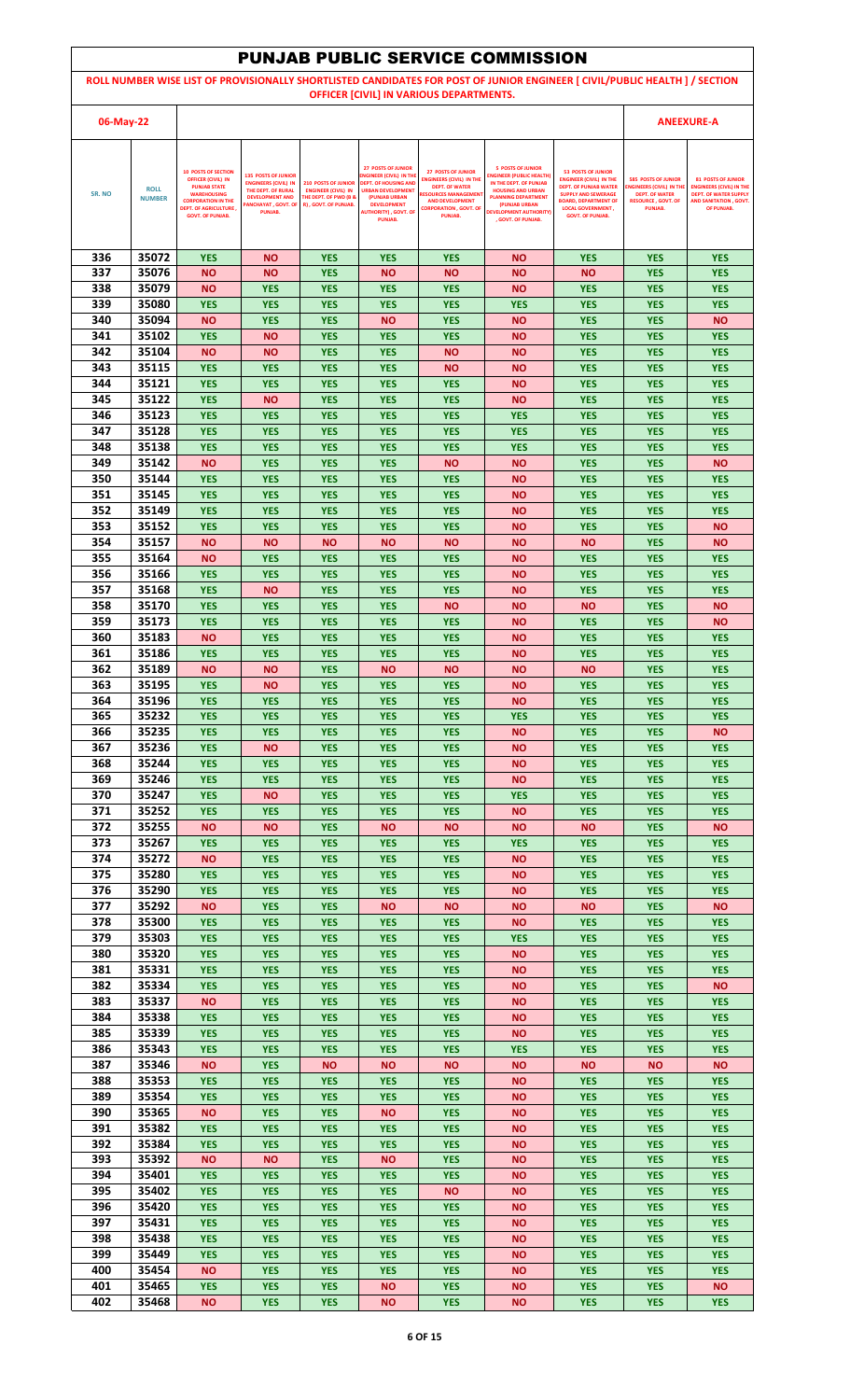|            |                |                                                                                  |                                                                                 |                                                          |                                                                                   |                                                                                       | <b>PUNJAB PUBLIC SERVICE COMMISSION</b>                                               |                                                                                                                             |                                                               |                                                                      |
|------------|----------------|----------------------------------------------------------------------------------|---------------------------------------------------------------------------------|----------------------------------------------------------|-----------------------------------------------------------------------------------|---------------------------------------------------------------------------------------|---------------------------------------------------------------------------------------|-----------------------------------------------------------------------------------------------------------------------------|---------------------------------------------------------------|----------------------------------------------------------------------|
|            |                |                                                                                  |                                                                                 |                                                          |                                                                                   |                                                                                       |                                                                                       | ROLL NUMBER WISE LIST OF PROVISIONALLY SHORTLISTED CANDIDATES FOR POST OF JUNIOR ENGINEER [ CIVIL/PUBLIC HEALTH ] / SECTION |                                                               |                                                                      |
|            |                |                                                                                  |                                                                                 |                                                          |                                                                                   | OFFICER [CIVIL] IN VARIOUS DEPARTMENTS.                                               |                                                                                       |                                                                                                                             |                                                               |                                                                      |
| 06-May-22  |                |                                                                                  |                                                                                 |                                                          |                                                                                   |                                                                                       |                                                                                       |                                                                                                                             |                                                               | <b>ANEEXURE-A</b>                                                    |
|            |                |                                                                                  |                                                                                 |                                                          | <b>27 POSTS OF JUNIOR</b>                                                         |                                                                                       | <b>5 POSTS OF JUNIOR</b>                                                              |                                                                                                                             |                                                               |                                                                      |
|            | <b>ROLL</b>    | <b>10 POSTS OF SECTION</b><br><b>OFFICER (CIVIL) IN</b><br><b>PUNJAB STATE</b>   | <b>135 POSTS OF JUNIOR</b><br><b>ENGINEERS (CIVIL) IN</b><br>THE DEPT. OF RURAL | <b>210 POSTS OF JUNIOR</b><br><b>ENGINEER (CIVIL) IN</b> | NGINEER (CIVIL) IN THE<br><b>DEPT. OF HOUSING AND</b><br><b>URBAN DEVELOPMENT</b> | <b>27 POSTS OF JUNIOR</b><br><b>ENGINEERS (CIVIL) IN THE</b><br><b>DEPT. OF WATER</b> | <b>INGINEER (PUBLIC HEALTH)</b><br>IN THE DEPT. OF PUNJAB<br><b>HOUSING AND URBAN</b> | <b>53 POSTS OF JUNIOR</b><br><b>ENGINEER (CIVIL) IN THE</b><br><b>DEPT. OF PUNJAB WATER</b>                                 | <b>585 POSTS OF JUNIOR</b><br><b>ENGINEERS (CIVIL) IN TH</b>  | <b>81 POSTS OF JUNIOR</b><br><b>ENGINEERS (CIVIL) IN THE</b>         |
| SR. NO     | <b>NUMBER</b>  | <b>WAREHOUSING</b><br><b>CORPORATION IN THE</b><br><b>DEPT. OF AGRICULTURE</b> , | <b>DEVELOPMENT AND</b><br><b>ANCHAYAT, GOVT. OF</b>                             | <b>THE DEPT. OF PWD (B &amp;</b><br>R), GOVT. OF PUNJAB. | (PUNJAB URBAN<br><b>DEVELOPMENT</b>                                               | <b>RESOURCES MANAGEMEN</b><br><b>AND DEVELOPMENT</b><br><b>CORPORATION , GOVT, OF</b> | <b>PLANNING DEPARTMENT</b><br>(PUNJAB URBAN                                           | <b>SUPPLY AND SEWERAGE</b><br><b>BOARD, DEPARTMENT OF</b><br><b>LOCAL GOVERNMENT,</b>                                       | <b>DEPT. OF WATER</b><br><b>RESOURCE, GOVT, OF</b><br>PUNJAB. | <b>DEPT. OF WATER SUPPLY</b><br>AND SANITATION . GOVT.<br>OF PUNJAB. |
|            |                | <b>GOVT. OF PUNJAB.</b>                                                          | PUNJAB.                                                                         |                                                          | <b>AUTHORITY), GOVT. OF</b><br><b>PUNJAB.</b>                                     | PUNJAB.                                                                               | <b>DEVELOPMENT AUTHORITY)</b><br>. GOVT. OF PUNJAB.                                   | <b>GOVT. OF PUNJAB.</b>                                                                                                     |                                                               |                                                                      |
|            |                |                                                                                  |                                                                                 |                                                          |                                                                                   |                                                                                       |                                                                                       |                                                                                                                             |                                                               |                                                                      |
| 336<br>337 | 35072<br>35076 | <b>YES</b><br><b>NO</b>                                                          | <b>NO</b><br>ΝO                                                                 | <b>YES</b><br><b>YES</b>                                 | <b>YES</b><br><b>NO</b>                                                           | <b>YES</b><br><b>NO</b>                                                               | <b>NO</b><br><b>NO</b>                                                                | <b>YES</b><br><b>NO</b>                                                                                                     | <b>YES</b><br><b>YES</b>                                      | <b>YES</b><br><b>YES</b>                                             |
| 338        | 35079          | <b>NO</b>                                                                        | <b>YES</b>                                                                      | <b>YES</b>                                               | <b>YES</b>                                                                        | <b>YES</b>                                                                            | <b>NO</b>                                                                             | <b>YES</b>                                                                                                                  | <b>YES</b>                                                    | <b>YES</b>                                                           |
| 339<br>340 | 35080<br>35094 | <b>YES</b><br><b>NO</b>                                                          | <b>YES</b><br><b>YES</b>                                                        | <b>YES</b><br><b>YES</b>                                 | <b>YES</b><br><b>NO</b>                                                           | <b>YES</b><br><b>YES</b>                                                              | <b>YES</b><br><b>NO</b>                                                               | <b>YES</b><br><b>YES</b>                                                                                                    | <b>YES</b><br><b>YES</b>                                      | <b>YES</b><br><b>NO</b>                                              |
| 341        | 35102          | <b>YES</b>                                                                       | <b>NO</b>                                                                       | <b>YES</b>                                               | <b>YES</b>                                                                        | <b>YES</b>                                                                            | <b>NO</b>                                                                             | <b>YES</b>                                                                                                                  | <b>YES</b>                                                    | <b>YES</b>                                                           |
| 342        | 35104          | <b>NO</b>                                                                        | ΝO                                                                              | <b>YES</b>                                               | <b>YES</b>                                                                        | <b>NO</b>                                                                             | <b>NO</b>                                                                             | <b>YES</b>                                                                                                                  | <b>YES</b>                                                    | <b>YES</b>                                                           |
| 343<br>344 | 35115<br>35121 | <b>YES</b><br><b>YES</b>                                                         | <b>YES</b><br><b>YES</b>                                                        | <b>YES</b><br><b>YES</b>                                 | <b>YES</b><br><b>YES</b>                                                          | <b>NO</b><br><b>YES</b>                                                               | <b>NO</b><br><b>NO</b>                                                                | <b>YES</b><br><b>YES</b>                                                                                                    | <b>YES</b><br><b>YES</b>                                      | <b>YES</b><br><b>YES</b>                                             |
| 345        | 35122          | <b>YES</b>                                                                       | ΝO                                                                              | <b>YES</b>                                               | <b>YES</b>                                                                        | <b>YES</b>                                                                            | <b>NO</b>                                                                             | <b>YES</b>                                                                                                                  | <b>YES</b>                                                    | <b>YES</b>                                                           |
| 346        | 35123          | <b>YES</b>                                                                       | <b>YES</b>                                                                      | <b>YES</b>                                               | <b>YES</b>                                                                        | <b>YES</b>                                                                            | <b>YES</b>                                                                            | <b>YES</b>                                                                                                                  | <b>YES</b>                                                    | <b>YES</b>                                                           |
| 347<br>348 | 35128<br>35138 | <b>YES</b><br><b>YES</b>                                                         | <b>YES</b><br><b>YES</b>                                                        | <b>YES</b><br><b>YES</b>                                 | <b>YES</b><br><b>YES</b>                                                          | <b>YES</b><br><b>YES</b>                                                              | <b>YES</b><br><b>YES</b>                                                              | <b>YES</b><br><b>YES</b>                                                                                                    | <b>YES</b><br><b>YES</b>                                      | <b>YES</b><br><b>YES</b>                                             |
| 349        | 35142          | <b>NO</b>                                                                        | <b>YES</b>                                                                      | <b>YES</b>                                               | <b>YES</b>                                                                        | <b>NO</b>                                                                             | <b>NO</b>                                                                             | <b>YES</b>                                                                                                                  | <b>YES</b>                                                    | <b>NO</b>                                                            |
| 350<br>351 | 35144<br>35145 | <b>YES</b><br><b>YES</b>                                                         | <b>YES</b><br><b>YES</b>                                                        | <b>YES</b><br><b>YES</b>                                 | <b>YES</b><br><b>YES</b>                                                          | <b>YES</b><br><b>YES</b>                                                              | <b>NO</b><br><b>NO</b>                                                                | <b>YES</b><br><b>YES</b>                                                                                                    | <b>YES</b><br><b>YES</b>                                      | <b>YES</b><br><b>YES</b>                                             |
| 352        | 35149          | <b>YES</b>                                                                       | <b>YES</b>                                                                      | <b>YES</b>                                               | <b>YES</b>                                                                        | <b>YES</b>                                                                            | <b>NO</b>                                                                             | <b>YES</b>                                                                                                                  | <b>YES</b>                                                    | <b>YES</b>                                                           |
| 353        | 35152          | <b>YES</b>                                                                       | <b>YES</b>                                                                      | <b>YES</b>                                               | <b>YES</b>                                                                        | <b>YES</b>                                                                            | <b>NO</b>                                                                             | <b>YES</b>                                                                                                                  | <b>YES</b>                                                    | <b>NO</b>                                                            |
| 354<br>355 | 35157<br>35164 | <b>NO</b><br><b>NO</b>                                                           | ΝO<br><b>YES</b>                                                                | <b>NO</b><br><b>YES</b>                                  | <b>NO</b><br><b>YES</b>                                                           | <b>NO</b><br><b>YES</b>                                                               | <b>NO</b><br><b>NO</b>                                                                | <b>NO</b><br><b>YES</b>                                                                                                     | <b>YES</b><br><b>YES</b>                                      | <b>NO</b><br><b>YES</b>                                              |
| 356        | 35166          | <b>YES</b>                                                                       | <b>YES</b>                                                                      | <b>YES</b>                                               | <b>YES</b>                                                                        | <b>YES</b>                                                                            | <b>NO</b>                                                                             | <b>YES</b>                                                                                                                  | <b>YES</b>                                                    | <b>YES</b>                                                           |
| 357        | 35168          | <b>YES</b>                                                                       | ΝO                                                                              | <b>YES</b>                                               | <b>YES</b>                                                                        | <b>YES</b>                                                                            | ΝO                                                                                    | <b>YES</b>                                                                                                                  | <b>YES</b>                                                    | <b>YES</b>                                                           |
| 358<br>359 | 35170<br>35173 | <b>YES</b><br><b>YES</b>                                                         | <b>YES</b><br><b>YES</b>                                                        | <b>YES</b><br><b>YES</b>                                 | <b>YES</b><br><b>YES</b>                                                          | <b>NO</b><br><b>YES</b>                                                               | <b>NO</b><br><b>NO</b>                                                                | <b>NO</b><br><b>YES</b>                                                                                                     | <b>YES</b><br><b>YES</b>                                      | <b>NO</b><br><b>NO</b>                                               |
| 360        | 35183          | <b>NO</b>                                                                        | <b>YES</b>                                                                      | <b>YES</b>                                               | <b>YES</b>                                                                        | <b>YES</b>                                                                            | <b>NO</b>                                                                             | <b>YES</b>                                                                                                                  | <b>YES</b>                                                    | <b>YES</b>                                                           |
| 361<br>362 | 35186<br>35189 | <b>YES</b><br><b>NO</b>                                                          | <b>YES</b><br>ΝO                                                                | <b>YES</b><br><b>YES</b>                                 | <b>YES</b><br><b>NO</b>                                                           | <b>YES</b>                                                                            | <b>NO</b><br>ΝO                                                                       | <b>YES</b>                                                                                                                  | <b>YES</b><br><b>YES</b>                                      | <b>YES</b><br><b>YES</b>                                             |
| 363        | 35195          | <b>YES</b>                                                                       | <b>NO</b>                                                                       | <b>YES</b>                                               | <b>YES</b>                                                                        | <b>NO</b><br><b>YES</b>                                                               | <b>NO</b>                                                                             | <b>NO</b><br><b>YES</b>                                                                                                     | <b>YES</b>                                                    | <b>YES</b>                                                           |
| 364        | 35196          | <b>YES</b>                                                                       | <b>YES</b>                                                                      | <b>YES</b>                                               | <b>YES</b>                                                                        | <b>YES</b>                                                                            | <b>NO</b>                                                                             | <b>YES</b>                                                                                                                  | <b>YES</b>                                                    | <b>YES</b>                                                           |
| 365<br>366 | 35232<br>35235 | <b>YES</b><br><b>YES</b>                                                         | <b>YES</b><br><b>YES</b>                                                        | <b>YES</b><br><b>YES</b>                                 | <b>YES</b><br><b>YES</b>                                                          | <b>YES</b><br><b>YES</b>                                                              | <b>YES</b><br><b>NO</b>                                                               | <b>YES</b><br><b>YES</b>                                                                                                    | <b>YES</b><br><b>YES</b>                                      | <b>YES</b><br><b>NO</b>                                              |
| 367        | 35236          | <b>YES</b>                                                                       | ΝO                                                                              | <b>YES</b>                                               | <b>YES</b>                                                                        | <b>YES</b>                                                                            | <b>NO</b>                                                                             | <b>YES</b>                                                                                                                  | <b>YES</b>                                                    | <b>YES</b>                                                           |
| 368        | 35244          | <b>YES</b>                                                                       | <b>YES</b>                                                                      | <b>YES</b>                                               | <b>YES</b>                                                                        | <b>YES</b>                                                                            | <b>NO</b>                                                                             | <b>YES</b>                                                                                                                  | <b>YES</b>                                                    | <b>YES</b>                                                           |
| 369<br>370 | 35246<br>35247 | <b>YES</b><br><b>YES</b>                                                         | <b>YES</b><br><b>NO</b>                                                         | <b>YES</b><br><b>YES</b>                                 | <b>YES</b><br><b>YES</b>                                                          | <b>YES</b><br><b>YES</b>                                                              | <b>NO</b><br><b>YES</b>                                                               | <b>YES</b><br><b>YES</b>                                                                                                    | <b>YES</b><br><b>YES</b>                                      | <b>YES</b><br><b>YES</b>                                             |
| 371        | 35252          | <b>YES</b>                                                                       | <b>YES</b>                                                                      | <b>YES</b>                                               | <b>YES</b>                                                                        | <b>YES</b>                                                                            | <b>NO</b>                                                                             | <b>YES</b>                                                                                                                  | <b>YES</b>                                                    | <b>YES</b>                                                           |
| 372<br>373 | 35255<br>35267 | <b>NO</b><br><b>YES</b>                                                          | ΝO<br><b>YES</b>                                                                | <b>YES</b><br><b>YES</b>                                 | <b>NO</b><br><b>YES</b>                                                           | <b>NO</b><br><b>YES</b>                                                               | <b>NO</b><br><b>YES</b>                                                               | <b>NO</b><br><b>YES</b>                                                                                                     | <b>YES</b><br><b>YES</b>                                      | <b>NO</b><br><b>YES</b>                                              |
| 374        | 35272          | <b>NO</b>                                                                        | <b>YES</b>                                                                      | <b>YES</b>                                               | <b>YES</b>                                                                        | <b>YES</b>                                                                            | <b>NO</b>                                                                             | <b>YES</b>                                                                                                                  | <b>YES</b>                                                    | <b>YES</b>                                                           |
| 375        | 35280          | <b>YES</b>                                                                       | <b>YES</b>                                                                      | <b>YES</b>                                               | <b>YES</b>                                                                        | <b>YES</b>                                                                            | <b>NO</b>                                                                             | <b>YES</b>                                                                                                                  | <b>YES</b>                                                    | <b>YES</b>                                                           |
| 376<br>377 | 35290<br>35292 | <b>YES</b><br><b>NO</b>                                                          | <b>YES</b><br><b>YES</b>                                                        | <b>YES</b><br><b>YES</b>                                 | <b>YES</b><br><b>NO</b>                                                           | <b>YES</b><br><b>NO</b>                                                               | <b>NO</b><br>ΝO                                                                       | <b>YES</b><br><b>NO</b>                                                                                                     | <b>YES</b><br><b>YES</b>                                      | <b>YES</b><br><b>NO</b>                                              |
| 378        | 35300          | <b>YES</b>                                                                       | <b>YES</b>                                                                      | <b>YES</b>                                               | <b>YES</b>                                                                        | <b>YES</b>                                                                            | <b>NO</b>                                                                             | <b>YES</b>                                                                                                                  | <b>YES</b>                                                    | <b>YES</b>                                                           |
| 379        | 35303          | <b>YES</b>                                                                       | <b>YES</b>                                                                      | <b>YES</b>                                               | <b>YES</b>                                                                        | <b>YES</b>                                                                            | <b>YES</b>                                                                            | <b>YES</b>                                                                                                                  | <b>YES</b>                                                    | <b>YES</b>                                                           |
| 380<br>381 | 35320<br>35331 | <b>YES</b><br><b>YES</b>                                                         | <b>YES</b><br><b>YES</b>                                                        | <b>YES</b><br><b>YES</b>                                 | <b>YES</b><br><b>YES</b>                                                          | <b>YES</b><br><b>YES</b>                                                              | <b>NO</b><br><b>NO</b>                                                                | <b>YES</b><br><b>YES</b>                                                                                                    | <b>YES</b><br><b>YES</b>                                      | <b>YES</b><br><b>YES</b>                                             |
| 382        | 35334          | <b>YES</b>                                                                       | <b>YES</b>                                                                      | <b>YES</b>                                               | <b>YES</b>                                                                        | <b>YES</b>                                                                            | <b>NO</b>                                                                             | <b>YES</b>                                                                                                                  | <b>YES</b>                                                    | <b>NO</b>                                                            |
| 383<br>384 | 35337<br>35338 | <b>NO</b><br><b>YES</b>                                                          | <b>YES</b><br><b>YES</b>                                                        | <b>YES</b><br><b>YES</b>                                 | <b>YES</b><br><b>YES</b>                                                          | <b>YES</b><br><b>YES</b>                                                              | <b>NO</b><br><b>NO</b>                                                                | <b>YES</b><br><b>YES</b>                                                                                                    | <b>YES</b><br><b>YES</b>                                      | <b>YES</b><br><b>YES</b>                                             |
| 385        | 35339          | <b>YES</b>                                                                       | <b>YES</b>                                                                      | <b>YES</b>                                               | <b>YES</b>                                                                        | <b>YES</b>                                                                            | <b>NO</b>                                                                             | <b>YES</b>                                                                                                                  | <b>YES</b>                                                    | <b>YES</b>                                                           |
| 386        | 35343          | <b>YES</b>                                                                       | <b>YES</b>                                                                      | <b>YES</b>                                               | <b>YES</b>                                                                        | <b>YES</b>                                                                            | <b>YES</b>                                                                            | <b>YES</b>                                                                                                                  | <b>YES</b>                                                    | <b>YES</b>                                                           |
| 387<br>388 | 35346<br>35353 | <b>NO</b><br><b>YES</b>                                                          | <b>YES</b><br><b>YES</b>                                                        | <b>NO</b><br><b>YES</b>                                  | <b>NO</b><br><b>YES</b>                                                           | <b>NO</b><br><b>YES</b>                                                               | <b>NO</b><br><b>NO</b>                                                                | <b>NO</b><br><b>YES</b>                                                                                                     | <b>NO</b><br><b>YES</b>                                       | <b>NO</b><br><b>YES</b>                                              |
| 389        | 35354          | <b>YES</b>                                                                       | <b>YES</b>                                                                      | <b>YES</b>                                               | <b>YES</b>                                                                        | <b>YES</b>                                                                            | <b>NO</b>                                                                             | <b>YES</b>                                                                                                                  | <b>YES</b>                                                    | <b>YES</b>                                                           |
| 390        | 35365          | <b>NO</b>                                                                        | <b>YES</b>                                                                      | <b>YES</b>                                               | <b>NO</b>                                                                         | <b>YES</b>                                                                            | <b>NO</b>                                                                             | <b>YES</b>                                                                                                                  | <b>YES</b>                                                    | <b>YES</b>                                                           |
| 391<br>392 | 35382<br>35384 | <b>YES</b><br><b>YES</b>                                                         | <b>YES</b><br><b>YES</b>                                                        | <b>YES</b><br><b>YES</b>                                 | <b>YES</b><br><b>YES</b>                                                          | <b>YES</b><br><b>YES</b>                                                              | <b>NO</b><br><b>NO</b>                                                                | <b>YES</b><br><b>YES</b>                                                                                                    | <b>YES</b><br><b>YES</b>                                      | <b>YES</b><br><b>YES</b>                                             |
| 393        | 35392          | <b>NO</b>                                                                        | <b>NO</b>                                                                       | <b>YES</b>                                               | <b>NO</b>                                                                         | <b>YES</b>                                                                            | <b>NO</b>                                                                             | <b>YES</b>                                                                                                                  | <b>YES</b>                                                    | <b>YES</b>                                                           |
| 394<br>395 | 35401<br>35402 | <b>YES</b><br><b>YES</b>                                                         | <b>YES</b><br><b>YES</b>                                                        | <b>YES</b><br><b>YES</b>                                 | <b>YES</b><br><b>YES</b>                                                          | <b>YES</b><br><b>NO</b>                                                               | <b>NO</b><br>ΝO                                                                       | <b>YES</b><br><b>YES</b>                                                                                                    | <b>YES</b><br><b>YES</b>                                      | <b>YES</b><br><b>YES</b>                                             |
| 396        | 35420          | <b>YES</b>                                                                       | <b>YES</b>                                                                      | <b>YES</b>                                               | <b>YES</b>                                                                        | <b>YES</b>                                                                            | <b>NO</b>                                                                             | <b>YES</b>                                                                                                                  | <b>YES</b>                                                    | <b>YES</b>                                                           |
| 397        | 35431          | <b>YES</b>                                                                       | <b>YES</b>                                                                      | <b>YES</b>                                               | <b>YES</b>                                                                        | <b>YES</b>                                                                            | <b>NO</b>                                                                             | <b>YES</b>                                                                                                                  | <b>YES</b>                                                    | <b>YES</b>                                                           |
| 398<br>399 | 35438<br>35449 | <b>YES</b><br><b>YES</b>                                                         | <b>YES</b><br><b>YES</b>                                                        | <b>YES</b><br><b>YES</b>                                 | <b>YES</b><br><b>YES</b>                                                          | <b>YES</b><br><b>YES</b>                                                              | <b>NO</b><br><b>NO</b>                                                                | <b>YES</b><br><b>YES</b>                                                                                                    | <b>YES</b><br><b>YES</b>                                      | <b>YES</b><br><b>YES</b>                                             |
| 400        | 35454          | <b>NO</b>                                                                        | <b>YES</b>                                                                      | <b>YES</b>                                               | <b>YES</b>                                                                        | <b>YES</b>                                                                            | <b>NO</b>                                                                             | <b>YES</b>                                                                                                                  | <b>YES</b>                                                    | <b>YES</b>                                                           |
| 401        | 35465          | <b>YES</b>                                                                       | <b>YES</b>                                                                      | <b>YES</b>                                               | <b>NO</b>                                                                         | <b>YES</b>                                                                            | <b>NO</b>                                                                             | <b>YES</b>                                                                                                                  | <b>YES</b>                                                    | <b>NO</b>                                                            |
| 402        | 35468          | <b>NO</b>                                                                        | <b>YES</b>                                                                      | <b>YES</b>                                               | <b>NO</b>                                                                         | <b>YES</b>                                                                            | <b>NO</b>                                                                             | <b>YES</b>                                                                                                                  | <b>YES</b>                                                    | <b>YES</b>                                                           |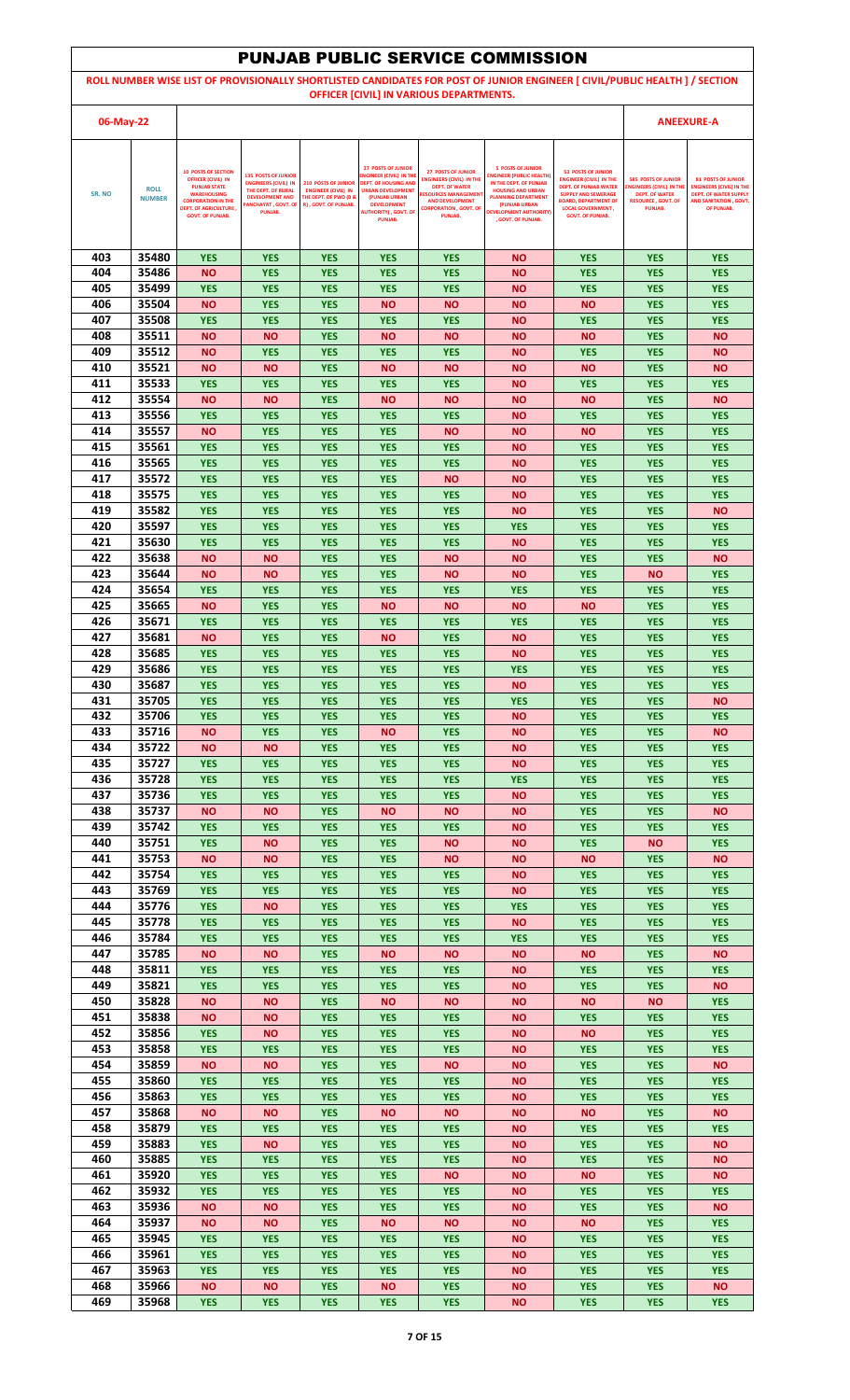|            |                              |                                                                                 |                                                                           |                                                                                        |                                                                                    |                                                                                       | <b>PUNJAB PUBLIC SERVICE COMMISSION</b>                                               |                                                                                                                             |                                                               |                                                                      |
|------------|------------------------------|---------------------------------------------------------------------------------|---------------------------------------------------------------------------|----------------------------------------------------------------------------------------|------------------------------------------------------------------------------------|---------------------------------------------------------------------------------------|---------------------------------------------------------------------------------------|-----------------------------------------------------------------------------------------------------------------------------|---------------------------------------------------------------|----------------------------------------------------------------------|
|            |                              |                                                                                 |                                                                           |                                                                                        |                                                                                    |                                                                                       |                                                                                       | ROLL NUMBER WISE LIST OF PROVISIONALLY SHORTLISTED CANDIDATES FOR POST OF JUNIOR ENGINEER [ CIVIL/PUBLIC HEALTH ] / SECTION |                                                               |                                                                      |
|            |                              |                                                                                 |                                                                           |                                                                                        |                                                                                    | OFFICER [CIVIL] IN VARIOUS DEPARTMENTS.                                               |                                                                                       |                                                                                                                             |                                                               |                                                                      |
| 06-May-22  |                              |                                                                                 |                                                                           |                                                                                        |                                                                                    |                                                                                       |                                                                                       |                                                                                                                             |                                                               | <b>ANEEXURE-A</b>                                                    |
|            |                              |                                                                                 |                                                                           |                                                                                        |                                                                                    |                                                                                       |                                                                                       |                                                                                                                             |                                                               |                                                                      |
|            |                              | <b>10 POSTS OF SECTION</b><br><b>OFFICER (CIVIL) IN</b><br><b>PUNJAB STATE</b>  | <b>135 POSTS OF JUNIOR</b><br><b>ENGINEERS (CIVIL) IN</b>                 | <b>210 POSTS OF JUNIOR</b>                                                             | <b>27 POSTS OF JUNIOR</b><br>NGINEER (CIVIL) IN THE<br><b>DEPT. OF HOUSING AND</b> | <b>27 POSTS OF JUNIOR</b><br><b>ENGINEERS (CIVIL) IN THE</b><br><b>DEPT. OF WATER</b> | <b>5 POSTS OF JUNIOR</b><br><b>INGINEER (PUBLIC HEALTH)</b><br>IN THE DEPT. OF PUNJAB | <b>53 POSTS OF JUNIOR</b><br><b>ENGINEER (CIVIL) IN THE</b><br><b>DEPT. OF PUNJAB WATER</b>                                 | <b>585 POSTS OF JUNIOR</b><br><b>ENGINEERS (CIVIL) IN TH</b>  | <b>81 POSTS OF JUNIOR</b><br><b>ENGINEERS (CIVIL) IN THE</b>         |
| SR. NO     | <b>ROLL</b><br><b>NUMBER</b> | <b>WAREHOUSING</b><br><b>CORPORATION IN THE</b><br><b>DEPT. OF AGRICULTURE,</b> | THE DEPT. OF RURAL<br><b>DEVELOPMENT AND</b><br><b>ANCHAYAT, GOVT. OF</b> | <b>ENGINEER (CIVIL) IN</b><br><b>THE DEPT. OF PWD (B &amp;</b><br>R), GOVT. OF PUNJAB. | <b>URBAN DEVELOPMENT</b><br>(PUNJAB URBAN<br><b>DEVELOPMENT</b>                    | <b>RESOURCES MANAGEMEN</b><br><b>AND DEVELOPMENT</b><br><b>CORPORATION , GOVT, OF</b> | <b>HOUSING AND URBAN</b><br><b>PLANNING DEPARTMENT</b><br>(PUNJAB URBAN               | <b>SUPPLY AND SEWERAGE</b><br><b>BOARD, DEPARTMENT OF</b><br><b>LOCAL GOVERNMENT,</b>                                       | <b>DEPT. OF WATER</b><br><b>RESOURCE, GOVT, OF</b><br>PUNJAB. | <b>DEPT. OF WATER SUPPLY</b><br>AND SANITATION . GOVT.<br>OF PUNJAB. |
|            |                              | <b>GOVT. OF PUNJAB.</b>                                                         | PUNJAB.                                                                   |                                                                                        | <b>AUTHORITY), GOVT. OF</b><br><b>PUNJAB.</b>                                      | PUNJAB.                                                                               | <b>DEVELOPMENT AUTHORITY)</b><br>. GOVT. OF PUNJAB.                                   | <b>GOVT. OF PUNJAB.</b>                                                                                                     |                                                               |                                                                      |
|            |                              |                                                                                 |                                                                           |                                                                                        |                                                                                    |                                                                                       |                                                                                       |                                                                                                                             |                                                               |                                                                      |
| 403<br>404 | 35480<br>35486               | <b>YES</b><br><b>NO</b>                                                         | <b>YES</b><br><b>YES</b>                                                  | <b>YES</b><br><b>YES</b>                                                               | <b>YES</b><br><b>YES</b>                                                           | <b>YES</b><br><b>YES</b>                                                              | <b>NO</b><br><b>NO</b>                                                                | <b>YES</b><br><b>YES</b>                                                                                                    | <b>YES</b><br><b>YES</b>                                      | <b>YES</b><br><b>YES</b>                                             |
| 405        | 35499                        | <b>YES</b>                                                                      | <b>YES</b>                                                                | <b>YES</b>                                                                             | <b>YES</b>                                                                         | <b>YES</b>                                                                            | <b>NO</b>                                                                             | <b>YES</b>                                                                                                                  | <b>YES</b>                                                    | <b>YES</b>                                                           |
| 406        | 35504                        | <b>NO</b>                                                                       | <b>YES</b>                                                                | <b>YES</b>                                                                             | <b>NO</b>                                                                          | <b>NO</b>                                                                             | <b>NO</b>                                                                             | <b>NO</b>                                                                                                                   | <b>YES</b>                                                    | <b>YES</b>                                                           |
| 407<br>408 | 35508<br>35511               | <b>YES</b><br><b>NO</b>                                                         | <b>YES</b><br><b>NO</b>                                                   | <b>YES</b><br><b>YES</b>                                                               | <b>YES</b><br><b>NO</b>                                                            | <b>YES</b><br><b>NO</b>                                                               | <b>NO</b><br><b>NO</b>                                                                | <b>YES</b><br><b>NO</b>                                                                                                     | <b>YES</b><br><b>YES</b>                                      | <b>YES</b><br><b>NO</b>                                              |
| 409        | 35512                        | <b>NO</b>                                                                       | <b>YES</b>                                                                | <b>YES</b>                                                                             | <b>YES</b>                                                                         | <b>YES</b>                                                                            | <b>NO</b>                                                                             | <b>YES</b>                                                                                                                  | <b>YES</b>                                                    | <b>NO</b>                                                            |
| 410        | 35521                        | <b>NO</b>                                                                       | <b>NO</b>                                                                 | <b>YES</b>                                                                             | <b>NO</b>                                                                          | <b>NO</b>                                                                             | <b>NO</b>                                                                             | <b>NO</b>                                                                                                                   | <b>YES</b>                                                    | <b>NO</b>                                                            |
| 411<br>412 | 35533<br>35554               | <b>YES</b><br><b>NO</b>                                                         | <b>YES</b><br>ΝO                                                          | <b>YES</b><br><b>YES</b>                                                               | <b>YES</b><br><b>NO</b>                                                            | <b>YES</b><br><b>NO</b>                                                               | <b>NO</b><br><b>NO</b>                                                                | <b>YES</b><br><b>NO</b>                                                                                                     | <b>YES</b><br><b>YES</b>                                      | <b>YES</b><br><b>NO</b>                                              |
| 413        | 35556                        | <b>YES</b>                                                                      | <b>YES</b>                                                                | <b>YES</b>                                                                             | <b>YES</b>                                                                         | <b>YES</b>                                                                            | <b>NO</b>                                                                             | <b>YES</b>                                                                                                                  | <b>YES</b>                                                    | <b>YES</b>                                                           |
| 414        | 35557                        | <b>NO</b>                                                                       | <b>YES</b>                                                                | <b>YES</b>                                                                             | <b>YES</b>                                                                         | <b>NO</b>                                                                             | ΝO                                                                                    | <b>NO</b>                                                                                                                   | <b>YES</b>                                                    | <b>YES</b>                                                           |
| 415<br>416 | 35561<br>35565               | <b>YES</b><br><b>YES</b>                                                        | <b>YES</b><br><b>YES</b>                                                  | <b>YES</b><br><b>YES</b>                                                               | <b>YES</b><br><b>YES</b>                                                           | <b>YES</b><br><b>YES</b>                                                              | <b>NO</b><br><b>NO</b>                                                                | <b>YES</b><br><b>YES</b>                                                                                                    | <b>YES</b><br><b>YES</b>                                      | <b>YES</b><br><b>YES</b>                                             |
| 417        | 35572                        | <b>YES</b>                                                                      | <b>YES</b>                                                                | <b>YES</b>                                                                             | <b>YES</b>                                                                         | <b>NO</b>                                                                             | <b>NO</b>                                                                             | <b>YES</b>                                                                                                                  | <b>YES</b>                                                    | <b>YES</b>                                                           |
| 418<br>419 | 35575<br>35582               | <b>YES</b><br><b>YES</b>                                                        | <b>YES</b><br><b>YES</b>                                                  | <b>YES</b><br><b>YES</b>                                                               | <b>YES</b><br><b>YES</b>                                                           | <b>YES</b><br><b>YES</b>                                                              | <b>NO</b><br><b>NO</b>                                                                | <b>YES</b><br><b>YES</b>                                                                                                    | <b>YES</b><br><b>YES</b>                                      | <b>YES</b><br><b>NO</b>                                              |
| 420        | 35597                        | <b>YES</b>                                                                      | <b>YES</b>                                                                | <b>YES</b>                                                                             | <b>YES</b>                                                                         | <b>YES</b>                                                                            | <b>YES</b>                                                                            | <b>YES</b>                                                                                                                  | <b>YES</b>                                                    | <b>YES</b>                                                           |
| 421        | 35630                        | <b>YES</b>                                                                      | <b>YES</b>                                                                | <b>YES</b>                                                                             | <b>YES</b>                                                                         | <b>YES</b>                                                                            | <b>NO</b>                                                                             | <b>YES</b>                                                                                                                  | <b>YES</b>                                                    | <b>YES</b>                                                           |
| 422<br>423 | 35638<br>35644               | <b>NO</b><br><b>NO</b>                                                          | ΝO<br>NΟ                                                                  | <b>YES</b><br><b>YES</b>                                                               | <b>YES</b><br><b>YES</b>                                                           | <b>NO</b><br><b>NO</b>                                                                | <b>NO</b><br><b>NO</b>                                                                | <b>YES</b><br><b>YES</b>                                                                                                    | <b>YES</b><br><b>NO</b>                                       | <b>NO</b><br><b>YES</b>                                              |
| 424        | 35654                        | <b>YES</b>                                                                      | <b>YES</b>                                                                | <b>YES</b>                                                                             | <b>YES</b>                                                                         | <b>YES</b>                                                                            | <b>YES</b>                                                                            | <b>YES</b>                                                                                                                  | <b>YES</b>                                                    | <b>YES</b>                                                           |
| 425<br>426 | 35665<br>35671               | <b>NO</b>                                                                       | <b>YES</b>                                                                | <b>YES</b>                                                                             | <b>NO</b>                                                                          | <b>NO</b>                                                                             | <b>NO</b>                                                                             | <b>NO</b>                                                                                                                   | <b>YES</b>                                                    | <b>YES</b>                                                           |
| 427        | 35681                        | <b>YES</b><br><b>NO</b>                                                         | <b>YES</b><br><b>YES</b>                                                  | <b>YES</b><br><b>YES</b>                                                               | <b>YES</b><br><b>NO</b>                                                            | <b>YES</b><br><b>YES</b>                                                              | <b>YES</b><br><b>NO</b>                                                               | <b>YES</b><br><b>YES</b>                                                                                                    | <b>YES</b><br><b>YES</b>                                      | <b>YES</b><br><b>YES</b>                                             |
| 428        | 35685                        | <b>YES</b>                                                                      | <b>YES</b>                                                                | <b>YES</b>                                                                             | <b>YES</b>                                                                         | <b>YES</b>                                                                            | <b>NO</b>                                                                             | <b>YES</b>                                                                                                                  | <b>YES</b>                                                    | <b>YES</b>                                                           |
| 429<br>430 | 35686<br>35687               | <b>YES</b><br><b>YES</b>                                                        | <b>YES</b><br><b>YES</b>                                                  | <b>YES</b><br><b>YES</b>                                                               | <b>YES</b><br><b>YES</b>                                                           | <b>YES</b><br><b>YES</b>                                                              | <b>YES</b><br><b>NO</b>                                                               | <b>YES</b><br><b>YES</b>                                                                                                    | <b>YES</b><br><b>YES</b>                                      | <b>YES</b><br><b>YES</b>                                             |
| 431        | 35705                        | <b>YES</b>                                                                      | <b>YES</b>                                                                | <b>YES</b>                                                                             | <b>YES</b>                                                                         | <b>YES</b>                                                                            | <b>YES</b>                                                                            | <b>YES</b>                                                                                                                  | <b>YES</b>                                                    | <b>NO</b>                                                            |
| 432        | 35706                        | <b>YES</b>                                                                      | <b>YES</b>                                                                | <b>YES</b>                                                                             | <b>YES</b>                                                                         | <b>YES</b>                                                                            | <b>NO</b>                                                                             | <b>YES</b>                                                                                                                  | <b>YES</b>                                                    | <b>YES</b>                                                           |
| 433<br>434 | 35716<br>35722               | <b>NO</b><br><b>NO</b>                                                          | <b>YES</b><br>ΝO                                                          | <b>YES</b><br><b>YES</b>                                                               | <b>NO</b><br><b>YES</b>                                                            | <b>YES</b><br><b>YES</b>                                                              | <b>NO</b><br><b>NO</b>                                                                | <b>YES</b><br><b>YES</b>                                                                                                    | <b>YES</b><br><b>YES</b>                                      | <b>NO</b><br><b>YES</b>                                              |
| 435        | 35727                        | <b>YES</b>                                                                      | <b>YES</b>                                                                | <b>YES</b>                                                                             | <b>YES</b>                                                                         | <b>YES</b>                                                                            | <b>NO</b>                                                                             | <b>YES</b>                                                                                                                  | <b>YES</b>                                                    | <b>YES</b>                                                           |
| 436<br>437 | 35728<br>35736               | <b>YES</b><br><b>YES</b>                                                        | <b>YES</b><br><b>YES</b>                                                  | <b>YES</b><br><b>YES</b>                                                               | <b>YES</b><br><b>YES</b>                                                           | <b>YES</b><br><b>YES</b>                                                              | <b>YES</b><br><b>NO</b>                                                               | <b>YES</b><br><b>YES</b>                                                                                                    | <b>YES</b><br><b>YES</b>                                      | <b>YES</b><br><b>YES</b>                                             |
| 438        | 35737                        | <b>NO</b>                                                                       | <b>NO</b>                                                                 | <b>YES</b>                                                                             | <b>NO</b>                                                                          | <b>NO</b>                                                                             | <b>NO</b>                                                                             | <b>YES</b>                                                                                                                  | <b>YES</b>                                                    | <b>NO</b>                                                            |
| 439        | 35742                        | <b>YES</b>                                                                      | <b>YES</b>                                                                | <b>YES</b>                                                                             | <b>YES</b>                                                                         | <b>YES</b>                                                                            | <b>NO</b>                                                                             | <b>YES</b>                                                                                                                  | <b>YES</b>                                                    | <b>YES</b>                                                           |
| 440<br>441 | 35751<br>35753               | <b>YES</b><br><b>NO</b>                                                         | ΝO<br>ΝO                                                                  | <b>YES</b><br><b>YES</b>                                                               | <b>YES</b><br><b>YES</b>                                                           | <b>NO</b><br><b>NO</b>                                                                | <b>NO</b><br><b>NO</b>                                                                | <b>YES</b><br><b>NO</b>                                                                                                     | <b>NO</b><br><b>YES</b>                                       | <b>YES</b><br><b>NO</b>                                              |
| 442        | 35754                        | <b>YES</b>                                                                      | <b>YES</b>                                                                | <b>YES</b>                                                                             | <b>YES</b>                                                                         | <b>YES</b>                                                                            | <b>NO</b>                                                                             | <b>YES</b>                                                                                                                  | <b>YES</b>                                                    | <b>YES</b>                                                           |
| 443<br>444 | 35769<br>35776               | <b>YES</b><br><b>YES</b>                                                        | <b>YES</b><br>ΝO                                                          | <b>YES</b><br><b>YES</b>                                                               | <b>YES</b><br><b>YES</b>                                                           | <b>YES</b><br><b>YES</b>                                                              | <b>NO</b><br><b>YES</b>                                                               | <b>YES</b><br><b>YES</b>                                                                                                    | <b>YES</b><br><b>YES</b>                                      | <b>YES</b><br><b>YES</b>                                             |
| 445        | 35778                        | <b>YES</b>                                                                      | <b>YES</b>                                                                | <b>YES</b>                                                                             | <b>YES</b>                                                                         | <b>YES</b>                                                                            | <b>NO</b>                                                                             | <b>YES</b>                                                                                                                  | <b>YES</b>                                                    | <b>YES</b>                                                           |
| 446        | 35784                        | <b>YES</b>                                                                      | <b>YES</b>                                                                | <b>YES</b>                                                                             | <b>YES</b>                                                                         | <b>YES</b>                                                                            | <b>YES</b>                                                                            | <b>YES</b>                                                                                                                  | <b>YES</b>                                                    | <b>YES</b>                                                           |
| 447<br>448 | 35785<br>35811               | <b>NO</b><br><b>YES</b>                                                         | <b>NO</b><br><b>YES</b>                                                   | <b>YES</b><br><b>YES</b>                                                               | <b>NO</b><br><b>YES</b>                                                            | <b>NO</b><br><b>YES</b>                                                               | <b>NO</b><br><b>NO</b>                                                                | <b>NO</b><br><b>YES</b>                                                                                                     | <b>YES</b><br><b>YES</b>                                      | <b>NO</b><br><b>YES</b>                                              |
| 449        | 35821                        | <b>YES</b>                                                                      | <b>YES</b>                                                                | <b>YES</b>                                                                             | <b>YES</b>                                                                         | <b>YES</b>                                                                            | <b>NO</b>                                                                             | <b>YES</b>                                                                                                                  | <b>YES</b>                                                    | <b>NO</b>                                                            |
| 450<br>451 | 35828<br>35838               | <b>NO</b><br><b>NO</b>                                                          | <b>NO</b>                                                                 | <b>YES</b>                                                                             | <b>NO</b><br><b>YES</b>                                                            | <b>NO</b><br><b>YES</b>                                                               | <b>NO</b><br><b>NO</b>                                                                | <b>NO</b><br><b>YES</b>                                                                                                     | <b>NO</b><br><b>YES</b>                                       | <b>YES</b><br><b>YES</b>                                             |
| 452        | 35856                        | <b>YES</b>                                                                      | ΝO<br>ΝO                                                                  | <b>YES</b><br><b>YES</b>                                                               | <b>YES</b>                                                                         | <b>YES</b>                                                                            | <b>NO</b>                                                                             | <b>NO</b>                                                                                                                   | <b>YES</b>                                                    | <b>YES</b>                                                           |
| 453        | 35858                        | <b>YES</b>                                                                      | <b>YES</b>                                                                | <b>YES</b>                                                                             | <b>YES</b>                                                                         | <b>YES</b>                                                                            | <b>NO</b>                                                                             | <b>YES</b>                                                                                                                  | <b>YES</b>                                                    | <b>YES</b>                                                           |
| 454<br>455 | 35859<br>35860               | <b>NO</b><br><b>YES</b>                                                         | ΝO<br><b>YES</b>                                                          | <b>YES</b><br><b>YES</b>                                                               | <b>YES</b><br><b>YES</b>                                                           | <b>NO</b><br><b>YES</b>                                                               | <b>NO</b><br><b>NO</b>                                                                | <b>YES</b><br><b>YES</b>                                                                                                    | <b>YES</b><br><b>YES</b>                                      | <b>NO</b><br><b>YES</b>                                              |
| 456        | 35863                        | <b>YES</b>                                                                      | <b>YES</b>                                                                | <b>YES</b>                                                                             | <b>YES</b>                                                                         | <b>YES</b>                                                                            | <b>NO</b>                                                                             | <b>YES</b>                                                                                                                  | <b>YES</b>                                                    | <b>YES</b>                                                           |
| 457        | 35868                        | <b>NO</b>                                                                       | <b>NO</b>                                                                 | <b>YES</b>                                                                             | <b>NO</b>                                                                          | <b>NO</b>                                                                             | <b>NO</b>                                                                             | <b>NO</b>                                                                                                                   | <b>YES</b>                                                    | <b>NO</b>                                                            |
| 458<br>459 | 35879<br>35883               | <b>YES</b><br><b>YES</b>                                                        | <b>YES</b><br>ΝO                                                          | <b>YES</b><br><b>YES</b>                                                               | <b>YES</b><br><b>YES</b>                                                           | <b>YES</b><br><b>YES</b>                                                              | <b>NO</b><br><b>NO</b>                                                                | <b>YES</b><br><b>YES</b>                                                                                                    | <b>YES</b><br><b>YES</b>                                      | <b>YES</b><br><b>NO</b>                                              |
| 460        | 35885                        | <b>YES</b>                                                                      | <b>YES</b>                                                                | <b>YES</b>                                                                             | <b>YES</b>                                                                         | <b>YES</b>                                                                            | <b>NO</b>                                                                             | <b>YES</b>                                                                                                                  | <b>YES</b>                                                    | <b>NO</b>                                                            |
| 461<br>462 | 35920<br>35932               | <b>YES</b>                                                                      | <b>YES</b>                                                                | <b>YES</b>                                                                             | <b>YES</b>                                                                         | <b>NO</b>                                                                             | <b>NO</b>                                                                             | <b>NO</b>                                                                                                                   | <b>YES</b>                                                    | <b>NO</b>                                                            |
| 463        | 35936                        | <b>YES</b><br><b>NO</b>                                                         | <b>YES</b><br><b>NO</b>                                                   | <b>YES</b><br><b>YES</b>                                                               | <b>YES</b><br><b>YES</b>                                                           | <b>YES</b><br><b>YES</b>                                                              | ΝO<br><b>NO</b>                                                                       | <b>YES</b><br><b>YES</b>                                                                                                    | <b>YES</b><br><b>YES</b>                                      | <b>YES</b><br><b>NO</b>                                              |
| 464        | 35937                        | <b>NO</b>                                                                       | ΝO                                                                        | <b>YES</b>                                                                             | <b>NO</b>                                                                          | <b>NO</b>                                                                             | ΝO                                                                                    | <b>NO</b>                                                                                                                   | <b>YES</b>                                                    | <b>YES</b>                                                           |
| 465<br>466 | 35945<br>35961               | <b>YES</b><br><b>YES</b>                                                        | <b>YES</b><br><b>YES</b>                                                  | <b>YES</b><br><b>YES</b>                                                               | <b>YES</b><br><b>YES</b>                                                           | <b>YES</b><br><b>YES</b>                                                              | <b>NO</b><br><b>NO</b>                                                                | <b>YES</b><br><b>YES</b>                                                                                                    | <b>YES</b><br><b>YES</b>                                      | <b>YES</b><br><b>YES</b>                                             |
| 467        | 35963                        | <b>YES</b>                                                                      | <b>YES</b>                                                                | <b>YES</b>                                                                             | <b>YES</b>                                                                         | <b>YES</b>                                                                            | <b>NO</b>                                                                             | <b>YES</b>                                                                                                                  | <b>YES</b>                                                    | <b>YES</b>                                                           |
| 468        | 35966                        | <b>NO</b>                                                                       | ΝO                                                                        | <b>YES</b>                                                                             | <b>NO</b>                                                                          | <b>YES</b>                                                                            | <b>NO</b>                                                                             | <b>YES</b>                                                                                                                  | <b>YES</b>                                                    | <b>NO</b>                                                            |
| 469        | 35968                        | <b>YES</b>                                                                      | <b>YES</b>                                                                | <b>YES</b>                                                                             | <b>YES</b>                                                                         | <b>YES</b>                                                                            | <b>NO</b>                                                                             | <b>YES</b>                                                                                                                  | <b>YES</b>                                                    | <b>YES</b>                                                           |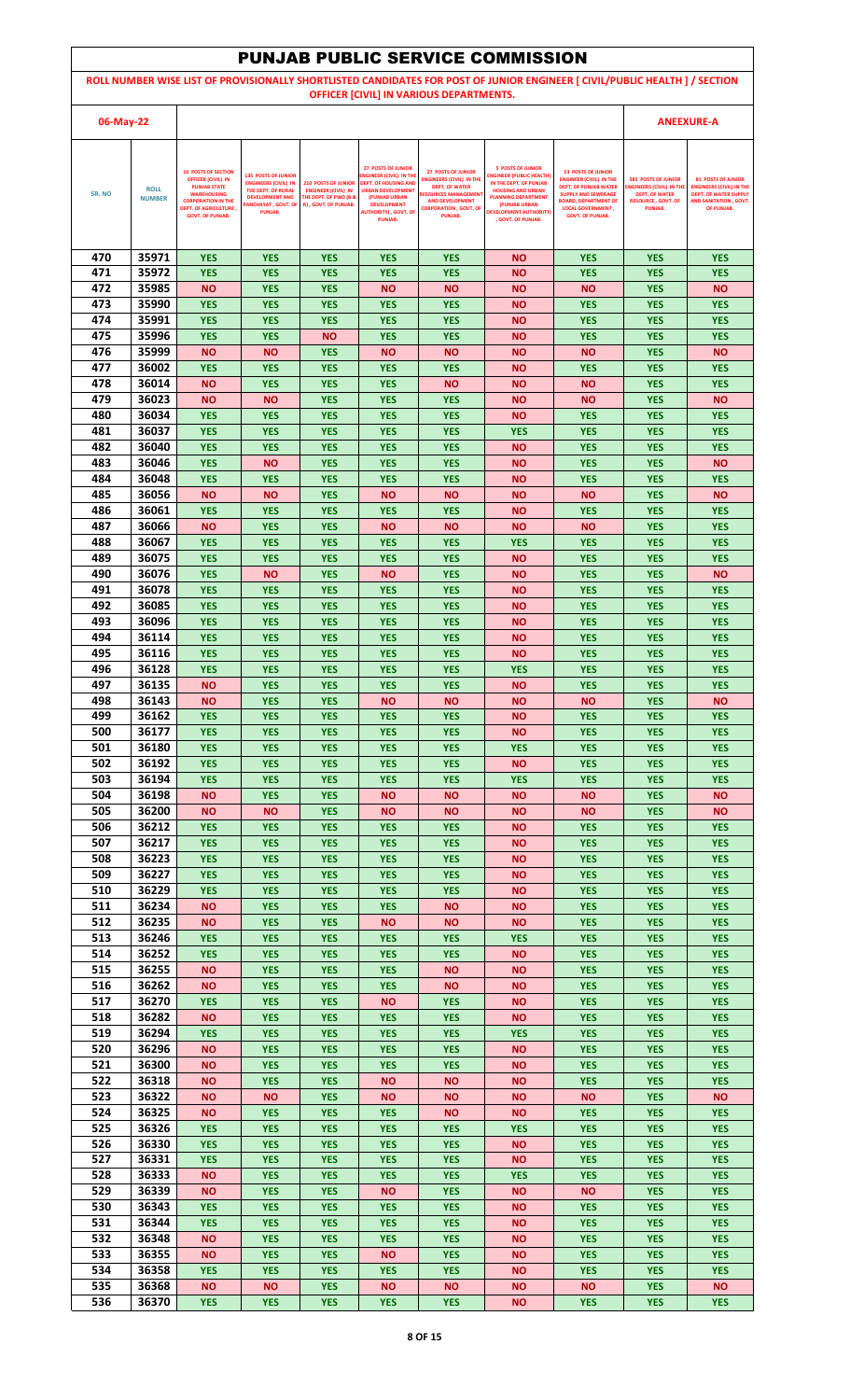|            |                              |                                                                                |                                                           |                                                                |                                                                                    |                                                                               | <b>PUNJAB PUBLIC SERVICE COMMISSION</b>                                               |                                                                                                                             |                                                                                      |                                                                                                 |
|------------|------------------------------|--------------------------------------------------------------------------------|-----------------------------------------------------------|----------------------------------------------------------------|------------------------------------------------------------------------------------|-------------------------------------------------------------------------------|---------------------------------------------------------------------------------------|-----------------------------------------------------------------------------------------------------------------------------|--------------------------------------------------------------------------------------|-------------------------------------------------------------------------------------------------|
|            |                              |                                                                                |                                                           |                                                                |                                                                                    |                                                                               |                                                                                       | ROLL NUMBER WISE LIST OF PROVISIONALLY SHORTLISTED CANDIDATES FOR POST OF JUNIOR ENGINEER [ CIVIL/PUBLIC HEALTH ] / SECTION |                                                                                      |                                                                                                 |
|            |                              |                                                                                |                                                           |                                                                |                                                                                    | OFFICER [CIVIL] IN VARIOUS DEPARTMENTS.                                       |                                                                                       |                                                                                                                             |                                                                                      |                                                                                                 |
| 06-May-22  |                              |                                                                                |                                                           |                                                                |                                                                                    |                                                                               |                                                                                       |                                                                                                                             |                                                                                      | <b>ANEEXURE-A</b>                                                                               |
|            |                              |                                                                                |                                                           |                                                                |                                                                                    |                                                                               |                                                                                       |                                                                                                                             |                                                                                      |                                                                                                 |
|            |                              | <b>10 POSTS OF SECTION</b><br><b>OFFICER (CIVIL) IN</b><br><b>PUNJAB STATE</b> | <b>135 POSTS OF JUNIOR</b><br><b>ENGINEERS (CIVIL) IN</b> | <b>210 POSTS OF JUNIOR</b>                                     | <b>27 POSTS OF JUNIOR</b><br>NGINEER (CIVIL) IN THE<br><b>DEPT. OF HOUSING AND</b> | <b>27 POSTS OF JUNIOR</b><br><b>ENGINEERS (CIVIL) IN THE</b>                  | <b>5 POSTS OF JUNIOR</b><br><b>INGINEER (PUBLIC HEALTH)</b><br>IN THE DEPT. OF PUNJAB | <b>53 POSTS OF JUNIOR</b><br><b>ENGINEER (CIVIL) IN THE</b>                                                                 | <b>585 POSTS OF JUNIOR</b>                                                           | <b>81 POSTS OF JUNIOR</b>                                                                       |
| SR. NO     | <b>ROLL</b><br><b>NUMBER</b> | <b>WAREHOUSING</b><br><b>CORPORATION IN THE</b>                                | THE DEPT. OF RURAL<br><b>DEVELOPMENT AND</b>              | <b>ENGINEER (CIVIL) IN</b><br><b>THE DEPT. OF PWD (B &amp;</b> | <b>URBAN DEVELOPMENT</b><br>(PUNJAB URBAN<br><b>DEVELOPMENT</b>                    | <b>DEPT. OF WATER</b><br><b>RESOURCES MANAGEMEN</b><br><b>AND DEVELOPMENT</b> | <b>HOUSING AND URBAN</b><br><b>PLANNING DEPARTMENT</b><br>(PUNJAB URBAN               | <b>DEPT. OF PUNJAB WATER</b><br><b>SUPPLY AND SEWERAGE</b><br><b>BOARD, DEPARTMENT OF</b>                                   | <b>ENGINEERS (CIVIL) IN TH</b><br><b>DEPT. OF WATER</b><br><b>RESOURCE, GOVT, OF</b> | <b>ENGINEERS (CIVIL) IN THE</b><br><b>DEPT. OF WATER SUPPLY</b><br><b>AND SANITATION, GOVT.</b> |
|            |                              | <b>DEPT. OF AGRICULTURE,</b><br><b>GOVT. OF PUNJAB.</b>                        | <b>ANCHAYAT, GOVT. OF</b><br>PUNJAB.                      | R), GOVT. OF PUNJAB.                                           | <b>AUTHORITY), GOVT. OF</b><br><b>PUNJAB.</b>                                      | <b>CORPORATION , GOVT, OF</b><br>PUNJAB.                                      | <b>DEVELOPMENT AUTHORITY)</b><br>. GOVT. OF PUNJAB.                                   | <b>LOCAL GOVERNMENT,</b><br><b>GOVT. OF PUNJAB.</b>                                                                         | PUNJAB.                                                                              | OF PUNJAB.                                                                                      |
|            |                              |                                                                                |                                                           |                                                                |                                                                                    |                                                                               |                                                                                       |                                                                                                                             |                                                                                      |                                                                                                 |
| 470        | 35971                        | <b>YES</b>                                                                     | <b>YES</b>                                                | <b>YES</b>                                                     | <b>YES</b>                                                                         | <b>YES</b>                                                                    | <b>NO</b>                                                                             | <b>YES</b>                                                                                                                  | <b>YES</b>                                                                           | <b>YES</b>                                                                                      |
| 471        | 35972                        | <b>YES</b>                                                                     | <b>YES</b>                                                | <b>YES</b>                                                     | <b>YES</b>                                                                         | <b>YES</b>                                                                    | <b>NO</b>                                                                             | <b>YES</b>                                                                                                                  | <b>YES</b>                                                                           | <b>YES</b>                                                                                      |
| 472        | 35985                        | <b>NO</b>                                                                      | <b>YES</b>                                                | <b>YES</b>                                                     | <b>NO</b>                                                                          | <b>NO</b>                                                                     | <b>NO</b>                                                                             | <b>NO</b>                                                                                                                   | <b>YES</b>                                                                           | <b>NO</b>                                                                                       |
| 473<br>474 | 35990<br>35991               | <b>YES</b><br><b>YES</b>                                                       | <b>YES</b><br><b>YES</b>                                  | <b>YES</b><br><b>YES</b>                                       | <b>YES</b><br><b>YES</b>                                                           | <b>YES</b><br><b>YES</b>                                                      | <b>NO</b><br><b>NO</b>                                                                | <b>YES</b><br><b>YES</b>                                                                                                    | <b>YES</b><br><b>YES</b>                                                             | <b>YES</b><br><b>YES</b>                                                                        |
| 475        | 35996                        | <b>YES</b>                                                                     | <b>YES</b>                                                | <b>NO</b>                                                      | <b>YES</b>                                                                         | <b>YES</b>                                                                    | <b>NO</b>                                                                             | <b>YES</b>                                                                                                                  | <b>YES</b>                                                                           | <b>YES</b>                                                                                      |
| 476        | 35999                        | <b>NO</b>                                                                      | <b>NO</b>                                                 | <b>YES</b>                                                     | <b>NO</b>                                                                          | <b>NO</b>                                                                     | <b>NO</b>                                                                             | <b>NO</b>                                                                                                                   | <b>YES</b>                                                                           | <b>NO</b>                                                                                       |
| 477        | 36002                        | <b>YES</b>                                                                     | <b>YES</b>                                                | <b>YES</b>                                                     | <b>YES</b>                                                                         | <b>YES</b>                                                                    | <b>NO</b>                                                                             | <b>YES</b>                                                                                                                  | <b>YES</b>                                                                           | <b>YES</b>                                                                                      |
| 478<br>479 | 36014<br>36023               | <b>NO</b><br><b>NO</b>                                                         | <b>YES</b><br>ΝO                                          | <b>YES</b><br><b>YES</b>                                       | <b>YES</b><br><b>YES</b>                                                           | <b>NO</b><br><b>YES</b>                                                       | <b>NO</b>                                                                             | <b>NO</b><br><b>NO</b>                                                                                                      | <b>YES</b><br><b>YES</b>                                                             | <b>YES</b><br><b>NO</b>                                                                         |
| 480        | 36034                        | <b>YES</b>                                                                     | <b>YES</b>                                                | <b>YES</b>                                                     | <b>YES</b>                                                                         | <b>YES</b>                                                                    | <b>NO</b><br><b>NO</b>                                                                | <b>YES</b>                                                                                                                  | <b>YES</b>                                                                           | <b>YES</b>                                                                                      |
| 481        | 36037                        | <b>YES</b>                                                                     | <b>YES</b>                                                | <b>YES</b>                                                     | <b>YES</b>                                                                         | <b>YES</b>                                                                    | <b>YES</b>                                                                            | <b>YES</b>                                                                                                                  | <b>YES</b>                                                                           | <b>YES</b>                                                                                      |
| 482        | 36040                        | <b>YES</b>                                                                     | <b>YES</b>                                                | <b>YES</b>                                                     | <b>YES</b>                                                                         | <b>YES</b>                                                                    | <b>NO</b>                                                                             | <b>YES</b>                                                                                                                  | <b>YES</b>                                                                           | <b>YES</b>                                                                                      |
| 483        | 36046                        | <b>YES</b>                                                                     | ΝO                                                        | <b>YES</b>                                                     | <b>YES</b>                                                                         | <b>YES</b>                                                                    | <b>NO</b>                                                                             | <b>YES</b>                                                                                                                  | <b>YES</b>                                                                           | <b>NO</b>                                                                                       |
| 484<br>485 | 36048<br>36056               | <b>YES</b><br><b>NO</b>                                                        | <b>YES</b><br><b>NO</b>                                   | <b>YES</b><br><b>YES</b>                                       | <b>YES</b><br><b>NO</b>                                                            | <b>YES</b><br><b>NO</b>                                                       | <b>NO</b><br><b>NO</b>                                                                | <b>YES</b><br><b>NO</b>                                                                                                     | <b>YES</b><br><b>YES</b>                                                             | <b>YES</b><br><b>NO</b>                                                                         |
| 486        | 36061                        | <b>YES</b>                                                                     | <b>YES</b>                                                | <b>YES</b>                                                     | <b>YES</b>                                                                         | <b>YES</b>                                                                    | <b>NO</b>                                                                             | <b>YES</b>                                                                                                                  | <b>YES</b>                                                                           | <b>YES</b>                                                                                      |
| 487        | 36066                        | <b>NO</b>                                                                      | <b>YES</b>                                                | <b>YES</b>                                                     | <b>NO</b>                                                                          | <b>NO</b>                                                                     | <b>NO</b>                                                                             | <b>NO</b>                                                                                                                   | <b>YES</b>                                                                           | <b>YES</b>                                                                                      |
| 488        | 36067                        | <b>YES</b>                                                                     | <b>YES</b>                                                | <b>YES</b>                                                     | <b>YES</b>                                                                         | <b>YES</b>                                                                    | <b>YES</b>                                                                            | <b>YES</b>                                                                                                                  | <b>YES</b>                                                                           | <b>YES</b>                                                                                      |
| 489<br>490 | 36075<br>36076               | <b>YES</b><br><b>YES</b>                                                       | <b>YES</b><br>NΟ                                          | <b>YES</b><br><b>YES</b>                                       | <b>YES</b><br><b>NO</b>                                                            | <b>YES</b><br><b>YES</b>                                                      | <b>NO</b><br><b>NO</b>                                                                | <b>YES</b><br><b>YES</b>                                                                                                    | <b>YES</b><br><b>YES</b>                                                             | <b>YES</b><br><b>NO</b>                                                                         |
| 491        | 36078                        | <b>YES</b>                                                                     | <b>YES</b>                                                | <b>YES</b>                                                     | <b>YES</b>                                                                         | <b>YES</b>                                                                    | <b>NO</b>                                                                             | <b>YES</b>                                                                                                                  | <b>YES</b>                                                                           | <b>YES</b>                                                                                      |
| 492        | 36085                        | <b>YES</b>                                                                     | <b>YES</b>                                                | <b>YES</b>                                                     | <b>YES</b>                                                                         | <b>YES</b>                                                                    | <b>NO</b>                                                                             | <b>YES</b>                                                                                                                  | <b>YES</b>                                                                           | <b>YES</b>                                                                                      |
| 493        | 36096                        | <b>YES</b>                                                                     | <b>YES</b>                                                | <b>YES</b>                                                     | <b>YES</b>                                                                         | <b>YES</b>                                                                    | <b>NO</b>                                                                             | <b>YES</b>                                                                                                                  | <b>YES</b>                                                                           | <b>YES</b>                                                                                      |
| 494<br>495 | 36114<br>36116               | <b>YES</b><br><b>YES</b>                                                       | <b>YES</b><br><b>YES</b>                                  | <b>YES</b><br><b>YES</b>                                       | <b>YES</b><br><b>YES</b>                                                           | <b>YES</b><br><b>YES</b>                                                      | <b>NO</b><br><b>NO</b>                                                                | <b>YES</b><br><b>YES</b>                                                                                                    | <b>YES</b><br><b>YES</b>                                                             | <b>YES</b><br><b>YES</b>                                                                        |
| 496        | 36128                        | <b>YES</b>                                                                     | <b>YES</b>                                                | <b>YES</b>                                                     | <b>YES</b>                                                                         | <b>YES</b>                                                                    | <b>YES</b>                                                                            | <b>YES</b>                                                                                                                  | <b>YES</b>                                                                           | <b>YES</b>                                                                                      |
| 497        | 36135                        | <b>NO</b>                                                                      | <b>YES</b>                                                | <b>YES</b>                                                     | <b>YES</b>                                                                         | <b>YES</b>                                                                    | <b>NO</b>                                                                             | <b>YES</b>                                                                                                                  | <b>YES</b>                                                                           | <b>YES</b>                                                                                      |
| 498        | 36143                        | <b>NO</b>                                                                      | <b>YES</b>                                                | <b>YES</b>                                                     | <b>NO</b>                                                                          | <b>NO</b>                                                                     | <b>NO</b>                                                                             | <b>NO</b>                                                                                                                   | <b>YES</b>                                                                           | <b>NO</b>                                                                                       |
| 499        | 36162                        | <b>YES</b>                                                                     | <b>YES</b>                                                | <b>YES</b>                                                     | <b>YES</b>                                                                         | <b>YES</b>                                                                    | <b>NO</b>                                                                             | <b>YES</b>                                                                                                                  | <b>YES</b>                                                                           | <b>YES</b>                                                                                      |
| 500<br>501 | 36177<br>36180               | <b>YES</b><br><b>YES</b>                                                       | <b>YES</b><br><b>YES</b>                                  | <b>YES</b><br><b>YES</b>                                       | <b>YES</b><br><b>YES</b>                                                           | <b>YES</b><br><b>YES</b>                                                      | <b>NO</b><br><b>YES</b>                                                               | <b>YES</b><br><b>YES</b>                                                                                                    | <b>YES</b><br><b>YES</b>                                                             | <b>YES</b><br><b>YES</b>                                                                        |
| 502        | 36192                        | <b>YES</b>                                                                     | <b>YES</b>                                                | <b>YES</b>                                                     | <b>YES</b>                                                                         | <b>YES</b>                                                                    | <b>NO</b>                                                                             | <b>YES</b>                                                                                                                  | <b>YES</b>                                                                           | <b>YES</b>                                                                                      |
| 503        | 36194                        | <b>YES</b>                                                                     | <b>YES</b>                                                | <b>YES</b>                                                     | <b>YES</b>                                                                         | <b>YES</b>                                                                    | <b>YES</b>                                                                            | <b>YES</b>                                                                                                                  | <b>YES</b>                                                                           | <b>YES</b>                                                                                      |
| 504        | 36198                        | <b>NO</b>                                                                      | <b>YES</b>                                                | <b>YES</b>                                                     | <b>NO</b>                                                                          | <b>NO</b>                                                                     | <b>NO</b>                                                                             | <b>NO</b>                                                                                                                   | <b>YES</b>                                                                           | <b>NO</b>                                                                                       |
| 505<br>506 | 36200<br>36212               | <b>NO</b><br><b>YES</b>                                                        | <b>NO</b><br><b>YES</b>                                   | <b>YES</b><br><b>YES</b>                                       | <b>NO</b><br><b>YES</b>                                                            | <b>NO</b><br><b>YES</b>                                                       | <b>NO</b><br><b>NO</b>                                                                | <b>NO</b><br><b>YES</b>                                                                                                     | <b>YES</b><br><b>YES</b>                                                             | <b>NO</b><br><b>YES</b>                                                                         |
| 507        | 36217                        | <b>YES</b>                                                                     | <b>YES</b>                                                | <b>YES</b>                                                     | <b>YES</b>                                                                         | <b>YES</b>                                                                    | <b>NO</b>                                                                             | <b>YES</b>                                                                                                                  | <b>YES</b>                                                                           | <b>YES</b>                                                                                      |
| 508        | 36223                        | <b>YES</b>                                                                     | <b>YES</b>                                                | <b>YES</b>                                                     | <b>YES</b>                                                                         | <b>YES</b>                                                                    | <b>NO</b>                                                                             | <b>YES</b>                                                                                                                  | <b>YES</b>                                                                           | <b>YES</b>                                                                                      |
| 509        | 36227<br>36229               | <b>YES</b>                                                                     | <b>YES</b>                                                | <b>YES</b>                                                     | <b>YES</b>                                                                         | <b>YES</b>                                                                    | <b>NO</b>                                                                             | <b>YES</b>                                                                                                                  | <b>YES</b>                                                                           | <b>YES</b>                                                                                      |
| 510<br>511 | 36234                        | <b>YES</b><br><b>NO</b>                                                        | <b>YES</b><br><b>YES</b>                                  | <b>YES</b><br><b>YES</b>                                       | <b>YES</b><br><b>YES</b>                                                           | <b>YES</b><br><b>NO</b>                                                       | <b>NO</b><br>ΝO                                                                       | <b>YES</b><br><b>YES</b>                                                                                                    | <b>YES</b><br><b>YES</b>                                                             | <b>YES</b><br><b>YES</b>                                                                        |
| 512        | 36235                        | <b>NO</b>                                                                      | <b>YES</b>                                                | <b>YES</b>                                                     | <b>NO</b>                                                                          | <b>NO</b>                                                                     | <b>NO</b>                                                                             | <b>YES</b>                                                                                                                  | <b>YES</b>                                                                           | <b>YES</b>                                                                                      |
| 513        | 36246                        | <b>YES</b>                                                                     | <b>YES</b>                                                | <b>YES</b>                                                     | <b>YES</b>                                                                         | <b>YES</b>                                                                    | <b>YES</b>                                                                            | <b>YES</b>                                                                                                                  | <b>YES</b>                                                                           | <b>YES</b>                                                                                      |
| 514        | 36252                        | <b>YES</b>                                                                     | <b>YES</b>                                                | <b>YES</b>                                                     | <b>YES</b>                                                                         | <b>YES</b>                                                                    | <b>NO</b>                                                                             | <b>YES</b>                                                                                                                  | <b>YES</b>                                                                           | <b>YES</b>                                                                                      |
| 515<br>516 | 36255<br>36262               | <b>NO</b><br><b>NO</b>                                                         | <b>YES</b><br><b>YES</b>                                  | <b>YES</b><br><b>YES</b>                                       | <b>YES</b><br><b>YES</b>                                                           | <b>NO</b><br><b>NO</b>                                                        | <b>NO</b><br><b>NO</b>                                                                | <b>YES</b><br><b>YES</b>                                                                                                    | <b>YES</b><br><b>YES</b>                                                             | <b>YES</b><br><b>YES</b>                                                                        |
| 517        | 36270                        | <b>YES</b>                                                                     | <b>YES</b>                                                | <b>YES</b>                                                     | <b>NO</b>                                                                          | <b>YES</b>                                                                    | <b>NO</b>                                                                             | <b>YES</b>                                                                                                                  | <b>YES</b>                                                                           | <b>YES</b>                                                                                      |
| 518        | 36282                        | <b>NO</b>                                                                      | <b>YES</b>                                                | <b>YES</b>                                                     | <b>YES</b>                                                                         | <b>YES</b>                                                                    | <b>NO</b>                                                                             | <b>YES</b>                                                                                                                  | <b>YES</b>                                                                           | <b>YES</b>                                                                                      |
| 519        | 36294                        | <b>YES</b>                                                                     | <b>YES</b>                                                | <b>YES</b>                                                     | <b>YES</b>                                                                         | <b>YES</b>                                                                    | <b>YES</b>                                                                            | <b>YES</b>                                                                                                                  | <b>YES</b>                                                                           | <b>YES</b>                                                                                      |
| 520<br>521 | 36296<br>36300               | <b>NO</b><br><b>NO</b>                                                         | <b>YES</b><br><b>YES</b>                                  | <b>YES</b><br><b>YES</b>                                       | <b>YES</b><br><b>YES</b>                                                           | <b>YES</b><br><b>YES</b>                                                      | <b>NO</b><br><b>NO</b>                                                                | <b>YES</b><br><b>YES</b>                                                                                                    | <b>YES</b><br><b>YES</b>                                                             | <b>YES</b><br><b>YES</b>                                                                        |
| 522        | 36318                        | <b>NO</b>                                                                      | <b>YES</b>                                                | <b>YES</b>                                                     | <b>NO</b>                                                                          | <b>NO</b>                                                                     | <b>NO</b>                                                                             | <b>YES</b>                                                                                                                  | <b>YES</b>                                                                           | <b>YES</b>                                                                                      |
| 523        | 36322                        | <b>NO</b>                                                                      | ΝO                                                        | <b>YES</b>                                                     | <b>NO</b>                                                                          | <b>NO</b>                                                                     | <b>NO</b>                                                                             | <b>NO</b>                                                                                                                   | <b>YES</b>                                                                           | <b>NO</b>                                                                                       |
| 524        | 36325                        | <b>NO</b>                                                                      | <b>YES</b>                                                | <b>YES</b>                                                     | <b>YES</b>                                                                         | <b>NO</b>                                                                     | <b>NO</b>                                                                             | <b>YES</b>                                                                                                                  | <b>YES</b>                                                                           | <b>YES</b>                                                                                      |
| 525<br>526 | 36326<br>36330               | <b>YES</b><br><b>YES</b>                                                       | <b>YES</b><br><b>YES</b>                                  | <b>YES</b><br><b>YES</b>                                       | <b>YES</b><br><b>YES</b>                                                           | <b>YES</b><br><b>YES</b>                                                      | <b>YES</b><br><b>NO</b>                                                               | <b>YES</b><br><b>YES</b>                                                                                                    | <b>YES</b><br><b>YES</b>                                                             | <b>YES</b><br><b>YES</b>                                                                        |
| 527        | 36331                        | <b>YES</b>                                                                     | <b>YES</b>                                                | <b>YES</b>                                                     | <b>YES</b>                                                                         | <b>YES</b>                                                                    | <b>NO</b>                                                                             | <b>YES</b>                                                                                                                  | <b>YES</b>                                                                           | <b>YES</b>                                                                                      |
| 528        | 36333                        | <b>NO</b>                                                                      | <b>YES</b>                                                | <b>YES</b>                                                     | <b>YES</b>                                                                         | <b>YES</b>                                                                    | <b>YES</b>                                                                            | <b>YES</b>                                                                                                                  | <b>YES</b>                                                                           | <b>YES</b>                                                                                      |
| 529        | 36339                        | <b>NO</b>                                                                      | <b>YES</b>                                                | <b>YES</b>                                                     | <b>NO</b>                                                                          | <b>YES</b>                                                                    | <b>NO</b>                                                                             | <b>NO</b>                                                                                                                   | <b>YES</b>                                                                           | <b>YES</b>                                                                                      |
| 530<br>531 | 36343<br>36344               | <b>YES</b>                                                                     | <b>YES</b>                                                | <b>YES</b>                                                     | <b>YES</b>                                                                         | <b>YES</b>                                                                    | <b>NO</b>                                                                             | <b>YES</b>                                                                                                                  | <b>YES</b>                                                                           | <b>YES</b><br><b>YES</b>                                                                        |
| 532        | 36348                        | <b>YES</b><br><b>NO</b>                                                        | <b>YES</b><br><b>YES</b>                                  | <b>YES</b><br><b>YES</b>                                       | <b>YES</b><br><b>YES</b>                                                           | <b>YES</b><br><b>YES</b>                                                      | <b>NO</b><br><b>NO</b>                                                                | <b>YES</b><br><b>YES</b>                                                                                                    | <b>YES</b><br><b>YES</b>                                                             | <b>YES</b>                                                                                      |
| 533        | 36355                        | <b>NO</b>                                                                      | <b>YES</b>                                                | <b>YES</b>                                                     | <b>NO</b>                                                                          | <b>YES</b>                                                                    | <b>NO</b>                                                                             | <b>YES</b>                                                                                                                  | <b>YES</b>                                                                           | <b>YES</b>                                                                                      |
| 534        | 36358                        | <b>YES</b>                                                                     | <b>YES</b>                                                | <b>YES</b>                                                     | <b>YES</b>                                                                         | <b>YES</b>                                                                    | <b>NO</b>                                                                             | <b>YES</b>                                                                                                                  | <b>YES</b>                                                                           | <b>YES</b>                                                                                      |
| 535        | 36368                        | <b>NO</b>                                                                      | ΝO                                                        | <b>YES</b>                                                     | <b>NO</b>                                                                          | <b>NO</b>                                                                     | <b>NO</b>                                                                             | <b>NO</b>                                                                                                                   | <b>YES</b>                                                                           | <b>NO</b>                                                                                       |
| 536        | 36370                        | <b>YES</b>                                                                     | <b>YES</b>                                                | <b>YES</b>                                                     | <b>YES</b>                                                                         | <b>YES</b>                                                                    | <b>NO</b>                                                                             | <b>YES</b>                                                                                                                  | <b>YES</b>                                                                           | <b>YES</b>                                                                                      |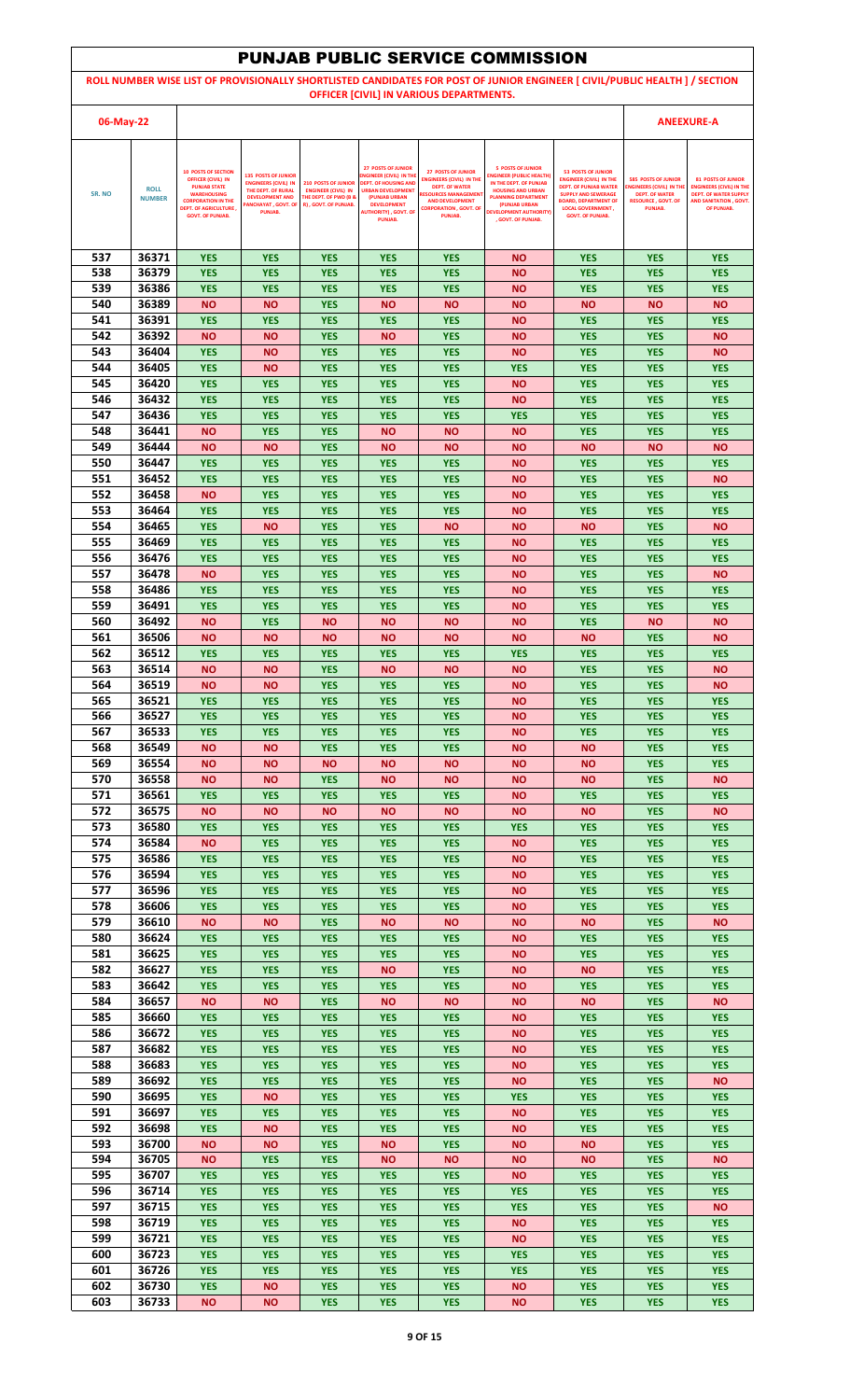|            |                              |                                                                                                                                                                                              |                                                                                                                                                   |                                                                                                                      |                                                                                                                                                                                                        |                                                                                                                                                                                           | <b>PUNJAB PUBLIC SERVICE COMMISSION</b>                                                                                                                                                                                 |                                                                                                                                                                                                                 |                                                                                                                               |                                                                                                                                      |
|------------|------------------------------|----------------------------------------------------------------------------------------------------------------------------------------------------------------------------------------------|---------------------------------------------------------------------------------------------------------------------------------------------------|----------------------------------------------------------------------------------------------------------------------|--------------------------------------------------------------------------------------------------------------------------------------------------------------------------------------------------------|-------------------------------------------------------------------------------------------------------------------------------------------------------------------------------------------|-------------------------------------------------------------------------------------------------------------------------------------------------------------------------------------------------------------------------|-----------------------------------------------------------------------------------------------------------------------------------------------------------------------------------------------------------------|-------------------------------------------------------------------------------------------------------------------------------|--------------------------------------------------------------------------------------------------------------------------------------|
|            |                              |                                                                                                                                                                                              |                                                                                                                                                   |                                                                                                                      |                                                                                                                                                                                                        | OFFICER [CIVIL] IN VARIOUS DEPARTMENTS.                                                                                                                                                   |                                                                                                                                                                                                                         | ROLL NUMBER WISE LIST OF PROVISIONALLY SHORTLISTED CANDIDATES FOR POST OF JUNIOR ENGINEER [ CIVIL/PUBLIC HEALTH ] / SECTION                                                                                     |                                                                                                                               |                                                                                                                                      |
|            |                              |                                                                                                                                                                                              |                                                                                                                                                   |                                                                                                                      |                                                                                                                                                                                                        |                                                                                                                                                                                           |                                                                                                                                                                                                                         |                                                                                                                                                                                                                 |                                                                                                                               |                                                                                                                                      |
| 06-May-22  |                              |                                                                                                                                                                                              |                                                                                                                                                   |                                                                                                                      |                                                                                                                                                                                                        |                                                                                                                                                                                           |                                                                                                                                                                                                                         |                                                                                                                                                                                                                 |                                                                                                                               | <b>ANEEXURE-A</b>                                                                                                                    |
| SR. NO     | <b>ROLL</b><br><b>NUMBER</b> | <b>10 POSTS OF SECTION</b><br><b>OFFICER (CIVIL) IN</b><br><b>PUNJAB STATE</b><br><b>WAREHOUSING</b><br><b>CORPORATION IN THE</b><br><b>DEPT. OF AGRICULTURE,</b><br><b>GOVT. OF PUNJAB.</b> | <b>135 POSTS OF JUNIOR</b><br><b>ENGINEERS (CIVIL) IN</b><br>THE DEPT. OF RURAL<br><b>DEVELOPMENT AND</b><br><b>ANCHAYAT, GOVT. OF</b><br>PUNJAB. | <b>210 POSTS OF JUNIOR</b><br><b>ENGINEER (CIVIL) IN</b><br><b>THE DEPT. OF PWD (B &amp;</b><br>R), GOVT. OF PUNJAB. | <b>27 POSTS OF JUNIOR</b><br>NGINEER (CIVIL) IN THE<br><b>DEPT. OF HOUSING AND</b><br><b>URBAN DEVELOPMENT</b><br>(PUNJAB URBAN<br><b>DEVELOPMENT</b><br><b>AUTHORITY), GOVT. OF</b><br><b>PUNJAB.</b> | <b>27 POSTS OF JUNIOR</b><br><b>ENGINEERS (CIVIL) IN THE</b><br><b>DEPT. OF WATER</b><br><b>RESOURCES MANAGEMEN</b><br><b>AND DEVELOPMENT</b><br><b>CORPORATION , GOVT, OF</b><br>PUNJAB. | <b>5 POSTS OF JUNIOR</b><br><b>INGINEER (PUBLIC HEALTH)</b><br>IN THE DEPT. OF PUNJAB<br><b>HOUSING AND URBAN</b><br><b>PLANNING DEPARTMENT</b><br>(PUNJAB URBAN<br><b>DEVELOPMENT AUTHORITY)</b><br>. GOVT. OF PUNJAB. | <b>53 POSTS OF JUNIOR</b><br><b>ENGINEER (CIVIL) IN THE</b><br><b>DEPT. OF PUNJAB WATER</b><br><b>SUPPLY AND SEWERAGE</b><br><b>BOARD, DEPARTMENT OF</b><br><b>LOCAL GOVERNMENT,</b><br><b>GOVT. OF PUNJAB.</b> | <b>585 POSTS OF JUNIOR</b><br><b>ENGINEERS (CIVIL) IN TH</b><br><b>DEPT. OF WATER</b><br><b>RESOURCE, GOVT, OF</b><br>PUNJAB. | <b>81 POSTS OF JUNIOR</b><br><b>ENGINEERS (CIVIL) IN THE</b><br><b>DEPT. OF WATER SUPPLY</b><br>AND SANITATION . GOVT.<br>OF PUNJAB. |
|            |                              |                                                                                                                                                                                              |                                                                                                                                                   |                                                                                                                      |                                                                                                                                                                                                        |                                                                                                                                                                                           |                                                                                                                                                                                                                         |                                                                                                                                                                                                                 |                                                                                                                               |                                                                                                                                      |
| 537<br>538 | 36371<br>36379               | <b>YES</b><br><b>YES</b>                                                                                                                                                                     | <b>YES</b><br><b>YES</b>                                                                                                                          | <b>YES</b><br><b>YES</b>                                                                                             | <b>YES</b><br><b>YES</b>                                                                                                                                                                               | <b>YES</b><br><b>YES</b>                                                                                                                                                                  | <b>NO</b><br><b>NO</b>                                                                                                                                                                                                  | <b>YES</b><br><b>YES</b>                                                                                                                                                                                        | <b>YES</b><br><b>YES</b>                                                                                                      | <b>YES</b><br><b>YES</b>                                                                                                             |
| 539        | 36386                        | <b>YES</b>                                                                                                                                                                                   | <b>YES</b>                                                                                                                                        | <b>YES</b>                                                                                                           | <b>YES</b>                                                                                                                                                                                             | <b>YES</b>                                                                                                                                                                                | <b>NO</b>                                                                                                                                                                                                               | <b>YES</b>                                                                                                                                                                                                      | <b>YES</b>                                                                                                                    | <b>YES</b>                                                                                                                           |
| 540        | 36389                        | <b>NO</b>                                                                                                                                                                                    | ΝO                                                                                                                                                | <b>YES</b>                                                                                                           | <b>NO</b>                                                                                                                                                                                              | <b>NO</b>                                                                                                                                                                                 | <b>NO</b>                                                                                                                                                                                                               | <b>NO</b>                                                                                                                                                                                                       | <b>NO</b>                                                                                                                     | <b>NO</b>                                                                                                                            |
| 541<br>542 | 36391<br>36392               | <b>YES</b><br><b>NO</b>                                                                                                                                                                      | <b>YES</b><br><b>NO</b>                                                                                                                           | <b>YES</b><br><b>YES</b>                                                                                             | <b>YES</b><br><b>NO</b>                                                                                                                                                                                | <b>YES</b><br><b>YES</b>                                                                                                                                                                  | <b>NO</b><br><b>NO</b>                                                                                                                                                                                                  | <b>YES</b><br><b>YES</b>                                                                                                                                                                                        | <b>YES</b><br><b>YES</b>                                                                                                      | <b>YES</b><br><b>NO</b>                                                                                                              |
| 543        | 36404                        | <b>YES</b>                                                                                                                                                                                   | ΝO                                                                                                                                                | <b>YES</b>                                                                                                           | <b>YES</b>                                                                                                                                                                                             | <b>YES</b>                                                                                                                                                                                | <b>NO</b>                                                                                                                                                                                                               | <b>YES</b>                                                                                                                                                                                                      | <b>YES</b>                                                                                                                    | <b>NO</b>                                                                                                                            |
| 544<br>545 | 36405<br>36420               | <b>YES</b><br><b>YES</b>                                                                                                                                                                     | <b>NO</b><br><b>YES</b>                                                                                                                           | <b>YES</b><br><b>YES</b>                                                                                             | <b>YES</b><br><b>YES</b>                                                                                                                                                                               | <b>YES</b><br><b>YES</b>                                                                                                                                                                  | <b>YES</b><br><b>NO</b>                                                                                                                                                                                                 | <b>YES</b><br><b>YES</b>                                                                                                                                                                                        | <b>YES</b><br><b>YES</b>                                                                                                      | <b>YES</b><br><b>YES</b>                                                                                                             |
| 546        | 36432                        | <b>YES</b>                                                                                                                                                                                   | <b>YES</b>                                                                                                                                        | <b>YES</b>                                                                                                           | <b>YES</b>                                                                                                                                                                                             | <b>YES</b>                                                                                                                                                                                | <b>NO</b>                                                                                                                                                                                                               | <b>YES</b>                                                                                                                                                                                                      | <b>YES</b>                                                                                                                    | <b>YES</b>                                                                                                                           |
| 547        | 36436                        | <b>YES</b>                                                                                                                                                                                   | <b>YES</b>                                                                                                                                        | <b>YES</b>                                                                                                           | <b>YES</b>                                                                                                                                                                                             | <b>YES</b>                                                                                                                                                                                | <b>YES</b>                                                                                                                                                                                                              | <b>YES</b>                                                                                                                                                                                                      | <b>YES</b>                                                                                                                    | <b>YES</b>                                                                                                                           |
| 548<br>549 | 36441<br>36444               | <b>NO</b><br><b>NO</b>                                                                                                                                                                       | <b>YES</b><br><b>NO</b>                                                                                                                           | <b>YES</b><br><b>YES</b>                                                                                             | <b>NO</b><br><b>NO</b>                                                                                                                                                                                 | <b>NO</b><br><b>NO</b>                                                                                                                                                                    | <b>NO</b><br><b>NO</b>                                                                                                                                                                                                  | <b>YES</b><br><b>NO</b>                                                                                                                                                                                         | <b>YES</b><br><b>NO</b>                                                                                                       | <b>YES</b><br><b>NO</b>                                                                                                              |
| 550        | 36447                        | <b>YES</b>                                                                                                                                                                                   | <b>YES</b>                                                                                                                                        | <b>YES</b>                                                                                                           | <b>YES</b>                                                                                                                                                                                             | <b>YES</b>                                                                                                                                                                                | <b>NO</b>                                                                                                                                                                                                               | <b>YES</b>                                                                                                                                                                                                      | <b>YES</b>                                                                                                                    | <b>YES</b>                                                                                                                           |
| 551<br>552 | 36452<br>36458               | <b>YES</b><br><b>NO</b>                                                                                                                                                                      | <b>YES</b><br><b>YES</b>                                                                                                                          | <b>YES</b><br><b>YES</b>                                                                                             | <b>YES</b><br><b>YES</b>                                                                                                                                                                               | <b>YES</b><br><b>YES</b>                                                                                                                                                                  | <b>NO</b><br><b>NO</b>                                                                                                                                                                                                  | <b>YES</b><br><b>YES</b>                                                                                                                                                                                        | <b>YES</b><br><b>YES</b>                                                                                                      | <b>NO</b><br><b>YES</b>                                                                                                              |
| 553        | 36464                        | <b>YES</b>                                                                                                                                                                                   | <b>YES</b>                                                                                                                                        | <b>YES</b>                                                                                                           | <b>YES</b>                                                                                                                                                                                             | <b>YES</b>                                                                                                                                                                                | <b>NO</b>                                                                                                                                                                                                               | <b>YES</b>                                                                                                                                                                                                      | <b>YES</b>                                                                                                                    | <b>YES</b>                                                                                                                           |
| 554<br>555 | 36465                        | <b>YES</b>                                                                                                                                                                                   | <b>NO</b>                                                                                                                                         | <b>YES</b>                                                                                                           | <b>YES</b>                                                                                                                                                                                             | <b>NO</b>                                                                                                                                                                                 | <b>NO</b>                                                                                                                                                                                                               | <b>NO</b>                                                                                                                                                                                                       | <b>YES</b>                                                                                                                    | <b>NO</b>                                                                                                                            |
| 556        | 36469<br>36476               | <b>YES</b><br><b>YES</b>                                                                                                                                                                     | <b>YES</b><br><b>YES</b>                                                                                                                          | <b>YES</b><br><b>YES</b>                                                                                             | <b>YES</b><br><b>YES</b>                                                                                                                                                                               | <b>YES</b><br><b>YES</b>                                                                                                                                                                  | <b>NO</b><br><b>NO</b>                                                                                                                                                                                                  | <b>YES</b><br><b>YES</b>                                                                                                                                                                                        | <b>YES</b><br><b>YES</b>                                                                                                      | <b>YES</b><br><b>YES</b>                                                                                                             |
| 557        | 36478                        | <b>NO</b>                                                                                                                                                                                    | <b>YES</b>                                                                                                                                        | <b>YES</b>                                                                                                           | <b>YES</b>                                                                                                                                                                                             | <b>YES</b>                                                                                                                                                                                | <b>NO</b>                                                                                                                                                                                                               | <b>YES</b>                                                                                                                                                                                                      | <b>YES</b>                                                                                                                    | <b>NO</b>                                                                                                                            |
| 558<br>559 | 36486<br>36491               | <b>YES</b><br><b>YES</b>                                                                                                                                                                     | <b>YES</b><br><b>YES</b>                                                                                                                          | <b>YES</b><br><b>YES</b>                                                                                             | <b>YES</b><br><b>YES</b>                                                                                                                                                                               | <b>YES</b><br><b>YES</b>                                                                                                                                                                  | <b>NO</b><br><b>NO</b>                                                                                                                                                                                                  | <b>YES</b><br><b>YES</b>                                                                                                                                                                                        | <b>YES</b><br><b>YES</b>                                                                                                      | <b>YES</b><br><b>YES</b>                                                                                                             |
| 560        | 36492                        | <b>NO</b>                                                                                                                                                                                    | <b>YES</b>                                                                                                                                        | <b>NO</b>                                                                                                            | <b>NO</b>                                                                                                                                                                                              | <b>NO</b>                                                                                                                                                                                 | <b>NO</b>                                                                                                                                                                                                               | <b>YES</b>                                                                                                                                                                                                      | <b>NO</b>                                                                                                                     | <b>NO</b>                                                                                                                            |
| 561        | 36506                        | <b>NO</b>                                                                                                                                                                                    | <b>NO</b>                                                                                                                                         | <b>NO</b>                                                                                                            | <b>NO</b>                                                                                                                                                                                              | <b>NO</b>                                                                                                                                                                                 | <b>NO</b>                                                                                                                                                                                                               | <b>NO</b>                                                                                                                                                                                                       | <b>YES</b>                                                                                                                    | <b>NO</b>                                                                                                                            |
| 562<br>563 | 36512<br>36514               | <b>YES</b><br><b>NO</b>                                                                                                                                                                      | <b>YES</b><br>ΝO                                                                                                                                  | <b>YES</b><br><b>YES</b>                                                                                             | <b>YES</b><br><b>NO</b>                                                                                                                                                                                | <b>YES</b><br><b>NO</b>                                                                                                                                                                   | <b>YES</b><br>ΝO                                                                                                                                                                                                        | <b>YES</b><br><b>YES</b>                                                                                                                                                                                        | <b>YES</b><br><b>YES</b>                                                                                                      | <b>YES</b><br><b>NO</b>                                                                                                              |
| 564        | 36519                        | <b>NO</b>                                                                                                                                                                                    | <b>NO</b>                                                                                                                                         | <b>YES</b>                                                                                                           | <b>YES</b>                                                                                                                                                                                             | <b>YES</b>                                                                                                                                                                                | <b>NO</b>                                                                                                                                                                                                               | <b>YES</b>                                                                                                                                                                                                      | <b>YES</b>                                                                                                                    | <b>NO</b>                                                                                                                            |
| 565<br>566 | 36521<br>36527               | <b>YES</b><br><b>YES</b>                                                                                                                                                                     | <b>YES</b><br><b>YES</b>                                                                                                                          | <b>YES</b><br><b>YES</b>                                                                                             | <b>YES</b><br><b>YES</b>                                                                                                                                                                               | <b>YES</b><br><b>YES</b>                                                                                                                                                                  | <b>NO</b><br><b>NO</b>                                                                                                                                                                                                  | <b>YES</b><br><b>YES</b>                                                                                                                                                                                        | <b>YES</b><br><b>YES</b>                                                                                                      | <b>YES</b><br><b>YES</b>                                                                                                             |
| 567        | 36533                        | <b>YES</b>                                                                                                                                                                                   | <b>YES</b>                                                                                                                                        | <b>YES</b>                                                                                                           | <b>YES</b>                                                                                                                                                                                             | <b>YES</b>                                                                                                                                                                                | <b>NO</b>                                                                                                                                                                                                               | <b>YES</b>                                                                                                                                                                                                      | <b>YES</b>                                                                                                                    | <b>YES</b>                                                                                                                           |
| 568        | 36549                        | <b>NO</b>                                                                                                                                                                                    | ΝO                                                                                                                                                | <b>YES</b>                                                                                                           | <b>YES</b>                                                                                                                                                                                             | <b>YES</b>                                                                                                                                                                                | <b>NO</b>                                                                                                                                                                                                               | <b>NO</b>                                                                                                                                                                                                       | <b>YES</b>                                                                                                                    | <b>YES</b>                                                                                                                           |
| 569<br>570 | 36554<br>36558               | <b>NO</b><br><b>NO</b>                                                                                                                                                                       | ΝO<br>ΝO                                                                                                                                          | <b>NO</b><br><b>YES</b>                                                                                              | <b>NO</b><br><b>NO</b>                                                                                                                                                                                 | <b>NO</b><br><b>NO</b>                                                                                                                                                                    | <b>NO</b><br><b>NO</b>                                                                                                                                                                                                  | <b>NO</b><br><b>NO</b>                                                                                                                                                                                          | <b>YES</b><br><b>YES</b>                                                                                                      | <b>YES</b><br><b>NO</b>                                                                                                              |
| 571        | 36561                        | <b>YES</b>                                                                                                                                                                                   | <b>YES</b>                                                                                                                                        | <b>YES</b>                                                                                                           | <b>YES</b>                                                                                                                                                                                             | <b>YES</b>                                                                                                                                                                                | <b>NO</b>                                                                                                                                                                                                               | <b>YES</b>                                                                                                                                                                                                      | <b>YES</b>                                                                                                                    | <b>YES</b>                                                                                                                           |
| 572<br>573 | 36575<br>36580               | <b>NO</b><br><b>YES</b>                                                                                                                                                                      | <b>NO</b><br><b>YES</b>                                                                                                                           | <b>NO</b><br><b>YES</b>                                                                                              | <b>NO</b><br><b>YES</b>                                                                                                                                                                                | <b>NO</b><br><b>YES</b>                                                                                                                                                                   | <b>NO</b><br><b>YES</b>                                                                                                                                                                                                 | <b>NO</b><br><b>YES</b>                                                                                                                                                                                         | <b>YES</b><br><b>YES</b>                                                                                                      | <b>NO</b><br><b>YES</b>                                                                                                              |
| 574        | 36584                        | <b>NO</b>                                                                                                                                                                                    | <b>YES</b>                                                                                                                                        | <b>YES</b>                                                                                                           | <b>YES</b>                                                                                                                                                                                             | <b>YES</b>                                                                                                                                                                                | <b>NO</b>                                                                                                                                                                                                               | <b>YES</b>                                                                                                                                                                                                      | <b>YES</b>                                                                                                                    | <b>YES</b>                                                                                                                           |
| 575<br>576 | 36586<br>36594               | <b>YES</b><br><b>YES</b>                                                                                                                                                                     | <b>YES</b><br><b>YES</b>                                                                                                                          | <b>YES</b><br><b>YES</b>                                                                                             | <b>YES</b><br><b>YES</b>                                                                                                                                                                               | <b>YES</b><br><b>YES</b>                                                                                                                                                                  | <b>NO</b><br><b>NO</b>                                                                                                                                                                                                  | <b>YES</b><br><b>YES</b>                                                                                                                                                                                        | <b>YES</b><br><b>YES</b>                                                                                                      | <b>YES</b><br><b>YES</b>                                                                                                             |
| 577        | 36596                        | <b>YES</b>                                                                                                                                                                                   | <b>YES</b>                                                                                                                                        | <b>YES</b>                                                                                                           | <b>YES</b>                                                                                                                                                                                             | <b>YES</b>                                                                                                                                                                                | <b>NO</b>                                                                                                                                                                                                               | <b>YES</b>                                                                                                                                                                                                      | <b>YES</b>                                                                                                                    | <b>YES</b>                                                                                                                           |
| 578        | 36606                        | <b>YES</b>                                                                                                                                                                                   | <b>YES</b>                                                                                                                                        | <b>YES</b>                                                                                                           | <b>YES</b>                                                                                                                                                                                             | <b>YES</b>                                                                                                                                                                                | ΝO                                                                                                                                                                                                                      | <b>YES</b>                                                                                                                                                                                                      | <b>YES</b>                                                                                                                    | <b>YES</b>                                                                                                                           |
| 579<br>580 | 36610<br>36624               | <b>NO</b><br><b>YES</b>                                                                                                                                                                      | <b>NO</b><br><b>YES</b>                                                                                                                           | <b>YES</b><br><b>YES</b>                                                                                             | <b>NO</b><br><b>YES</b>                                                                                                                                                                                | <b>NO</b><br><b>YES</b>                                                                                                                                                                   | <b>NO</b><br><b>NO</b>                                                                                                                                                                                                  | <b>NO</b><br><b>YES</b>                                                                                                                                                                                         | <b>YES</b><br><b>YES</b>                                                                                                      | <b>NO</b><br><b>YES</b>                                                                                                              |
| 581        | 36625                        | <b>YES</b>                                                                                                                                                                                   | <b>YES</b>                                                                                                                                        | <b>YES</b>                                                                                                           | <b>YES</b>                                                                                                                                                                                             | <b>YES</b>                                                                                                                                                                                | <b>NO</b>                                                                                                                                                                                                               | <b>YES</b>                                                                                                                                                                                                      | <b>YES</b>                                                                                                                    | <b>YES</b>                                                                                                                           |
| 582<br>583 | 36627<br>36642               | <b>YES</b><br><b>YES</b>                                                                                                                                                                     | <b>YES</b><br><b>YES</b>                                                                                                                          | <b>YES</b><br><b>YES</b>                                                                                             | <b>NO</b><br><b>YES</b>                                                                                                                                                                                | <b>YES</b><br><b>YES</b>                                                                                                                                                                  | <b>NO</b><br><b>NO</b>                                                                                                                                                                                                  | <b>NO</b><br><b>YES</b>                                                                                                                                                                                         | <b>YES</b><br><b>YES</b>                                                                                                      | <b>YES</b><br><b>YES</b>                                                                                                             |
| 584        | 36657                        | <b>NO</b>                                                                                                                                                                                    | <b>NO</b>                                                                                                                                         | <b>YES</b>                                                                                                           | <b>NO</b>                                                                                                                                                                                              | <b>NO</b>                                                                                                                                                                                 | <b>NO</b>                                                                                                                                                                                                               | <b>NO</b>                                                                                                                                                                                                       | <b>YES</b>                                                                                                                    | <b>NO</b>                                                                                                                            |
| 585        | 36660                        | <b>YES</b>                                                                                                                                                                                   | <b>YES</b>                                                                                                                                        | <b>YES</b>                                                                                                           | <b>YES</b>                                                                                                                                                                                             | <b>YES</b>                                                                                                                                                                                | <b>NO</b>                                                                                                                                                                                                               | <b>YES</b>                                                                                                                                                                                                      | <b>YES</b>                                                                                                                    | <b>YES</b>                                                                                                                           |
| 586<br>587 | 36672<br>36682               | <b>YES</b><br><b>YES</b>                                                                                                                                                                     | <b>YES</b><br><b>YES</b>                                                                                                                          | <b>YES</b><br><b>YES</b>                                                                                             | <b>YES</b><br><b>YES</b>                                                                                                                                                                               | <b>YES</b><br><b>YES</b>                                                                                                                                                                  | <b>NO</b><br><b>NO</b>                                                                                                                                                                                                  | <b>YES</b><br><b>YES</b>                                                                                                                                                                                        | <b>YES</b><br><b>YES</b>                                                                                                      | <b>YES</b><br><b>YES</b>                                                                                                             |
| 588        | 36683                        | <b>YES</b>                                                                                                                                                                                   | <b>YES</b>                                                                                                                                        | <b>YES</b>                                                                                                           | <b>YES</b>                                                                                                                                                                                             | <b>YES</b>                                                                                                                                                                                | <b>NO</b>                                                                                                                                                                                                               | <b>YES</b>                                                                                                                                                                                                      | <b>YES</b>                                                                                                                    | <b>YES</b>                                                                                                                           |
| 589<br>590 | 36692<br>36695               | <b>YES</b><br><b>YES</b>                                                                                                                                                                     | <b>YES</b><br>ΝO                                                                                                                                  | <b>YES</b><br><b>YES</b>                                                                                             | <b>YES</b><br><b>YES</b>                                                                                                                                                                               | <b>YES</b><br><b>YES</b>                                                                                                                                                                  | <b>NO</b><br><b>YES</b>                                                                                                                                                                                                 | <b>YES</b><br><b>YES</b>                                                                                                                                                                                        | <b>YES</b><br><b>YES</b>                                                                                                      | <b>NO</b><br><b>YES</b>                                                                                                              |
| 591        | 36697                        | <b>YES</b>                                                                                                                                                                                   | <b>YES</b>                                                                                                                                        | <b>YES</b>                                                                                                           | <b>YES</b>                                                                                                                                                                                             | <b>YES</b>                                                                                                                                                                                | <b>NO</b>                                                                                                                                                                                                               | <b>YES</b>                                                                                                                                                                                                      | <b>YES</b>                                                                                                                    | <b>YES</b>                                                                                                                           |
| 592        | 36698                        | <b>YES</b>                                                                                                                                                                                   | <b>NO</b>                                                                                                                                         | <b>YES</b>                                                                                                           | <b>YES</b>                                                                                                                                                                                             | <b>YES</b>                                                                                                                                                                                | <b>NO</b>                                                                                                                                                                                                               | <b>YES</b>                                                                                                                                                                                                      | <b>YES</b>                                                                                                                    | <b>YES</b>                                                                                                                           |
| 593<br>594 | 36700<br>36705               | <b>NO</b><br><b>NO</b>                                                                                                                                                                       | ΝO<br><b>YES</b>                                                                                                                                  | <b>YES</b><br><b>YES</b>                                                                                             | <b>NO</b><br><b>NO</b>                                                                                                                                                                                 | <b>YES</b><br><b>NO</b>                                                                                                                                                                   | <b>NO</b><br><b>NO</b>                                                                                                                                                                                                  | <b>NO</b><br><b>NO</b>                                                                                                                                                                                          | <b>YES</b><br><b>YES</b>                                                                                                      | <b>YES</b><br><b>NO</b>                                                                                                              |
| 595        | 36707                        | <b>YES</b>                                                                                                                                                                                   | <b>YES</b>                                                                                                                                        | <b>YES</b>                                                                                                           | <b>YES</b>                                                                                                                                                                                             | <b>YES</b>                                                                                                                                                                                | <b>NO</b>                                                                                                                                                                                                               | <b>YES</b>                                                                                                                                                                                                      | <b>YES</b>                                                                                                                    | <b>YES</b>                                                                                                                           |
| 596<br>597 | 36714<br>36715               | <b>YES</b><br><b>YES</b>                                                                                                                                                                     | <b>YES</b><br><b>YES</b>                                                                                                                          | <b>YES</b><br><b>YES</b>                                                                                             | <b>YES</b><br><b>YES</b>                                                                                                                                                                               | <b>YES</b><br><b>YES</b>                                                                                                                                                                  | <b>YES</b><br><b>YES</b>                                                                                                                                                                                                | <b>YES</b><br><b>YES</b>                                                                                                                                                                                        | <b>YES</b><br><b>YES</b>                                                                                                      | <b>YES</b><br><b>NO</b>                                                                                                              |
| 598        | 36719                        | <b>YES</b>                                                                                                                                                                                   | <b>YES</b>                                                                                                                                        | <b>YES</b>                                                                                                           | <b>YES</b>                                                                                                                                                                                             | <b>YES</b>                                                                                                                                                                                | <b>NO</b>                                                                                                                                                                                                               | <b>YES</b>                                                                                                                                                                                                      | <b>YES</b>                                                                                                                    | <b>YES</b>                                                                                                                           |
| 599        | 36721                        | <b>YES</b>                                                                                                                                                                                   | <b>YES</b>                                                                                                                                        | <b>YES</b>                                                                                                           | <b>YES</b>                                                                                                                                                                                             | <b>YES</b>                                                                                                                                                                                | <b>NO</b>                                                                                                                                                                                                               | <b>YES</b>                                                                                                                                                                                                      | <b>YES</b>                                                                                                                    | <b>YES</b>                                                                                                                           |
| 600<br>601 | 36723<br>36726               | <b>YES</b><br><b>YES</b>                                                                                                                                                                     | <b>YES</b><br><b>YES</b>                                                                                                                          | <b>YES</b><br><b>YES</b>                                                                                             | <b>YES</b><br><b>YES</b>                                                                                                                                                                               | <b>YES</b><br><b>YES</b>                                                                                                                                                                  | <b>YES</b><br><b>YES</b>                                                                                                                                                                                                | <b>YES</b><br><b>YES</b>                                                                                                                                                                                        | <b>YES</b><br><b>YES</b>                                                                                                      | <b>YES</b><br><b>YES</b>                                                                                                             |
| 602        | 36730                        | <b>YES</b>                                                                                                                                                                                   | ΝO                                                                                                                                                | <b>YES</b>                                                                                                           | <b>YES</b>                                                                                                                                                                                             | <b>YES</b>                                                                                                                                                                                | <b>NO</b>                                                                                                                                                                                                               | <b>YES</b>                                                                                                                                                                                                      | <b>YES</b>                                                                                                                    | <b>YES</b>                                                                                                                           |
| 603        | 36733                        | <b>NO</b>                                                                                                                                                                                    | <b>NO</b>                                                                                                                                         | <b>YES</b>                                                                                                           | <b>YES</b>                                                                                                                                                                                             | <b>YES</b>                                                                                                                                                                                | <b>NO</b>                                                                                                                                                                                                               | <b>YES</b>                                                                                                                                                                                                      | <b>YES</b>                                                                                                                    | <b>YES</b>                                                                                                                           |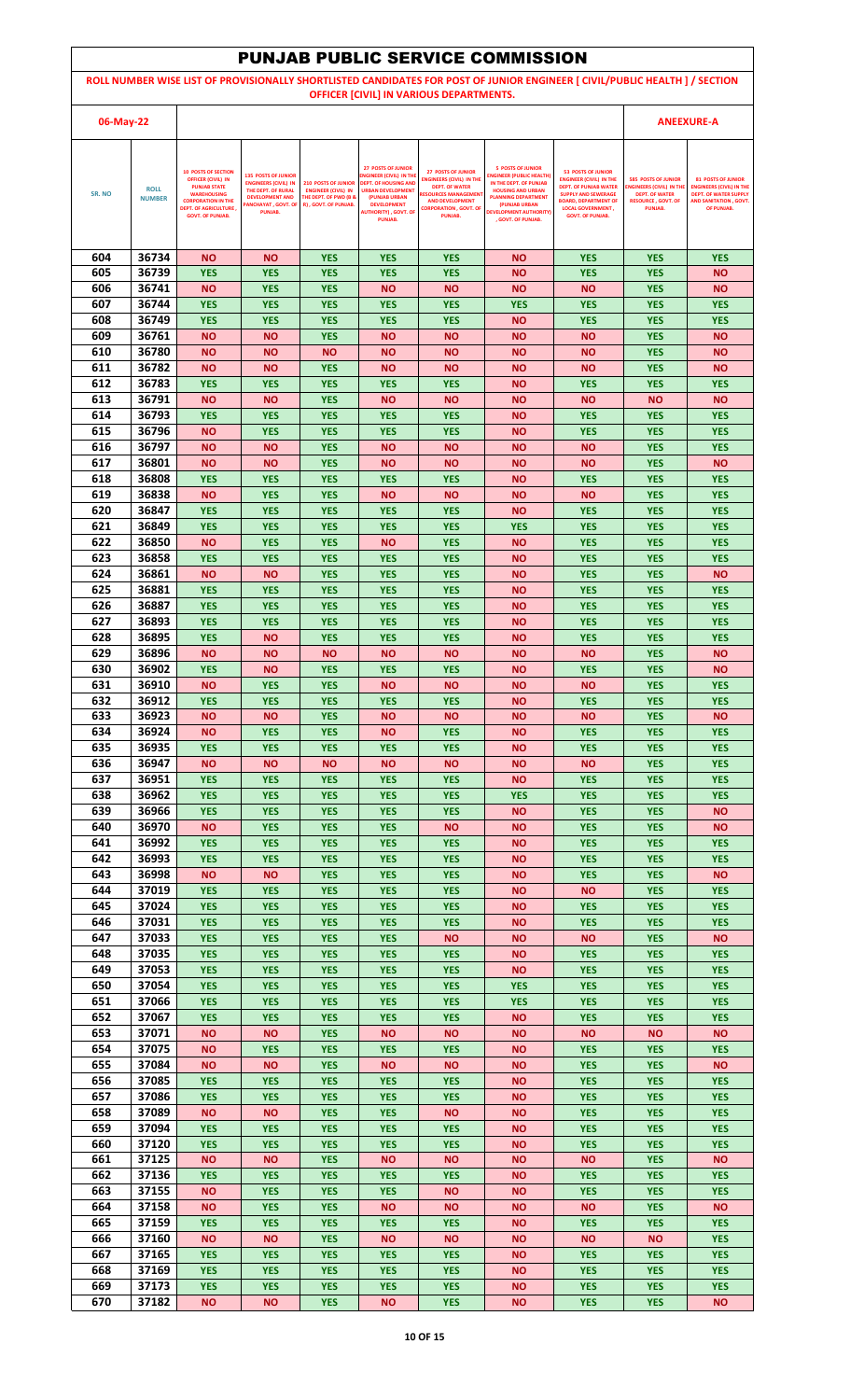|            |                              |                                                                                                                                                                                              |                                                                                                                                                   |                                                                                                                      |                                                                                                                                                                                                        |                                                                                                                                                                                           | <b>PUNJAB PUBLIC SERVICE COMMISSION</b>                                                                                                                                                                                 |                                                                                                                                                                                                                 |                                                                                                                               |                                                                                                                                      |
|------------|------------------------------|----------------------------------------------------------------------------------------------------------------------------------------------------------------------------------------------|---------------------------------------------------------------------------------------------------------------------------------------------------|----------------------------------------------------------------------------------------------------------------------|--------------------------------------------------------------------------------------------------------------------------------------------------------------------------------------------------------|-------------------------------------------------------------------------------------------------------------------------------------------------------------------------------------------|-------------------------------------------------------------------------------------------------------------------------------------------------------------------------------------------------------------------------|-----------------------------------------------------------------------------------------------------------------------------------------------------------------------------------------------------------------|-------------------------------------------------------------------------------------------------------------------------------|--------------------------------------------------------------------------------------------------------------------------------------|
|            |                              |                                                                                                                                                                                              |                                                                                                                                                   |                                                                                                                      |                                                                                                                                                                                                        |                                                                                                                                                                                           |                                                                                                                                                                                                                         | ROLL NUMBER WISE LIST OF PROVISIONALLY SHORTLISTED CANDIDATES FOR POST OF JUNIOR ENGINEER [ CIVIL/PUBLIC HEALTH ] / SECTION                                                                                     |                                                                                                                               |                                                                                                                                      |
| 06-May-22  |                              |                                                                                                                                                                                              |                                                                                                                                                   |                                                                                                                      |                                                                                                                                                                                                        | OFFICER [CIVIL] IN VARIOUS DEPARTMENTS.                                                                                                                                                   |                                                                                                                                                                                                                         |                                                                                                                                                                                                                 |                                                                                                                               | <b>ANEEXURE-A</b>                                                                                                                    |
|            |                              |                                                                                                                                                                                              |                                                                                                                                                   |                                                                                                                      |                                                                                                                                                                                                        |                                                                                                                                                                                           |                                                                                                                                                                                                                         |                                                                                                                                                                                                                 |                                                                                                                               |                                                                                                                                      |
| SR. NO     | <b>ROLL</b><br><b>NUMBER</b> | <b>10 POSTS OF SECTION</b><br><b>OFFICER (CIVIL) IN</b><br><b>PUNJAB STATE</b><br><b>WAREHOUSING</b><br><b>CORPORATION IN THE</b><br><b>DEPT. OF AGRICULTURE,</b><br><b>GOVT. OF PUNJAB.</b> | <b>135 POSTS OF JUNIOR</b><br><b>ENGINEERS (CIVIL) IN</b><br>THE DEPT. OF RURAL<br><b>DEVELOPMENT AND</b><br><b>ANCHAYAT, GOVT. OF</b><br>PUNJAB. | <b>210 POSTS OF JUNIOR</b><br><b>ENGINEER (CIVIL) IN</b><br><b>THE DEPT. OF PWD (B &amp;</b><br>R), GOVT. OF PUNJAB. | <b>27 POSTS OF JUNIOR</b><br>NGINEER (CIVIL) IN THE<br><b>DEPT. OF HOUSING AND</b><br><b>URBAN DEVELOPMENT</b><br>(PUNJAB URBAN<br><b>DEVELOPMENT</b><br><b>AUTHORITY), GOVT. OF</b><br><b>PUNJAB.</b> | <b>27 POSTS OF JUNIOR</b><br><b>ENGINEERS (CIVIL) IN THE</b><br><b>DEPT. OF WATER</b><br><b>RESOURCES MANAGEMEN</b><br><b>AND DEVELOPMENT</b><br><b>CORPORATION , GOVT, OF</b><br>PUNJAB. | <b>5 POSTS OF JUNIOR</b><br><b>INGINEER (PUBLIC HEALTH)</b><br>IN THE DEPT. OF PUNJAB<br><b>HOUSING AND URBAN</b><br><b>PLANNING DEPARTMENT</b><br>(PUNJAB URBAN<br><b>DEVELOPMENT AUTHORITY)</b><br>. GOVT. OF PUNJAB. | <b>53 POSTS OF JUNIOR</b><br><b>ENGINEER (CIVIL) IN THE</b><br><b>DEPT. OF PUNJAB WATER</b><br><b>SUPPLY AND SEWERAGE</b><br><b>BOARD, DEPARTMENT OF</b><br><b>LOCAL GOVERNMENT,</b><br><b>GOVT. OF PUNJAB.</b> | <b>585 POSTS OF JUNIOR</b><br><b>ENGINEERS (CIVIL) IN TH</b><br><b>DEPT. OF WATER</b><br><b>RESOURCE, GOVT, OF</b><br>PUNJAB. | <b>81 POSTS OF JUNIOR</b><br><b>ENGINEERS (CIVIL) IN THE</b><br><b>DEPT. OF WATER SUPPLY</b><br>AND SANITATION . GOVT.<br>OF PUNJAB. |
|            |                              |                                                                                                                                                                                              |                                                                                                                                                   |                                                                                                                      |                                                                                                                                                                                                        |                                                                                                                                                                                           |                                                                                                                                                                                                                         |                                                                                                                                                                                                                 |                                                                                                                               |                                                                                                                                      |
| 604        | 36734                        | <b>NO</b>                                                                                                                                                                                    | <b>NO</b>                                                                                                                                         | <b>YES</b>                                                                                                           | <b>YES</b>                                                                                                                                                                                             | <b>YES</b>                                                                                                                                                                                | <b>NO</b>                                                                                                                                                                                                               | <b>YES</b>                                                                                                                                                                                                      | <b>YES</b>                                                                                                                    | <b>YES</b>                                                                                                                           |
| 605<br>606 | 36739<br>36741               | <b>YES</b><br><b>NO</b>                                                                                                                                                                      | <b>YES</b><br><b>YES</b>                                                                                                                          | <b>YES</b><br><b>YES</b>                                                                                             | <b>YES</b><br><b>NO</b>                                                                                                                                                                                | <b>YES</b><br><b>NO</b>                                                                                                                                                                   | <b>NO</b><br><b>NO</b>                                                                                                                                                                                                  | <b>YES</b><br><b>NO</b>                                                                                                                                                                                         | <b>YES</b><br><b>YES</b>                                                                                                      | <b>NO</b><br><b>NO</b>                                                                                                               |
| 607        | 36744                        | <b>YES</b>                                                                                                                                                                                   | <b>YES</b>                                                                                                                                        | <b>YES</b>                                                                                                           | <b>YES</b>                                                                                                                                                                                             | <b>YES</b>                                                                                                                                                                                | <b>YES</b>                                                                                                                                                                                                              | <b>YES</b>                                                                                                                                                                                                      | <b>YES</b>                                                                                                                    | <b>YES</b>                                                                                                                           |
| 608<br>609 | 36749<br>36761               | <b>YES</b><br><b>NO</b>                                                                                                                                                                      | <b>YES</b><br><b>NO</b>                                                                                                                           | <b>YES</b><br><b>YES</b>                                                                                             | <b>YES</b><br><b>NO</b>                                                                                                                                                                                | <b>YES</b><br><b>NO</b>                                                                                                                                                                   | <b>NO</b><br><b>NO</b>                                                                                                                                                                                                  | <b>YES</b><br><b>NO</b>                                                                                                                                                                                         | <b>YES</b><br><b>YES</b>                                                                                                      | <b>YES</b><br><b>NO</b>                                                                                                              |
| 610        | 36780                        | <b>NO</b>                                                                                                                                                                                    | ΝO                                                                                                                                                | <b>NO</b>                                                                                                            | <b>NO</b>                                                                                                                                                                                              | <b>NO</b>                                                                                                                                                                                 | <b>NO</b>                                                                                                                                                                                                               | <b>NO</b>                                                                                                                                                                                                       | <b>YES</b>                                                                                                                    | <b>NO</b>                                                                                                                            |
| 611<br>612 | 36782<br>36783               | <b>NO</b><br><b>YES</b>                                                                                                                                                                      | <b>NO</b><br><b>YES</b>                                                                                                                           | <b>YES</b><br><b>YES</b>                                                                                             | <b>NO</b><br><b>YES</b>                                                                                                                                                                                | <b>NO</b><br><b>YES</b>                                                                                                                                                                   | <b>NO</b><br><b>NO</b>                                                                                                                                                                                                  | <b>NO</b><br><b>YES</b>                                                                                                                                                                                         | <b>YES</b><br><b>YES</b>                                                                                                      | <b>NO</b><br><b>YES</b>                                                                                                              |
| 613        | 36791                        | <b>NO</b>                                                                                                                                                                                    | ΝO                                                                                                                                                | <b>YES</b>                                                                                                           | <b>NO</b>                                                                                                                                                                                              | <b>NO</b>                                                                                                                                                                                 | <b>NO</b>                                                                                                                                                                                                               | <b>NO</b>                                                                                                                                                                                                       | <b>NO</b>                                                                                                                     | <b>NO</b>                                                                                                                            |
| 614        | 36793                        | <b>YES</b>                                                                                                                                                                                   | <b>YES</b>                                                                                                                                        | <b>YES</b>                                                                                                           | <b>YES</b>                                                                                                                                                                                             | <b>YES</b>                                                                                                                                                                                | <b>NO</b>                                                                                                                                                                                                               | <b>YES</b>                                                                                                                                                                                                      | <b>YES</b>                                                                                                                    | <b>YES</b>                                                                                                                           |
| 615<br>616 | 36796<br>36797               | <b>NO</b><br><b>NO</b>                                                                                                                                                                       | <b>YES</b><br>NΟ                                                                                                                                  | <b>YES</b><br><b>YES</b>                                                                                             | <b>YES</b><br><b>NO</b>                                                                                                                                                                                | <b>YES</b><br><b>NO</b>                                                                                                                                                                   | ΝO<br><b>NO</b>                                                                                                                                                                                                         | <b>YES</b><br><b>NO</b>                                                                                                                                                                                         | <b>YES</b><br><b>YES</b>                                                                                                      | <b>YES</b><br><b>YES</b>                                                                                                             |
| 617        | 36801                        | <b>NO</b>                                                                                                                                                                                    | ΝO                                                                                                                                                | <b>YES</b>                                                                                                           | <b>NO</b>                                                                                                                                                                                              | <b>NO</b>                                                                                                                                                                                 | <b>NO</b>                                                                                                                                                                                                               | <b>NO</b>                                                                                                                                                                                                       | <b>YES</b>                                                                                                                    | <b>NO</b>                                                                                                                            |
| 618<br>619 | 36808<br>36838               | <b>YES</b><br><b>NO</b>                                                                                                                                                                      | <b>YES</b><br><b>YES</b>                                                                                                                          | <b>YES</b><br><b>YES</b>                                                                                             | <b>YES</b><br><b>NO</b>                                                                                                                                                                                | <b>YES</b><br><b>NO</b>                                                                                                                                                                   | <b>NO</b><br><b>NO</b>                                                                                                                                                                                                  | <b>YES</b><br><b>NO</b>                                                                                                                                                                                         | <b>YES</b><br><b>YES</b>                                                                                                      | <b>YES</b><br><b>YES</b>                                                                                                             |
| 620        | 36847                        | <b>YES</b>                                                                                                                                                                                   | <b>YES</b>                                                                                                                                        | <b>YES</b>                                                                                                           | <b>YES</b>                                                                                                                                                                                             | <b>YES</b>                                                                                                                                                                                | <b>NO</b>                                                                                                                                                                                                               | <b>YES</b>                                                                                                                                                                                                      | <b>YES</b>                                                                                                                    | <b>YES</b>                                                                                                                           |
| 621<br>622 | 36849<br>36850               | <b>YES</b><br><b>NO</b>                                                                                                                                                                      | <b>YES</b><br><b>YES</b>                                                                                                                          | <b>YES</b><br><b>YES</b>                                                                                             | <b>YES</b><br><b>NO</b>                                                                                                                                                                                | <b>YES</b><br><b>YES</b>                                                                                                                                                                  | <b>YES</b><br><b>NO</b>                                                                                                                                                                                                 | <b>YES</b><br><b>YES</b>                                                                                                                                                                                        | <b>YES</b><br><b>YES</b>                                                                                                      | <b>YES</b><br><b>YES</b>                                                                                                             |
| 623        | 36858                        | <b>YES</b>                                                                                                                                                                                   | <b>YES</b>                                                                                                                                        | <b>YES</b>                                                                                                           | <b>YES</b>                                                                                                                                                                                             | <b>YES</b>                                                                                                                                                                                | <b>NO</b>                                                                                                                                                                                                               | <b>YES</b>                                                                                                                                                                                                      | <b>YES</b>                                                                                                                    | <b>YES</b>                                                                                                                           |
| 624<br>625 | 36861<br>36881               | <b>NO</b><br><b>YES</b>                                                                                                                                                                      | NΟ<br><b>YES</b>                                                                                                                                  | <b>YES</b><br><b>YES</b>                                                                                             | <b>YES</b><br><b>YES</b>                                                                                                                                                                               | <b>YES</b><br><b>YES</b>                                                                                                                                                                  | <b>NO</b><br>ΝO                                                                                                                                                                                                         | <b>YES</b><br><b>YES</b>                                                                                                                                                                                        | <b>YES</b><br><b>YES</b>                                                                                                      | <b>NO</b><br><b>YES</b>                                                                                                              |
| 626        | 36887                        | <b>YES</b>                                                                                                                                                                                   | <b>YES</b>                                                                                                                                        | <b>YES</b>                                                                                                           | <b>YES</b>                                                                                                                                                                                             | <b>YES</b>                                                                                                                                                                                | <b>NO</b>                                                                                                                                                                                                               | <b>YES</b>                                                                                                                                                                                                      | <b>YES</b>                                                                                                                    | <b>YES</b>                                                                                                                           |
| 627        | 36893                        | <b>YES</b>                                                                                                                                                                                   | <b>YES</b>                                                                                                                                        | <b>YES</b>                                                                                                           | <b>YES</b>                                                                                                                                                                                             | <b>YES</b>                                                                                                                                                                                | <b>NO</b>                                                                                                                                                                                                               | <b>YES</b>                                                                                                                                                                                                      | <b>YES</b>                                                                                                                    | <b>YES</b>                                                                                                                           |
| 628<br>629 | 36895<br>36896               | <b>YES</b><br><b>NO</b>                                                                                                                                                                      | <b>NO</b><br>NΟ                                                                                                                                   | <b>YES</b><br><b>NO</b>                                                                                              | <b>YES</b><br><b>NO</b>                                                                                                                                                                                | <b>YES</b><br><b>NO</b>                                                                                                                                                                   | <b>NO</b><br><b>NO</b>                                                                                                                                                                                                  | <b>YES</b><br><b>NO</b>                                                                                                                                                                                         | <b>YES</b><br><b>YES</b>                                                                                                      | <b>YES</b><br><b>NO</b>                                                                                                              |
| 630        | 36902                        | <b>YES</b>                                                                                                                                                                                   | ΝO                                                                                                                                                | <b>YES</b>                                                                                                           | <b>YES</b>                                                                                                                                                                                             | <b>YES</b>                                                                                                                                                                                | ΝO                                                                                                                                                                                                                      | <b>YES</b>                                                                                                                                                                                                      | <b>YES</b>                                                                                                                    | <b>NO</b>                                                                                                                            |
| 631<br>632 | 36910<br>36912               | <b>NO</b><br><b>YES</b>                                                                                                                                                                      | <b>YES</b><br><b>YES</b>                                                                                                                          | <b>YES</b><br><b>YES</b>                                                                                             | <b>NO</b><br><b>YES</b>                                                                                                                                                                                | <b>NO</b><br><b>YES</b>                                                                                                                                                                   | <b>NO</b><br><b>NO</b>                                                                                                                                                                                                  | <b>NO</b><br><b>YES</b>                                                                                                                                                                                         | <b>YES</b><br><b>YES</b>                                                                                                      | <b>YES</b><br><b>YES</b>                                                                                                             |
| 633        | 36923                        | <b>NO</b>                                                                                                                                                                                    | <b>NO</b>                                                                                                                                         | <b>YES</b>                                                                                                           | <b>NO</b>                                                                                                                                                                                              | <b>NO</b>                                                                                                                                                                                 | <b>NO</b>                                                                                                                                                                                                               | <b>NO</b>                                                                                                                                                                                                       | <b>YES</b>                                                                                                                    | <b>NO</b>                                                                                                                            |
| 634<br>635 | 36924<br>36935               | <b>NO</b>                                                                                                                                                                                    | <b>YES</b>                                                                                                                                        | <b>YES</b>                                                                                                           | <b>NO</b>                                                                                                                                                                                              | <b>YES</b>                                                                                                                                                                                | <b>NO</b>                                                                                                                                                                                                               | <b>YES</b>                                                                                                                                                                                                      | <b>YES</b>                                                                                                                    | <b>YES</b><br><b>YES</b>                                                                                                             |
| 636        | 36947                        | <b>YES</b><br><b>NO</b>                                                                                                                                                                      | <b>YES</b><br><b>NO</b>                                                                                                                           | <b>YES</b><br><b>NO</b>                                                                                              | <b>YES</b><br><b>NO</b>                                                                                                                                                                                | <b>YES</b><br><b>NO</b>                                                                                                                                                                   | <b>NO</b><br><b>NO</b>                                                                                                                                                                                                  | <b>YES</b><br><b>NO</b>                                                                                                                                                                                         | <b>YES</b><br><b>YES</b>                                                                                                      | <b>YES</b>                                                                                                                           |
| 637        | 36951                        | <b>YES</b>                                                                                                                                                                                   | <b>YES</b>                                                                                                                                        | <b>YES</b>                                                                                                           | <b>YES</b>                                                                                                                                                                                             | <b>YES</b>                                                                                                                                                                                | <b>NO</b>                                                                                                                                                                                                               | <b>YES</b>                                                                                                                                                                                                      | <b>YES</b>                                                                                                                    | <b>YES</b>                                                                                                                           |
| 638<br>639 | 36962<br>36966               | <b>YES</b><br><b>YES</b>                                                                                                                                                                     | <b>YES</b><br><b>YES</b>                                                                                                                          | <b>YES</b><br><b>YES</b>                                                                                             | <b>YES</b><br><b>YES</b>                                                                                                                                                                               | <b>YES</b><br><b>YES</b>                                                                                                                                                                  | <b>YES</b><br><b>NO</b>                                                                                                                                                                                                 | <b>YES</b><br><b>YES</b>                                                                                                                                                                                        | <b>YES</b><br><b>YES</b>                                                                                                      | <b>YES</b><br><b>NO</b>                                                                                                              |
| 640        | 36970                        | <b>NO</b>                                                                                                                                                                                    | <b>YES</b>                                                                                                                                        | <b>YES</b>                                                                                                           | <b>YES</b>                                                                                                                                                                                             | <b>NO</b>                                                                                                                                                                                 | <b>NO</b>                                                                                                                                                                                                               | <b>YES</b>                                                                                                                                                                                                      | <b>YES</b>                                                                                                                    | <b>NO</b>                                                                                                                            |
| 641<br>642 | 36992<br>36993               | <b>YES</b><br><b>YES</b>                                                                                                                                                                     | <b>YES</b><br><b>YES</b>                                                                                                                          | <b>YES</b><br><b>YES</b>                                                                                             | <b>YES</b><br><b>YES</b>                                                                                                                                                                               | <b>YES</b><br><b>YES</b>                                                                                                                                                                  | <b>NO</b><br><b>NO</b>                                                                                                                                                                                                  | <b>YES</b><br><b>YES</b>                                                                                                                                                                                        | <b>YES</b><br><b>YES</b>                                                                                                      | <b>YES</b><br><b>YES</b>                                                                                                             |
| 643        | 36998                        | <b>NO</b>                                                                                                                                                                                    | ΝO                                                                                                                                                | <b>YES</b>                                                                                                           | <b>YES</b>                                                                                                                                                                                             | <b>YES</b>                                                                                                                                                                                | <b>NO</b>                                                                                                                                                                                                               | <b>YES</b>                                                                                                                                                                                                      | <b>YES</b>                                                                                                                    | <b>NO</b>                                                                                                                            |
| 644<br>645 | 37019<br>37024               | <b>YES</b><br><b>YES</b>                                                                                                                                                                     | <b>YES</b><br><b>YES</b>                                                                                                                          | <b>YES</b><br><b>YES</b>                                                                                             | <b>YES</b><br><b>YES</b>                                                                                                                                                                               | <b>YES</b><br><b>YES</b>                                                                                                                                                                  | <b>NO</b><br>ΝO                                                                                                                                                                                                         | <b>NO</b><br><b>YES</b>                                                                                                                                                                                         | <b>YES</b><br><b>YES</b>                                                                                                      | <b>YES</b><br><b>YES</b>                                                                                                             |
| 646        | 37031                        | <b>YES</b>                                                                                                                                                                                   | <b>YES</b>                                                                                                                                        | <b>YES</b>                                                                                                           | <b>YES</b>                                                                                                                                                                                             | <b>YES</b>                                                                                                                                                                                | <b>NO</b>                                                                                                                                                                                                               | <b>YES</b>                                                                                                                                                                                                      | <b>YES</b>                                                                                                                    | <b>YES</b>                                                                                                                           |
| 647<br>648 | 37033<br>37035               | <b>YES</b><br><b>YES</b>                                                                                                                                                                     | <b>YES</b><br><b>YES</b>                                                                                                                          | <b>YES</b><br><b>YES</b>                                                                                             | <b>YES</b><br><b>YES</b>                                                                                                                                                                               | <b>NO</b><br><b>YES</b>                                                                                                                                                                   | <b>NO</b><br><b>NO</b>                                                                                                                                                                                                  | <b>NO</b><br><b>YES</b>                                                                                                                                                                                         | <b>YES</b><br><b>YES</b>                                                                                                      | <b>NO</b><br><b>YES</b>                                                                                                              |
| 649        | 37053                        | <b>YES</b>                                                                                                                                                                                   | <b>YES</b>                                                                                                                                        | <b>YES</b>                                                                                                           | <b>YES</b>                                                                                                                                                                                             | <b>YES</b>                                                                                                                                                                                | <b>NO</b>                                                                                                                                                                                                               | <b>YES</b>                                                                                                                                                                                                      | <b>YES</b>                                                                                                                    | <b>YES</b>                                                                                                                           |
| 650        | 37054                        | <b>YES</b>                                                                                                                                                                                   | <b>YES</b>                                                                                                                                        | <b>YES</b>                                                                                                           | <b>YES</b>                                                                                                                                                                                             | <b>YES</b>                                                                                                                                                                                | <b>YES</b>                                                                                                                                                                                                              | <b>YES</b>                                                                                                                                                                                                      | <b>YES</b>                                                                                                                    | <b>YES</b>                                                                                                                           |
| 651<br>652 | 37066<br>37067               | <b>YES</b><br><b>YES</b>                                                                                                                                                                     | <b>YES</b><br><b>YES</b>                                                                                                                          | <b>YES</b><br><b>YES</b>                                                                                             | <b>YES</b><br><b>YES</b>                                                                                                                                                                               | <b>YES</b><br><b>YES</b>                                                                                                                                                                  | <b>YES</b><br><b>NO</b>                                                                                                                                                                                                 | <b>YES</b><br><b>YES</b>                                                                                                                                                                                        | <b>YES</b><br><b>YES</b>                                                                                                      | <b>YES</b><br><b>YES</b>                                                                                                             |
| 653        | 37071                        | <b>NO</b>                                                                                                                                                                                    | <b>NO</b>                                                                                                                                         | <b>YES</b>                                                                                                           | <b>NO</b>                                                                                                                                                                                              | <b>NO</b>                                                                                                                                                                                 | <b>NO</b>                                                                                                                                                                                                               | <b>NO</b>                                                                                                                                                                                                       | <b>NO</b>                                                                                                                     | <b>NO</b>                                                                                                                            |
| 654<br>655 | 37075<br>37084               | <b>NO</b><br><b>NO</b>                                                                                                                                                                       | <b>YES</b><br>ΝO                                                                                                                                  | <b>YES</b><br><b>YES</b>                                                                                             | <b>YES</b><br><b>NO</b>                                                                                                                                                                                | <b>YES</b><br><b>NO</b>                                                                                                                                                                   | <b>NO</b><br><b>NO</b>                                                                                                                                                                                                  | <b>YES</b><br><b>YES</b>                                                                                                                                                                                        | <b>YES</b><br><b>YES</b>                                                                                                      | <b>YES</b><br><b>NO</b>                                                                                                              |
| 656        | 37085                        | <b>YES</b>                                                                                                                                                                                   | <b>YES</b>                                                                                                                                        | <b>YES</b>                                                                                                           | <b>YES</b>                                                                                                                                                                                             | <b>YES</b>                                                                                                                                                                                | <b>NO</b>                                                                                                                                                                                                               | <b>YES</b>                                                                                                                                                                                                      | <b>YES</b>                                                                                                                    | <b>YES</b>                                                                                                                           |
| 657<br>658 | 37086<br>37089               | <b>YES</b><br><b>NO</b>                                                                                                                                                                      | <b>YES</b><br><b>NO</b>                                                                                                                           | <b>YES</b><br><b>YES</b>                                                                                             | <b>YES</b><br><b>YES</b>                                                                                                                                                                               | <b>YES</b><br><b>NO</b>                                                                                                                                                                   | <b>NO</b><br><b>NO</b>                                                                                                                                                                                                  | <b>YES</b><br><b>YES</b>                                                                                                                                                                                        | <b>YES</b><br><b>YES</b>                                                                                                      | <b>YES</b><br><b>YES</b>                                                                                                             |
| 659        | 37094                        | <b>YES</b>                                                                                                                                                                                   | <b>YES</b>                                                                                                                                        | <b>YES</b>                                                                                                           | <b>YES</b>                                                                                                                                                                                             | <b>YES</b>                                                                                                                                                                                | <b>NO</b>                                                                                                                                                                                                               | <b>YES</b>                                                                                                                                                                                                      | <b>YES</b>                                                                                                                    | <b>YES</b>                                                                                                                           |
| 660        | 37120                        | <b>YES</b>                                                                                                                                                                                   | <b>YES</b>                                                                                                                                        | <b>YES</b>                                                                                                           | <b>YES</b>                                                                                                                                                                                             | <b>YES</b>                                                                                                                                                                                | <b>NO</b>                                                                                                                                                                                                               | <b>YES</b>                                                                                                                                                                                                      | <b>YES</b>                                                                                                                    | <b>YES</b>                                                                                                                           |
| 661<br>662 | 37125<br>37136               | <b>NO</b><br><b>YES</b>                                                                                                                                                                      | <b>NO</b><br><b>YES</b>                                                                                                                           | <b>YES</b><br><b>YES</b>                                                                                             | <b>NO</b><br><b>YES</b>                                                                                                                                                                                | <b>NO</b><br><b>YES</b>                                                                                                                                                                   | <b>NO</b><br><b>NO</b>                                                                                                                                                                                                  | <b>NO</b><br><b>YES</b>                                                                                                                                                                                         | <b>YES</b><br><b>YES</b>                                                                                                      | <b>NO</b><br><b>YES</b>                                                                                                              |
| 663        | 37155                        | <b>NO</b>                                                                                                                                                                                    | <b>YES</b>                                                                                                                                        | <b>YES</b>                                                                                                           | <b>YES</b>                                                                                                                                                                                             | <b>NO</b>                                                                                                                                                                                 | ΝO                                                                                                                                                                                                                      | <b>YES</b>                                                                                                                                                                                                      | <b>YES</b>                                                                                                                    | <b>YES</b>                                                                                                                           |
| 664<br>665 | 37158<br>37159               | <b>NO</b><br><b>YES</b>                                                                                                                                                                      | <b>YES</b><br><b>YES</b>                                                                                                                          | <b>YES</b><br><b>YES</b>                                                                                             | <b>NO</b><br><b>YES</b>                                                                                                                                                                                | <b>NO</b><br><b>YES</b>                                                                                                                                                                   | <b>NO</b><br><b>NO</b>                                                                                                                                                                                                  | <b>NO</b><br><b>YES</b>                                                                                                                                                                                         | <b>YES</b><br><b>YES</b>                                                                                                      | <b>NO</b><br><b>YES</b>                                                                                                              |
| 666        | 37160                        | <b>NO</b>                                                                                                                                                                                    | <b>NO</b>                                                                                                                                         | <b>YES</b>                                                                                                           | <b>NO</b>                                                                                                                                                                                              | <b>NO</b>                                                                                                                                                                                 | <b>NO</b>                                                                                                                                                                                                               | <b>NO</b>                                                                                                                                                                                                       | <b>NO</b>                                                                                                                     | <b>YES</b>                                                                                                                           |
| 667        | 37165                        | <b>YES</b>                                                                                                                                                                                   | <b>YES</b>                                                                                                                                        | <b>YES</b>                                                                                                           | <b>YES</b>                                                                                                                                                                                             | <b>YES</b>                                                                                                                                                                                | <b>NO</b>                                                                                                                                                                                                               | <b>YES</b>                                                                                                                                                                                                      | <b>YES</b>                                                                                                                    | <b>YES</b>                                                                                                                           |
| 668<br>669 | 37169<br>37173               | <b>YES</b><br><b>YES</b>                                                                                                                                                                     | <b>YES</b><br><b>YES</b>                                                                                                                          | <b>YES</b><br><b>YES</b>                                                                                             | <b>YES</b><br><b>YES</b>                                                                                                                                                                               | <b>YES</b><br><b>YES</b>                                                                                                                                                                  | <b>NO</b><br><b>NO</b>                                                                                                                                                                                                  | <b>YES</b><br><b>YES</b>                                                                                                                                                                                        | <b>YES</b><br><b>YES</b>                                                                                                      | <b>YES</b><br><b>YES</b>                                                                                                             |
| 670        | 37182                        | <b>NO</b>                                                                                                                                                                                    | <b>NO</b>                                                                                                                                         | <b>YES</b>                                                                                                           | <b>NO</b>                                                                                                                                                                                              | <b>YES</b>                                                                                                                                                                                | <b>NO</b>                                                                                                                                                                                                               | <b>YES</b>                                                                                                                                                                                                      | <b>YES</b>                                                                                                                    | <b>NO</b>                                                                                                                            |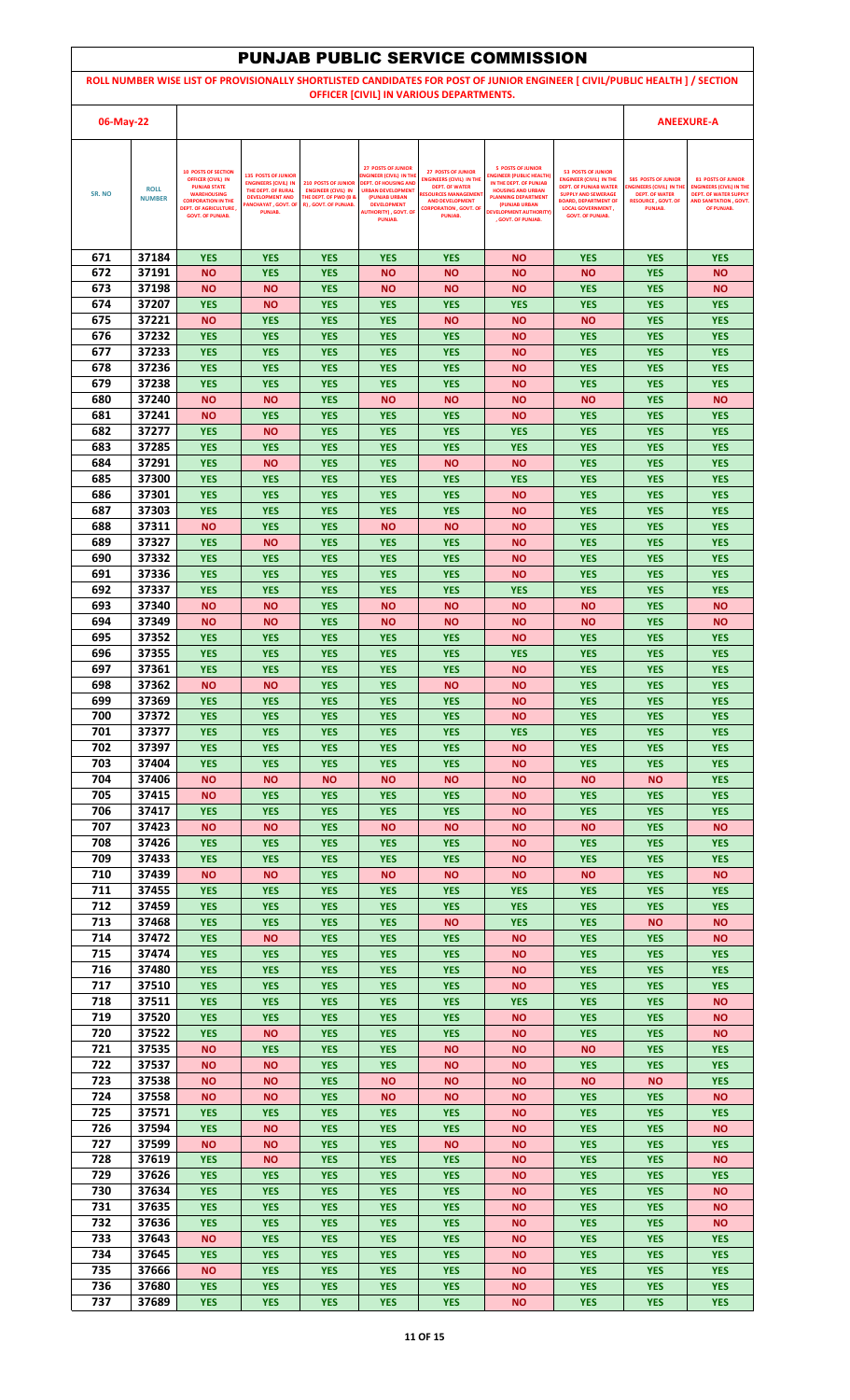|            |                |                                                                                      |                                                                                 |                                                          |                                                                                   |                                                                                        | <b>PUNJAB PUBLIC SERVICE COMMISSION</b>                                               |                                                                                                                             |                                                                                       |                                                                                              |
|------------|----------------|--------------------------------------------------------------------------------------|---------------------------------------------------------------------------------|----------------------------------------------------------|-----------------------------------------------------------------------------------|----------------------------------------------------------------------------------------|---------------------------------------------------------------------------------------|-----------------------------------------------------------------------------------------------------------------------------|---------------------------------------------------------------------------------------|----------------------------------------------------------------------------------------------|
|            |                |                                                                                      |                                                                                 |                                                          |                                                                                   |                                                                                        |                                                                                       | ROLL NUMBER WISE LIST OF PROVISIONALLY SHORTLISTED CANDIDATES FOR POST OF JUNIOR ENGINEER [ CIVIL/PUBLIC HEALTH ] / SECTION |                                                                                       |                                                                                              |
|            |                |                                                                                      |                                                                                 |                                                          |                                                                                   | OFFICER [CIVIL] IN VARIOUS DEPARTMENTS.                                                |                                                                                       |                                                                                                                             |                                                                                       |                                                                                              |
| 06-May-22  |                |                                                                                      |                                                                                 |                                                          |                                                                                   |                                                                                        |                                                                                       |                                                                                                                             |                                                                                       | <b>ANEEXURE-A</b>                                                                            |
|            |                | <b>10 POSTS OF SECTION</b>                                                           |                                                                                 |                                                          | <b>27 POSTS OF JUNIOR</b>                                                         | <b>27 POSTS OF JUNIOR</b>                                                              | <b>5 POSTS OF JUNIOR</b>                                                              | <b>53 POSTS OF JUNIOR</b>                                                                                                   |                                                                                       |                                                                                              |
| SR. NO     | <b>ROLL</b>    | <b>OFFICER (CIVIL) IN</b><br><b>PUNJAB STATE</b><br><b>WAREHOUSING</b>               | <b>135 POSTS OF JUNIOR</b><br><b>ENGINEERS (CIVIL) IN</b><br>THE DEPT. OF RURAL | <b>210 POSTS OF JUNIOR</b><br><b>ENGINEER (CIVIL) IN</b> | NGINEER (CIVIL) IN THE<br><b>DEPT. OF HOUSING AND</b><br><b>URBAN DEVELOPMENT</b> | <b>ENGINEERS (CIVIL) IN THE</b><br><b>DEPT. OF WATER</b><br><b>RESOURCES MANAGEMEN</b> | <b>INGINEER (PUBLIC HEALTH)</b><br>IN THE DEPT. OF PUNJAB<br><b>HOUSING AND URBAN</b> | <b>ENGINEER (CIVIL) IN THE</b><br><b>DEPT. OF PUNJAB WATER</b><br><b>SUPPLY AND SEWERAGE</b>                                | <b>585 POSTS OF JUNIOR</b><br><b>INGINEERS (CIVIL) IN TH</b><br><b>DEPT. OF WATER</b> | <b>81 POSTS OF JUNIOR</b><br><b>ENGINEERS (CIVIL) IN THE</b><br><b>DEPT. OF WATER SUPPLY</b> |
|            | <b>NUMBER</b>  | <b>CORPORATION IN THE</b><br><b>DEPT. OF AGRICULTURE,</b><br><b>GOVT. OF PUNJAB.</b> | <b>DEVELOPMENT AND</b><br><b>ANCHAYAT, GOVT. OF</b><br>PUNJAB.                  | <b>THE DEPT. OF PWD (B &amp;</b><br>R), GOVT. OF PUNJAB. | (PUNJAB URBAN<br><b>DEVELOPMENT</b><br><b>AUTHORITY), GOVT. OF</b>                | <b>AND DEVELOPMENT</b><br><b>CORPORATION , GOVT, OF</b><br>PUNJAB.                     | <b>PLANNING DEPARTMENT</b><br>(PUNJAB URBAN<br><b>DEVELOPMENT AUTHORITY)</b>          | <b>BOARD, DEPARTMENT OF</b><br><b>LOCAL GOVERNMENT,</b><br><b>GOVT. OF PUNJAB.</b>                                          | <b>RESOURCE, GOVT, OF</b><br>PUNJAB.                                                  | AND SANITATION . GOVT.<br>OF PUNJAB.                                                         |
|            |                |                                                                                      |                                                                                 |                                                          | <b>PUNJAB.</b>                                                                    |                                                                                        | . GOVT. OF PUNJAB.                                                                    |                                                                                                                             |                                                                                       |                                                                                              |
| 671        | 37184          | <b>YES</b>                                                                           | <b>YES</b>                                                                      | <b>YES</b>                                               | <b>YES</b>                                                                        | <b>YES</b>                                                                             | <b>NO</b>                                                                             | <b>YES</b>                                                                                                                  | <b>YES</b>                                                                            | <b>YES</b>                                                                                   |
| 672        | 37191          | <b>NO</b>                                                                            | <b>YES</b>                                                                      | <b>YES</b>                                               | <b>NO</b>                                                                         | <b>NO</b>                                                                              | <b>NO</b>                                                                             | <b>NO</b>                                                                                                                   | <b>YES</b>                                                                            | <b>NO</b>                                                                                    |
| 673        | 37198          | <b>NO</b>                                                                            | <b>NO</b>                                                                       | <b>YES</b>                                               | <b>NO</b>                                                                         | <b>NO</b>                                                                              | <b>NO</b>                                                                             | <b>YES</b>                                                                                                                  | <b>YES</b>                                                                            | <b>NO</b>                                                                                    |
| 674<br>675 | 37207<br>37221 | <b>YES</b><br><b>NO</b>                                                              | ΝO<br><b>YES</b>                                                                | <b>YES</b><br><b>YES</b>                                 | <b>YES</b><br><b>YES</b>                                                          | <b>YES</b><br><b>NO</b>                                                                | <b>YES</b><br><b>NO</b>                                                               | <b>YES</b><br><b>NO</b>                                                                                                     | <b>YES</b><br><b>YES</b>                                                              | <b>YES</b><br><b>YES</b>                                                                     |
| 676        | 37232          | <b>YES</b>                                                                           | <b>YES</b>                                                                      | <b>YES</b>                                               | <b>YES</b>                                                                        | <b>YES</b>                                                                             | <b>NO</b>                                                                             | <b>YES</b>                                                                                                                  | <b>YES</b>                                                                            | <b>YES</b>                                                                                   |
| 677        | 37233          | <b>YES</b>                                                                           | <b>YES</b>                                                                      | <b>YES</b>                                               | <b>YES</b>                                                                        | <b>YES</b>                                                                             | <b>NO</b>                                                                             | <b>YES</b>                                                                                                                  | <b>YES</b>                                                                            | <b>YES</b>                                                                                   |
| 678<br>679 | 37236<br>37238 | <b>YES</b><br><b>YES</b>                                                             | <b>YES</b><br><b>YES</b>                                                        | <b>YES</b><br><b>YES</b>                                 | <b>YES</b><br><b>YES</b>                                                          | <b>YES</b><br><b>YES</b>                                                               | <b>NO</b><br><b>NO</b>                                                                | <b>YES</b><br><b>YES</b>                                                                                                    | <b>YES</b><br><b>YES</b>                                                              | <b>YES</b><br><b>YES</b>                                                                     |
| 680        | 37240          | <b>NO</b>                                                                            | ΝO                                                                              | <b>YES</b>                                               | <b>NO</b>                                                                         | <b>NO</b>                                                                              | <b>NO</b>                                                                             | <b>NO</b>                                                                                                                   | <b>YES</b>                                                                            | <b>NO</b>                                                                                    |
| 681        | 37241          | <b>NO</b>                                                                            | <b>YES</b>                                                                      | <b>YES</b>                                               | <b>YES</b>                                                                        | <b>YES</b>                                                                             | <b>NO</b>                                                                             | <b>YES</b>                                                                                                                  | <b>YES</b>                                                                            | <b>YES</b>                                                                                   |
| 682        | 37277          | <b>YES</b>                                                                           | ΝO                                                                              | <b>YES</b>                                               | <b>YES</b>                                                                        | <b>YES</b>                                                                             | <b>YES</b>                                                                            | <b>YES</b>                                                                                                                  | <b>YES</b>                                                                            | <b>YES</b>                                                                                   |
| 683<br>684 | 37285<br>37291 | <b>YES</b><br><b>YES</b>                                                             | <b>YES</b><br>ΝO                                                                | <b>YES</b><br><b>YES</b>                                 | <b>YES</b><br><b>YES</b>                                                          | <b>YES</b><br><b>NO</b>                                                                | <b>YES</b><br><b>NO</b>                                                               | <b>YES</b><br><b>YES</b>                                                                                                    | <b>YES</b><br><b>YES</b>                                                              | <b>YES</b><br><b>YES</b>                                                                     |
| 685        | 37300          | <b>YES</b>                                                                           | <b>YES</b>                                                                      | <b>YES</b>                                               | <b>YES</b>                                                                        | <b>YES</b>                                                                             | <b>YES</b>                                                                            | <b>YES</b>                                                                                                                  | <b>YES</b>                                                                            | <b>YES</b>                                                                                   |
| 686        | 37301          | <b>YES</b>                                                                           | <b>YES</b>                                                                      | <b>YES</b>                                               | <b>YES</b>                                                                        | <b>YES</b>                                                                             | <b>NO</b>                                                                             | <b>YES</b>                                                                                                                  | <b>YES</b>                                                                            | <b>YES</b>                                                                                   |
| 687<br>688 | 37303<br>37311 | <b>YES</b><br><b>NO</b>                                                              | <b>YES</b><br><b>YES</b>                                                        | <b>YES</b><br><b>YES</b>                                 | <b>YES</b><br><b>NO</b>                                                           | <b>YES</b><br><b>NO</b>                                                                | <b>NO</b><br><b>NO</b>                                                                | <b>YES</b><br><b>YES</b>                                                                                                    | <b>YES</b><br><b>YES</b>                                                              | <b>YES</b><br><b>YES</b>                                                                     |
| 689        | 37327          | <b>YES</b>                                                                           | ΝO                                                                              | <b>YES</b>                                               | <b>YES</b>                                                                        | <b>YES</b>                                                                             | <b>NO</b>                                                                             | <b>YES</b>                                                                                                                  | <b>YES</b>                                                                            | <b>YES</b>                                                                                   |
| 690        | 37332          | <b>YES</b>                                                                           | <b>YES</b>                                                                      | <b>YES</b>                                               | <b>YES</b>                                                                        | <b>YES</b>                                                                             | <b>NO</b>                                                                             | <b>YES</b>                                                                                                                  | <b>YES</b>                                                                            | <b>YES</b>                                                                                   |
| 691<br>692 | 37336<br>37337 | <b>YES</b><br><b>YES</b>                                                             | <b>YES</b><br><b>YES</b>                                                        | <b>YES</b><br><b>YES</b>                                 | <b>YES</b><br><b>YES</b>                                                          | <b>YES</b><br><b>YES</b>                                                               | <b>NO</b><br><b>YES</b>                                                               | <b>YES</b><br><b>YES</b>                                                                                                    | <b>YES</b><br><b>YES</b>                                                              | <b>YES</b><br><b>YES</b>                                                                     |
| 693        | 37340          | <b>NO</b>                                                                            | ΝO                                                                              | <b>YES</b>                                               | <b>NO</b>                                                                         | <b>NO</b>                                                                              | <b>NO</b>                                                                             | <b>NO</b>                                                                                                                   | <b>YES</b>                                                                            | <b>NO</b>                                                                                    |
| 694        | 37349          | <b>NO</b>                                                                            | ΝO                                                                              | <b>YES</b>                                               | <b>NO</b>                                                                         | <b>NO</b>                                                                              | <b>NO</b>                                                                             | <b>NO</b>                                                                                                                   | <b>YES</b>                                                                            | <b>NO</b>                                                                                    |
| 695        | 37352          | <b>YES</b>                                                                           | <b>YES</b>                                                                      | <b>YES</b>                                               | <b>YES</b>                                                                        | <b>YES</b>                                                                             | <b>NO</b>                                                                             | <b>YES</b>                                                                                                                  | <b>YES</b>                                                                            | <b>YES</b>                                                                                   |
| 696<br>697 | 37355<br>37361 | <b>YES</b><br><b>YES</b>                                                             | <b>YES</b><br><b>YES</b>                                                        | <b>YES</b><br><b>YES</b>                                 | <b>YES</b><br><b>YES</b>                                                          | <b>YES</b><br><b>YES</b>                                                               | <b>YES</b><br>ΝO                                                                      | <b>YES</b><br><b>YES</b>                                                                                                    | <b>YES</b><br><b>YES</b>                                                              | <b>YES</b><br><b>YES</b>                                                                     |
| 698        | 37362          | <b>NO</b>                                                                            | <b>NO</b>                                                                       | <b>YES</b>                                               | <b>YES</b>                                                                        | <b>NO</b>                                                                              | <b>NO</b>                                                                             | <b>YES</b>                                                                                                                  | <b>YES</b>                                                                            | <b>YES</b>                                                                                   |
| 699        | 37369          | <b>YES</b>                                                                           | <b>YES</b>                                                                      | <b>YES</b>                                               | <b>YES</b>                                                                        | <b>YES</b>                                                                             | <b>NO</b>                                                                             | <b>YES</b>                                                                                                                  | <b>YES</b>                                                                            | <b>YES</b>                                                                                   |
| 700<br>701 | 37372<br>37377 | <b>YES</b><br><b>YES</b>                                                             | <b>YES</b><br><b>YES</b>                                                        | <b>YES</b><br><b>YES</b>                                 | <b>YES</b><br><b>YES</b>                                                          | <b>YES</b><br><b>YES</b>                                                               | <b>NO</b><br><b>YES</b>                                                               | <b>YES</b><br><b>YES</b>                                                                                                    | <b>YES</b><br><b>YES</b>                                                              | <b>YES</b><br><b>YES</b>                                                                     |
| 702        | 37397          | <b>YES</b>                                                                           | <b>YES</b>                                                                      | <b>YES</b>                                               | <b>YES</b>                                                                        | <b>YES</b>                                                                             | <b>NO</b>                                                                             | <b>YES</b>                                                                                                                  | <b>YES</b>                                                                            | <b>YES</b>                                                                                   |
| 703        | 37404          | <b>YES</b>                                                                           | <b>YES</b>                                                                      | <b>YES</b>                                               | <b>YES</b>                                                                        | <b>YES</b>                                                                             | <b>NO</b>                                                                             | <b>YES</b>                                                                                                                  | <b>YES</b>                                                                            | <b>YES</b>                                                                                   |
| 704<br>705 | 37406<br>37415 | <b>NO</b><br><b>NO</b>                                                               | ΝO<br><b>YES</b>                                                                | <b>NO</b><br><b>YES</b>                                  | <b>NO</b><br><b>YES</b>                                                           | <b>NO</b><br><b>YES</b>                                                                | <b>NO</b><br><b>NO</b>                                                                | <b>NO</b><br><b>YES</b>                                                                                                     | <b>NO</b><br><b>YES</b>                                                               | <b>YES</b><br><b>YES</b>                                                                     |
| 706        | 37417          | <b>YES</b>                                                                           | <b>YES</b>                                                                      | <b>YES</b>                                               | <b>YES</b>                                                                        | <b>YES</b>                                                                             | <b>NO</b>                                                                             | <b>YES</b>                                                                                                                  | <b>YES</b>                                                                            | <b>YES</b>                                                                                   |
| 707        | 37423          | <b>NO</b>                                                                            | <b>NO</b>                                                                       | <b>YES</b>                                               | <b>NO</b>                                                                         | <b>NO</b>                                                                              | <b>NO</b>                                                                             | <b>NO</b>                                                                                                                   | <b>YES</b>                                                                            | <b>NO</b>                                                                                    |
| 708<br>709 | 37426<br>37433 | <b>YES</b>                                                                           | <b>YES</b>                                                                      | <b>YES</b>                                               | <b>YES</b>                                                                        | <b>YES</b>                                                                             | <b>NO</b>                                                                             | <b>YES</b>                                                                                                                  | <b>YES</b>                                                                            | <b>YES</b>                                                                                   |
| 710        | 37439          | <b>YES</b><br><b>NO</b>                                                              | <b>YES</b><br>ΝO                                                                | <b>YES</b><br><b>YES</b>                                 | <b>YES</b><br><b>NO</b>                                                           | <b>YES</b><br><b>NO</b>                                                                | <b>NO</b><br><b>NO</b>                                                                | <b>YES</b><br><b>NO</b>                                                                                                     | <b>YES</b><br><b>YES</b>                                                              | <b>YES</b><br><b>NO</b>                                                                      |
| 711        | 37455          | <b>YES</b>                                                                           | <b>YES</b>                                                                      | <b>YES</b>                                               | <b>YES</b>                                                                        | <b>YES</b>                                                                             | <b>YES</b>                                                                            | <b>YES</b>                                                                                                                  | <b>YES</b>                                                                            | <b>YES</b>                                                                                   |
| 712        | 37459          | <b>YES</b>                                                                           | <b>YES</b>                                                                      | <b>YES</b>                                               | <b>YES</b>                                                                        | <b>YES</b>                                                                             | <b>YES</b>                                                                            | <b>YES</b>                                                                                                                  | <b>YES</b>                                                                            | <b>YES</b>                                                                                   |
| 713<br>714 | 37468<br>37472 | <b>YES</b><br><b>YES</b>                                                             | <b>YES</b><br>ΝO                                                                | <b>YES</b><br><b>YES</b>                                 | <b>YES</b><br><b>YES</b>                                                          | <b>NO</b><br><b>YES</b>                                                                | <b>YES</b><br><b>NO</b>                                                               | <b>YES</b><br><b>YES</b>                                                                                                    | <b>NO</b><br><b>YES</b>                                                               | <b>NO</b><br><b>NO</b>                                                                       |
| 715        | 37474          | <b>YES</b>                                                                           | <b>YES</b>                                                                      | <b>YES</b>                                               | <b>YES</b>                                                                        | <b>YES</b>                                                                             | <b>NO</b>                                                                             | <b>YES</b>                                                                                                                  | <b>YES</b>                                                                            | <b>YES</b>                                                                                   |
| 716        | 37480          | <b>YES</b>                                                                           | <b>YES</b>                                                                      | <b>YES</b>                                               | <b>YES</b>                                                                        | <b>YES</b>                                                                             | <b>NO</b>                                                                             | <b>YES</b>                                                                                                                  | <b>YES</b>                                                                            | <b>YES</b>                                                                                   |
| 717<br>718 | 37510<br>37511 | <b>YES</b><br><b>YES</b>                                                             | <b>YES</b><br><b>YES</b>                                                        | <b>YES</b><br><b>YES</b>                                 | <b>YES</b><br><b>YES</b>                                                          | <b>YES</b><br><b>YES</b>                                                               | <b>NO</b><br><b>YES</b>                                                               | <b>YES</b><br><b>YES</b>                                                                                                    | <b>YES</b><br><b>YES</b>                                                              | <b>YES</b><br><b>NO</b>                                                                      |
| 719        | 37520          | <b>YES</b>                                                                           | <b>YES</b>                                                                      | <b>YES</b>                                               | <b>YES</b>                                                                        | <b>YES</b>                                                                             | <b>NO</b>                                                                             | <b>YES</b>                                                                                                                  | <b>YES</b>                                                                            | <b>NO</b>                                                                                    |
| 720        | 37522          | <b>YES</b>                                                                           | <b>NO</b>                                                                       | <b>YES</b>                                               | <b>YES</b>                                                                        | <b>YES</b>                                                                             | <b>NO</b>                                                                             | <b>YES</b>                                                                                                                  | <b>YES</b>                                                                            | <b>NO</b>                                                                                    |
| 721<br>722 | 37535<br>37537 | <b>NO</b><br><b>NO</b>                                                               | <b>YES</b><br>ΝO                                                                | <b>YES</b><br><b>YES</b>                                 | <b>YES</b><br><b>YES</b>                                                          | <b>NO</b><br><b>NO</b>                                                                 | <b>NO</b><br><b>NO</b>                                                                | <b>NO</b><br><b>YES</b>                                                                                                     | <b>YES</b><br><b>YES</b>                                                              | <b>YES</b><br><b>YES</b>                                                                     |
| 723        | 37538          | <b>NO</b>                                                                            | ΝO                                                                              | <b>YES</b>                                               | <b>NO</b>                                                                         | <b>NO</b>                                                                              | <b>NO</b>                                                                             | <b>NO</b>                                                                                                                   | <b>NO</b>                                                                             | <b>YES</b>                                                                                   |
| 724        | 37558          | <b>NO</b>                                                                            | ΝO                                                                              | <b>YES</b>                                               | <b>NO</b>                                                                         | <b>NO</b>                                                                              | <b>NO</b>                                                                             | <b>YES</b>                                                                                                                  | <b>YES</b>                                                                            | <b>NO</b>                                                                                    |
| 725<br>726 | 37571<br>37594 | <b>YES</b><br><b>YES</b>                                                             | <b>YES</b><br><b>NO</b>                                                         | <b>YES</b><br><b>YES</b>                                 | <b>YES</b><br><b>YES</b>                                                          | <b>YES</b><br><b>YES</b>                                                               | <b>NO</b><br><b>NO</b>                                                                | <b>YES</b><br><b>YES</b>                                                                                                    | <b>YES</b><br><b>YES</b>                                                              | <b>YES</b><br><b>NO</b>                                                                      |
| 727        | 37599          | <b>NO</b>                                                                            | ΝO                                                                              | <b>YES</b>                                               | <b>YES</b>                                                                        | <b>NO</b>                                                                              | <b>NO</b>                                                                             | <b>YES</b>                                                                                                                  | <b>YES</b>                                                                            | <b>YES</b>                                                                                   |
| 728        | 37619          | <b>YES</b>                                                                           | ΝO                                                                              | <b>YES</b>                                               | <b>YES</b>                                                                        | <b>YES</b>                                                                             | <b>NO</b>                                                                             | <b>YES</b>                                                                                                                  | <b>YES</b>                                                                            | <b>NO</b>                                                                                    |
| 729        | 37626          | <b>YES</b>                                                                           | <b>YES</b>                                                                      | <b>YES</b>                                               | <b>YES</b>                                                                        | <b>YES</b>                                                                             | <b>NO</b>                                                                             | <b>YES</b>                                                                                                                  | <b>YES</b>                                                                            | <b>YES</b>                                                                                   |
| 730<br>731 | 37634<br>37635 | <b>YES</b><br><b>YES</b>                                                             | <b>YES</b><br><b>YES</b>                                                        | <b>YES</b><br><b>YES</b>                                 | <b>YES</b><br><b>YES</b>                                                          | <b>YES</b><br><b>YES</b>                                                               | ΝO<br><b>NO</b>                                                                       | <b>YES</b><br><b>YES</b>                                                                                                    | <b>YES</b><br><b>YES</b>                                                              | <b>NO</b><br><b>NO</b>                                                                       |
| 732        | 37636          | <b>YES</b>                                                                           | <b>YES</b>                                                                      | <b>YES</b>                                               | <b>YES</b>                                                                        | <b>YES</b>                                                                             | <b>NO</b>                                                                             | <b>YES</b>                                                                                                                  | <b>YES</b>                                                                            | <b>NO</b>                                                                                    |
| 733        | 37643          | <b>NO</b>                                                                            | <b>YES</b>                                                                      | <b>YES</b>                                               | <b>YES</b>                                                                        | <b>YES</b>                                                                             | <b>NO</b>                                                                             | <b>YES</b>                                                                                                                  | <b>YES</b>                                                                            | <b>YES</b>                                                                                   |
| 734<br>735 | 37645<br>37666 | <b>YES</b><br><b>NO</b>                                                              | <b>YES</b><br><b>YES</b>                                                        | <b>YES</b><br><b>YES</b>                                 | <b>YES</b><br><b>YES</b>                                                          | <b>YES</b><br><b>YES</b>                                                               | <b>NO</b><br><b>NO</b>                                                                | <b>YES</b><br><b>YES</b>                                                                                                    | <b>YES</b><br><b>YES</b>                                                              | <b>YES</b><br><b>YES</b>                                                                     |
| 736        | 37680          | <b>YES</b>                                                                           | <b>YES</b>                                                                      | <b>YES</b>                                               | <b>YES</b>                                                                        | <b>YES</b>                                                                             | <b>NO</b>                                                                             | <b>YES</b>                                                                                                                  | <b>YES</b>                                                                            | <b>YES</b>                                                                                   |
| 737        | 37689          | <b>YES</b>                                                                           | <b>YES</b>                                                                      | <b>YES</b>                                               | <b>YES</b>                                                                        | <b>YES</b>                                                                             | <b>NO</b>                                                                             | <b>YES</b>                                                                                                                  | <b>YES</b>                                                                            | <b>YES</b>                                                                                   |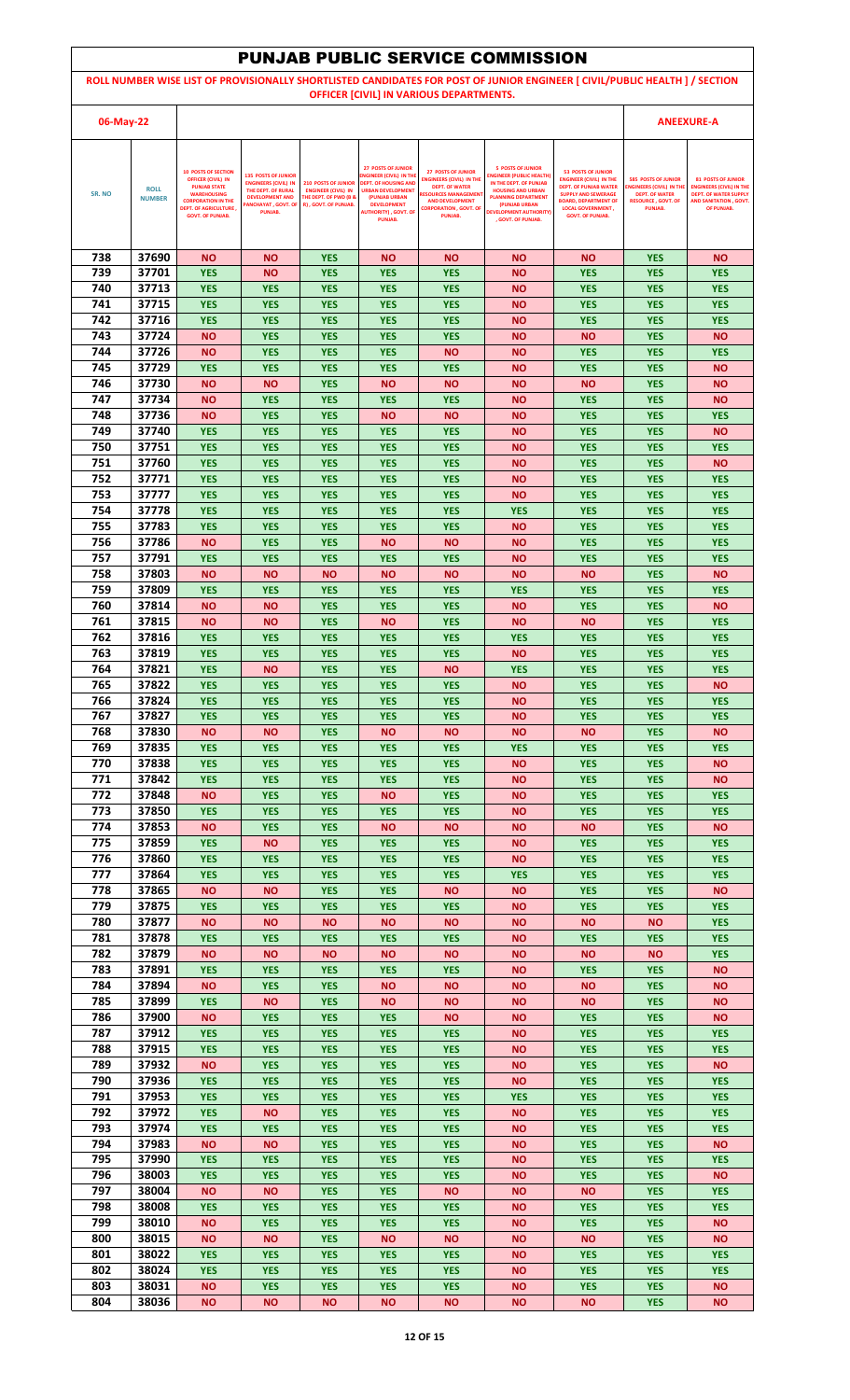|            |                              |                                                                                                                                                                                              |                                                                                                                                                   |                                                                                                                      |                                                                                                                                                                                                        |                                                                                                                                                                                           | <b>PUNJAB PUBLIC SERVICE COMMISSION</b>                                                                                                                                                                                 |                                                                                                                                                                                                                 |                                                                                                                               |                                                                                                                                      |
|------------|------------------------------|----------------------------------------------------------------------------------------------------------------------------------------------------------------------------------------------|---------------------------------------------------------------------------------------------------------------------------------------------------|----------------------------------------------------------------------------------------------------------------------|--------------------------------------------------------------------------------------------------------------------------------------------------------------------------------------------------------|-------------------------------------------------------------------------------------------------------------------------------------------------------------------------------------------|-------------------------------------------------------------------------------------------------------------------------------------------------------------------------------------------------------------------------|-----------------------------------------------------------------------------------------------------------------------------------------------------------------------------------------------------------------|-------------------------------------------------------------------------------------------------------------------------------|--------------------------------------------------------------------------------------------------------------------------------------|
|            |                              |                                                                                                                                                                                              |                                                                                                                                                   |                                                                                                                      |                                                                                                                                                                                                        |                                                                                                                                                                                           |                                                                                                                                                                                                                         | ROLL NUMBER WISE LIST OF PROVISIONALLY SHORTLISTED CANDIDATES FOR POST OF JUNIOR ENGINEER [ CIVIL/PUBLIC HEALTH ] / SECTION                                                                                     |                                                                                                                               |                                                                                                                                      |
| 06-May-22  |                              |                                                                                                                                                                                              |                                                                                                                                                   |                                                                                                                      |                                                                                                                                                                                                        | OFFICER [CIVIL] IN VARIOUS DEPARTMENTS.                                                                                                                                                   |                                                                                                                                                                                                                         |                                                                                                                                                                                                                 |                                                                                                                               | <b>ANEEXURE-A</b>                                                                                                                    |
|            |                              |                                                                                                                                                                                              |                                                                                                                                                   |                                                                                                                      |                                                                                                                                                                                                        |                                                                                                                                                                                           |                                                                                                                                                                                                                         |                                                                                                                                                                                                                 |                                                                                                                               |                                                                                                                                      |
| SR. NO     | <b>ROLL</b><br><b>NUMBER</b> | <b>10 POSTS OF SECTION</b><br><b>OFFICER (CIVIL) IN</b><br><b>PUNJAB STATE</b><br><b>WAREHOUSING</b><br><b>CORPORATION IN THE</b><br><b>DEPT. OF AGRICULTURE,</b><br><b>GOVT. OF PUNJAB.</b> | <b>135 POSTS OF JUNIOR</b><br><b>ENGINEERS (CIVIL) IN</b><br>THE DEPT. OF RURAL<br><b>DEVELOPMENT AND</b><br><b>ANCHAYAT, GOVT. OF</b><br>PUNJAB. | <b>210 POSTS OF JUNIOR</b><br><b>ENGINEER (CIVIL) IN</b><br><b>THE DEPT. OF PWD (B &amp;</b><br>R), GOVT. OF PUNJAB. | <b>27 POSTS OF JUNIOR</b><br>NGINEER (CIVIL) IN THE<br><b>DEPT. OF HOUSING AND</b><br><b>URBAN DEVELOPMENT</b><br>(PUNJAB URBAN<br><b>DEVELOPMENT</b><br><b>AUTHORITY), GOVT. OF</b><br><b>PUNJAB.</b> | <b>27 POSTS OF JUNIOR</b><br><b>ENGINEERS (CIVIL) IN THE</b><br><b>DEPT. OF WATER</b><br><b>RESOURCES MANAGEMEN</b><br><b>AND DEVELOPMENT</b><br><b>CORPORATION , GOVT, OF</b><br>PUNJAB. | <b>5 POSTS OF JUNIOR</b><br><b>INGINEER (PUBLIC HEALTH)</b><br>IN THE DEPT. OF PUNJAB<br><b>HOUSING AND URBAN</b><br><b>PLANNING DEPARTMENT</b><br>(PUNJAB URBAN<br><b>DEVELOPMENT AUTHORITY)</b><br>. GOVT. OF PUNJAB. | <b>53 POSTS OF JUNIOR</b><br><b>ENGINEER (CIVIL) IN THE</b><br><b>DEPT. OF PUNJAB WATER</b><br><b>SUPPLY AND SEWERAGE</b><br><b>BOARD, DEPARTMENT OF</b><br><b>LOCAL GOVERNMENT,</b><br><b>GOVT. OF PUNJAB.</b> | <b>585 POSTS OF JUNIOR</b><br><b>ENGINEERS (CIVIL) IN TH</b><br><b>DEPT. OF WATER</b><br><b>RESOURCE, GOVT, OF</b><br>PUNJAB. | <b>81 POSTS OF JUNIOR</b><br><b>ENGINEERS (CIVIL) IN THE</b><br><b>DEPT. OF WATER SUPPLY</b><br>AND SANITATION . GOVT.<br>OF PUNJAB. |
| 738        | 37690                        | <b>NO</b>                                                                                                                                                                                    | <b>NO</b>                                                                                                                                         | <b>YES</b>                                                                                                           | <b>NO</b>                                                                                                                                                                                              | <b>NO</b>                                                                                                                                                                                 | <b>NO</b>                                                                                                                                                                                                               | <b>NO</b>                                                                                                                                                                                                       | <b>YES</b>                                                                                                                    | <b>NO</b>                                                                                                                            |
| 739        | 37701                        | <b>YES</b>                                                                                                                                                                                   | ΝO                                                                                                                                                | <b>YES</b>                                                                                                           | <b>YES</b>                                                                                                                                                                                             | <b>YES</b>                                                                                                                                                                                | <b>NO</b>                                                                                                                                                                                                               | <b>YES</b>                                                                                                                                                                                                      | <b>YES</b>                                                                                                                    | <b>YES</b>                                                                                                                           |
| 740        | 37713                        | <b>YES</b>                                                                                                                                                                                   | <b>YES</b>                                                                                                                                        | <b>YES</b>                                                                                                           | <b>YES</b>                                                                                                                                                                                             | <b>YES</b>                                                                                                                                                                                | <b>NO</b>                                                                                                                                                                                                               | <b>YES</b>                                                                                                                                                                                                      | <b>YES</b>                                                                                                                    | <b>YES</b>                                                                                                                           |
| 741        | 37715                        | <b>YES</b>                                                                                                                                                                                   | <b>YES</b>                                                                                                                                        | <b>YES</b>                                                                                                           | <b>YES</b>                                                                                                                                                                                             | <b>YES</b>                                                                                                                                                                                | <b>NO</b>                                                                                                                                                                                                               | <b>YES</b>                                                                                                                                                                                                      | <b>YES</b>                                                                                                                    | <b>YES</b>                                                                                                                           |
| 742<br>743 | 37716<br>37724               | <b>YES</b><br><b>NO</b>                                                                                                                                                                      | <b>YES</b><br><b>YES</b>                                                                                                                          | <b>YES</b><br><b>YES</b>                                                                                             | <b>YES</b><br><b>YES</b>                                                                                                                                                                               | <b>YES</b><br><b>YES</b>                                                                                                                                                                  | <b>NO</b><br><b>NO</b>                                                                                                                                                                                                  | <b>YES</b><br><b>NO</b>                                                                                                                                                                                         | <b>YES</b><br><b>YES</b>                                                                                                      | <b>YES</b><br><b>NO</b>                                                                                                              |
| 744        | 37726                        | <b>NO</b>                                                                                                                                                                                    | <b>YES</b>                                                                                                                                        | <b>YES</b>                                                                                                           | <b>YES</b>                                                                                                                                                                                             | <b>NO</b>                                                                                                                                                                                 | <b>NO</b>                                                                                                                                                                                                               | <b>YES</b>                                                                                                                                                                                                      | <b>YES</b>                                                                                                                    | <b>YES</b>                                                                                                                           |
| 745        | 37729                        | <b>YES</b>                                                                                                                                                                                   | <b>YES</b>                                                                                                                                        | <b>YES</b>                                                                                                           | <b>YES</b>                                                                                                                                                                                             | <b>YES</b>                                                                                                                                                                                | <b>NO</b>                                                                                                                                                                                                               | <b>YES</b>                                                                                                                                                                                                      | <b>YES</b>                                                                                                                    | <b>NO</b>                                                                                                                            |
| 746        | 37730                        | <b>NO</b>                                                                                                                                                                                    | ΝO                                                                                                                                                | <b>YES</b>                                                                                                           | <b>NO</b>                                                                                                                                                                                              | <b>NO</b>                                                                                                                                                                                 | <b>NO</b>                                                                                                                                                                                                               | <b>NO</b>                                                                                                                                                                                                       | <b>YES</b>                                                                                                                    | <b>NO</b>                                                                                                                            |
| 747        | 37734                        | <b>NO</b>                                                                                                                                                                                    | <b>YES</b>                                                                                                                                        | <b>YES</b>                                                                                                           | <b>YES</b>                                                                                                                                                                                             | <b>YES</b>                                                                                                                                                                                | <b>NO</b>                                                                                                                                                                                                               | <b>YES</b>                                                                                                                                                                                                      | <b>YES</b>                                                                                                                    | <b>NO</b>                                                                                                                            |
| 748<br>749 | 37736<br>37740               | <b>NO</b><br><b>YES</b>                                                                                                                                                                      | <b>YES</b><br><b>YES</b>                                                                                                                          | <b>YES</b><br><b>YES</b>                                                                                             | <b>NO</b><br><b>YES</b>                                                                                                                                                                                | <b>NO</b><br><b>YES</b>                                                                                                                                                                   | <b>NO</b><br>ΝO                                                                                                                                                                                                         | <b>YES</b><br><b>YES</b>                                                                                                                                                                                        | <b>YES</b><br><b>YES</b>                                                                                                      | <b>YES</b><br><b>NO</b>                                                                                                              |
| 750        | 37751                        | <b>YES</b>                                                                                                                                                                                   | <b>YES</b>                                                                                                                                        | <b>YES</b>                                                                                                           | <b>YES</b>                                                                                                                                                                                             | <b>YES</b>                                                                                                                                                                                | <b>NO</b>                                                                                                                                                                                                               | <b>YES</b>                                                                                                                                                                                                      | <b>YES</b>                                                                                                                    | <b>YES</b>                                                                                                                           |
| 751        | 37760                        | <b>YES</b>                                                                                                                                                                                   | <b>YES</b>                                                                                                                                        | <b>YES</b>                                                                                                           | <b>YES</b>                                                                                                                                                                                             | <b>YES</b>                                                                                                                                                                                | <b>NO</b>                                                                                                                                                                                                               | <b>YES</b>                                                                                                                                                                                                      | <b>YES</b>                                                                                                                    | <b>NO</b>                                                                                                                            |
| 752        | 37771                        | <b>YES</b>                                                                                                                                                                                   | <b>YES</b>                                                                                                                                        | <b>YES</b>                                                                                                           | <b>YES</b>                                                                                                                                                                                             | <b>YES</b>                                                                                                                                                                                | <b>NO</b>                                                                                                                                                                                                               | <b>YES</b>                                                                                                                                                                                                      | <b>YES</b>                                                                                                                    | <b>YES</b>                                                                                                                           |
| 753<br>754 | 37777<br>37778               | <b>YES</b><br><b>YES</b>                                                                                                                                                                     | <b>YES</b>                                                                                                                                        | <b>YES</b>                                                                                                           | <b>YES</b>                                                                                                                                                                                             | <b>YES</b>                                                                                                                                                                                | <b>NO</b>                                                                                                                                                                                                               | <b>YES</b>                                                                                                                                                                                                      | <b>YES</b><br><b>YES</b>                                                                                                      | <b>YES</b>                                                                                                                           |
| 755        | 37783                        | <b>YES</b>                                                                                                                                                                                   | <b>YES</b><br><b>YES</b>                                                                                                                          | <b>YES</b><br><b>YES</b>                                                                                             | <b>YES</b><br><b>YES</b>                                                                                                                                                                               | <b>YES</b><br><b>YES</b>                                                                                                                                                                  | <b>YES</b><br><b>NO</b>                                                                                                                                                                                                 | <b>YES</b><br><b>YES</b>                                                                                                                                                                                        | <b>YES</b>                                                                                                                    | <b>YES</b><br><b>YES</b>                                                                                                             |
| 756        | 37786                        | <b>NO</b>                                                                                                                                                                                    | <b>YES</b>                                                                                                                                        | <b>YES</b>                                                                                                           | <b>NO</b>                                                                                                                                                                                              | <b>NO</b>                                                                                                                                                                                 | <b>NO</b>                                                                                                                                                                                                               | <b>YES</b>                                                                                                                                                                                                      | <b>YES</b>                                                                                                                    | <b>YES</b>                                                                                                                           |
| 757        | 37791                        | <b>YES</b>                                                                                                                                                                                   | <b>YES</b>                                                                                                                                        | <b>YES</b>                                                                                                           | <b>YES</b>                                                                                                                                                                                             | <b>YES</b>                                                                                                                                                                                | <b>NO</b>                                                                                                                                                                                                               | <b>YES</b>                                                                                                                                                                                                      | <b>YES</b>                                                                                                                    | <b>YES</b>                                                                                                                           |
| 758        | 37803                        | <b>NO</b>                                                                                                                                                                                    | NΟ                                                                                                                                                | <b>NO</b>                                                                                                            | <b>NO</b>                                                                                                                                                                                              | <b>NO</b>                                                                                                                                                                                 | <b>NO</b>                                                                                                                                                                                                               | <b>NO</b>                                                                                                                                                                                                       | <b>YES</b>                                                                                                                    | <b>NO</b>                                                                                                                            |
| 759<br>760 | 37809<br>37814               | <b>YES</b><br><b>NO</b>                                                                                                                                                                      | <b>YES</b><br>ΝO                                                                                                                                  | <b>YES</b><br><b>YES</b>                                                                                             | <b>YES</b><br><b>YES</b>                                                                                                                                                                               | <b>YES</b><br><b>YES</b>                                                                                                                                                                  | <b>YES</b><br><b>NO</b>                                                                                                                                                                                                 | <b>YES</b><br><b>YES</b>                                                                                                                                                                                        | <b>YES</b><br><b>YES</b>                                                                                                      | <b>YES</b><br><b>NO</b>                                                                                                              |
| 761        | 37815                        | <b>NO</b>                                                                                                                                                                                    | ΝO                                                                                                                                                | <b>YES</b>                                                                                                           | <b>NO</b>                                                                                                                                                                                              | <b>YES</b>                                                                                                                                                                                | <b>NO</b>                                                                                                                                                                                                               | <b>NO</b>                                                                                                                                                                                                       | <b>YES</b>                                                                                                                    | <b>YES</b>                                                                                                                           |
| 762        | 37816                        | <b>YES</b>                                                                                                                                                                                   | <b>YES</b>                                                                                                                                        | <b>YES</b>                                                                                                           | <b>YES</b>                                                                                                                                                                                             | <b>YES</b>                                                                                                                                                                                | <b>YES</b>                                                                                                                                                                                                              | <b>YES</b>                                                                                                                                                                                                      | <b>YES</b>                                                                                                                    | <b>YES</b>                                                                                                                           |
| 763        | 37819                        | <b>YES</b>                                                                                                                                                                                   | <b>YES</b>                                                                                                                                        | <b>YES</b>                                                                                                           | <b>YES</b>                                                                                                                                                                                             | <b>YES</b>                                                                                                                                                                                | <b>NO</b>                                                                                                                                                                                                               | <b>YES</b>                                                                                                                                                                                                      | <b>YES</b>                                                                                                                    | <b>YES</b>                                                                                                                           |
| 764<br>765 | 37821                        | <b>YES</b>                                                                                                                                                                                   | ΝO                                                                                                                                                | <b>YES</b>                                                                                                           | <b>YES</b>                                                                                                                                                                                             | <b>NO</b>                                                                                                                                                                                 | <b>YES</b>                                                                                                                                                                                                              | <b>YES</b>                                                                                                                                                                                                      | <b>YES</b>                                                                                                                    | <b>YES</b>                                                                                                                           |
| 766        | 37822<br>37824               | <b>YES</b><br><b>YES</b>                                                                                                                                                                     | <b>YES</b><br><b>YES</b>                                                                                                                          | <b>YES</b><br><b>YES</b>                                                                                             | <b>YES</b><br><b>YES</b>                                                                                                                                                                               | <b>YES</b><br><b>YES</b>                                                                                                                                                                  | <b>NO</b><br><b>NO</b>                                                                                                                                                                                                  | <b>YES</b><br><b>YES</b>                                                                                                                                                                                        | <b>YES</b><br><b>YES</b>                                                                                                      | <b>NO</b><br><b>YES</b>                                                                                                              |
| 767        | 37827                        | <b>YES</b>                                                                                                                                                                                   | <b>YES</b>                                                                                                                                        | <b>YES</b>                                                                                                           | <b>YES</b>                                                                                                                                                                                             | <b>YES</b>                                                                                                                                                                                | <b>NO</b>                                                                                                                                                                                                               | <b>YES</b>                                                                                                                                                                                                      | <b>YES</b>                                                                                                                    | <b>YES</b>                                                                                                                           |
| 768        | 37830                        | <b>NO</b>                                                                                                                                                                                    | <b>NO</b>                                                                                                                                         | <b>YES</b>                                                                                                           | <b>NO</b>                                                                                                                                                                                              | <b>NO</b>                                                                                                                                                                                 | <b>NO</b>                                                                                                                                                                                                               | <b>NO</b>                                                                                                                                                                                                       | <b>YES</b>                                                                                                                    | <b>NO</b>                                                                                                                            |
| 769        | 37835                        | <b>YES</b>                                                                                                                                                                                   | <b>YES</b>                                                                                                                                        | <b>YES</b>                                                                                                           | <b>YES</b>                                                                                                                                                                                             | <b>YES</b>                                                                                                                                                                                | <b>YES</b>                                                                                                                                                                                                              | <b>YES</b>                                                                                                                                                                                                      | <b>YES</b>                                                                                                                    | <b>YES</b>                                                                                                                           |
| 770<br>771 | 37838<br>37842               | <b>YES</b><br><b>YES</b>                                                                                                                                                                     | <b>YES</b><br><b>YES</b>                                                                                                                          | <b>YES</b><br><b>YES</b>                                                                                             | <b>YES</b><br><b>YES</b>                                                                                                                                                                               | <b>YES</b><br><b>YES</b>                                                                                                                                                                  | <b>NO</b><br><b>NO</b>                                                                                                                                                                                                  | <b>YES</b><br><b>YES</b>                                                                                                                                                                                        | <b>YES</b><br><b>YES</b>                                                                                                      | <b>NO</b><br><b>NO</b>                                                                                                               |
| 772        | 37848                        | <b>NO</b>                                                                                                                                                                                    | <b>YES</b>                                                                                                                                        | <b>YES</b>                                                                                                           | <b>NO</b>                                                                                                                                                                                              | <b>YES</b>                                                                                                                                                                                | <b>NO</b>                                                                                                                                                                                                               | <b>YES</b>                                                                                                                                                                                                      | <b>YES</b>                                                                                                                    | <b>YES</b>                                                                                                                           |
| 773        | 37850                        | <b>YES</b>                                                                                                                                                                                   | <b>YES</b>                                                                                                                                        | <b>YES</b>                                                                                                           | <b>YES</b>                                                                                                                                                                                             | <b>YES</b>                                                                                                                                                                                | <b>NO</b>                                                                                                                                                                                                               | <b>YES</b>                                                                                                                                                                                                      | <b>YES</b>                                                                                                                    | <b>YES</b>                                                                                                                           |
| 774        | 37853                        | <b>NO</b>                                                                                                                                                                                    | <b>YES</b>                                                                                                                                        | <b>YES</b>                                                                                                           | <b>NO</b>                                                                                                                                                                                              | <b>NO</b>                                                                                                                                                                                 | <b>NO</b>                                                                                                                                                                                                               | <b>NO</b>                                                                                                                                                                                                       | <b>YES</b>                                                                                                                    | <b>NO</b>                                                                                                                            |
| 775<br>776 | 37859<br>37860               | <b>YES</b><br><b>YES</b>                                                                                                                                                                     | <b>NO</b><br><b>YES</b>                                                                                                                           | <b>YES</b><br><b>YES</b>                                                                                             | <b>YES</b><br><b>YES</b>                                                                                                                                                                               | <b>YES</b><br><b>YES</b>                                                                                                                                                                  | <b>NO</b><br><b>NO</b>                                                                                                                                                                                                  | <b>YES</b><br><b>YES</b>                                                                                                                                                                                        | <b>YES</b><br><b>YES</b>                                                                                                      | <b>YES</b><br><b>YES</b>                                                                                                             |
| 777        | 37864                        | <b>YES</b>                                                                                                                                                                                   | <b>YES</b>                                                                                                                                        | <b>YES</b>                                                                                                           | <b>YES</b>                                                                                                                                                                                             | <b>YES</b>                                                                                                                                                                                | <b>YES</b>                                                                                                                                                                                                              | <b>YES</b>                                                                                                                                                                                                      | <b>YES</b>                                                                                                                    | <b>YES</b>                                                                                                                           |
| 778        | 37865                        | <b>NO</b>                                                                                                                                                                                    | ΝO                                                                                                                                                | <b>YES</b>                                                                                                           | <b>YES</b>                                                                                                                                                                                             | <b>NO</b>                                                                                                                                                                                 | <b>NO</b>                                                                                                                                                                                                               | <b>YES</b>                                                                                                                                                                                                      | <b>YES</b>                                                                                                                    | <b>NO</b>                                                                                                                            |
| 779        | 37875                        | <b>YES</b>                                                                                                                                                                                   | <b>YES</b>                                                                                                                                        | <b>YES</b>                                                                                                           | <b>YES</b>                                                                                                                                                                                             | <b>YES</b>                                                                                                                                                                                | ΝO                                                                                                                                                                                                                      | <b>YES</b>                                                                                                                                                                                                      | <b>YES</b>                                                                                                                    | <b>YES</b>                                                                                                                           |
| 780<br>781 | 37877<br>37878               | <b>NO</b><br><b>YES</b>                                                                                                                                                                      | <b>NO</b><br><b>YES</b>                                                                                                                           | <b>NO</b><br><b>YES</b>                                                                                              | <b>NO</b><br><b>YES</b>                                                                                                                                                                                | <b>NO</b><br><b>YES</b>                                                                                                                                                                   | <b>NO</b><br><b>NO</b>                                                                                                                                                                                                  | <b>NO</b><br><b>YES</b>                                                                                                                                                                                         | <b>NO</b><br><b>YES</b>                                                                                                       | <b>YES</b><br><b>YES</b>                                                                                                             |
| 782        | 37879                        | <b>NO</b>                                                                                                                                                                                    | <b>NO</b>                                                                                                                                         | <b>NO</b>                                                                                                            | <b>NO</b>                                                                                                                                                                                              | <b>NO</b>                                                                                                                                                                                 | <b>NO</b>                                                                                                                                                                                                               | <b>NO</b>                                                                                                                                                                                                       | <b>NO</b>                                                                                                                     | <b>YES</b>                                                                                                                           |
| 783        | 37891                        | <b>YES</b>                                                                                                                                                                                   | <b>YES</b>                                                                                                                                        | <b>YES</b>                                                                                                           | <b>YES</b>                                                                                                                                                                                             | <b>YES</b>                                                                                                                                                                                | <b>NO</b>                                                                                                                                                                                                               | <b>YES</b>                                                                                                                                                                                                      | <b>YES</b>                                                                                                                    | <b>NO</b>                                                                                                                            |
| 784        | 37894                        | <b>NO</b>                                                                                                                                                                                    | <b>YES</b>                                                                                                                                        | <b>YES</b>                                                                                                           | <b>NO</b>                                                                                                                                                                                              | <b>NO</b>                                                                                                                                                                                 | <b>NO</b>                                                                                                                                                                                                               | <b>NO</b>                                                                                                                                                                                                       | <b>YES</b>                                                                                                                    | <b>NO</b>                                                                                                                            |
| 785<br>786 | 37899<br>37900               | <b>YES</b><br><b>NO</b>                                                                                                                                                                      | <b>NO</b><br><b>YES</b>                                                                                                                           | <b>YES</b><br><b>YES</b>                                                                                             | <b>NO</b><br><b>YES</b>                                                                                                                                                                                | <b>NO</b><br><b>NO</b>                                                                                                                                                                    | <b>NO</b><br><b>NO</b>                                                                                                                                                                                                  | <b>NO</b><br><b>YES</b>                                                                                                                                                                                         | <b>YES</b><br><b>YES</b>                                                                                                      | <b>NO</b><br><b>NO</b>                                                                                                               |
| 787        | 37912                        | <b>YES</b>                                                                                                                                                                                   | <b>YES</b>                                                                                                                                        | <b>YES</b>                                                                                                           | <b>YES</b>                                                                                                                                                                                             | <b>YES</b>                                                                                                                                                                                | <b>NO</b>                                                                                                                                                                                                               | <b>YES</b>                                                                                                                                                                                                      | <b>YES</b>                                                                                                                    | <b>YES</b>                                                                                                                           |
| 788        | 37915                        | <b>YES</b>                                                                                                                                                                                   | <b>YES</b>                                                                                                                                        | <b>YES</b>                                                                                                           | <b>YES</b>                                                                                                                                                                                             | <b>YES</b>                                                                                                                                                                                | <b>NO</b>                                                                                                                                                                                                               | <b>YES</b>                                                                                                                                                                                                      | <b>YES</b>                                                                                                                    | <b>YES</b>                                                                                                                           |
| 789        | 37932                        | <b>NO</b>                                                                                                                                                                                    | <b>YES</b>                                                                                                                                        | <b>YES</b>                                                                                                           | <b>YES</b>                                                                                                                                                                                             | <b>YES</b>                                                                                                                                                                                | <b>NO</b>                                                                                                                                                                                                               | <b>YES</b>                                                                                                                                                                                                      | <b>YES</b>                                                                                                                    | <b>NO</b>                                                                                                                            |
| 790<br>791 | 37936<br>37953               | <b>YES</b><br><b>YES</b>                                                                                                                                                                     | <b>YES</b>                                                                                                                                        | <b>YES</b>                                                                                                           | <b>YES</b>                                                                                                                                                                                             | <b>YES</b>                                                                                                                                                                                | <b>NO</b><br><b>YES</b>                                                                                                                                                                                                 | <b>YES</b>                                                                                                                                                                                                      | <b>YES</b>                                                                                                                    | <b>YES</b><br><b>YES</b>                                                                                                             |
| 792        | 37972                        | <b>YES</b>                                                                                                                                                                                   | <b>YES</b><br><b>NO</b>                                                                                                                           | <b>YES</b><br><b>YES</b>                                                                                             | <b>YES</b><br><b>YES</b>                                                                                                                                                                               | <b>YES</b><br><b>YES</b>                                                                                                                                                                  | <b>NO</b>                                                                                                                                                                                                               | <b>YES</b><br><b>YES</b>                                                                                                                                                                                        | <b>YES</b><br><b>YES</b>                                                                                                      | <b>YES</b>                                                                                                                           |
| 793        | 37974                        | <b>YES</b>                                                                                                                                                                                   | <b>YES</b>                                                                                                                                        | <b>YES</b>                                                                                                           | <b>YES</b>                                                                                                                                                                                             | <b>YES</b>                                                                                                                                                                                | <b>NO</b>                                                                                                                                                                                                               | <b>YES</b>                                                                                                                                                                                                      | <b>YES</b>                                                                                                                    | <b>YES</b>                                                                                                                           |
| 794        | 37983                        | <b>NO</b>                                                                                                                                                                                    | <b>NO</b>                                                                                                                                         | <b>YES</b>                                                                                                           | <b>YES</b>                                                                                                                                                                                             | <b>YES</b>                                                                                                                                                                                | <b>NO</b>                                                                                                                                                                                                               | <b>YES</b>                                                                                                                                                                                                      | <b>YES</b>                                                                                                                    | <b>NO</b>                                                                                                                            |
| 795        | 37990                        | <b>YES</b>                                                                                                                                                                                   | <b>YES</b>                                                                                                                                        | <b>YES</b>                                                                                                           | <b>YES</b>                                                                                                                                                                                             | <b>YES</b>                                                                                                                                                                                | <b>NO</b>                                                                                                                                                                                                               | <b>YES</b>                                                                                                                                                                                                      | <b>YES</b>                                                                                                                    | <b>YES</b>                                                                                                                           |
| 796<br>797 | 38003<br>38004               | <b>YES</b><br><b>NO</b>                                                                                                                                                                      | <b>YES</b><br>ΝO                                                                                                                                  | <b>YES</b><br><b>YES</b>                                                                                             | <b>YES</b><br><b>YES</b>                                                                                                                                                                               | <b>YES</b><br><b>NO</b>                                                                                                                                                                   | <b>NO</b><br>ΝO                                                                                                                                                                                                         | <b>YES</b><br><b>NO</b>                                                                                                                                                                                         | <b>YES</b><br><b>YES</b>                                                                                                      | <b>NO</b><br><b>YES</b>                                                                                                              |
| 798        | 38008                        | <b>YES</b>                                                                                                                                                                                   | <b>YES</b>                                                                                                                                        | <b>YES</b>                                                                                                           | <b>YES</b>                                                                                                                                                                                             | <b>YES</b>                                                                                                                                                                                | <b>NO</b>                                                                                                                                                                                                               | <b>YES</b>                                                                                                                                                                                                      | <b>YES</b>                                                                                                                    | <b>YES</b>                                                                                                                           |
| 799        | 38010                        | <b>NO</b>                                                                                                                                                                                    | <b>YES</b>                                                                                                                                        | <b>YES</b>                                                                                                           | <b>YES</b>                                                                                                                                                                                             | <b>YES</b>                                                                                                                                                                                | <b>NO</b>                                                                                                                                                                                                               | <b>YES</b>                                                                                                                                                                                                      | <b>YES</b>                                                                                                                    | <b>NO</b>                                                                                                                            |
| 800        | 38015                        | <b>NO</b>                                                                                                                                                                                    | <b>NO</b>                                                                                                                                         | <b>YES</b>                                                                                                           | <b>NO</b>                                                                                                                                                                                              | <b>NO</b>                                                                                                                                                                                 | <b>NO</b>                                                                                                                                                                                                               | <b>NO</b>                                                                                                                                                                                                       | <b>YES</b>                                                                                                                    | <b>NO</b>                                                                                                                            |
| 801<br>802 | 38022<br>38024               | <b>YES</b>                                                                                                                                                                                   | <b>YES</b>                                                                                                                                        | <b>YES</b>                                                                                                           | <b>YES</b>                                                                                                                                                                                             | <b>YES</b>                                                                                                                                                                                | <b>NO</b>                                                                                                                                                                                                               | <b>YES</b>                                                                                                                                                                                                      | <b>YES</b>                                                                                                                    | <b>YES</b>                                                                                                                           |
| 803        | 38031                        | <b>YES</b><br><b>NO</b>                                                                                                                                                                      | <b>YES</b><br><b>YES</b>                                                                                                                          | <b>YES</b><br><b>YES</b>                                                                                             | <b>YES</b><br><b>YES</b>                                                                                                                                                                               | <b>YES</b><br><b>YES</b>                                                                                                                                                                  | <b>NO</b><br><b>NO</b>                                                                                                                                                                                                  | <b>YES</b><br><b>YES</b>                                                                                                                                                                                        | <b>YES</b><br><b>YES</b>                                                                                                      | <b>YES</b><br><b>NO</b>                                                                                                              |
| 804        | 38036                        | <b>NO</b>                                                                                                                                                                                    | <b>NO</b>                                                                                                                                         | <b>NO</b>                                                                                                            | <b>NO</b>                                                                                                                                                                                              | <b>NO</b>                                                                                                                                                                                 | <b>NO</b>                                                                                                                                                                                                               | <b>NO</b>                                                                                                                                                                                                       | <b>YES</b>                                                                                                                    | <b>NO</b>                                                                                                                            |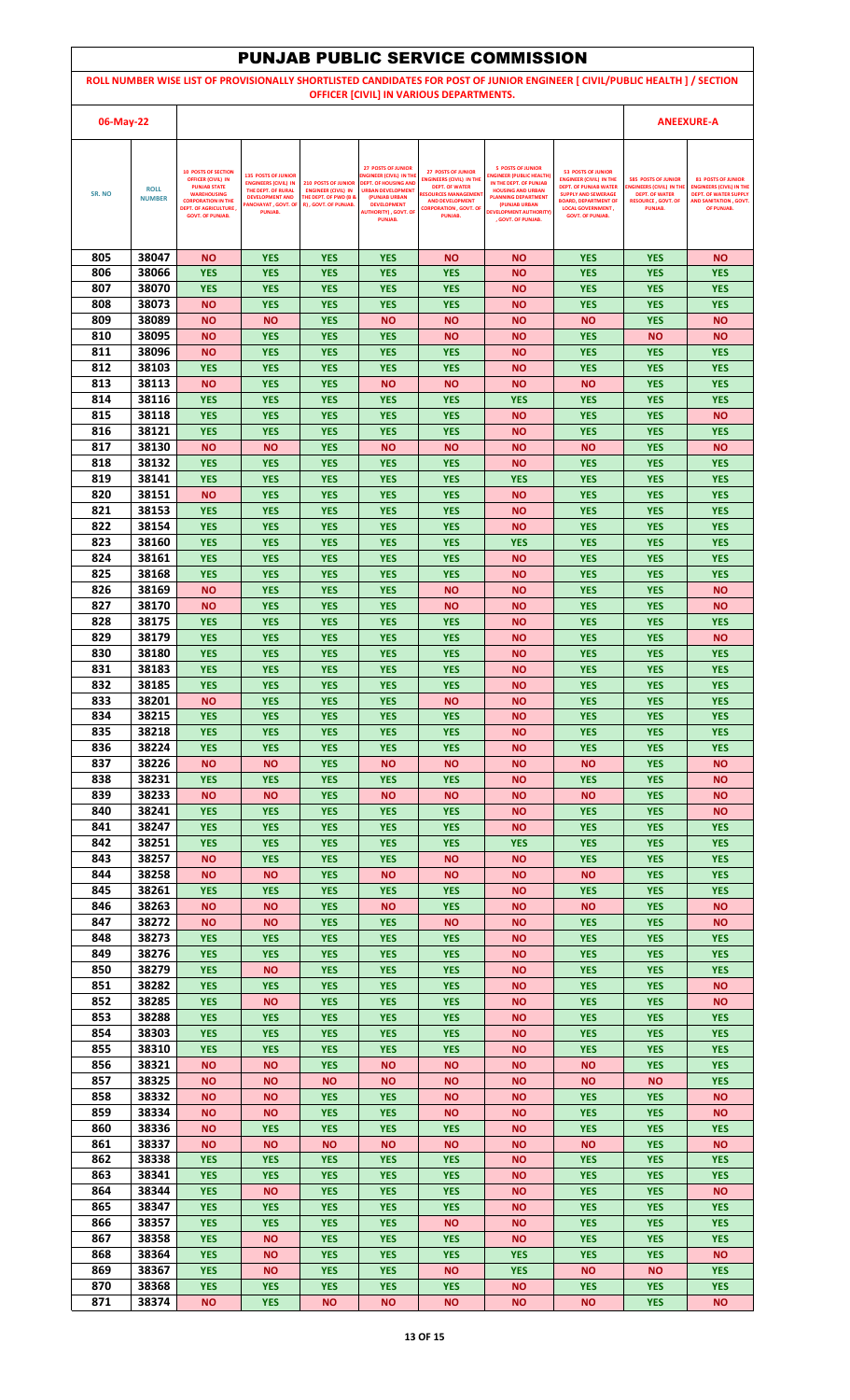| <b>PUNJAB PUBLIC SERVICE COMMISSION</b>                                                                                                                                |                              |                                                                                                                                                                                               |                                                                                                                                                   |                                                                                                                      |                                                                                                                                                                                                        |                                                                                                                                                                                           |                                                                                                                                                                                                                         |                                                                                                                                                                                                                 |                                                                                                                               |                                                                                                                                      |
|------------------------------------------------------------------------------------------------------------------------------------------------------------------------|------------------------------|-----------------------------------------------------------------------------------------------------------------------------------------------------------------------------------------------|---------------------------------------------------------------------------------------------------------------------------------------------------|----------------------------------------------------------------------------------------------------------------------|--------------------------------------------------------------------------------------------------------------------------------------------------------------------------------------------------------|-------------------------------------------------------------------------------------------------------------------------------------------------------------------------------------------|-------------------------------------------------------------------------------------------------------------------------------------------------------------------------------------------------------------------------|-----------------------------------------------------------------------------------------------------------------------------------------------------------------------------------------------------------------|-------------------------------------------------------------------------------------------------------------------------------|--------------------------------------------------------------------------------------------------------------------------------------|
| ROLL NUMBER WISE LIST OF PROVISIONALLY SHORTLISTED CANDIDATES FOR POST OF JUNIOR ENGINEER [ CIVIL/PUBLIC HEALTH ] / SECTION<br>OFFICER [CIVIL] IN VARIOUS DEPARTMENTS. |                              |                                                                                                                                                                                               |                                                                                                                                                   |                                                                                                                      |                                                                                                                                                                                                        |                                                                                                                                                                                           |                                                                                                                                                                                                                         |                                                                                                                                                                                                                 |                                                                                                                               |                                                                                                                                      |
| 06-May-22                                                                                                                                                              |                              |                                                                                                                                                                                               |                                                                                                                                                   |                                                                                                                      |                                                                                                                                                                                                        |                                                                                                                                                                                           |                                                                                                                                                                                                                         | <b>ANEEXURE-A</b>                                                                                                                                                                                               |                                                                                                                               |                                                                                                                                      |
|                                                                                                                                                                        |                              |                                                                                                                                                                                               |                                                                                                                                                   |                                                                                                                      |                                                                                                                                                                                                        |                                                                                                                                                                                           |                                                                                                                                                                                                                         |                                                                                                                                                                                                                 |                                                                                                                               |                                                                                                                                      |
| SR. NO                                                                                                                                                                 | <b>ROLL</b><br><b>NUMBER</b> | <b>10 POSTS OF SECTION</b><br><b>OFFICER (CIVIL) IN</b><br><b>PUNJAB STATE</b><br><b>WAREHOUSING</b><br><b>CORPORATION IN THE</b><br><b>DEPT. OF AGRICULTURE</b> ,<br><b>GOVT. OF PUNJAB.</b> | <b>135 POSTS OF JUNIOR</b><br><b>ENGINEERS (CIVIL) IN</b><br>THE DEPT. OF RURAL<br><b>DEVELOPMENT AND</b><br><b>ANCHAYAT, GOVT. OF</b><br>PUNJAB. | <b>210 POSTS OF JUNIOR</b><br><b>ENGINEER (CIVIL) IN</b><br><b>THE DEPT. OF PWD (B &amp;</b><br>R), GOVT. OF PUNJAB. | <b>27 POSTS OF JUNIOR</b><br>NGINEER (CIVIL) IN THE<br><b>DEPT. OF HOUSING AND</b><br><b>URBAN DEVELOPMENT</b><br>(PUNJAB URBAN<br><b>DEVELOPMENT</b><br><b>AUTHORITY), GOVT. OF</b><br><b>PUNJAB.</b> | <b>27 POSTS OF JUNIOR</b><br><b>ENGINEERS (CIVIL) IN THE</b><br><b>DEPT. OF WATER</b><br><b>RESOURCES MANAGEMEN</b><br><b>AND DEVELOPMENT</b><br><b>CORPORATION , GOVT, OF</b><br>PUNJAB. | <b>5 POSTS OF JUNIOR</b><br><b>INGINEER (PUBLIC HEALTH)</b><br>IN THE DEPT. OF PUNJAB<br><b>HOUSING AND URBAN</b><br><b>PLANNING DEPARTMENT</b><br>(PUNJAB URBAN<br><b>DEVELOPMENT AUTHORITY)</b><br>. GOVT. OF PUNJAB. | <b>53 POSTS OF JUNIOR</b><br><b>ENGINEER (CIVIL) IN THE</b><br><b>DEPT. OF PUNJAB WATER</b><br><b>SUPPLY AND SEWERAGE</b><br><b>BOARD, DEPARTMENT OF</b><br><b>LOCAL GOVERNMENT,</b><br><b>GOVT. OF PUNJAB.</b> | <b>585 POSTS OF JUNIOR</b><br><b>ENGINEERS (CIVIL) IN TH</b><br><b>DEPT. OF WATER</b><br><b>RESOURCE, GOVT, OF</b><br>PUNJAB. | <b>81 POSTS OF JUNIOR</b><br><b>ENGINEERS (CIVIL) IN THE</b><br><b>DEPT. OF WATER SUPPLY</b><br>AND SANITATION . GOVT.<br>OF PUNJAB. |
|                                                                                                                                                                        |                              |                                                                                                                                                                                               |                                                                                                                                                   |                                                                                                                      |                                                                                                                                                                                                        |                                                                                                                                                                                           |                                                                                                                                                                                                                         |                                                                                                                                                                                                                 |                                                                                                                               |                                                                                                                                      |
| 805                                                                                                                                                                    | 38047                        | <b>NO</b>                                                                                                                                                                                     | <b>YES</b>                                                                                                                                        | <b>YES</b>                                                                                                           | <b>YES</b>                                                                                                                                                                                             | <b>NO</b>                                                                                                                                                                                 | <b>NO</b>                                                                                                                                                                                                               | <b>YES</b>                                                                                                                                                                                                      | <b>YES</b>                                                                                                                    | <b>NO</b>                                                                                                                            |
| 806<br>807                                                                                                                                                             | 38066<br>38070               | <b>YES</b><br><b>YES</b>                                                                                                                                                                      | <b>YES</b><br><b>YES</b>                                                                                                                          | <b>YES</b><br><b>YES</b>                                                                                             | <b>YES</b><br><b>YES</b>                                                                                                                                                                               | <b>YES</b><br><b>YES</b>                                                                                                                                                                  | <b>NO</b><br><b>NO</b>                                                                                                                                                                                                  | <b>YES</b><br><b>YES</b>                                                                                                                                                                                        | <b>YES</b><br><b>YES</b>                                                                                                      | <b>YES</b><br><b>YES</b>                                                                                                             |
| 808                                                                                                                                                                    | 38073                        | <b>NO</b>                                                                                                                                                                                     | <b>YES</b>                                                                                                                                        | <b>YES</b>                                                                                                           | <b>YES</b>                                                                                                                                                                                             | <b>YES</b>                                                                                                                                                                                | <b>NO</b>                                                                                                                                                                                                               | <b>YES</b>                                                                                                                                                                                                      | <b>YES</b>                                                                                                                    | <b>YES</b>                                                                                                                           |
| 809<br>810                                                                                                                                                             | 38089<br>38095               | <b>NO</b><br><b>NO</b>                                                                                                                                                                        | <b>NO</b><br><b>YES</b>                                                                                                                           | <b>YES</b><br><b>YES</b>                                                                                             | <b>NO</b><br><b>YES</b>                                                                                                                                                                                | <b>NO</b><br><b>NO</b>                                                                                                                                                                    | <b>NO</b><br><b>NO</b>                                                                                                                                                                                                  | <b>NO</b><br><b>YES</b>                                                                                                                                                                                         | <b>YES</b><br><b>NO</b>                                                                                                       | <b>NO</b><br><b>NO</b>                                                                                                               |
| 811                                                                                                                                                                    | 38096                        | <b>NO</b>                                                                                                                                                                                     | <b>YES</b>                                                                                                                                        | <b>YES</b>                                                                                                           | <b>YES</b>                                                                                                                                                                                             | <b>YES</b>                                                                                                                                                                                | <b>NO</b>                                                                                                                                                                                                               | <b>YES</b>                                                                                                                                                                                                      | <b>YES</b>                                                                                                                    | <b>YES</b>                                                                                                                           |
| 812<br>813                                                                                                                                                             | 38103<br>38113               | <b>YES</b><br><b>NO</b>                                                                                                                                                                       | <b>YES</b><br><b>YES</b>                                                                                                                          | <b>YES</b><br><b>YES</b>                                                                                             | <b>YES</b><br><b>NO</b>                                                                                                                                                                                | <b>YES</b><br><b>NO</b>                                                                                                                                                                   | <b>NO</b><br><b>NO</b>                                                                                                                                                                                                  | <b>YES</b><br><b>NO</b>                                                                                                                                                                                         | <b>YES</b><br><b>YES</b>                                                                                                      | <b>YES</b><br><b>YES</b>                                                                                                             |
| 814                                                                                                                                                                    | 38116                        | <b>YES</b>                                                                                                                                                                                    | <b>YES</b>                                                                                                                                        | <b>YES</b>                                                                                                           | <b>YES</b>                                                                                                                                                                                             | <b>YES</b>                                                                                                                                                                                | <b>YES</b>                                                                                                                                                                                                              | <b>YES</b>                                                                                                                                                                                                      | <b>YES</b>                                                                                                                    | <b>YES</b>                                                                                                                           |
| 815                                                                                                                                                                    | 38118                        | <b>YES</b>                                                                                                                                                                                    | <b>YES</b>                                                                                                                                        | <b>YES</b>                                                                                                           | <b>YES</b>                                                                                                                                                                                             | <b>YES</b>                                                                                                                                                                                | <b>NO</b>                                                                                                                                                                                                               | <b>YES</b>                                                                                                                                                                                                      | <b>YES</b>                                                                                                                    | <b>NO</b>                                                                                                                            |
| 816<br>817                                                                                                                                                             | 38121<br>38130               | <b>YES</b><br><b>NO</b>                                                                                                                                                                       | <b>YES</b><br><b>NO</b>                                                                                                                           | <b>YES</b><br><b>YES</b>                                                                                             | <b>YES</b><br><b>NO</b>                                                                                                                                                                                | <b>YES</b><br><b>NO</b>                                                                                                                                                                   | <b>NO</b><br><b>NO</b>                                                                                                                                                                                                  | <b>YES</b><br><b>NO</b>                                                                                                                                                                                         | <b>YES</b><br><b>YES</b>                                                                                                      | <b>YES</b><br><b>NO</b>                                                                                                              |
| 818                                                                                                                                                                    | 38132                        | <b>YES</b>                                                                                                                                                                                    | <b>YES</b>                                                                                                                                        | <b>YES</b>                                                                                                           | <b>YES</b>                                                                                                                                                                                             | <b>YES</b>                                                                                                                                                                                | <b>NO</b>                                                                                                                                                                                                               | <b>YES</b>                                                                                                                                                                                                      | <b>YES</b>                                                                                                                    | <b>YES</b>                                                                                                                           |
| 819<br>820                                                                                                                                                             | 38141<br>38151               | <b>YES</b><br><b>NO</b>                                                                                                                                                                       | <b>YES</b><br><b>YES</b>                                                                                                                          | <b>YES</b><br><b>YES</b>                                                                                             | <b>YES</b><br><b>YES</b>                                                                                                                                                                               | <b>YES</b><br><b>YES</b>                                                                                                                                                                  | <b>YES</b><br><b>NO</b>                                                                                                                                                                                                 | <b>YES</b><br><b>YES</b>                                                                                                                                                                                        | <b>YES</b><br><b>YES</b>                                                                                                      | <b>YES</b><br><b>YES</b>                                                                                                             |
| 821                                                                                                                                                                    | 38153                        | <b>YES</b>                                                                                                                                                                                    | <b>YES</b>                                                                                                                                        | <b>YES</b>                                                                                                           | <b>YES</b>                                                                                                                                                                                             | <b>YES</b>                                                                                                                                                                                | <b>NO</b>                                                                                                                                                                                                               | <b>YES</b>                                                                                                                                                                                                      | <b>YES</b>                                                                                                                    | <b>YES</b>                                                                                                                           |
| 822                                                                                                                                                                    | 38154                        | <b>YES</b>                                                                                                                                                                                    | <b>YES</b>                                                                                                                                        | <b>YES</b>                                                                                                           | <b>YES</b>                                                                                                                                                                                             | <b>YES</b>                                                                                                                                                                                | <b>NO</b>                                                                                                                                                                                                               | <b>YES</b>                                                                                                                                                                                                      | <b>YES</b>                                                                                                                    | <b>YES</b>                                                                                                                           |
| 823<br>824                                                                                                                                                             | 38160<br>38161               | <b>YES</b><br><b>YES</b>                                                                                                                                                                      | <b>YES</b><br><b>YES</b>                                                                                                                          | <b>YES</b><br><b>YES</b>                                                                                             | <b>YES</b><br><b>YES</b>                                                                                                                                                                               | <b>YES</b><br><b>YES</b>                                                                                                                                                                  | <b>YES</b><br><b>NO</b>                                                                                                                                                                                                 | <b>YES</b><br><b>YES</b>                                                                                                                                                                                        | <b>YES</b><br><b>YES</b>                                                                                                      | <b>YES</b><br><b>YES</b>                                                                                                             |
| 825                                                                                                                                                                    | 38168                        | <b>YES</b>                                                                                                                                                                                    | <b>YES</b>                                                                                                                                        | <b>YES</b>                                                                                                           | <b>YES</b>                                                                                                                                                                                             | <b>YES</b>                                                                                                                                                                                | <b>NO</b>                                                                                                                                                                                                               | <b>YES</b>                                                                                                                                                                                                      | <b>YES</b>                                                                                                                    | <b>YES</b>                                                                                                                           |
| 826<br>827                                                                                                                                                             | 38169<br>38170               | <b>NO</b><br><b>NO</b>                                                                                                                                                                        | <b>YES</b><br><b>YES</b>                                                                                                                          | <b>YES</b><br><b>YES</b>                                                                                             | <b>YES</b><br><b>YES</b>                                                                                                                                                                               | <b>NO</b><br><b>NO</b>                                                                                                                                                                    | ΝO<br><b>NO</b>                                                                                                                                                                                                         | <b>YES</b><br><b>YES</b>                                                                                                                                                                                        | <b>YES</b><br><b>YES</b>                                                                                                      | <b>NO</b><br><b>NO</b>                                                                                                               |
| 828                                                                                                                                                                    | 38175                        | <b>YES</b>                                                                                                                                                                                    | <b>YES</b>                                                                                                                                        | <b>YES</b>                                                                                                           | <b>YES</b>                                                                                                                                                                                             | <b>YES</b>                                                                                                                                                                                | <b>NO</b>                                                                                                                                                                                                               | <b>YES</b>                                                                                                                                                                                                      | <b>YES</b>                                                                                                                    | <b>YES</b>                                                                                                                           |
| 829                                                                                                                                                                    | 38179                        | <b>YES</b>                                                                                                                                                                                    | <b>YES</b>                                                                                                                                        | <b>YES</b>                                                                                                           | <b>YES</b>                                                                                                                                                                                             | <b>YES</b>                                                                                                                                                                                | <b>NO</b>                                                                                                                                                                                                               | <b>YES</b>                                                                                                                                                                                                      | <b>YES</b>                                                                                                                    | <b>NO</b>                                                                                                                            |
| 830<br>831                                                                                                                                                             | 38180<br>38183               | <b>YES</b><br><b>YES</b>                                                                                                                                                                      | <b>YES</b><br><b>YES</b>                                                                                                                          | <b>YES</b><br><b>YES</b>                                                                                             | <b>YES</b><br><b>YES</b>                                                                                                                                                                               | <b>YES</b><br><b>YES</b>                                                                                                                                                                  | <b>NO</b><br>ΝO                                                                                                                                                                                                         | <b>YES</b><br><b>YES</b>                                                                                                                                                                                        | <b>YES</b><br><b>YES</b>                                                                                                      | <b>YES</b><br><b>YES</b>                                                                                                             |
| 832                                                                                                                                                                    | 38185                        | <b>YES</b>                                                                                                                                                                                    | <b>YES</b>                                                                                                                                        | <b>YES</b>                                                                                                           | <b>YES</b>                                                                                                                                                                                             | <b>YES</b>                                                                                                                                                                                | <b>NO</b>                                                                                                                                                                                                               | <b>YES</b>                                                                                                                                                                                                      | <b>YES</b>                                                                                                                    | <b>YES</b>                                                                                                                           |
| 833<br>834                                                                                                                                                             | 38201<br>38215               | <b>NO</b><br><b>YES</b>                                                                                                                                                                       | <b>YES</b><br><b>YES</b>                                                                                                                          | <b>YES</b><br><b>YES</b>                                                                                             | <b>YES</b><br><b>YES</b>                                                                                                                                                                               | <b>NO</b><br><b>YES</b>                                                                                                                                                                   | <b>NO</b><br><b>NO</b>                                                                                                                                                                                                  | <b>YES</b><br><b>YES</b>                                                                                                                                                                                        | <b>YES</b><br><b>YES</b>                                                                                                      | <b>YES</b><br><b>YES</b>                                                                                                             |
| 835                                                                                                                                                                    | 38218                        | <b>YES</b>                                                                                                                                                                                    | <b>YES</b>                                                                                                                                        | <b>YES</b>                                                                                                           | <b>YES</b>                                                                                                                                                                                             | <b>YES</b>                                                                                                                                                                                | <b>NO</b>                                                                                                                                                                                                               | <b>YES</b>                                                                                                                                                                                                      | <b>YES</b>                                                                                                                    | <b>YES</b>                                                                                                                           |
| 836                                                                                                                                                                    | 38224                        | <b>YES</b>                                                                                                                                                                                    | <b>YES</b>                                                                                                                                        | <b>YES</b>                                                                                                           | <b>YES</b>                                                                                                                                                                                             | <b>YES</b>                                                                                                                                                                                | <b>NO</b>                                                                                                                                                                                                               | <b>YES</b>                                                                                                                                                                                                      | <b>YES</b>                                                                                                                    | <b>YES</b>                                                                                                                           |
| 837<br>838                                                                                                                                                             | 38226<br>38231               | <b>NO</b><br><b>YES</b>                                                                                                                                                                       | <b>NO</b><br><b>YES</b>                                                                                                                           | <b>YES</b><br><b>YES</b>                                                                                             | <b>NO</b><br><b>YES</b>                                                                                                                                                                                | <b>NO</b><br><b>YES</b>                                                                                                                                                                   | <b>NO</b><br><b>NO</b>                                                                                                                                                                                                  | <b>NO</b><br><b>YES</b>                                                                                                                                                                                         | <b>YES</b><br><b>YES</b>                                                                                                      | <b>NO</b><br><b>NO</b>                                                                                                               |
| 839                                                                                                                                                                    | 38233                        | <b>NO</b>                                                                                                                                                                                     | <b>NO</b>                                                                                                                                         | <b>YES</b>                                                                                                           | <b>NO</b>                                                                                                                                                                                              | <b>NO</b>                                                                                                                                                                                 | <b>NO</b>                                                                                                                                                                                                               | <b>NO</b>                                                                                                                                                                                                       | <b>YES</b>                                                                                                                    | <b>NO</b>                                                                                                                            |
| 840<br>841                                                                                                                                                             | 38241<br>38247               | <b>YES</b><br><b>YES</b>                                                                                                                                                                      | <b>YES</b><br><b>YES</b>                                                                                                                          | <b>YES</b><br><b>YES</b>                                                                                             | <b>YES</b><br><b>YES</b>                                                                                                                                                                               | <b>YES</b><br><b>YES</b>                                                                                                                                                                  | <b>NO</b><br><b>NO</b>                                                                                                                                                                                                  | <b>YES</b><br><b>YES</b>                                                                                                                                                                                        | <b>YES</b><br><b>YES</b>                                                                                                      | <b>NO</b><br><b>YES</b>                                                                                                              |
| 842                                                                                                                                                                    | 38251                        | <b>YES</b>                                                                                                                                                                                    | <b>YES</b>                                                                                                                                        | <b>YES</b>                                                                                                           | <b>YES</b>                                                                                                                                                                                             | <b>YES</b>                                                                                                                                                                                | <b>YES</b>                                                                                                                                                                                                              | <b>YES</b>                                                                                                                                                                                                      | <b>YES</b>                                                                                                                    | <b>YES</b>                                                                                                                           |
| 843<br>844                                                                                                                                                             | 38257<br>38258               | <b>NO</b><br><b>NO</b>                                                                                                                                                                        | <b>YES</b><br>ΝO                                                                                                                                  | <b>YES</b><br><b>YES</b>                                                                                             | <b>YES</b><br><b>NO</b>                                                                                                                                                                                | <b>NO</b><br><b>NO</b>                                                                                                                                                                    | <b>NO</b><br><b>NO</b>                                                                                                                                                                                                  | <b>YES</b><br><b>NO</b>                                                                                                                                                                                         | <b>YES</b><br><b>YES</b>                                                                                                      | <b>YES</b><br><b>YES</b>                                                                                                             |
| 845                                                                                                                                                                    | 38261                        | <b>YES</b>                                                                                                                                                                                    | <b>YES</b>                                                                                                                                        | <b>YES</b>                                                                                                           | <b>YES</b>                                                                                                                                                                                             | <b>YES</b>                                                                                                                                                                                | <b>NO</b>                                                                                                                                                                                                               | <b>YES</b>                                                                                                                                                                                                      | <b>YES</b>                                                                                                                    | <b>YES</b>                                                                                                                           |
| 846                                                                                                                                                                    | 38263                        | <b>NO</b>                                                                                                                                                                                     | ΝO                                                                                                                                                | <b>YES</b>                                                                                                           | <b>NO</b>                                                                                                                                                                                              | <b>YES</b>                                                                                                                                                                                | ΝO                                                                                                                                                                                                                      | <b>NO</b>                                                                                                                                                                                                       | <b>YES</b>                                                                                                                    | <b>NO</b>                                                                                                                            |
| 847<br>848                                                                                                                                                             | 38272<br>38273               | <b>NO</b><br><b>YES</b>                                                                                                                                                                       | <b>NO</b><br><b>YES</b>                                                                                                                           | <b>YES</b><br><b>YES</b>                                                                                             | <b>YES</b><br><b>YES</b>                                                                                                                                                                               | <b>NO</b><br><b>YES</b>                                                                                                                                                                   | <b>NO</b><br><b>NO</b>                                                                                                                                                                                                  | <b>YES</b><br><b>YES</b>                                                                                                                                                                                        | <b>YES</b><br><b>YES</b>                                                                                                      | <b>NO</b><br><b>YES</b>                                                                                                              |
| 849                                                                                                                                                                    | 38276                        | <b>YES</b>                                                                                                                                                                                    | <b>YES</b>                                                                                                                                        | <b>YES</b>                                                                                                           | <b>YES</b>                                                                                                                                                                                             | <b>YES</b>                                                                                                                                                                                | <b>NO</b>                                                                                                                                                                                                               | <b>YES</b>                                                                                                                                                                                                      | <b>YES</b>                                                                                                                    | <b>YES</b>                                                                                                                           |
| 850<br>851                                                                                                                                                             | 38279<br>38282               | <b>YES</b><br><b>YES</b>                                                                                                                                                                      | <b>NO</b><br><b>YES</b>                                                                                                                           | <b>YES</b><br><b>YES</b>                                                                                             | <b>YES</b><br><b>YES</b>                                                                                                                                                                               | <b>YES</b><br><b>YES</b>                                                                                                                                                                  | <b>NO</b><br><b>NO</b>                                                                                                                                                                                                  | <b>YES</b><br><b>YES</b>                                                                                                                                                                                        | <b>YES</b><br><b>YES</b>                                                                                                      | <b>YES</b><br><b>NO</b>                                                                                                              |
| 852                                                                                                                                                                    | 38285                        | <b>YES</b>                                                                                                                                                                                    | <b>NO</b>                                                                                                                                         | <b>YES</b>                                                                                                           | <b>YES</b>                                                                                                                                                                                             | <b>YES</b>                                                                                                                                                                                | <b>NO</b>                                                                                                                                                                                                               | <b>YES</b>                                                                                                                                                                                                      | <b>YES</b>                                                                                                                    | <b>NO</b>                                                                                                                            |
| 853                                                                                                                                                                    | 38288                        | <b>YES</b>                                                                                                                                                                                    | <b>YES</b>                                                                                                                                        | <b>YES</b>                                                                                                           | <b>YES</b>                                                                                                                                                                                             | <b>YES</b>                                                                                                                                                                                | <b>NO</b>                                                                                                                                                                                                               | <b>YES</b>                                                                                                                                                                                                      | <b>YES</b>                                                                                                                    | <b>YES</b>                                                                                                                           |
| 854<br>855                                                                                                                                                             | 38303<br>38310               | <b>YES</b><br><b>YES</b>                                                                                                                                                                      | <b>YES</b><br><b>YES</b>                                                                                                                          | <b>YES</b><br><b>YES</b>                                                                                             | <b>YES</b><br><b>YES</b>                                                                                                                                                                               | <b>YES</b><br><b>YES</b>                                                                                                                                                                  | <b>NO</b><br><b>NO</b>                                                                                                                                                                                                  | <b>YES</b><br><b>YES</b>                                                                                                                                                                                        | <b>YES</b><br><b>YES</b>                                                                                                      | <b>YES</b><br><b>YES</b>                                                                                                             |
| 856                                                                                                                                                                    | 38321                        | <b>NO</b>                                                                                                                                                                                     | ΝO                                                                                                                                                | <b>YES</b>                                                                                                           | <b>NO</b>                                                                                                                                                                                              | <b>NO</b>                                                                                                                                                                                 | <b>NO</b>                                                                                                                                                                                                               | <b>NO</b>                                                                                                                                                                                                       | <b>YES</b>                                                                                                                    | <b>YES</b>                                                                                                                           |
| 857<br>858                                                                                                                                                             | 38325<br>38332               | <b>NO</b><br><b>NO</b>                                                                                                                                                                        | ΝO<br>ΝO                                                                                                                                          | <b>NO</b><br><b>YES</b>                                                                                              | <b>NO</b><br><b>YES</b>                                                                                                                                                                                | <b>NO</b><br><b>NO</b>                                                                                                                                                                    | <b>NO</b><br><b>NO</b>                                                                                                                                                                                                  | <b>NO</b><br><b>YES</b>                                                                                                                                                                                         | <b>NO</b><br><b>YES</b>                                                                                                       | <b>YES</b><br><b>NO</b>                                                                                                              |
| 859                                                                                                                                                                    | 38334                        | <b>NO</b>                                                                                                                                                                                     | <b>NO</b>                                                                                                                                         | <b>YES</b>                                                                                                           | <b>YES</b>                                                                                                                                                                                             | <b>NO</b>                                                                                                                                                                                 | <b>NO</b>                                                                                                                                                                                                               | <b>YES</b>                                                                                                                                                                                                      | <b>YES</b>                                                                                                                    | <b>NO</b>                                                                                                                            |
| 860                                                                                                                                                                    | 38336                        | <b>NO</b>                                                                                                                                                                                     | <b>YES</b>                                                                                                                                        | <b>YES</b>                                                                                                           | <b>YES</b>                                                                                                                                                                                             | <b>YES</b>                                                                                                                                                                                | <b>NO</b>                                                                                                                                                                                                               | <b>YES</b>                                                                                                                                                                                                      | <b>YES</b>                                                                                                                    | <b>YES</b>                                                                                                                           |
| 861<br>862                                                                                                                                                             | 38337<br>38338               | <b>NO</b><br><b>YES</b>                                                                                                                                                                       | <b>NO</b><br><b>YES</b>                                                                                                                           | <b>NO</b><br><b>YES</b>                                                                                              | <b>NO</b><br><b>YES</b>                                                                                                                                                                                | <b>NO</b><br><b>YES</b>                                                                                                                                                                   | <b>NO</b><br><b>NO</b>                                                                                                                                                                                                  | <b>NO</b><br><b>YES</b>                                                                                                                                                                                         | <b>YES</b><br><b>YES</b>                                                                                                      | <b>NO</b><br><b>YES</b>                                                                                                              |
| 863                                                                                                                                                                    | 38341                        | <b>YES</b>                                                                                                                                                                                    | <b>YES</b>                                                                                                                                        | <b>YES</b>                                                                                                           | <b>YES</b>                                                                                                                                                                                             | <b>YES</b>                                                                                                                                                                                | <b>NO</b>                                                                                                                                                                                                               | <b>YES</b>                                                                                                                                                                                                      | <b>YES</b>                                                                                                                    | <b>YES</b>                                                                                                                           |
| 864<br>865                                                                                                                                                             | 38344<br>38347               | <b>YES</b><br><b>YES</b>                                                                                                                                                                      | ΝO<br><b>YES</b>                                                                                                                                  | <b>YES</b><br><b>YES</b>                                                                                             | <b>YES</b><br><b>YES</b>                                                                                                                                                                               | <b>YES</b><br><b>YES</b>                                                                                                                                                                  | ΝO<br><b>NO</b>                                                                                                                                                                                                         | <b>YES</b><br><b>YES</b>                                                                                                                                                                                        | <b>YES</b><br><b>YES</b>                                                                                                      | <b>NO</b><br><b>YES</b>                                                                                                              |
| 866                                                                                                                                                                    | 38357                        | <b>YES</b>                                                                                                                                                                                    | <b>YES</b>                                                                                                                                        | <b>YES</b>                                                                                                           | <b>YES</b>                                                                                                                                                                                             | <b>NO</b>                                                                                                                                                                                 | <b>NO</b>                                                                                                                                                                                                               | <b>YES</b>                                                                                                                                                                                                      | <b>YES</b>                                                                                                                    | <b>YES</b>                                                                                                                           |
| 867                                                                                                                                                                    | 38358                        | <b>YES</b>                                                                                                                                                                                    | ΝO                                                                                                                                                | <b>YES</b>                                                                                                           | <b>YES</b>                                                                                                                                                                                             | <b>YES</b>                                                                                                                                                                                | <b>NO</b>                                                                                                                                                                                                               | <b>YES</b>                                                                                                                                                                                                      | <b>YES</b>                                                                                                                    | <b>YES</b>                                                                                                                           |
| 868<br>869                                                                                                                                                             | 38364<br>38367               | <b>YES</b><br><b>YES</b>                                                                                                                                                                      | ΝO<br><b>NO</b>                                                                                                                                   | <b>YES</b><br><b>YES</b>                                                                                             | <b>YES</b><br><b>YES</b>                                                                                                                                                                               | <b>YES</b><br><b>NO</b>                                                                                                                                                                   | <b>YES</b><br><b>YES</b>                                                                                                                                                                                                | <b>YES</b><br><b>NO</b>                                                                                                                                                                                         | <b>YES</b><br><b>NO</b>                                                                                                       | <b>NO</b><br><b>YES</b>                                                                                                              |
| 870                                                                                                                                                                    | 38368                        | <b>YES</b>                                                                                                                                                                                    | <b>YES</b>                                                                                                                                        | <b>YES</b>                                                                                                           | <b>YES</b>                                                                                                                                                                                             | <b>YES</b>                                                                                                                                                                                | <b>NO</b>                                                                                                                                                                                                               | <b>YES</b>                                                                                                                                                                                                      | <b>YES</b>                                                                                                                    | <b>YES</b>                                                                                                                           |
| 871                                                                                                                                                                    | 38374                        | <b>NO</b>                                                                                                                                                                                     | <b>YES</b>                                                                                                                                        | <b>NO</b>                                                                                                            | <b>NO</b>                                                                                                                                                                                              | <b>NO</b>                                                                                                                                                                                 | <b>NO</b>                                                                                                                                                                                                               | <b>NO</b>                                                                                                                                                                                                       | <b>YES</b>                                                                                                                    | <b>NO</b>                                                                                                                            |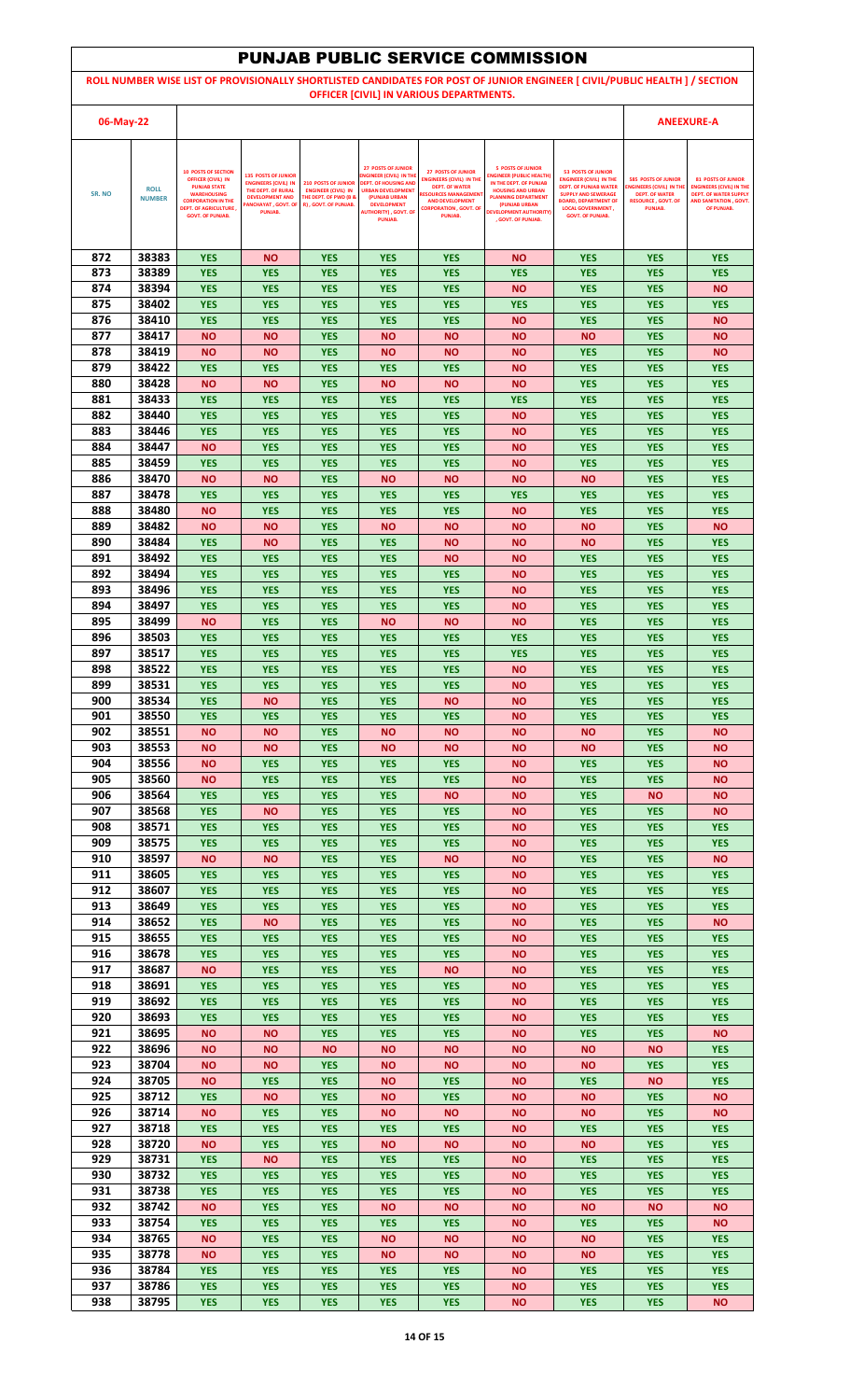| <b>PUNJAB PUBLIC SERVICE COMMISSION</b>                                                                                     |                              |                                                                                 |                                                                           |                                                                                        |                                                                                    |                                                                                       |                                                                                       |                                                                                             |                                                               |                                                                            |  |
|-----------------------------------------------------------------------------------------------------------------------------|------------------------------|---------------------------------------------------------------------------------|---------------------------------------------------------------------------|----------------------------------------------------------------------------------------|------------------------------------------------------------------------------------|---------------------------------------------------------------------------------------|---------------------------------------------------------------------------------------|---------------------------------------------------------------------------------------------|---------------------------------------------------------------|----------------------------------------------------------------------------|--|
| ROLL NUMBER WISE LIST OF PROVISIONALLY SHORTLISTED CANDIDATES FOR POST OF JUNIOR ENGINEER [ CIVIL/PUBLIC HEALTH ] / SECTION |                              |                                                                                 |                                                                           |                                                                                        |                                                                                    |                                                                                       |                                                                                       |                                                                                             |                                                               |                                                                            |  |
| OFFICER [CIVIL] IN VARIOUS DEPARTMENTS.                                                                                     |                              |                                                                                 |                                                                           |                                                                                        |                                                                                    |                                                                                       |                                                                                       |                                                                                             |                                                               |                                                                            |  |
| 06-May-22                                                                                                                   |                              |                                                                                 |                                                                           |                                                                                        |                                                                                    |                                                                                       |                                                                                       |                                                                                             |                                                               | <b>ANEEXURE-A</b>                                                          |  |
|                                                                                                                             |                              |                                                                                 |                                                                           |                                                                                        |                                                                                    |                                                                                       |                                                                                       |                                                                                             |                                                               |                                                                            |  |
|                                                                                                                             |                              | <b>10 POSTS OF SECTION</b><br><b>OFFICER (CIVIL) IN</b><br><b>PUNJAB STATE</b>  | <b>135 POSTS OF JUNIOR</b><br><b>ENGINEERS (CIVIL) IN</b>                 | <b>210 POSTS OF JUNIOR</b>                                                             | <b>27 POSTS OF JUNIOR</b><br>NGINEER (CIVIL) IN THE<br><b>DEPT. OF HOUSING AND</b> | <b>27 POSTS OF JUNIOR</b><br><b>ENGINEERS (CIVIL) IN THE</b><br><b>DEPT. OF WATER</b> | <b>5 POSTS OF JUNIOR</b><br><b>INGINEER (PUBLIC HEALTH)</b><br>IN THE DEPT. OF PUNJAB | <b>53 POSTS OF JUNIOR</b><br><b>ENGINEER (CIVIL) IN THE</b><br><b>DEPT. OF PUNJAB WATER</b> | <b>585 POSTS OF JUNIOR</b><br><b>ENGINEERS (CIVIL) IN TH</b>  | <b>81 POSTS OF JUNIOR</b><br><b>ENGINEERS (CIVIL) IN THE</b>               |  |
| SR. NO                                                                                                                      | <b>ROLL</b><br><b>NUMBER</b> | <b>WAREHOUSING</b><br><b>CORPORATION IN THE</b><br><b>DEPT. OF AGRICULTURE,</b> | THE DEPT. OF RURAL<br><b>DEVELOPMENT AND</b><br><b>ANCHAYAT, GOVT. OF</b> | <b>ENGINEER (CIVIL) IN</b><br><b>THE DEPT. OF PWD (B &amp;</b><br>R), GOVT. OF PUNJAB. | <b>URBAN DEVELOPMENT</b><br>(PUNJAB URBAN<br><b>DEVELOPMENT</b>                    | <b>RESOURCES MANAGEMEN</b><br><b>AND DEVELOPMENT</b><br><b>CORPORATION , GOVT, OF</b> | <b>HOUSING AND URBAN</b><br><b>PLANNING DEPARTMENT</b><br>(PUNJAB URBAN               | <b>SUPPLY AND SEWERAGE</b><br><b>BOARD, DEPARTMENT OF</b><br><b>LOCAL GOVERNMENT,</b>       | <b>DEPT. OF WATER</b><br><b>RESOURCE, GOVT, OF</b><br>PUNJAB. | <b>DEPT. OF WATER SUPPLY</b><br><b>AND SANITATION, GOVT.</b><br>OF PUNJAB. |  |
|                                                                                                                             |                              | <b>GOVT. OF PUNJAB.</b>                                                         | PUNJAB.                                                                   |                                                                                        | <b>AUTHORITY), GOVT. OF</b><br><b>PUNJAB.</b>                                      | PUNJAB.                                                                               | <b>DEVELOPMENT AUTHORITY)</b><br>. GOVT. OF PUNJAB.                                   | <b>GOVT. OF PUNJAB.</b>                                                                     |                                                               |                                                                            |  |
|                                                                                                                             |                              |                                                                                 |                                                                           |                                                                                        |                                                                                    |                                                                                       |                                                                                       |                                                                                             |                                                               |                                                                            |  |
| 872<br>873                                                                                                                  | 38383<br>38389               | <b>YES</b><br><b>YES</b>                                                        | <b>NO</b><br><b>YES</b>                                                   | <b>YES</b><br><b>YES</b>                                                               | <b>YES</b><br><b>YES</b>                                                           | <b>YES</b><br><b>YES</b>                                                              | <b>NO</b><br><b>YES</b>                                                               | <b>YES</b><br><b>YES</b>                                                                    | <b>YES</b><br><b>YES</b>                                      | <b>YES</b><br><b>YES</b>                                                   |  |
| 874                                                                                                                         | 38394                        | <b>YES</b>                                                                      | <b>YES</b>                                                                | <b>YES</b>                                                                             | <b>YES</b>                                                                         | <b>YES</b>                                                                            | <b>NO</b>                                                                             | <b>YES</b>                                                                                  | <b>YES</b>                                                    | <b>NO</b>                                                                  |  |
| 875                                                                                                                         | 38402                        | <b>YES</b>                                                                      | <b>YES</b>                                                                | <b>YES</b>                                                                             | <b>YES</b>                                                                         | <b>YES</b>                                                                            | <b>YES</b>                                                                            | <b>YES</b>                                                                                  | <b>YES</b>                                                    | <b>YES</b>                                                                 |  |
| 876<br>877                                                                                                                  | 38410<br>38417               | <b>YES</b><br><b>NO</b>                                                         | <b>YES</b><br><b>NO</b>                                                   | <b>YES</b><br><b>YES</b>                                                               | <b>YES</b><br><b>NO</b>                                                            | <b>YES</b><br><b>NO</b>                                                               | <b>NO</b><br><b>NO</b>                                                                | <b>YES</b><br><b>NO</b>                                                                     | <b>YES</b><br><b>YES</b>                                      | <b>NO</b><br><b>NO</b>                                                     |  |
| 878                                                                                                                         | 38419                        | <b>NO</b>                                                                       | ΝO                                                                        | <b>YES</b>                                                                             | <b>NO</b>                                                                          | <b>NO</b>                                                                             | <b>NO</b>                                                                             | <b>YES</b>                                                                                  | <b>YES</b>                                                    | <b>NO</b>                                                                  |  |
| 879                                                                                                                         | 38422                        | <b>YES</b>                                                                      | <b>YES</b>                                                                | <b>YES</b>                                                                             | <b>YES</b>                                                                         | <b>YES</b>                                                                            | <b>NO</b>                                                                             | <b>YES</b>                                                                                  | <b>YES</b>                                                    | <b>YES</b>                                                                 |  |
| 880<br>881                                                                                                                  | 38428<br>38433               | <b>NO</b><br><b>YES</b>                                                         | ΝO<br><b>YES</b>                                                          | <b>YES</b><br><b>YES</b>                                                               | <b>NO</b><br><b>YES</b>                                                            | <b>NO</b><br><b>YES</b>                                                               | <b>NO</b><br><b>YES</b>                                                               | <b>YES</b><br><b>YES</b>                                                                    | <b>YES</b><br><b>YES</b>                                      | <b>YES</b><br><b>YES</b>                                                   |  |
| 882                                                                                                                         | 38440                        | <b>YES</b>                                                                      | <b>YES</b>                                                                | <b>YES</b>                                                                             | <b>YES</b>                                                                         | <b>YES</b>                                                                            | <b>NO</b>                                                                             | <b>YES</b>                                                                                  | <b>YES</b>                                                    | <b>YES</b>                                                                 |  |
| 883                                                                                                                         | 38446                        | <b>YES</b>                                                                      | <b>YES</b>                                                                | <b>YES</b>                                                                             | <b>YES</b>                                                                         | <b>YES</b>                                                                            | <b>NO</b>                                                                             | <b>YES</b>                                                                                  | <b>YES</b>                                                    | <b>YES</b>                                                                 |  |
| 884<br>885                                                                                                                  | 38447<br>38459               | <b>NO</b><br><b>YES</b>                                                         | <b>YES</b><br><b>YES</b>                                                  | <b>YES</b><br><b>YES</b>                                                               | <b>YES</b><br><b>YES</b>                                                           | <b>YES</b><br><b>YES</b>                                                              | <b>NO</b><br><b>NO</b>                                                                | <b>YES</b><br><b>YES</b>                                                                    | <b>YES</b><br><b>YES</b>                                      | <b>YES</b><br><b>YES</b>                                                   |  |
| 886                                                                                                                         | 38470                        | <b>NO</b>                                                                       | <b>NO</b>                                                                 | <b>YES</b>                                                                             | <b>NO</b>                                                                          | <b>NO</b>                                                                             | <b>NO</b>                                                                             | <b>NO</b>                                                                                   | <b>YES</b>                                                    | <b>YES</b>                                                                 |  |
| 887                                                                                                                         | 38478                        | <b>YES</b>                                                                      | <b>YES</b>                                                                | <b>YES</b>                                                                             | <b>YES</b>                                                                         | <b>YES</b>                                                                            | <b>YES</b>                                                                            | <b>YES</b>                                                                                  | <b>YES</b>                                                    | <b>YES</b>                                                                 |  |
| 888<br>889                                                                                                                  | 38480<br>38482               | <b>NO</b><br><b>NO</b>                                                          | <b>YES</b><br><b>NO</b>                                                   | <b>YES</b><br><b>YES</b>                                                               | <b>YES</b><br><b>NO</b>                                                            | <b>YES</b><br><b>NO</b>                                                               | <b>NO</b><br><b>NO</b>                                                                | <b>YES</b><br><b>NO</b>                                                                     | <b>YES</b><br><b>YES</b>                                      | <b>YES</b><br><b>NO</b>                                                    |  |
| 890                                                                                                                         | 38484                        | <b>YES</b>                                                                      | ΝO                                                                        | <b>YES</b>                                                                             | <b>YES</b>                                                                         | <b>NO</b>                                                                             | <b>NO</b>                                                                             | <b>NO</b>                                                                                   | <b>YES</b>                                                    | <b>YES</b>                                                                 |  |
| 891<br>892                                                                                                                  | 38492<br>38494               | <b>YES</b><br><b>YES</b>                                                        | <b>YES</b><br><b>YES</b>                                                  | <b>YES</b><br><b>YES</b>                                                               | <b>YES</b><br><b>YES</b>                                                           | <b>NO</b><br><b>YES</b>                                                               | <b>NO</b><br><b>NO</b>                                                                | <b>YES</b><br><b>YES</b>                                                                    | <b>YES</b><br><b>YES</b>                                      | <b>YES</b><br><b>YES</b>                                                   |  |
| 893                                                                                                                         | 38496                        | <b>YES</b>                                                                      | <b>YES</b>                                                                | <b>YES</b>                                                                             | <b>YES</b>                                                                         | <b>YES</b>                                                                            | <b>NO</b>                                                                             | <b>YES</b>                                                                                  | <b>YES</b>                                                    | <b>YES</b>                                                                 |  |
| 894                                                                                                                         | 38497                        | <b>YES</b>                                                                      | <b>YES</b>                                                                | <b>YES</b>                                                                             | <b>YES</b>                                                                         | <b>YES</b>                                                                            | <b>NO</b>                                                                             | <b>YES</b>                                                                                  | <b>YES</b>                                                    | <b>YES</b>                                                                 |  |
| 895<br>896                                                                                                                  | 38499<br>38503               | <b>NO</b><br><b>YES</b>                                                         | <b>YES</b><br><b>YES</b>                                                  | <b>YES</b><br><b>YES</b>                                                               | <b>NO</b><br><b>YES</b>                                                            | <b>NO</b><br><b>YES</b>                                                               | <b>NO</b><br><b>YES</b>                                                               | <b>YES</b><br><b>YES</b>                                                                    | <b>YES</b><br><b>YES</b>                                      | <b>YES</b><br><b>YES</b>                                                   |  |
| 897                                                                                                                         | 38517                        | <b>YES</b>                                                                      | <b>YES</b>                                                                | <b>YES</b>                                                                             | <b>YES</b>                                                                         | <b>YES</b>                                                                            | <b>YES</b>                                                                            | <b>YES</b>                                                                                  | <b>YES</b>                                                    | <b>YES</b>                                                                 |  |
| 898                                                                                                                         | 38522                        | <b>YES</b>                                                                      | <b>YES</b>                                                                | <b>YES</b>                                                                             | <b>YES</b>                                                                         | <b>YES</b>                                                                            | ΝO                                                                                    | <b>YES</b>                                                                                  | <b>YES</b>                                                    | <b>YES</b>                                                                 |  |
| 899<br>900                                                                                                                  | 38531<br>38534               | <b>YES</b><br><b>YES</b>                                                        | <b>YES</b><br>ΝO                                                          | <b>YES</b><br><b>YES</b>                                                               | <b>YES</b><br><b>YES</b>                                                           | <b>YES</b><br><b>NO</b>                                                               | <b>NO</b><br><b>NO</b>                                                                | <b>YES</b><br><b>YES</b>                                                                    | <b>YES</b><br><b>YES</b>                                      | <b>YES</b><br><b>YES</b>                                                   |  |
| 901                                                                                                                         | 38550                        | <b>YES</b>                                                                      | <b>YES</b>                                                                | <b>YES</b>                                                                             | <b>YES</b>                                                                         | <b>YES</b>                                                                            | <b>NO</b>                                                                             | <b>YES</b>                                                                                  | <b>YES</b>                                                    | <b>YES</b>                                                                 |  |
| 902                                                                                                                         | 38551                        | <b>NO</b>                                                                       | <b>NO</b>                                                                 | <b>YES</b>                                                                             | <b>NO</b>                                                                          | <b>NO</b>                                                                             | <b>NO</b>                                                                             | <b>NO</b>                                                                                   | <b>YES</b>                                                    | <b>NO</b>                                                                  |  |
| 903<br>904                                                                                                                  | 38553<br>38556               | <b>NO</b><br><b>NO</b>                                                          | ΝO<br><b>YES</b>                                                          | <b>YES</b><br><b>YES</b>                                                               | <b>NO</b><br><b>YES</b>                                                            | <b>NO</b><br><b>YES</b>                                                               | <b>NO</b><br><b>NO</b>                                                                | <b>NO</b><br><b>YES</b>                                                                     | <b>YES</b><br><b>YES</b>                                      | <b>NO</b><br><b>NO</b>                                                     |  |
| 905                                                                                                                         | 38560                        | <b>NO</b>                                                                       | <b>YES</b>                                                                | <b>YES</b>                                                                             | <b>YES</b>                                                                         | <b>YES</b>                                                                            | <b>NO</b>                                                                             | <b>YES</b>                                                                                  | <b>YES</b>                                                    | <b>NO</b>                                                                  |  |
| 906<br>907                                                                                                                  | 38564<br>38568               | <b>YES</b><br><b>YES</b>                                                        | <b>YES</b>                                                                | <b>YES</b>                                                                             | <b>YES</b>                                                                         | <b>NO</b>                                                                             | <b>NO</b>                                                                             | <b>YES</b><br><b>YES</b>                                                                    | <b>NO</b>                                                     | <b>NO</b><br><b>NO</b>                                                     |  |
| 908                                                                                                                         | 38571                        | <b>YES</b>                                                                      | <b>NO</b><br><b>YES</b>                                                   | <b>YES</b><br><b>YES</b>                                                               | <b>YES</b><br><b>YES</b>                                                           | <b>YES</b><br><b>YES</b>                                                              | <b>NO</b><br><b>NO</b>                                                                | <b>YES</b>                                                                                  | <b>YES</b><br><b>YES</b>                                      | <b>YES</b>                                                                 |  |
| 909                                                                                                                         | 38575                        | <b>YES</b>                                                                      | <b>YES</b>                                                                | <b>YES</b>                                                                             | <b>YES</b>                                                                         | <b>YES</b>                                                                            | <b>NO</b>                                                                             | <b>YES</b>                                                                                  | <b>YES</b>                                                    | <b>YES</b>                                                                 |  |
| 910<br>911                                                                                                                  | 38597<br>38605               | <b>NO</b><br><b>YES</b>                                                         | ΝO<br><b>YES</b>                                                          | <b>YES</b><br><b>YES</b>                                                               | <b>YES</b><br><b>YES</b>                                                           | <b>NO</b><br><b>YES</b>                                                               | <b>NO</b><br><b>NO</b>                                                                | <b>YES</b><br><b>YES</b>                                                                    | <b>YES</b><br><b>YES</b>                                      | <b>NO</b><br><b>YES</b>                                                    |  |
| 912                                                                                                                         | 38607                        | <b>YES</b>                                                                      | <b>YES</b>                                                                | <b>YES</b>                                                                             | <b>YES</b>                                                                         | <b>YES</b>                                                                            | <b>NO</b>                                                                             | <b>YES</b>                                                                                  | <b>YES</b>                                                    | <b>YES</b>                                                                 |  |
| 913                                                                                                                         | 38649                        | <b>YES</b>                                                                      | <b>YES</b>                                                                | <b>YES</b>                                                                             | <b>YES</b>                                                                         | <b>YES</b>                                                                            | <b>NO</b>                                                                             | <b>YES</b>                                                                                  | <b>YES</b>                                                    | <b>YES</b>                                                                 |  |
| 914<br>915                                                                                                                  | 38652<br>38655               | <b>YES</b><br><b>YES</b>                                                        | <b>NO</b><br><b>YES</b>                                                   | <b>YES</b><br><b>YES</b>                                                               | <b>YES</b><br><b>YES</b>                                                           | <b>YES</b><br><b>YES</b>                                                              | <b>NO</b><br><b>NO</b>                                                                | <b>YES</b><br><b>YES</b>                                                                    | <b>YES</b><br><b>YES</b>                                      | <b>NO</b><br><b>YES</b>                                                    |  |
| 916                                                                                                                         | 38678                        | <b>YES</b>                                                                      | <b>YES</b>                                                                | <b>YES</b>                                                                             | <b>YES</b>                                                                         | <b>YES</b>                                                                            | <b>NO</b>                                                                             | <b>YES</b>                                                                                  | <b>YES</b>                                                    | <b>YES</b>                                                                 |  |
| 917                                                                                                                         | 38687                        | <b>NO</b>                                                                       | <b>YES</b>                                                                | <b>YES</b>                                                                             | <b>YES</b>                                                                         | <b>NO</b>                                                                             | <b>NO</b>                                                                             | <b>YES</b>                                                                                  | <b>YES</b>                                                    | <b>YES</b>                                                                 |  |
| 918<br>919                                                                                                                  | 38691<br>38692               | <b>YES</b><br><b>YES</b>                                                        | <b>YES</b><br><b>YES</b>                                                  | <b>YES</b><br><b>YES</b>                                                               | <b>YES</b><br><b>YES</b>                                                           | <b>YES</b><br><b>YES</b>                                                              | <b>NO</b><br><b>NO</b>                                                                | <b>YES</b><br><b>YES</b>                                                                    | <b>YES</b><br><b>YES</b>                                      | <b>YES</b><br><b>YES</b>                                                   |  |
| 920                                                                                                                         | 38693                        | <b>YES</b>                                                                      | <b>YES</b>                                                                | <b>YES</b>                                                                             | <b>YES</b>                                                                         | <b>YES</b>                                                                            | <b>NO</b>                                                                             | <b>YES</b>                                                                                  | <b>YES</b>                                                    | <b>YES</b>                                                                 |  |
| 921<br>922                                                                                                                  | 38695<br>38696               | <b>NO</b><br><b>NO</b>                                                          | <b>NO</b><br>ΝO                                                           | <b>YES</b><br><b>NO</b>                                                                | <b>YES</b><br><b>NO</b>                                                            | <b>YES</b><br><b>NO</b>                                                               | <b>NO</b><br><b>NO</b>                                                                | <b>YES</b><br><b>NO</b>                                                                     | <b>YES</b><br><b>NO</b>                                       | <b>NO</b><br><b>YES</b>                                                    |  |
| 923                                                                                                                         | 38704                        | <b>NO</b>                                                                       | ΝO                                                                        | <b>YES</b>                                                                             | <b>NO</b>                                                                          | <b>NO</b>                                                                             | <b>NO</b>                                                                             | <b>NO</b>                                                                                   | <b>YES</b>                                                    | <b>YES</b>                                                                 |  |
| 924                                                                                                                         | 38705                        | <b>NO</b>                                                                       | <b>YES</b>                                                                | <b>YES</b>                                                                             | <b>NO</b>                                                                          | <b>YES</b>                                                                            | <b>NO</b>                                                                             | <b>YES</b>                                                                                  | <b>NO</b>                                                     | <b>YES</b>                                                                 |  |
| 925<br>926                                                                                                                  | 38712<br>38714               | <b>YES</b><br><b>NO</b>                                                         | ΝO<br><b>YES</b>                                                          | <b>YES</b><br><b>YES</b>                                                               | <b>NO</b><br><b>NO</b>                                                             | <b>YES</b><br><b>NO</b>                                                               | <b>NO</b><br><b>NO</b>                                                                | <b>NO</b><br><b>NO</b>                                                                      | <b>YES</b><br><b>YES</b>                                      | <b>NO</b><br><b>NO</b>                                                     |  |
| 927                                                                                                                         | 38718                        | <b>YES</b>                                                                      | <b>YES</b>                                                                | <b>YES</b>                                                                             | <b>YES</b>                                                                         | <b>YES</b>                                                                            | <b>NO</b>                                                                             | <b>YES</b>                                                                                  | <b>YES</b>                                                    | <b>YES</b>                                                                 |  |
| 928                                                                                                                         | 38720                        | <b>NO</b>                                                                       | <b>YES</b>                                                                | <b>YES</b>                                                                             | <b>NO</b>                                                                          | <b>NO</b>                                                                             | <b>NO</b>                                                                             | <b>NO</b>                                                                                   | <b>YES</b>                                                    | <b>YES</b>                                                                 |  |
| 929<br>930                                                                                                                  | 38731<br>38732               | <b>YES</b><br><b>YES</b>                                                        | <b>NO</b><br><b>YES</b>                                                   | <b>YES</b><br><b>YES</b>                                                               | <b>YES</b><br><b>YES</b>                                                           | <b>YES</b><br><b>YES</b>                                                              | <b>NO</b><br><b>NO</b>                                                                | <b>YES</b><br><b>YES</b>                                                                    | <b>YES</b><br><b>YES</b>                                      | <b>YES</b><br><b>YES</b>                                                   |  |
| 931                                                                                                                         | 38738                        | <b>YES</b>                                                                      | <b>YES</b>                                                                | <b>YES</b>                                                                             | <b>YES</b>                                                                         | <b>YES</b>                                                                            | ΝO                                                                                    | <b>YES</b>                                                                                  | <b>YES</b>                                                    | <b>YES</b>                                                                 |  |
| 932                                                                                                                         | 38742                        | <b>NO</b>                                                                       | <b>YES</b>                                                                | <b>YES</b>                                                                             | <b>NO</b>                                                                          | <b>NO</b>                                                                             | <b>NO</b>                                                                             | <b>NO</b>                                                                                   | <b>NO</b>                                                     | <b>NO</b>                                                                  |  |
| 933<br>934                                                                                                                  | 38754<br>38765               | <b>YES</b><br><b>NO</b>                                                         | <b>YES</b><br><b>YES</b>                                                  | <b>YES</b><br><b>YES</b>                                                               | <b>YES</b><br><b>NO</b>                                                            | <b>YES</b><br><b>NO</b>                                                               | <b>NO</b><br><b>NO</b>                                                                | <b>YES</b><br><b>NO</b>                                                                     | <b>YES</b><br><b>YES</b>                                      | <b>NO</b><br><b>YES</b>                                                    |  |
| 935                                                                                                                         | 38778                        | <b>NO</b>                                                                       | <b>YES</b>                                                                | <b>YES</b>                                                                             | <b>NO</b>                                                                          | <b>NO</b>                                                                             | <b>NO</b>                                                                             | <b>NO</b>                                                                                   | <b>YES</b>                                                    | <b>YES</b>                                                                 |  |
| 936                                                                                                                         | 38784                        | <b>YES</b>                                                                      | <b>YES</b>                                                                | <b>YES</b>                                                                             | <b>YES</b>                                                                         | <b>YES</b>                                                                            | <b>NO</b>                                                                             | <b>YES</b>                                                                                  | <b>YES</b>                                                    | <b>YES</b>                                                                 |  |
| 937<br>938                                                                                                                  | 38786<br>38795               | <b>YES</b><br><b>YES</b>                                                        | <b>YES</b><br><b>YES</b>                                                  | <b>YES</b><br><b>YES</b>                                                               | <b>YES</b><br><b>YES</b>                                                           | <b>YES</b><br><b>YES</b>                                                              | <b>NO</b><br><b>NO</b>                                                                | <b>YES</b><br><b>YES</b>                                                                    | <b>YES</b><br><b>YES</b>                                      | <b>YES</b><br><b>NO</b>                                                    |  |
|                                                                                                                             |                              |                                                                                 |                                                                           |                                                                                        |                                                                                    |                                                                                       |                                                                                       |                                                                                             |                                                               |                                                                            |  |